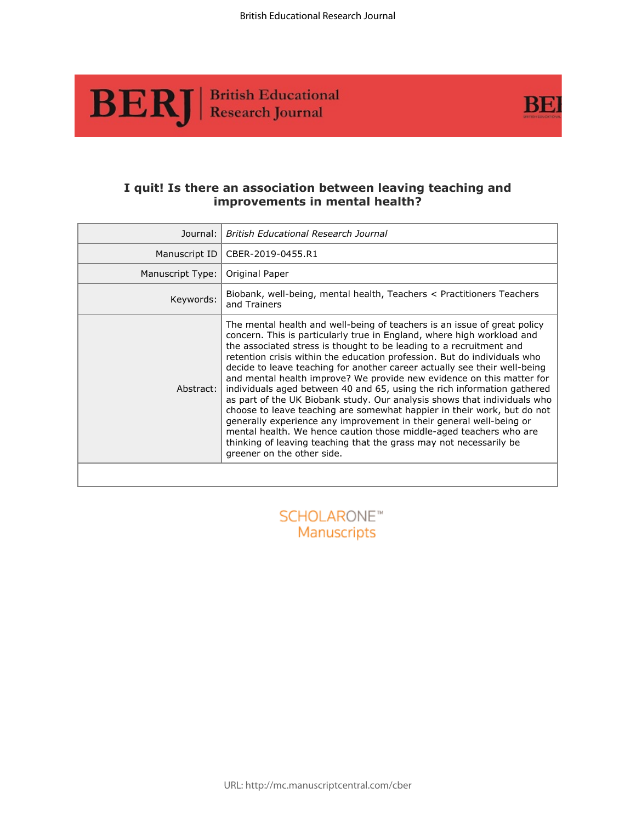**BERJ** Research Journal



## **I quit! Is there an association between leaving teaching and improvements in mental health?**

| Journal:         | British Educational Research Journal                                                                                                                                                                                                                                                                                                                                                                                                                                                                                                                                                                                                                                                                                                                                                                                                                                                                                                           |  |  |  |
|------------------|------------------------------------------------------------------------------------------------------------------------------------------------------------------------------------------------------------------------------------------------------------------------------------------------------------------------------------------------------------------------------------------------------------------------------------------------------------------------------------------------------------------------------------------------------------------------------------------------------------------------------------------------------------------------------------------------------------------------------------------------------------------------------------------------------------------------------------------------------------------------------------------------------------------------------------------------|--|--|--|
| Manuscript ID    | CBER-2019-0455.R1                                                                                                                                                                                                                                                                                                                                                                                                                                                                                                                                                                                                                                                                                                                                                                                                                                                                                                                              |  |  |  |
| Manuscript Type: | Original Paper                                                                                                                                                                                                                                                                                                                                                                                                                                                                                                                                                                                                                                                                                                                                                                                                                                                                                                                                 |  |  |  |
| Keywords:        | Biobank, well-being, mental health, Teachers < Practitioners Teachers<br>and Trainers                                                                                                                                                                                                                                                                                                                                                                                                                                                                                                                                                                                                                                                                                                                                                                                                                                                          |  |  |  |
| Abstract:        | The mental health and well-being of teachers is an issue of great policy<br>concern. This is particularly true in England, where high workload and<br>the associated stress is thought to be leading to a recruitment and<br>retention crisis within the education profession. But do individuals who<br>decide to leave teaching for another career actually see their well-being<br>and mental health improve? We provide new evidence on this matter for<br>individuals aged between 40 and 65, using the rich information gathered<br>as part of the UK Biobank study. Our analysis shows that individuals who<br>choose to leave teaching are somewhat happier in their work, but do not<br>generally experience any improvement in their general well-being or<br>mental health. We hence caution those middle-aged teachers who are<br>thinking of leaving teaching that the grass may not necessarily be<br>greener on the other side. |  |  |  |
|                  |                                                                                                                                                                                                                                                                                                                                                                                                                                                                                                                                                                                                                                                                                                                                                                                                                                                                                                                                                |  |  |  |
|                  | SCHOLARONE <sup>*</sup><br>Manuscripts                                                                                                                                                                                                                                                                                                                                                                                                                                                                                                                                                                                                                                                                                                                                                                                                                                                                                                         |  |  |  |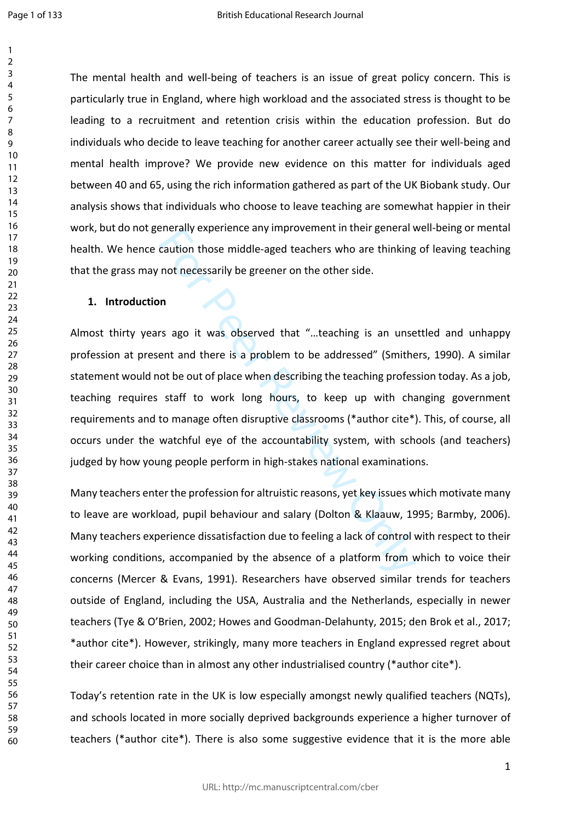Page 1 of 133

 $\mathbf{1}$ 

60

The mental health and well-being of teachers is an issue of great policy concern. This is particularly true in England, where high workload and the associated stress is thought to be leading to a recruitment and retention crisis within the education profession. But do individuals who decide to leave teaching for another career actually see their well-being and mental health improve? We provide new evidence on this matter for individuals aged between 40 and 65, using the rich information gathered as part of the UK Biobank study. Our analysis shows that individuals who choose to leave teaching are somewhat happier in their work, but do not generally experience any improvement in their general well-being or mental health. We hence caution those middle-aged teachers who are thinking of leaving teaching that the grass may not necessarily be greener on the other side.

#### **1. Introduction**

Enerally experience any improvement in their general v<br>caution those middle-aged teachers who are thinking<br>not necessarily be greener on the other side.<br>In<br>m<br>sago it was observed that "...teaching is an unse<br>ent and there Almost thirty years ago it was observed that "…teaching is an unsettled and unhappy profession at present and there is a problem to be addressed" (Smithers, 1990). A similar statement would not be out of place when describing the teaching profession today. As a job, teaching requires staff to work long hours, to keep up with changing government requirements and to manage often disruptive classrooms (\*author cite\*). This, of course, all occurs under the watchful eye of the accountability system, with schools (and teachers) judged by how young people perform in high-stakes national examinations.

Many teachers enter the profession for altruistic reasons, yet key issues which motivate many to leave are workload, pupil behaviour and salary (Dolton & Klaauw, 1995; Barmby, 2006). Many teachers experience dissatisfaction due to feeling a lack of control with respect to their working conditions, accompanied by the absence of a platform from which to voice their concerns (Mercer & Evans, 1991). Researchers have observed similar trends for teachers outside of England, including the USA, Australia and the Netherlands, especially in newer teachers (Tye & O'Brien, 2002; Howes and Goodman-Delahunty, 2015; den Brok et al., 2017; \*author cite\*). However, strikingly, many more teachers in England expressed regret about their career choice than in almost any other industrialised country (\*author cite\*).

Today's retention rate in the UK is low especially amongst newly qualified teachers (NQTs), and schools located in more socially deprived backgrounds experience a higher turnover of teachers (\*author cite\*). There is also some suggestive evidence that it is the more able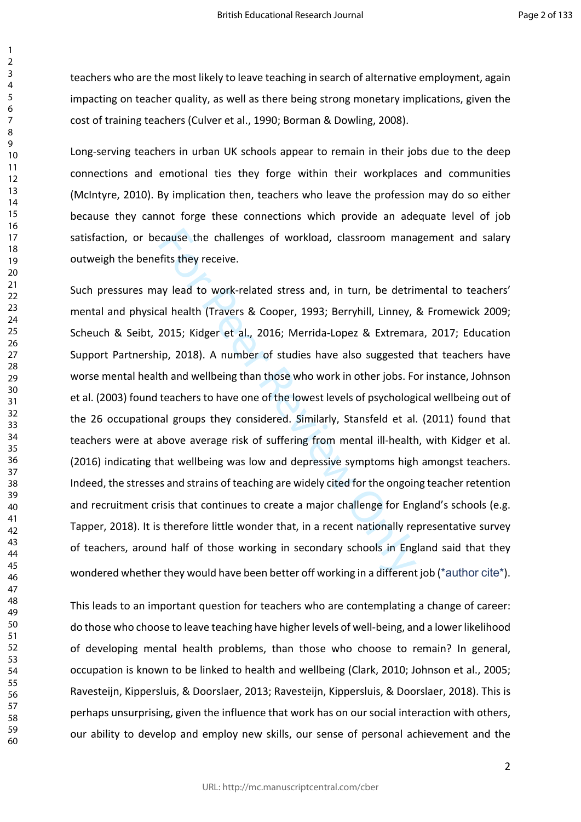teachers who are the most likely to leave teaching in search of alternative employment, again impacting on teacher quality, as well as there being strong monetary implications, given the cost of training teachers (Culver et al., 1990; Borman & Dowling, 2008).

 $\mathbf{1}$  $\overline{2}$  $\overline{4}$  $\overline{7}$ 

Long-serving teachers in urban UK schools appear to remain in their jobs due to the deep connections and emotional ties they forge within their workplaces and communities (McIntyre, 2010). By implication then, teachers who leave the profession may do so either because they cannot forge these connections which provide an adequate level of job satisfaction, or because the challenges of workload, classroom management and salary outweigh the benefits they receive.

exause the challenges of workload, classroom mana<br>Fits they receive.<br>ay lead to work-related stress and, in turn, be detrin<br>al health (Travers & Cooper, 1993; Berryhill, Linney,<br>2015; Kidger et al., 2016; Merrida-Lopez & E Such pressures may lead to work-related stress and, in turn, be detrimental to teachers' mental and physical health (Travers & Cooper, 1993; Berryhill, Linney, & Fromewick 2009; Scheuch & Seibt, 2015; Kidger et al., 2016; Merrida-Lopez & Extremara, 2017; Education Support Partnership, 2018). A number of studies have also suggested that teachers have worse mental health and wellbeing than those who work in other jobs. For instance, Johnson et al. (2003) found teachers to have one of the lowest levels of psychological wellbeing out of the 26 occupational groups they considered. Similarly, Stansfeld et al. (2011) found that teachers were at above average risk of suffering from mental ill-health, with Kidger et al. (2016) indicating that wellbeing was low and depressive symptoms high amongst teachers. Indeed, the stresses and strains of teaching are widely cited for the ongoing teacher retention and recruitment crisis that continues to create a major challenge for England's schools (e.g. Tapper, 2018). It is therefore little wonder that, in a recent nationally representative survey of teachers, around half of those working in secondary schools in England said that they wondered whether they would have been better off working in a different job (\*author cite\*).

This leads to an important question for teachers who are contemplating a change of career: do those who choose to leave teaching have higher levels of well-being, and a lower likelihood of developing mental health problems, than those who choose to remain? In general, occupation is known to be linked to health and wellbeing (Clark, 2010; Johnson et al., 2005; Ravesteijn, Kippersluis, & Doorslaer, 2013; Ravesteijn, Kippersluis, & Doorslaer, 2018). This is perhaps unsurprising, given the influence that work has on our social interaction with others, our ability to develop and employ new skills, our sense of personal achievement and the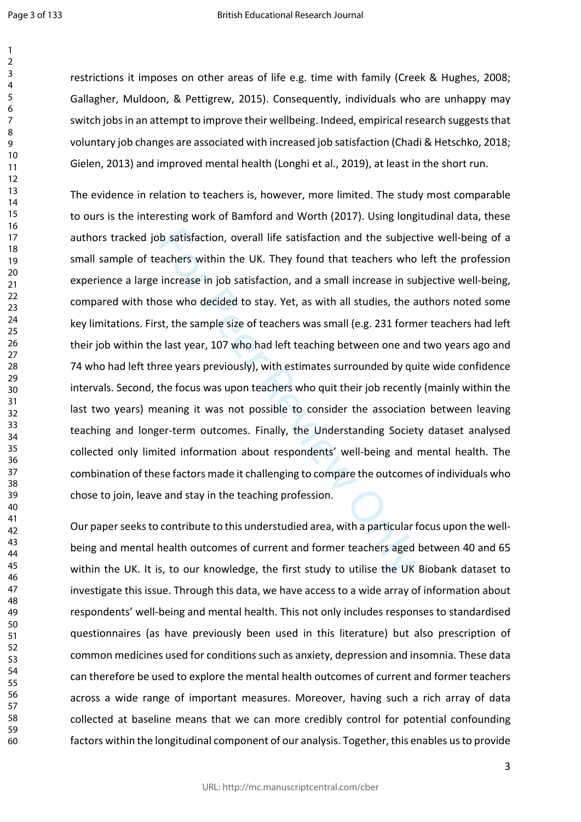$\mathbf{1}$ 

restrictions it imposes on other areas of life e.g. time with family (Creek & Hughes, 2008; Gallagher, Muldoon, & Pettigrew, 2015). Consequently, individuals who are unhappy may switch jobs in an attempt to improve their wellbeing. Indeed, empirical research suggests that voluntary job changes are associated with increased job satisfaction (Chadi & Hetschko, 2018; Gielen, 2013) and improved mental health (Longhi et al., 2019), at least in the short run.

b satisfaction, overall life satisfaction and the subjection<br>eachers within the UK. They found that teachers who<br>increase in job satisfaction, and a small increase in su<br>ose who decided to stay. Yet, as with all studies, t The evidence in relation to teachers is, however, more limited. The study most comparable to ours is the interesting work of Bamford and Worth (2017). Using longitudinal data, these authors tracked job satisfaction, overall life satisfaction and the subjective well-being of a small sample of teachers within the UK. They found that teachers who left the profession experience a large increase in job satisfaction, and a small increase in subjective well-being, compared with those who decided to stay. Yet, as with all studies, the authors noted some key limitations. First, the sample size of teachers was small (e.g. 231 former teachers had left their job within the last year, 107 who had left teaching between one and two years ago and 74 who had left three years previously), with estimates surrounded by quite wide confidence intervals. Second, the focus was upon teachers who quit their job recently (mainly within the last two years) meaning it was not possible to consider the association between leaving teaching and longer-term outcomes. Finally, the Understanding Society dataset analysed collected only limited information about respondents' well-being and mental health. The combination of these factors made it challenging to compare the outcomes of individuals who chose to join, leave and stay in the teaching profession.

Our paper seeks to contribute to this understudied area, with a particular focus upon the wellbeing and mental health outcomes of current and former teachers aged between 40 and 65 within the UK. It is, to our knowledge, the first study to utilise the UK Biobank dataset to investigate this issue. Through this data, we have access to a wide array of information about respondents' well-being and mental health. This not only includes responses to standardised questionnaires (as have previously been used in this literature) but also prescription of common medicines used for conditions such as anxiety, depression and insomnia. These data can therefore be used to explore the mental health outcomes of current and former teachers across a wide range of important measures. Moreover, having such a rich array of data collected at baseline means that we can more credibly control for potential confounding factors within the longitudinal component of our analysis. Together, this enables us to provide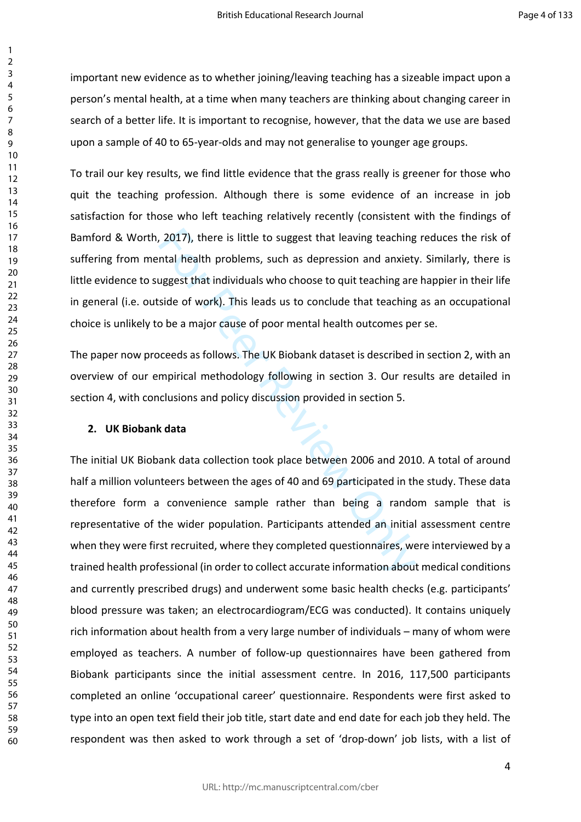important new evidence as to whether joining/leaving teaching has a sizeable impact upon a person's mental health, at a time when many teachers are thinking about changing career in search of a better life. It is important to recognise, however, that the data we use are based upon a sample of 40 to 65-year-olds and may not generalise to younger age groups.

To trail our key results, we find little evidence that the grass really is greener for those who quit the teaching profession. Although there is some evidence of an increase in job satisfaction for those who left teaching relatively recently (consistent with the findings of Bamford & Worth, 2017), there is little to suggest that leaving teaching reduces the risk of suffering from mental health problems, such as depression and anxiety. Similarly, there is little evidence to suggest that individuals who choose to quit teaching are happier in their life in general (i.e. outside of work). This leads us to conclude that teaching as an occupational choice is unlikely to be a major cause of poor mental health outcomes per se.

The paper now proceeds as follows. The UK Biobank dataset is described in section 2, with an overview of our empirical methodology following in section 3. Our results are detailed in section 4, with conclusions and policy discussion provided in section 5.

#### **2. UK Biobank data**

 $\mathbf{1}$  $\overline{2}$  $\overline{4}$  $\overline{7}$ 

2017), there is little to suggest that leaving teaching<br>
thal health problems, such as depression and anxiety<br>
1992 uses that individuals who choose to quit teaching are<br>
side of work). This leads us to conclude that teach The initial UK Biobank data collection took place between 2006 and 2010. A total of around half a million volunteers between the ages of 40 and 69 participated in the study. These data therefore form a convenience sample rather than being a random sample that is representative of the wider population. Participants attended an initial assessment centre when they were first recruited, where they completed questionnaires, were interviewed by a trained health professional (in order to collect accurate information about medical conditions and currently prescribed drugs) and underwent some basic health checks (e.g. participants' blood pressure was taken; an electrocardiogram/ECG was conducted). It contains uniquely rich information about health from a very large number of individuals – many of whom were employed as teachers. A number of follow-up questionnaires have been gathered from Biobank participants since the initial assessment centre. In 2016, 117,500 participants completed an online 'occupational career' questionnaire. Respondents were first asked to type into an open text field their job title, start date and end date for each job they held. The respondent was then asked to work through a set of 'drop-down' job lists, with a list of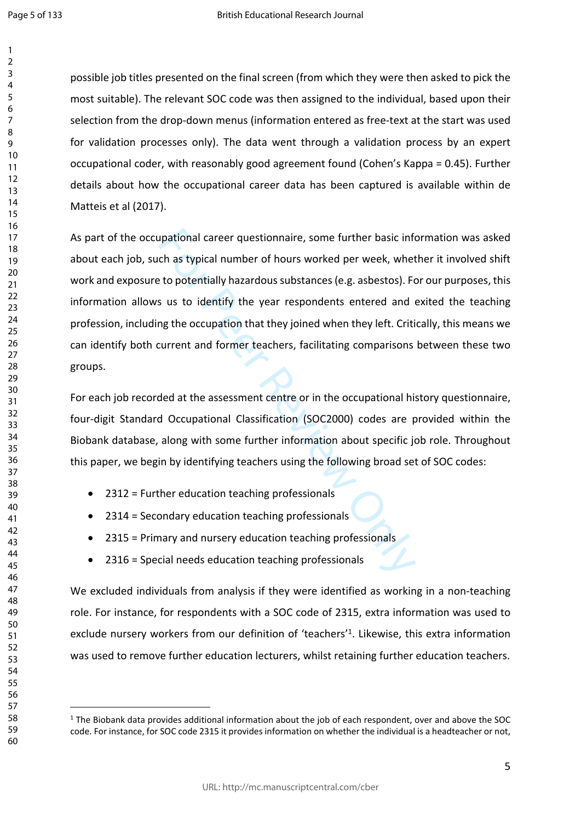$\mathbf{1}$ 

possible job titles presented on the final screen (from which they were then asked to pick the most suitable). The relevant SOC code was then assigned to the individual, based upon their selection from the drop-down menus (information entered as free-text at the start was used for validation processes only). The data went through a validation process by an expert occupational coder, with reasonably good agreement found (Cohen's Kappa = 0.45). Further details about how the occupational career data has been captured is available within de Matteis et al (2017).

mational career questionnaire, some further basic inforch as typical number of hours worked per week, whet to potentially hazardous substances (e.g. asbestos). For the solution of the sear respondents entered and or and th As part of the occupational career questionnaire, some further basic information was asked about each job, such as typical number of hours worked per week, whether it involved shift work and exposure to potentially hazardous substances (e.g. asbestos). For our purposes, this information allows us to identify the year respondents entered and exited the teaching profession, including the occupation that they joined when they left. Critically, this means we can identify both current and former teachers, facilitating comparisons between these two groups.

For each job recorded at the assessment centre or in the occupational history questionnaire, four-digit Standard Occupational Classification (SOC2000) codes are provided within the Biobank database, along with some further information about specific job role. Throughout this paper, we begin by identifying teachers using the following broad set of SOC codes:

- 2312 = Further education teaching professionals
- 2314 = Secondary education teaching professionals
- 2315 = Primary and nursery education teaching professionals
- 2316 = Special needs education teaching professionals

We excluded individuals from analysis if they were identified as working in a non-teaching role. For instance, for respondents with a SOC code of 2315, extra information was used to exclude nursery workers from our definition of 'teachers'<sup>1</sup>. Likewise, this extra information was used to remove further education lecturers, whilst retaining further education teachers.

 The Biobank data provides additional information about the job of each respondent, over and above the SOC code. For instance, for SOC code 2315 it provides information on whether the individual is a headteacher or not,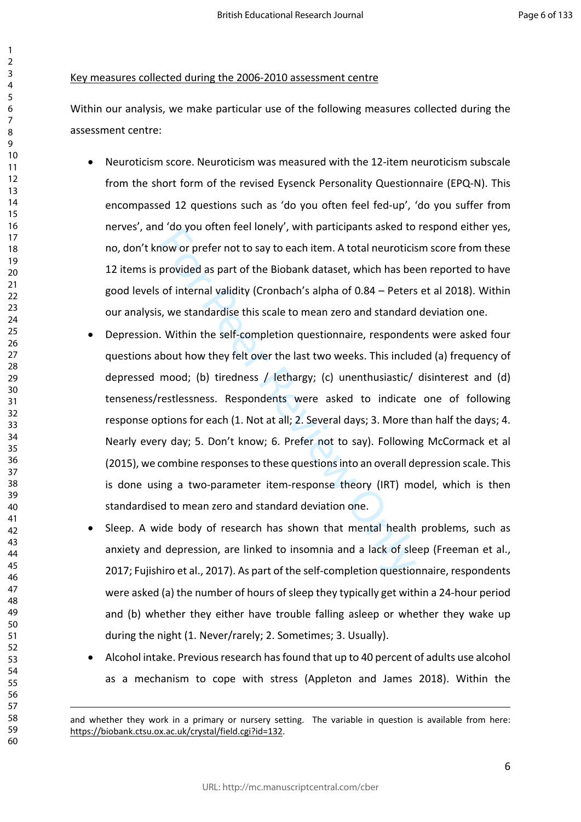#### Key measures collected during the 2006-2010 assessment centre

Within our analysis, we make particular use of the following measures collected during the assessment centre:

- Neuroticism score. Neuroticism was measured with the 12-item neuroticism subscale from the short form of the revised Eysenck Personality Questionnaire (EPQ-N). This encompassed 12 questions such as 'do you often feel fed-up', 'do you suffer from nerves', and 'do you often feel lonely', with participants asked to respond either yes, no, don't know or prefer not to say to each item. A total neuroticism score from these 12 items is provided as part of the Biobank dataset, which has been reported to have good levels of internal validity (Cronbach's alpha of 0.84 – Peters et al 2018). Within our analysis, we standardise this scale to mean zero and standard deviation one.
- The Biobal and Hall chemistic sisted to<br>now or prefer not to say to each item. A total neuroticis<br>provided as part of the Biobank dataset, which has be<br>of internal validity (Cronbach's alpha of 0.84 Peters<br>s, we standard Depression. Within the self-completion questionnaire, respondents were asked four questions about how they felt over the last two weeks. This included (a) frequency of depressed mood; (b) tiredness / lethargy; (c) unenthusiastic/ disinterest and (d) tenseness/restlessness. Respondents were asked to indicate one of following response options for each (1. Not at all; 2. Several days; 3. More than half the days; 4. Nearly every day; 5. Don't know; 6. Prefer not to say). Following McCormack et al (2015), we combine responses to these questions into an overall depression scale. This is done using a two-parameter item-response theory (IRT) model, which is then standardised to mean zero and standard deviation one.
- Sleep. A wide body of research has shown that mental health problems, such as anxiety and depression, are linked to insomnia and a lack of sleep (Freeman et al., 2017; [Fujishiro](https://www.sciencedirect.com/science/article/abs/pii/S0277953617305531) et al., 2017). As part of the self-completion questionnaire, respondents were asked (a) the number of hours of sleep they typically get within a 24-hour period and (b) whether they either have trouble falling asleep or whether they wake up during the night (1. Never/rarely; 2. Sometimes; 3. Usually).
- Alcohol intake. Previous research has found that up to 40 percent of adults use alcohol as a mechanism to cope with stress (Appleton and James 2018). Within the

and whether they work in a primary or nursery setting. The variable in question is available from here: [https://biobank.ctsu.ox.ac.uk/crystal/field.cgi?id=132.](https://biobank.ctsu.ox.ac.uk/crystal/field.cgi?id=132)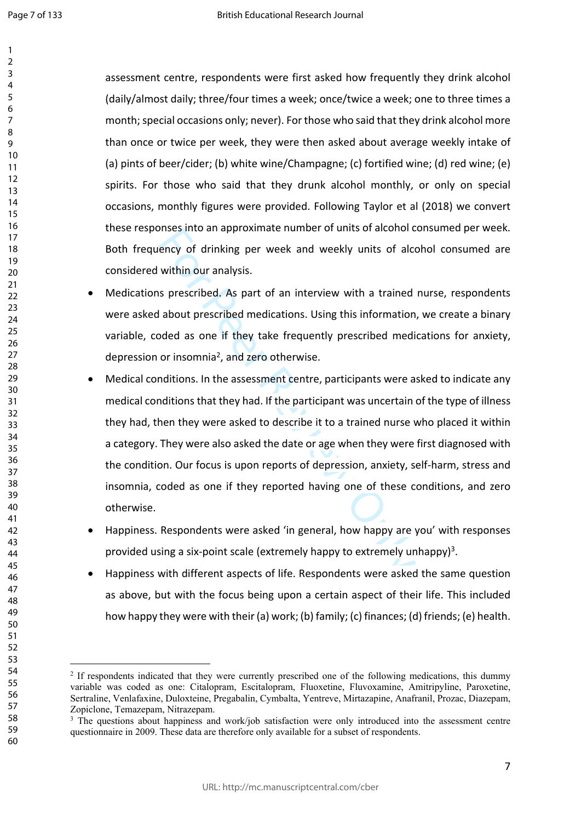$\mathbf{1}$ 

60

assessment centre, respondents were first asked how frequently they drink alcohol (daily/almost daily; three/four times a week; once/twice a week; one to three times a month; special occasions only; never). For those who said that they drink alcohol more than once or twice per week, they were then asked about average weekly intake of (a) pints of beer/cider; (b) white wine/Champagne; (c) fortified wine; (d) red wine; (e) spirits. For those who said that they drunk alcohol monthly, or only on special occasions, monthly figures were provided. Following Taylor et al (2018) we convert these responses into an approximate number of units of alcohol consumed per week. Both frequency of drinking per week and weekly units of alcohol consumed are considered within our analysis.

- Medications prescribed. As part of an interview with a trained nurse, respondents were asked about prescribed medications. Using this information, we create a binary variable, coded as one if they take frequently prescribed medications for anxiety, depression or insomnia 2 , and zero otherwise.
- Shares into an approximate number or units or attorion correct of drinking per week and weekly units of alcordic<br>ency of drinking per week and weekly units of alcordic<br>within our analysis.<br>So prescribed. As part of an inte Medical conditions. In the assessment centre, participants were asked to indicate any medical conditions that they had. If the participant was uncertain of the type of illness they had, then they were asked to describe it to a trained nurse who placed it within a category. They were also asked the date or age when they were first diagnosed with the condition. Our focus is upon reports of depression, anxiety, self-harm, stress and insomnia, coded as one if they reported having one of these conditions, and zero otherwise.
- Happiness. Respondents were asked 'in general, how happy are you' with responses provided using a six-point scale (extremely happy to extremely unhappy)<sup>3</sup>.
- Happiness with different aspects of life. Respondents were asked the same question as above, but with the focus being upon a certain aspect of their life. This included how happy they were with their (a) work; (b) family; (c) finances; (d) friends; (e) health.

<sup>&</sup>lt;sup>2</sup> If respondents indicated that they were currently prescribed one of the following medications, this dummy variable was coded as one: Citalopram, Escitalopram, Fluoxetine, Fluvoxamine, Amitripyline, Paroxetine, Sertraline, Venlafaxine, Duloxteine, Pregabalin, Cymbalta, Yentreve, Mirtazapine, Anafranil, Prozac, Diazepam, Zopiclone, Temazepam, Nitrazepam.

<sup>&</sup>lt;sup>3</sup> The questions about happiness and work/job satisfaction were only introduced into the assessment centre questionnaire in 2009. These data are therefore only available for a subset of respondents.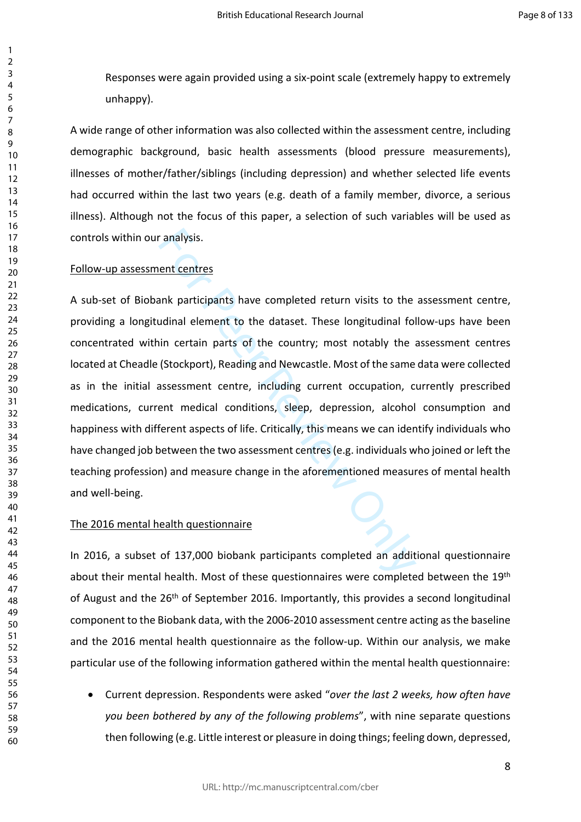Responses were again provided using a six-point scale (extremely happy to extremely unhappy).

A wide range of other information was also collected within the assessment centre, including demographic background, basic health assessments (blood pressure measurements), illnesses of mother/father/siblings (including depression) and whether selected life events had occurred within the last two years (e.g. death of a family member, divorce, a serious illness). Although not the focus of this paper, a selection of such variables will be used as controls within our analysis.

#### Follow-up assessment centres

123456789

 $\mathbf{1}$  $\overline{2}$  $\overline{3}$  $\overline{4}$ 5 6  $\overline{7}$ 8  $\mathsf{Q}$ 

r analysis.<br>
ent centres<br>
sink participants have completed return visits to the<br>
udinal element to the dataset. These longitudinal fol<br>
in certain parts of the country; most notably the<br>
(Stockport), Reading and Newcastle. A sub-set of Biobank participants have completed return visits to the assessment centre, providing a longitudinal element to the dataset. These longitudinal follow-ups have been concentrated within certain parts of the country; most notably the assessment centres located at Cheadle (Stockport), Reading and Newcastle. Most of the same data were collected as in the initial assessment centre, including current occupation, currently prescribed medications, current medical conditions, sleep, depression, alcohol consumption and happiness with different aspects of life. Critically, this means we can identify individuals who have changed job between the two assessment centres (e.g. individuals who joined or left the teaching profession) and measure change in the aforementioned measures of mental health and well-being.

#### The 2016 mental health questionnaire

In 2016, a subset of 137,000 biobank participants completed an additional questionnaire about their mental health. Most of these questionnaires were completed between the 19<sup>th</sup> of August and the 26<sup>th</sup> of September 2016. Importantly, this provides a second longitudinal component to the Biobank data, with the 2006-2010 assessment centre acting as the baseline and the 2016 mental health questionnaire as the follow-up. Within our analysis, we make particular use of the following information gathered within the mental health questionnaire:

 Current depression. Respondents were asked "*over the last 2 weeks, how often have you been bothered by any of the following problems*", with nine separate questions then following (e.g. Little interest or pleasure in doing things; feeling down, depressed,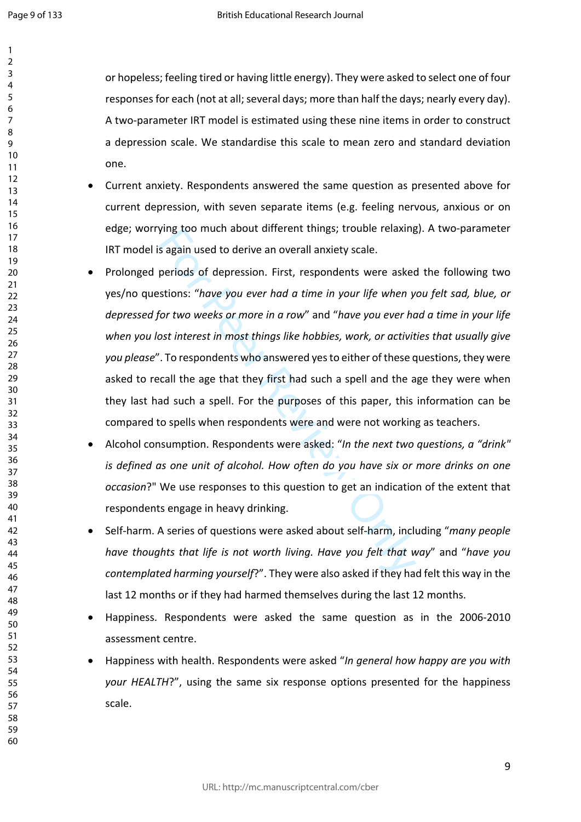123456789

 $\mathbf{1}$  $\overline{2}$  $\overline{3}$  $\overline{4}$ 5 6  $\overline{7}$ 8 9

or hopeless; feeling tired or having little energy). They were asked to select one of four responses for each (not at all; several days; more than half the days; nearly every day). A two-parameter IRT model is estimated using these nine items in order to construct a depression scale. We standardise this scale to mean zero and standard deviation one.

- Current anxiety. Respondents answered the same question as presented above for current depression, with seven separate items (e.g. feeling nervous, anxious or on edge; worrying too much about different things; trouble relaxing). A two-parameter IRT model is again used to derive an overall anxiety scale.
- bying too much about different things; trouble relaxing<br>s again used to derive an overall anxiety scale.<br>periods of depression. First, respondents were asked<br>stions: "have you ever had a time in your life when y<br>for two we Prolonged periods of depression. First, respondents were asked the following two yes/no questions: "*have you ever had a time in your life when you felt sad, blue, or depressed for two weeks or more in a row*" and "*have you ever had a time in your life when you lost interest in most things like hobbies, work, or activities that usually give you please*". To respondents who answered yes to either of these questions, they were asked to recall the age that they first had such a spell and the age they were when they last had such a spell. For the purposes of this paper, this information can be compared to spells when respondents were and were not working as teachers.
- Alcohol consumption. Respondents were asked: "*In the next two questions, a "drink" is defined as one unit of alcohol. How often do you have six or more drinks on one occasion*?" We use responses to this question to get an indication of the extent that respondents engage in heavy drinking.
- Self-harm. A series of questions were asked about self-harm, including "*many people have thoughts that life is not worth living. Have you felt that way*" and "*have you contemplated harming yourself*?". They were also asked if they had felt this way in the last 12 months or if they had harmed themselves during the last 12 months.
- Happiness. Respondents were asked the same question as in the 2006-2010 assessment centre.
- Happiness with health. Respondents were asked "*In general how happy are you with your HEALTH*?", using the same six response options presented for the happiness scale.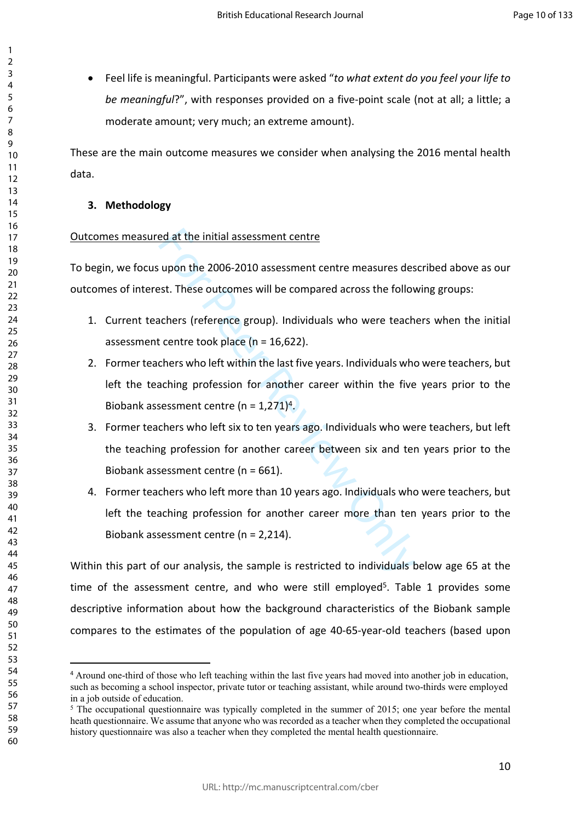Feel life is meaningful. Participants were asked "*to what extent do you feel your life to be meaningful*?", with responses provided on a five-point scale (not at all; a little; a moderate amount; very much; an extreme amount).

These are the main outcome measures we consider when analysing the 2016 mental health data.

### **3. Methodology**

### Outcomes measured at the initial assessment centre

To begin, we focus upon the 2006-2010 assessment centre measures described above as our outcomes of interest. These outcomes will be compared across the following groups:

- 1. Current teachers (reference group). Individuals who were teachers when the initial assessment centre took place (n = 16,622).
- 2. Former teachers who left within the last five years. Individuals who were teachers, but left the teaching profession for another career within the five years prior to the Biobank assessment centre (n =  $1,271$ )<sup>4</sup>.
- 3. Former teachers who left six to ten years ago. Individuals who were teachers, but left the teaching profession for another career between six and ten years prior to the Biobank assessment centre (n = 661).
- ed at the initial assessment centre<br>upon the 2006-2010 assessment centre measures des<br>sst. These outcomes will be compared across the follow<br>achers (reference group). Individuals who were teach<br>t centre took place (n = 16 4. Former teachers who left more than 10 years ago. Individuals who were teachers, but left the teaching profession for another career more than ten years prior to the Biobank assessment centre (n = 2,214).

Within this part of our analysis, the sample is restricted to individuals below age 65 at the time of the assessment centre, and who were still employed<sup>5</sup>. Table 1 provides some descriptive information about how the background characteristics of the Biobank sample compares to the estimates of the population of age 40-65-year-old teachers (based upon

 $\mathbf{1}$ 

 Around one-third of those who left teaching within the last five years had moved into another job in education, such as becoming a school inspector, private tutor or teaching assistant, while around two-thirds were employed in a job outside of education.

<sup>&</sup>lt;sup>5</sup> The occupational questionnaire was typically completed in the summer of 2015; one year before the mental heath questionnaire. We assume that anyone who was recorded as a teacher when they completed the occupational history questionnaire was also a teacher when they completed the mental health questionnaire.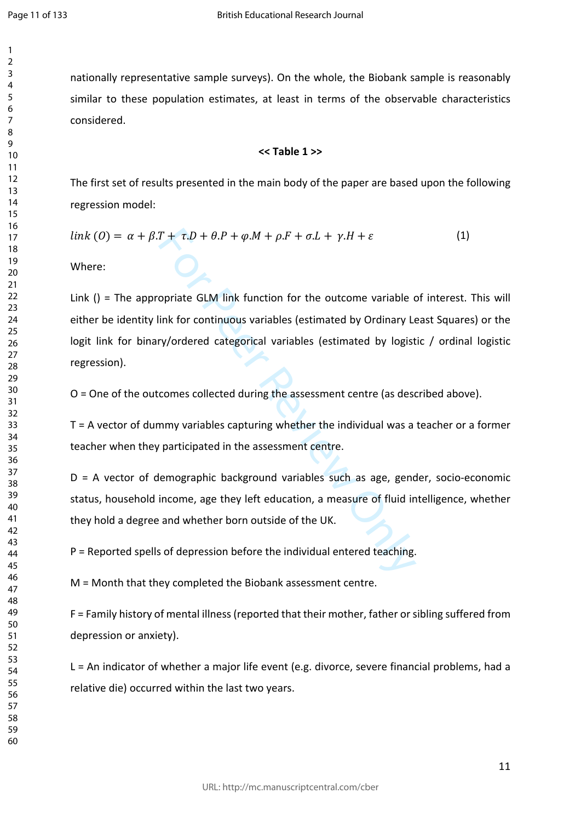123456789

 $\mathbf{1}$  $\overline{2}$  $\overline{3}$  $\overline{4}$ 5 6  $\overline{7}$ 8 9

nationally representative sample surveys). On the whole, the Biobank sample is reasonably similar to these population estimates, at least in terms of the observable characteristics considered.

#### **<< Table 1 >>**

The first set of results presented in the main body of the paper are based upon the following regression model:

$$
link (0) = \alpha + \beta \cdot T + \tau \cdot D + \theta \cdot P + \varphi \cdot M + \rho \cdot F + \sigma \cdot L + \gamma \cdot H + \varepsilon
$$
 (1)

Where:

 $T + \tau D + \theta P + \varphi M + \rho F + \sigma L + \gamma H + \varepsilon$ <br>
opriate GLM link function for the outcome variable is<br>
ink for continuous variables (estimated by Ordinary Levy/ordered categorical variables (estimated by logist<br>
comes collected during Link () = The appropriate GLM link function for the outcome variable of interest. This will either be identity link for continuous variables (estimated by Ordinary Least Squares) or the logit link for binary/ordered categorical variables (estimated by logistic / ordinal logistic regression).

O = One of the outcomes collected during the assessment centre (as described above).

T = A vector of dummy variables capturing whether the individual was a teacher or a former teacher when they participated in the assessment centre.

D = A vector of demographic background variables such as age, gender, socio-economic status, household income, age they left education, a measure of fluid intelligence, whether they hold a degree and whether born outside of the UK.

P = Reported spells of depression before the individual entered teaching.

M = Month that they completed the Biobank assessment centre.

F = Family history of mental illness (reported that their mother, father or sibling suffered from depression or anxiety).

L = An indicator of whether a major life event (e.g. divorce, severe financial problems, had a relative die) occurred within the last two years.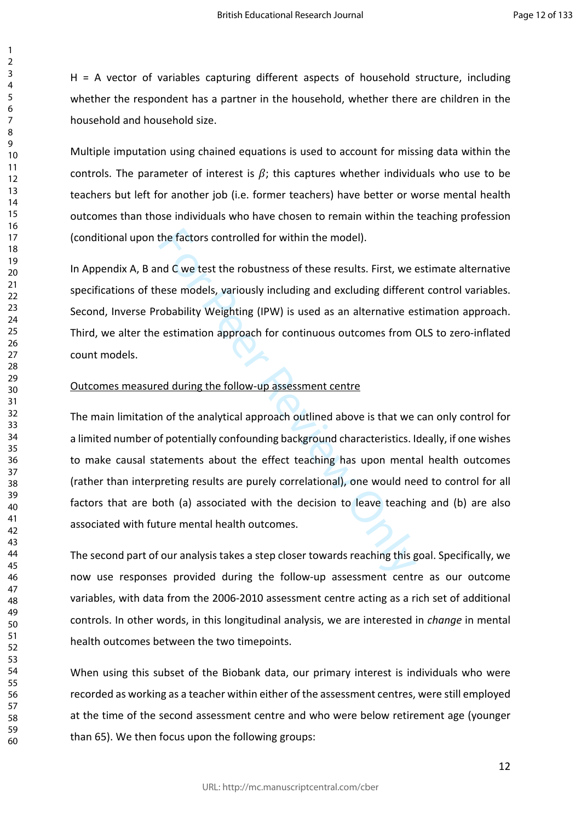$H = A$  vector of variables capturing different aspects of household structure, including whether the respondent has a partner in the household, whether there are children in the household and household size.

Multiple imputation using chained equations is used to account for missing data within the controls. The parameter of interest is  $\beta$ ; this captures whether individuals who use to be teachers but left for another job (i.e. former teachers) have better or worse mental health outcomes than those individuals who have chosen to remain within the teaching profession (conditional upon the factors controlled for within the model).

In Appendix A, B and C we test the robustness of these results. First, we estimate alternative specifications of these models, variously including and excluding different control variables. Second, Inverse Probability Weighting (IPW) is used as an alternative estimation approach. Third, we alter the estimation approach for continuous outcomes from OLS to zero-inflated count models.

#### Outcomes measured during the follow-up assessment centre

123456789

 $\mathbf{1}$  $\overline{2}$  $\overline{3}$  $\overline{4}$ 5 6  $\overline{7}$ 8  $\mathsf{Q}$ 

the factors controlled for within the model).<br>
Ind C we test the robustness of these results. First, we verse models, variously including and excluding differer<br>
obability Weighting (IPW) is used as an alternative estimati The main limitation of the analytical approach outlined above is that we can only control for a limited number of potentially confounding background characteristics. Ideally, if one wishes to make causal statements about the effect teaching has upon mental health outcomes (rather than interpreting results are purely correlational), one would need to control for all factors that are both (a) associated with the decision to leave teaching and (b) are also associated with future mental health outcomes.

The second part of our analysis takes a step closer towards reaching this goal. Specifically, we now use responses provided during the follow-up assessment centre as our outcome variables, with data from the 2006-2010 assessment centre acting as a rich set of additional controls. In other words, in this longitudinal analysis, we are interested in *change* in mental health outcomes between the two timepoints.

When using this subset of the Biobank data, our primary interest is individuals who were recorded as working as a teacher within either of the assessment centres, were still employed at the time of the second assessment centre and who were below retirement age (younger than 65). We then focus upon the following groups: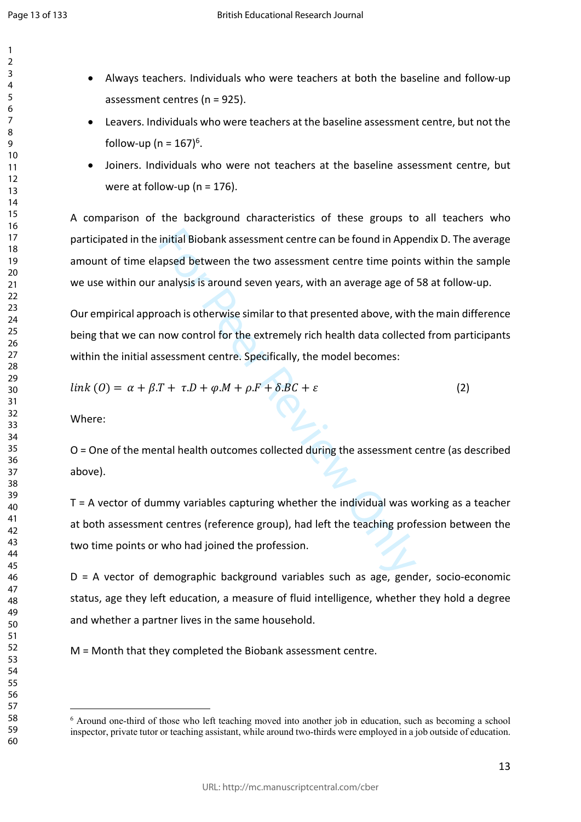60

- Always teachers. Individuals who were teachers at both the baseline and follow-up assessment centres (n = 925).
	- Leavers. Individuals who were teachers at the baseline assessment centre, but not the follow-up ( $n = 167$ )<sup>6</sup>.
	- Joiners. Individuals who were not teachers at the baseline assessment centre, but were at follow-up (n = 176).

initial Biobank assessment centre can be found in Appeapsed between the two assessment centre time point<br>analysis is around seven years, with an average age of<br>oach is otherwise similar to that presented above, with<br>now c A comparison of the background characteristics of these groups to all teachers who participated in the initial Biobank assessment centre can be found in Appendix D. The average amount of time elapsed between the two assessment centre time points within the sample we use within our analysis is around seven years, with an average age of 58 at follow-up.

Our empirical approach is otherwise similar to that presented above, with the main difference being that we can now control for the extremely rich health data collected from participants within the initial assessment centre. Specifically, the model becomes:

$$
link (0) = \alpha + \beta \cdot T + \tau \cdot D + \varphi \cdot M + \rho \cdot F + \delta \cdot BC + \varepsilon \tag{2}
$$

Where:

O = One of the mental health outcomes collected during the assessment centre (as described above).

T = A vector of dummy variables capturing whether the individual was working as a teacher at both assessment centres (reference group), had left the teaching profession between the two time points or who had joined the profession.

 $D = A$  vector of demographic background variables such as age, gender, socio-economic status, age they left education, a measure of fluid intelligence, whether they hold a degree and whether a partner lives in the same household.

M = Month that they completed the Biobank assessment centre.

<sup>6</sup> Around one-third of those who left teaching moved into another job in education, such as becoming a school inspector, private tutor or teaching assistant, while around two-thirds were employed in a job outside of education.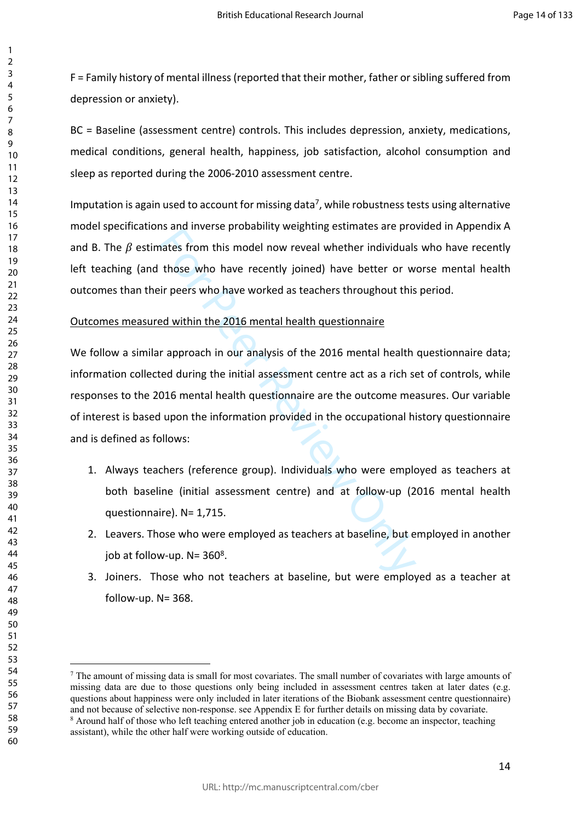F = Family history of mental illness (reported that their mother, father or sibling suffered from depression or anxiety).

BC = Baseline (assessment centre) controls. This includes depression, anxiety, medications, medical conditions, general health, happiness, job satisfaction, alcohol consumption and sleep as reported during the 2006-2010 assessment centre.

Imputation is again used to account for missing data<sup>7</sup>, while robustness tests using alternative model specifications and inverse probability weighting estimates are provided in Appendix A and B. The  $\beta$  estimates from this model now reveal whether individuals who have recently left teaching (and those who have recently joined) have better or worse mental health outcomes than their peers who have worked as teachers throughout this period.

#### Outcomes measured within the 2016 mental health questionnaire

 $\mathbf{1}$  $\overline{2}$  $\overline{3}$  $\overline{4}$  $\overline{7}$ 

The state interists probability weighting estimated are pro-<br>attes from this model now reveal whether individuals<br>those who have recently joined) have better or w<br>ir peers who have worked as teachers throughout this<br>ed wi We follow a similar approach in our analysis of the 2016 mental health questionnaire data; information collected during the initial assessment centre act as a rich set of controls, while responses to the 2016 mental health questionnaire are the outcome measures. Our variable of interest is based upon the information provided in the occupational history questionnaire and is defined as follows:

- 1. Always teachers (reference group). Individuals who were employed as teachers at both baseline (initial assessment centre) and at follow-up (2016 mental health questionnaire). N= 1,715.
- 2. Leavers. Those who were employed as teachers at baseline, but employed in another job at follow-up. N= 360<sup>8</sup>.
- 3. Joiners. Those who not teachers at baseline, but were employed as a teacher at follow-up.  $N = 368$ .

 The amount of missing data is small for most covariates. The small number of covariates with large amounts of missing data are due to those questions only being included in assessment centres taken at later dates (e.g. questions about happiness were only included in later iterations of the Biobank assessment centre questionnaire) and not because of selective non-response. see Appendix E for further details on missing data by covariate. Around half of those who left teaching entered another job in education (e.g. become an inspector, teaching assistant), while the other half were working outside of education.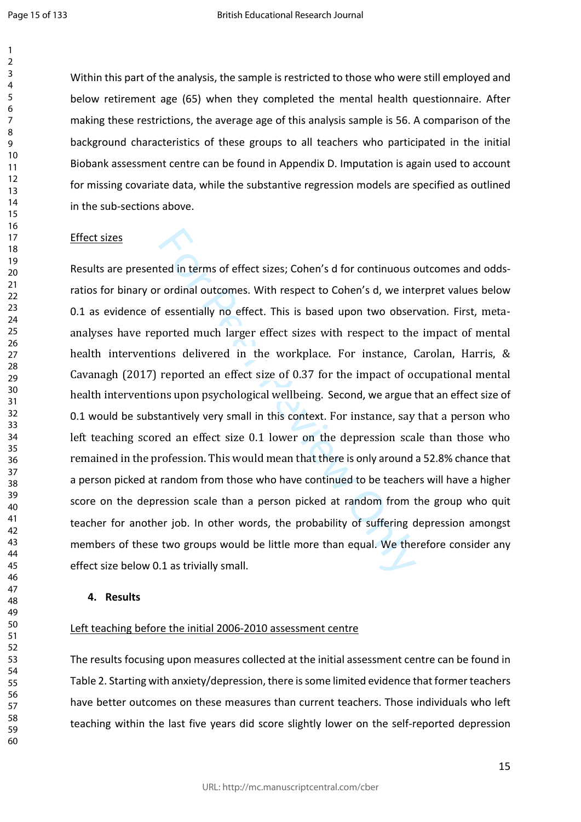Page 15 of 133

 $\mathbf{1}$  $\overline{2}$ 

59 60 Within this part of the analysis, the sample is restricted to those who were still employed and below retirement age (65) when they completed the mental health questionnaire. After making these restrictions, the average age of this analysis sample is 56. A comparison of the background characteristics of these groups to all teachers who participated in the initial Biobank assessment centre can be found in Appendix D. Imputation is again used to account for missing covariate data, while the substantive regression models are specified as outlined in the sub-sections above.

# Effect sizes

ted in terms of effect sizes; Cohen's d for continuous cordinal outcomes. With respect to Cohen's d, we interest the sesentially no effect. This is based upon two observanted much larger effect sizes with respect to the on Results are presented in terms of effect sizes; Cohen's d for continuous outcomes and oddsratios for binary or ordinal outcomes. With respect to Cohen's d, we interpret values below 0.1 as evidence of essentially no effect. This is based upon two observation. First, metaanalyses have reported much larger effect sizes with respect to the impact of mental health interventions delivered in the workplace. For instance, Carolan, Harris, & Cavanagh (2017) reported an effect size of 0.37 for the impact of occupational mental health interventions upon psychological wellbeing. Second, we argue that an effect size of 0.1 would be substantively very small in this context. For instance, say that a person who left teaching scored an effect size 0.1 lower on the depression scale than those who remained in the profession. This would mean that there is only around a 52.8% chance that a person picked at random from those who have continued to be teachers will have a higher score on the depression scale than a person picked at random from the group who quit teacher for another job. In other words, the probability of suffering depression amongst members of these two groups would be little more than equal. We therefore consider any effect size below 0.1 as trivially small.

## **4. Results**

## Left teaching before the initial 2006-2010 assessment centre

The results focusing upon measures collected at the initial assessment centre can be found in Table 2. Starting with anxiety/depression, there is some limited evidence that former teachers have better outcomes on these measures than current teachers. Those individuals who left teaching within the last five years did score slightly lower on the self-reported depression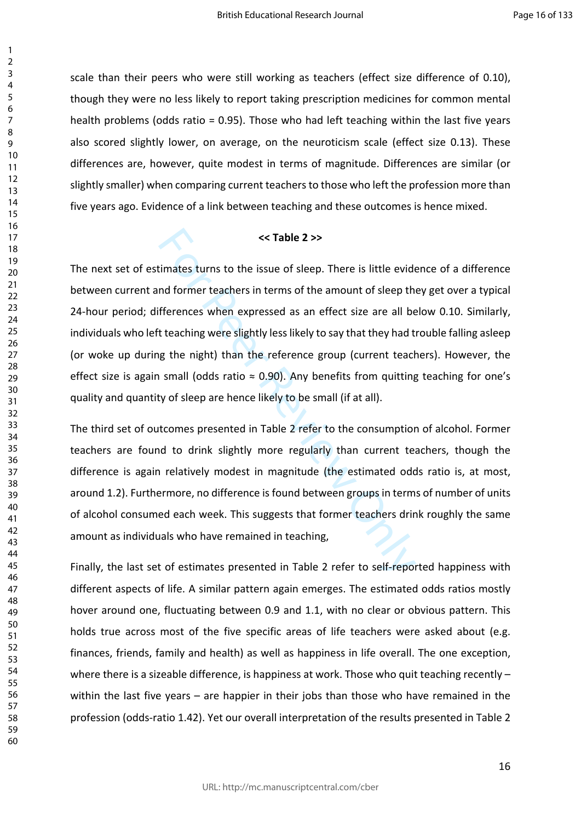scale than their peers who were still working as teachers (effect size difference of 0.10), though they were no less likely to report taking prescription medicines for common mental health problems (odds ratio = 0.95). Those who had left teaching within the last five years also scored slightly lower, on average, on the neuroticism scale (effect size 0.13). These differences are, however, quite modest in terms of magnitude. Differences are similar (or slightly smaller) when comparing current teachers to those who left the profession more than five years ago. Evidence of a link between teaching and these outcomes is hence mixed.

#### **<< Table 2 >>**

 $\le$  Table 2>><br>
simates turns to the issue of sleep. There is little evident<br>
fferences when expressed as an effect size are all be<br>
t teaching were slightly less likely to say that they had t<br>
g the night) than the refer The next set of estimates turns to the issue of sleep. There is little evidence of a difference between current and former teachers in terms of the amount of sleep they get over a typical 24-hour period; differences when expressed as an effect size are all below 0.10. Similarly, individuals who left teaching were slightly less likely to say that they had trouble falling asleep (or woke up during the night) than the reference group (current teachers). However, the effect size is again small (odds ratio  $\approx$  0.90). Any benefits from quitting teaching for one's quality and quantity of sleep are hence likely to be small (if at all).

The third set of outcomes presented in Table 2 refer to the consumption of alcohol. Former teachers are found to drink slightly more regularly than current teachers, though the difference is again relatively modest in magnitude (the estimated odds ratio is, at most, around 1.2). Furthermore, no difference is found between groups in terms of number of units of alcohol consumed each week. This suggests that former teachers drink roughly the same amount as individuals who have remained in teaching,

Finally, the last set of estimates presented in Table 2 refer to self-reported happiness with different aspects of life. A similar pattern again emerges. The estimated odds ratios mostly hover around one, fluctuating between 0.9 and 1.1, with no clear or obvious pattern. This holds true across most of the five specific areas of life teachers were asked about (e.g. finances, friends, family and health) as well as happiness in life overall. The one exception, where there is a sizeable difference, is happiness at work. Those who quit teaching recently – within the last five years – are happier in their jobs than those who have remained in the profession (odds-ratio 1.42). Yet our overall interpretation of the results presented in Table 2

 $\mathbf{1}$  $\overline{2}$  $\overline{4}$  $\overline{7}$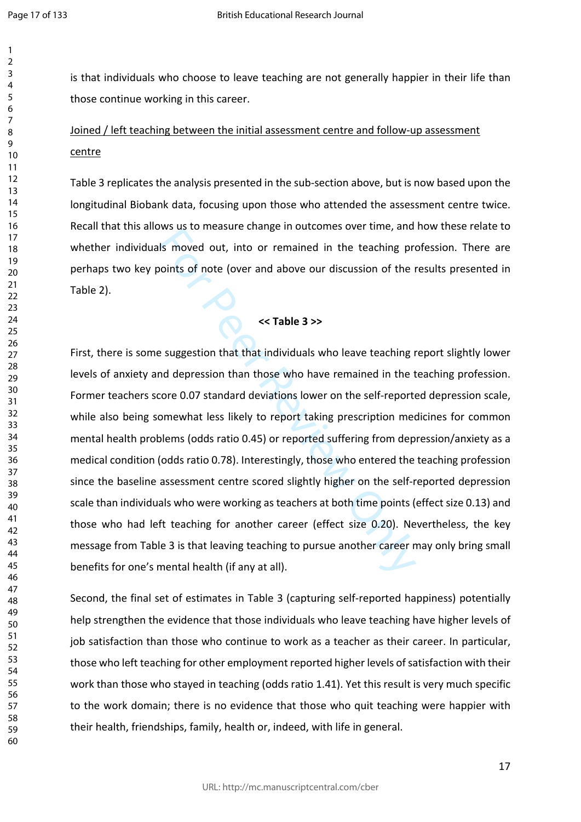123456789

 $\mathbf{1}$  $\overline{2}$  $\overline{3}$  $\overline{4}$ 5 6  $\overline{7}$ 8  $\mathsf{Q}$ 

is that individuals who choose to leave teaching are not generally happier in their life than those continue working in this career.

# Joined / left teaching between the initial assessment centre and follow-up assessment centre

Table 3 replicates the analysis presented in the sub-section above, but is now based upon the longitudinal Biobank data, focusing upon those who attended the assessment centre twice. Recall that this allows us to measure change in outcomes over time, and how these relate to whether individuals moved out, into or remained in the teaching profession. There are perhaps two key points of note (over and above our discussion of the results presented in Table 2).

#### **<< Table 3 >>**

Is moved out, into or remained in the teaching providents over the particular origins of note (over and above our discussion of the review of the review of the review of the review of the review of the review of the review First, there is some suggestion that that individuals who leave teaching report slightly lower levels of anxiety and depression than those who have remained in the teaching profession. Former teachers score 0.07 standard deviations lower on the self-reported depression scale, while also being somewhat less likely to report taking prescription medicines for common mental health problems (odds ratio 0.45) or reported suffering from depression/anxiety as a medical condition (odds ratio 0.78). Interestingly, those who entered the teaching profession since the baseline assessment centre scored slightly higher on the self-reported depression scale than individuals who were working as teachers at both time points (effect size 0.13) and those who had left teaching for another career (effect size 0.20). Nevertheless, the key message from Table 3 is that leaving teaching to pursue another career may only bring small benefits for one's mental health (if any at all).

Second, the final set of estimates in Table 3 (capturing self-reported happiness) potentially help strengthen the evidence that those individuals who leave teaching have higher levels of job satisfaction than those who continue to work as a teacher as their career. In particular, those who left teaching for other employment reported higher levels of satisfaction with their work than those who stayed in teaching (odds ratio 1.41). Yet this result is very much specific to the work domain; there is no evidence that those who quit teaching were happier with their health, friendships, family, health or, indeed, with life in general.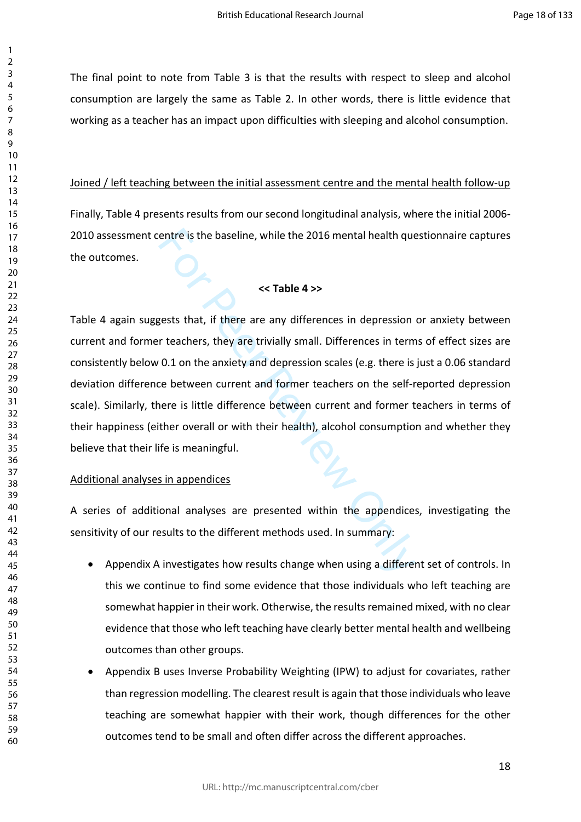The final point to note from Table 3 is that the results with respect to sleep and alcohol consumption are largely the same as Table 2. In other words, there is little evidence that working as a teacher has an impact upon difficulties with sleeping and alcohol consumption.

#### Joined / left teaching between the initial assessment centre and the mental health follow-up

Finally, Table 4 presents results from our second longitudinal analysis, where the initial 2006- 2010 assessment centre is the baseline, while the 2016 mental health questionnaire captures the outcomes.

#### **<< Table 4 >>**

entre is the baseline, while the 2016 mental health que<br>
sests that, if there are any differences in depression<br>
r teachers, they are trivially small. Differences in term<br>
0.1 on the anxiety and depression scales (e.g. the Table 4 again suggests that, if there are any differences in depression or anxiety between current and former teachers, they are trivially small. Differences in terms of effect sizes are consistently below 0.1 on the anxiety and depression scales (e.g. there is just a 0.06 standard deviation difference between current and former teachers on the self-reported depression scale). Similarly, there is little difference between current and former teachers in terms of their happiness (either overall or with their health), alcohol consumption and whether they believe that their life is meaningful.

#### Additional analyses in appendices

A series of additional analyses are presented within the appendices, investigating the sensitivity of our results to the different methods used. In summary:

- Appendix A investigates how results change when using a different set of controls. In this we continue to find some evidence that those individuals who left teaching are somewhat happier in their work. Otherwise, the results remained mixed, with no clear evidence that those who left teaching have clearly better mental health and wellbeing outcomes than other groups.
- Appendix B uses Inverse Probability Weighting (IPW) to adjust for covariates, rather than regression modelling. The clearest result is again that those individuals who leave teaching are somewhat happier with their work, though differences for the other outcomes tend to be small and often differ across the different approaches.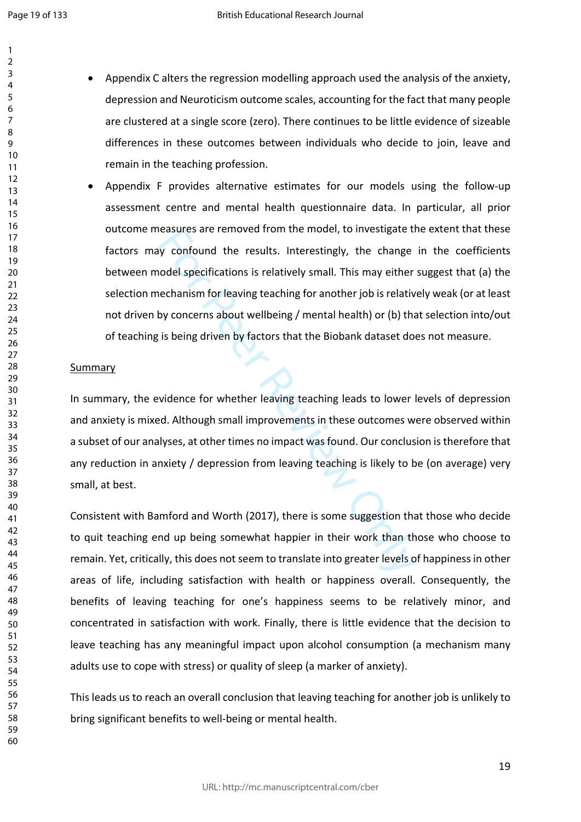60

- Appendix C alters the regression modelling approach used the analysis of the anxiety, depression and Neuroticism outcome scales, accounting for the fact that many people are clustered at a single score (zero). There continues to be little evidence of sizeable differences in these outcomes between individuals who decide to join, leave and remain in the teaching profession.
- reasures are removed from the model, to investigate the values of confound the results. Interestingly, the change odel specifications is relatively small. This may either echanism for leaving teaching for another job is re Appendix F provides alternative estimates for our models using the follow-up assessment centre and mental health questionnaire data. In particular, all prior outcome measures are removed from the model, to investigate the extent that these factors may confound the results. Interestingly, the change in the coefficients between model specifications is relatively small. This may either suggest that (a) the selection mechanism for leaving teaching for another job is relatively weak (or at least not driven by concerns about wellbeing / mental health) or (b) that selection into/out of teaching is being driven by factors that the Biobank dataset does not measure.

#### Summary

In summary, the evidence for whether leaving teaching leads to lower levels of depression and anxiety is mixed. Although small improvements in these outcomes were observed within a subset of our analyses, at other times no impact was found. Our conclusion is therefore that any reduction in anxiety / depression from leaving teaching is likely to be (on average) very small, at best.

Consistent with Bamford and Worth (2017), there is some suggestion that those who decide to quit teaching end up being somewhat happier in their work than those who choose to remain. Yet, critically, this does not seem to translate into greater levels of happiness in other areas of life, including satisfaction with health or happiness overall. Consequently, the benefits of leaving teaching for one's happiness seems to be relatively minor, and concentrated in satisfaction with work. Finally, there is little evidence that the decision to leave teaching has any meaningful impact upon alcohol consumption (a mechanism many adults use to cope with stress) or quality of sleep (a marker of anxiety).

This leads us to reach an overall conclusion that leaving teaching for another job is unlikely to bring significant benefits to well-being or mental health.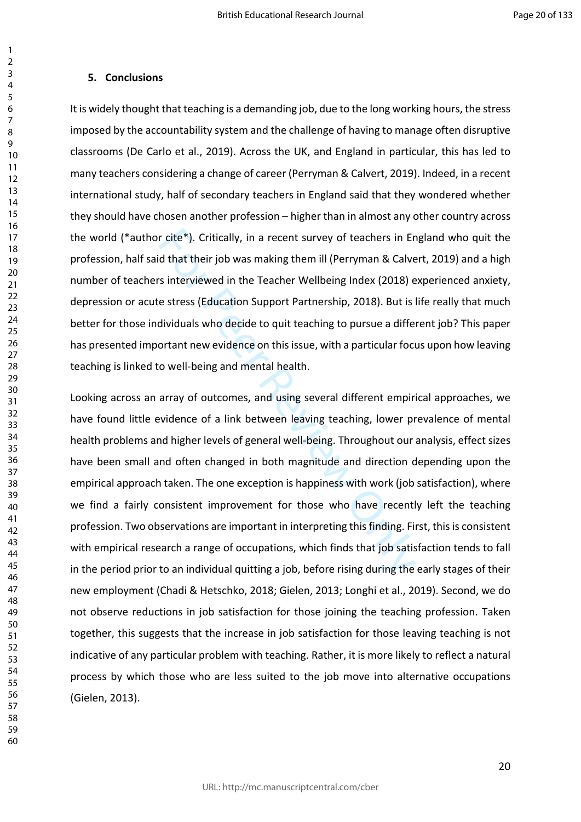#### **5. Conclusions**

It is widely thought that teaching is a demanding job, due to the long working hours, the stress imposed by the accountability system and the challenge of having to manage often disruptive classrooms (De Carlo et al., 2019). Across the UK, and England in particular, this has led to many teachers considering a change of career (Perryman & Calvert, 2019). Indeed, in a recent international study, half of secondary teachers in England said that they wondered whether they should have chosen another profession – higher than in almost any other country across the world (\*author cite\*). Critically, in a recent survey of teachers in England who quit the profession, half said that their job was making them ill (Perryman & Calvert, 2019) and a high number of teachers interviewed in the Teacher Wellbeing Index (2018) experienced anxiety, depression or acute stress (Education Support Partnership, 2018). But is life really that much better for those individuals who decide to quit teaching to pursue a different job? This paper has presented important new evidence on this issue, with a particular focus upon how leaving teaching is linked to well-being and mental health.

r cite\*). Critically, in a recent survey of teachers in Er<br>d that their job was making them ill (Perryman & Calve<br>s interviewed in the Teacher Wellbeing Index (2018) e<br>e stress (Education Support Partnership, 2018). But is Looking across an array of outcomes, and using several different empirical approaches, we have found little evidence of a link between leaving teaching, lower prevalence of mental health problems and higher levels of general well-being. Throughout our analysis, effect sizes have been small and often changed in both magnitude and direction depending upon the empirical approach taken. The one exception is happiness with work (job satisfaction), where we find a fairly consistent improvement for those who have recently left the teaching profession. Two observations are important in interpreting this finding. First, this is consistent with empirical research a range of occupations, which finds that job satisfaction tends to fall in the period prior to an individual quitting a job, before rising during the early stages of their new employment (Chadi & Hetschko, 2018; Gielen, 2013; Longhi et al., 2019). Second, we do not observe reductions in job satisfaction for those joining the teaching profession. Taken together, this suggests that the increase in job satisfaction for those leaving teaching is not indicative of any particular problem with teaching. Rather, it is more likely to reflect a natural process by which those who are less suited to the job move into alternative occupations (Gielen, 2013).

 $\mathbf{1}$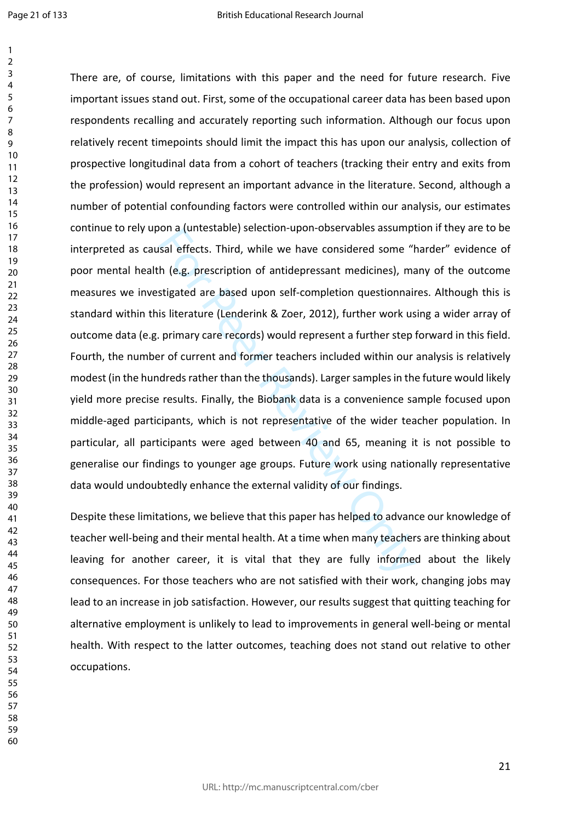Page 21 of 133

 $\mathbf{1}$ 

For a (untestable) selection-upon-observables assumptional effects. Third, while we have considered some "the  $\theta$  reg. prescription of antidepressant medicines), mastigated are based upon self-completion questionnain is l There are, of course, limitations with this paper and the need for future research. Five important issues stand out. First, some of the occupational career data has been based upon respondents recalling and accurately reporting such information. Although our focus upon relatively recent timepoints should limit the impact this has upon our analysis, collection of prospective longitudinal data from a cohort of teachers (tracking their entry and exits from the profession) would represent an important advance in the literature. Second, although a number of potential confounding factors were controlled within our analysis, our estimates continue to rely upon a (untestable) selection-upon-observables assumption if they are to be interpreted as causal effects. Third, while we have considered some "harder" evidence of poor mental health (e.g. prescription of antidepressant medicines), many of the outcome measures we investigated are based upon self-completion questionnaires. Although this is standard within this literature (Lenderink & Zoer, 2012), further work using a wider array of outcome data (e.g. primary care records) would represent a further step forward in this field. Fourth, the number of current and former teachers included within our analysis is relatively modest (in the hundreds rather than the thousands). Larger samples in the future would likely yield more precise results. Finally, the Biobank data is a convenience sample focused upon middle-aged participants, which is not representative of the wider teacher population. In particular, all participants were aged between 40 and 65, meaning it is not possible to generalise our findings to younger age groups. Future work using nationally representative data would undoubtedly enhance the external validity of our findings.

Despite these limitations, we believe that this paper has helped to advance our knowledge of teacher well-being and their mental health. At a time when many teachers are thinking about leaving for another career, it is vital that they are fully informed about the likely consequences. For those teachers who are not satisfied with their work, changing jobs may lead to an increase in job satisfaction. However, our results suggest that quitting teaching for alternative employment is unlikely to lead to improvements in general well-being or mental health. With respect to the latter outcomes, teaching does not stand out relative to other occupations.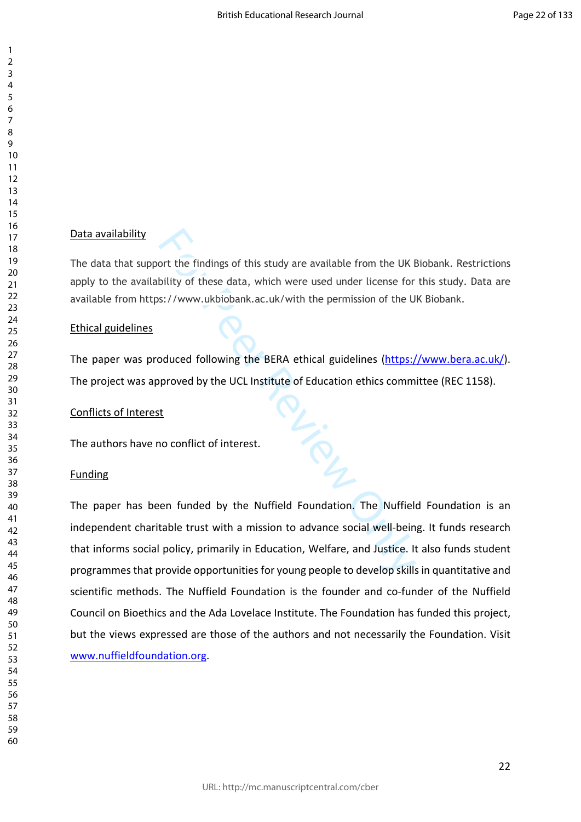## Data availability

The data that support the findings of this study are available from the UK Biobank. Restrictions apply to the availability of these data, which were used under license for this study. Data are available from https://www.ukbiobank.ac.uk/with the permission of the UK Biobank.

#### Ethical guidelines

The paper was produced following the BERA ethical guidelines ([https://www.bera.ac.uk/\)](https://www.bera.ac.uk/). The project was approved by the UCL Institute of Education ethics committee (REC 1158).

#### Conflicts of Interest

The authors have no conflict of interest.

#### Funding

ort the findings of this study are available from the UK I<br>bility of these data, which were used under license for<br>s://www.ukbiobank.ac.uk/with the permission of the U<br>duced following the BERA ethical guidelines (https:/<br>p The paper has been funded by the Nuffield Foundation. The Nuffield Foundation is an independent charitable trust with a mission to advance social well-being. It funds research that informs social policy, primarily in Education, Welfare, and Justice. It also funds student programmes that provide opportunities for young people to develop skills in quantitative and scientific methods. The Nuffield Foundation is the founder and co-funder of the Nuffield Council on Bioethics and the Ada Lovelace Institute. The Foundation has funded this project, but the views expressed are those of the authors and not necessarily the Foundation. Visit [www.nuffieldfoundation.org](http://www.nuffieldfoundation.org).

 $\mathbf{1}$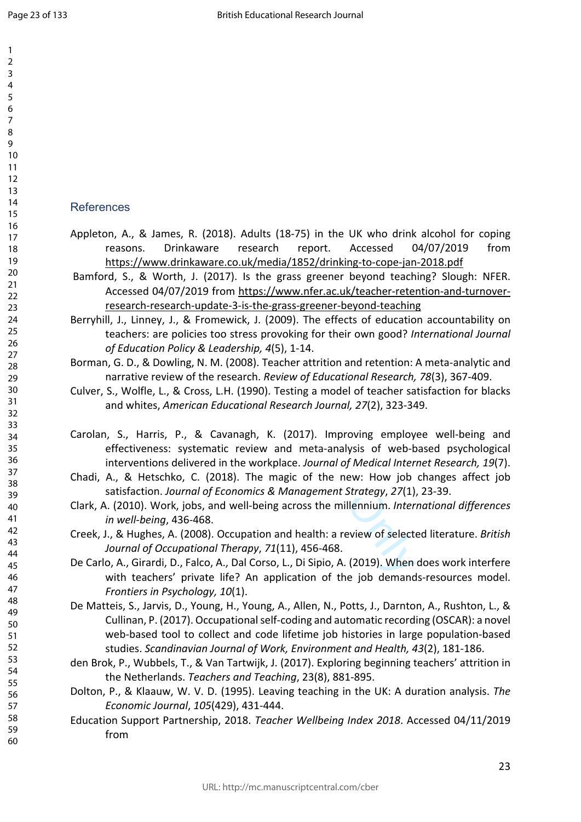$\mathbf{1}$ 

#### 123456789  $\overline{2}$  $\overline{3}$  $\overline{4}$ 5 6  $\overline{7}$ 8  $\mathsf{Q}$ 10 11 12 13 14 15 16 17 18 19 20 21 22 23 24 25 26 27 28 29 30 31 32 33 34 35 36 37 38 39 40 41 42 43 44 45 46 47 48 49 50 51 52 53 54 55 56 57 58 59

60

## References

- Appleton, A., & James, R. (2018). Adults (18-75) in the UK who drink alcohol for coping reasons. Drinkaware research report. Accessed 04/07/2019 from <https://www.drinkaware.co.uk/media/1852/drinking-to-cope-jan-2018.pdf>
- imes, R. (2018). Adults (18-75) in the UK who drink<br>
Drinkaware research report. Accessed C<br>
w.drinkaware.co.uk/media/1852/drinking-to-cope-jan<br>
Vorth, J. (2017). Is the grass greener beyond teach<br>
A/07/2019 from https://w Bamford, S., & Worth, J. (2017). Is the grass greener beyond teaching? Slough: NFER. Accessed 04/07/2019 from [https://www.nfer.ac.uk/teacher-retention-and-turnover](https://www.nfer.ac.uk/teacher-retention-and-turnover-research-research-update-3-is-the-grass-greener-beyond-teaching)research-research-update-3-is-the-grass-greener-beyond-teaching
- Berryhill, J., Linney, J., & Fromewick, J. (2009). The effects of education accountability on teachers: are policies too stress provoking for their own good? *International Journal of Education Policy & Leadership, 4*(5), 1-14.
- Borman, G. D., & Dowling, N. M. (2008). Teacher attrition and retention: A meta-analytic and narrative review of the research. *Review of Educational Research, 78*(3), 367-409.
- Culver, S., Wolfle, L., & Cross, L.H. (1990). Testing a model of teacher satisfaction for blacks and whites, *American Educational Research Journal, 27*(2), 323-349.
- Carolan, S., Harris, P., & Cavanagh, K. (2017). Improving employee well-being and effectiveness: systematic review and meta-analysis of web-based psychological interventions delivered in the workplace. *Journal of Medical Internet Research, 19*(7).
- Chadi, A., & Hetschko, C. (2018). The magic of the new: How job changes affect job satisfaction. *Journal of Economics & Management Strategy*, *27*(1), 23-39.
- Clark, A. (2010). Work, jobs, and well-being across the millennium. *International differences in well-being*, 436-468.
- Creek, J., & Hughes, A. (2008). Occupation and health: a review of selected literature. *British Journal of Occupational Therapy*, *71*(11), 456-468.
- De Carlo, A., Girardi, D., Falco, A., Dal Corso, L., Di Sipio, A. (2019). When does work interfere with teachers' private life? An application of the job demands-resources model. *Frontiers in Psychology, 10*(1).
- De Matteis, S., Jarvis, D., Young, H., Young, A., Allen, N., Potts, J., Darnton, A., Rushton, L., & Cullinan, P. (2017). Occupational self-coding and automatic recording (OSCAR): a novel web-based tool to collect and code lifetime job histories in large population-based studies. *Scandinavian Journal of Work, Environment and Health, 43*(2), 181-186.
- den Brok, P., Wubbels, T., & Van Tartwijk, J. (2017). Exploring beginning teachers' attrition in the Netherlands. *Teachers and Teaching*, 23(8), 881-895.
- Dolton, P., & Klaauw, W. V. D. (1995). Leaving teaching in the UK: A duration analysis. *The Economic Journal*, *105*(429), 431-444.
- Education Support Partnership, 2018. *Teacher Wellbeing Index 2018*. Accessed 04/11/2019 from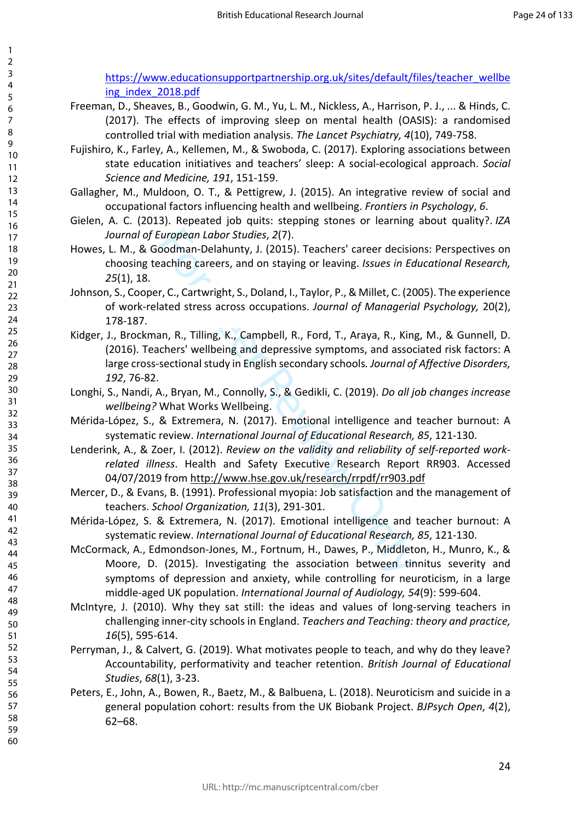$\mathbf{1}$ 

60

[https://www.educationsupportpartnership.org.uk/sites/default/files/teacher\\_wellbe](https://www.educationsupportpartnership.org.uk/sites/default/files/teacher_wellbeing_index_2018.pdf) [ing\\_index\\_2018.pdf](https://www.educationsupportpartnership.org.uk/sites/default/files/teacher_wellbeing_index_2018.pdf)

- Freeman, D., Sheaves, B., Goodwin, G. M., Yu, L. M., Nickless, A., Harrison, P. J., ... & Hinds, C. (2017). The effects of improving sleep on mental health (OASIS): a randomised controlled trial with mediation analysis. *The Lancet Psychiatry, 4*(10), 749-758.
- Fujishiro, K., Farley, A., Kellemen, M., & Swoboda, C. (2017). Exploring associations between state education initiatives and teachers' sleep: A social-ecological approach. *Social Science and Medicine, 191*, 151-159.
- Gallagher, M., Muldoon, O. T., & Pettigrew, J. (2015). An integrative review of social and occupational factors influencing health and wellbeing. *Frontiers in Psychology*, *6* .
- Gielen, A. C. (2013). Repeated job quits: stepping stones or learning about quality?. *IZA Journal of European Labor Studies*, *2*(7).
- Howes, L. M., & Goodman-Delahunty, J. (2015). Teachers' career decisions: Perspectives on choosing teaching careers, and on staying or leaving. *Issues in Educational Research, 25*(1), 18.
- Johnson, S., Cooper, C., Cartwright, S., Doland, I., Taylor, P., & Millet, C. (2005). The experience of work-related stress across occupations. *Journal of Managerial Psychology,* 20(2), 178-187.
- European Labor Studies, 2(7).<br>
Doodman-Delahunty, J. (2015). Teachers' career decisic<br>
eaching careers, and on staying or leaving. Issues in Ea<br>
r, C., Cart[w](http://www.hse.gov.uk/research/rrpdf/rr903.pdf)right, S., Doland, I., Taylor, P., & Millet, C. (2C<br>
ated stress Kidger, J., Brockman, R., Tilling, K., Campbell, R., Ford, T., Araya, R., King, M., & Gunnell, D. (2016). Teachers' wellbeing and depressive symptoms, and associated risk factors: A large cross-sectional study in English secondary schools*. Journal of Affective Disorders, 192*, 76-82.
- Longhi, S., Nandi, A., Bryan, M., Connolly, S., & Gedikli, C. (2019). *Do all job changes increase wellbeing?* What Works Wellbeing.
- Mérida-López, S., & Extremera, N. (2017). Emotional intelligence and teacher burnout: A systematic review. *International Journal of Educational Research, 85*, 121-130.
- Lenderink, A., & Zoer, I. (2012). *Review on the validity and reliability of self-reported workrelated illness*. Health and Safety Executive Research Report RR903. Accessed 04/07/2019 from http://www.hse.gov.uk/research/rrpdf/rr903.pdf
- Mercer, D., & Evans, B. (1991). Professional myopia: Job satisfaction and the management of teachers. *School Organization, 11*(3), 291-301.
- Mérida-López, S. & Extremera, N. (2017). Emotional intelligence and teacher burnout: A systematic review. *International Journal of Educational Research, 85*, 121-130.
- McCormack, A., Edmondson-Jones, M., Fortnum, H., Dawes, P., Middleton, H., Munro, K., & Moore, D. (2015). Investigating the association between tinnitus severity and symptoms of depression and anxiety, while controlling for neuroticism, in a large middle-aged UK population. *International Journal of Audiology, 54*(9): 599-604.
- McIntyre, J. (2010). Why they sat still: the ideas and values of long-serving teachers in challenging inner-city schools in England. *Teachers and Teaching: theory and practice, 16*(5), 595-614.
- Perryman, J., & Calvert, G. (2019). What motivates people to teach, and why do they leave? Accountability, performativity and teacher retention. *British Journal of Educational Studies*, *68*(1), 3-23.
- Peters, E., John, A., Bowen, R., Baetz, M., & Balbuena, L. (2018). Neuroticism and suicide in a general population cohort: results from the UK Biobank Project. *BJPsych Open*, *4*(2), 62–68.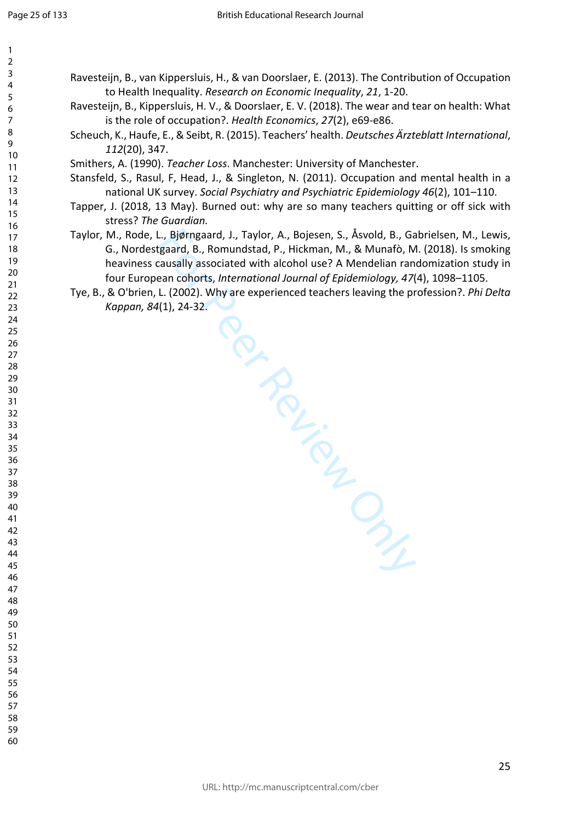$\mathbf{1}$ 

- Ravesteijn, B., van Kippersluis, H., & van Doorslaer, E. (2013). The Contribution of Occupation to Health Inequality. *Research on Economic Inequality*, *21*, 1-20.
	- Ravesteijn, B., Kippersluis, H. V., & Doorslaer, E. V. (2018). The wear and tear on health: What is the role of occupation?. *Health Economics*, *27*(2), e69-e86.
	- Scheuch, K., Haufe, E., & Seibt, R. (2015). Teachers' health. *Deutsches Ärzteblatt International*, (20), 347.
	- Smithers, A. (1990). *Teacher Loss*. Manchester: University of Manchester.
	- Stansfeld, S., Rasul, F, Head, J., & Singleton, N. (2011). Occupation and mental health in a national UK survey. *Social Psychiatry and Psychiatric Epidemiology 46*(2), 101–110.
	- Tapper, J. (2018, 13 May). Burned out: why are so many teachers quitting or off sick with stress? *The Guardian.*
	- Taylor, M., Rode, L., Bjørngaard, J., Taylor, A., Bojesen, S., Åsvold, B., Gabrielsen, M., Lewis, G., Nordestgaard, B., Romundstad, P., Hickman, M., & Munafò, M. (2018). Is smoking heaviness causally associated with alcohol use? A Mendelian randomization study in four European cohorts, *International Journal of Epidemiology, 47*(4), 1098–1105.
	- Per Review Only Tye, B., & O'brien, L. (2002). Why are experienced teachers leaving the profession?. *Phi Delta Kappan, 84*(1), 24-32.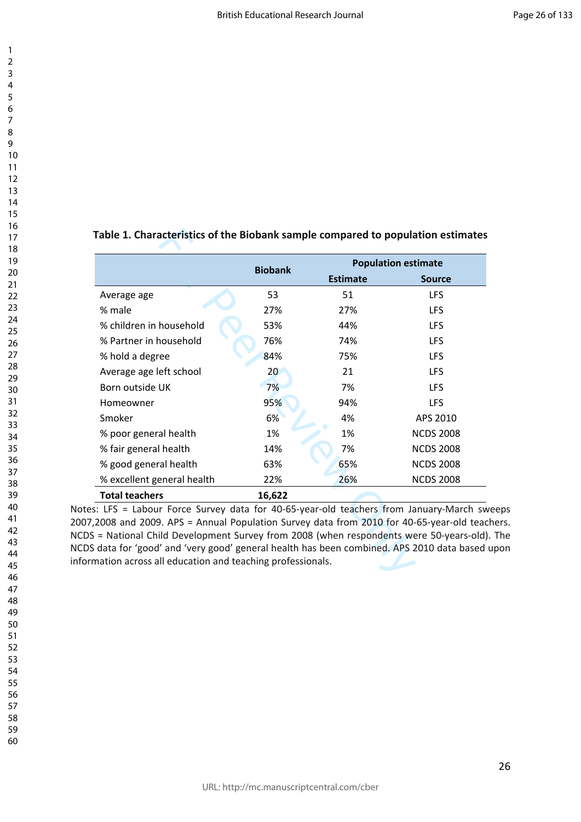| 1                                |
|----------------------------------|
| 2                                |
| 3                                |
| 4                                |
| 5                                |
| 6                                |
|                                  |
| 8                                |
|                                  |
| d<br>€                           |
| 10                               |
| 1<br>$\mathbf{1}$                |
| $\mathbf{1}$<br>C                |
| $\overline{13}$                  |
| 4<br>$\mathbf{1}$                |
| 15                               |
| 16                               |
|                                  |
| 17                               |
| 18                               |
| 19                               |
| 20                               |
| $\overline{21}$                  |
| $\overline{2}$<br>C              |
| $\overline{2}$<br>3              |
| $\overline{24}$                  |
| 25                               |
|                                  |
| 26                               |
| $^{27}$                          |
| $\frac{28}{5}$                   |
| 29                               |
| 30                               |
| $\overline{\textbf{3}}$          |
| $\overline{\mathbf{3}}$<br>C     |
| $\overline{\mathbf{3}}$<br>ξ     |
| 34                               |
|                                  |
| 35                               |
| 36                               |
| 37                               |
| 88                               |
| 39                               |
| 40                               |
| 41                               |
| $\overline{c}$<br>$\overline{4}$ |
| ξ<br>4                           |
| 44                               |
|                                  |
| 45                               |
| 46                               |
| 47                               |
| 48                               |
| 49                               |
| 50                               |
| 51                               |
| 5<br>$\overline{c}$              |
| 5.<br>ξ                          |
|                                  |
| 54                               |
| 55                               |
| 56                               |
| 57                               |
| 58                               |
| 59<br>ر                          |
|                                  |

|                                                                                                                                                                                                                                                                                                                                                                                                                               | <b>Biobank</b> |                 | <b>Population estimate</b> |
|-------------------------------------------------------------------------------------------------------------------------------------------------------------------------------------------------------------------------------------------------------------------------------------------------------------------------------------------------------------------------------------------------------------------------------|----------------|-----------------|----------------------------|
|                                                                                                                                                                                                                                                                                                                                                                                                                               |                | <b>Estimate</b> | <b>Source</b>              |
| Average age                                                                                                                                                                                                                                                                                                                                                                                                                   | 53             | 51              | <b>LFS</b>                 |
| % male                                                                                                                                                                                                                                                                                                                                                                                                                        | 27%            | 27%             | <b>LFS</b>                 |
| % children in household                                                                                                                                                                                                                                                                                                                                                                                                       | 53%            | 44%             | <b>LFS</b>                 |
| % Partner in household                                                                                                                                                                                                                                                                                                                                                                                                        | 76%            | 74%             | <b>LFS</b>                 |
| % hold a degree                                                                                                                                                                                                                                                                                                                                                                                                               | 84%            | 75%             | <b>LFS</b>                 |
| Average age left school                                                                                                                                                                                                                                                                                                                                                                                                       | 20             | 21              | <b>LFS</b>                 |
| Born outside UK                                                                                                                                                                                                                                                                                                                                                                                                               | 7%             | 7%              | <b>LFS</b>                 |
| Homeowner                                                                                                                                                                                                                                                                                                                                                                                                                     | 95%            | 94%             | <b>LFS</b>                 |
| Smoker                                                                                                                                                                                                                                                                                                                                                                                                                        | 6%             | 4%              | APS 2010                   |
| % poor general health                                                                                                                                                                                                                                                                                                                                                                                                         | 1%             | 1%              | <b>NCDS 2008</b>           |
| % fair general health                                                                                                                                                                                                                                                                                                                                                                                                         | 14%            | 7%              | <b>NCDS 2008</b>           |
| % good general health                                                                                                                                                                                                                                                                                                                                                                                                         | 63%            | 65%             | <b>NCDS 2008</b>           |
| % excellent general health                                                                                                                                                                                                                                                                                                                                                                                                    | 22%            | 26%             | <b>NCDS 2008</b>           |
| <b>Total teachers</b>                                                                                                                                                                                                                                                                                                                                                                                                         | 16,622         |                 |                            |
| es: LFS = Labour Force Survey data for 40-65-year-old teachers from January-March sw<br>7,2008 and 2009. APS = Annual Population Survey data from 2010 for 40-65-year-old teac<br>S = National Child Development Survey from 2008 (when respondents were 50-years-old)<br>S data for 'good' and 'very good' general health has been combined. APS 2010 data based<br>rmation across all education and teaching professionals. |                |                 |                            |

## **Table 1. Characteristics of the Biobank sample compared to population estimates**

Notes: LFS = Labour Force Survey data for 40-65-year-old teachers from January-March sweeps 2007,2008 and 2009. APS = Annual Population Survey data from 2010 for 40-65-year-old teachers. NCDS = National Child Development Survey from 2008 (when respondents were 50-years-old). The NCDS data for 'good' and 'very good' general health has been combined. APS 2010 data based upon information across all education and teaching professionals.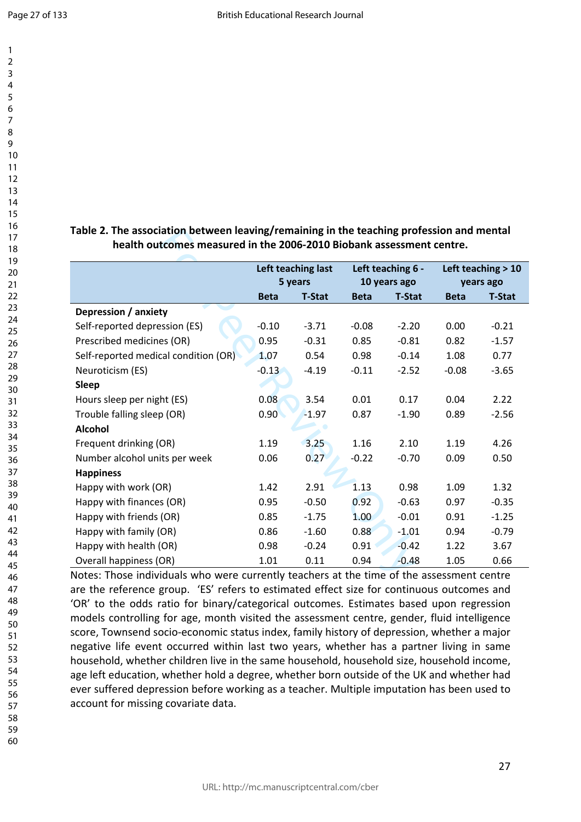123456789

 $\mathbf{1}$  $\overline{2}$  $\overline{3}$  $\overline{4}$ 5 6  $\overline{7}$ 8 9

|  | Table 2. The association between leaving/remaining in the teaching profession and mental |
|--|------------------------------------------------------------------------------------------|
|  | health outcomes measured in the 2006-2010 Biobank assessment centre.                     |

| Table 2. The association between leaving/remaining in the teaching profession and mental<br>health outcomes measured in the 2006-2010 Biobank assessment centre. |                    |               |              |                   |             |                     |  |
|------------------------------------------------------------------------------------------------------------------------------------------------------------------|--------------------|---------------|--------------|-------------------|-------------|---------------------|--|
|                                                                                                                                                                  | Left teaching last |               |              | Left teaching 6 - |             | Left teaching $>10$ |  |
|                                                                                                                                                                  | 5 years            |               | 10 years ago |                   | years ago   |                     |  |
|                                                                                                                                                                  | <b>Beta</b>        | <b>T-Stat</b> | <b>Beta</b>  | <b>T-Stat</b>     | <b>Beta</b> | <b>T-Stat</b>       |  |
| Depression / anxiety                                                                                                                                             |                    |               |              |                   |             |                     |  |
| Self-reported depression (ES)                                                                                                                                    | $-0.10$            | $-3.71$       | $-0.08$      | $-2.20$           | 0.00        | $-0.21$             |  |
| Prescribed medicines (OR)                                                                                                                                        | 0.95               | $-0.31$       | 0.85         | $-0.81$           | 0.82        | $-1.57$             |  |
| Self-reported medical condition (OR)                                                                                                                             | 1.07               | 0.54          | 0.98         | $-0.14$           | 1.08        | 0.77                |  |
| Neuroticism (ES)                                                                                                                                                 | $-0.13$            | $-4.19$       | $-0.11$      | $-2.52$           | $-0.08$     | $-3.65$             |  |
| <b>Sleep</b>                                                                                                                                                     |                    |               |              |                   |             |                     |  |
| Hours sleep per night (ES)                                                                                                                                       | 0.08               | 3.54          | 0.01         | 0.17              | 0.04        | 2.22                |  |
| Trouble falling sleep (OR)                                                                                                                                       | 0.90               | $-1.97$       | 0.87         | $-1.90$           | 0.89        | $-2.56$             |  |
| <b>Alcohol</b>                                                                                                                                                   |                    |               |              |                   |             |                     |  |
| Frequent drinking (OR)                                                                                                                                           | 1.19               | 3.25          | 1.16         | 2.10              | 1.19        | 4.26                |  |
| Number alcohol units per week                                                                                                                                    | 0.06               | 0.27          | $-0.22$      | $-0.70$           | 0.09        | 0.50                |  |
| <b>Happiness</b>                                                                                                                                                 |                    |               |              |                   |             |                     |  |
| Happy with work (OR)                                                                                                                                             | 1.42               | 2.91          | 1.13         | 0.98              | 1.09        | 1.32                |  |
| Happy with finances (OR)                                                                                                                                         | 0.95               | $-0.50$       | 0.92         | $-0.63$           | 0.97        | $-0.35$             |  |
| Happy with friends (OR)                                                                                                                                          | 0.85               | $-1.75$       | 1.00         | $-0.01$           | 0.91        | $-1.25$             |  |
| Happy with family (OR)                                                                                                                                           | 0.86               | $-1.60$       | 0.88         | $-1.01$           | 0.94        | $-0.79$             |  |
| Happy with health (OR)                                                                                                                                           | 0.98               | $-0.24$       | 0.91         | $-0.42$           | 1.22        | 3.67                |  |
| Overall happiness (OR)                                                                                                                                           | 1.01               | 0.11          | 0.94         | $-0.48$           | 1.05        | 0.66                |  |
| Notes: Those individuals who were currently teachers at the time of the assessment centre                                                                        |                    |               |              |                   |             |                     |  |

Notes: Those individuals who were currently teachers at the time of the assessment centre are the reference group. 'ES' refers to estimated effect size for continuous outcomes and 'OR' to the odds ratio for binary/categorical outcomes. Estimates based upon regression models controlling for age, month visited the assessment centre, gender, fluid intelligence score, Townsend socio-economic status index, family history of depression, whether a major negative life event occurred within last two years, whether has a partner living in same household, whether children live in the same household, household size, household income, age left education, whether hold a degree, whether born outside of the UK and whether had ever suffered depression before working as a teacher. Multiple imputation has been used to account for missing covariate data.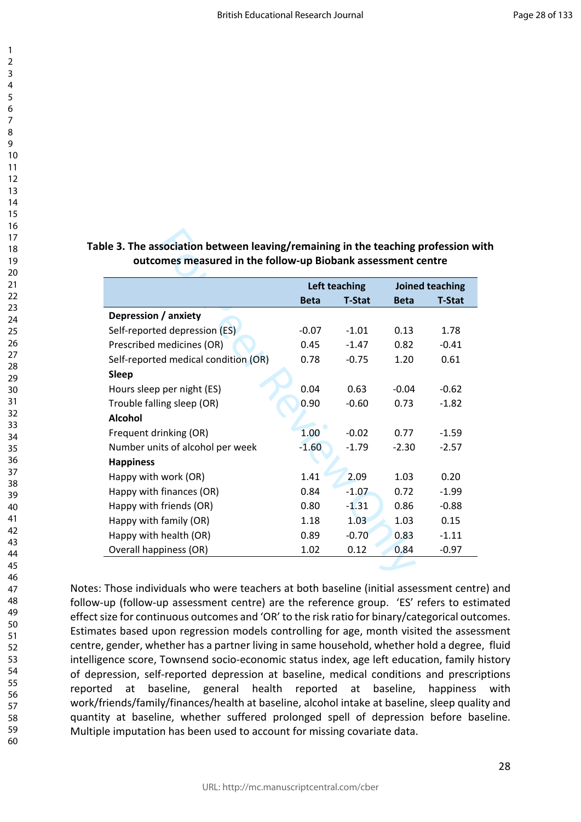| 1                       |                         |
|-------------------------|-------------------------|
| つ                       |                         |
| 3                       |                         |
| 4                       |                         |
| 5                       |                         |
| 6                       |                         |
|                         |                         |
| 8                       |                         |
| $\mathbf$<br>)          |                         |
|                         |                         |
|                         | 10                      |
|                         | 11                      |
| $\mathbf{1}$            | フ                       |
| $\overline{1}$          | 3                       |
| 1                       | 4                       |
|                         | 15                      |
|                         | 16                      |
|                         | 17                      |
|                         | 18                      |
|                         | 19                      |
|                         | 20                      |
|                         |                         |
|                         | $\overline{21}$         |
| $\overline{2}$          | 2                       |
| $\overline{2}$          | 3                       |
|                         | $\frac{24}{5}$          |
|                         | 25                      |
|                         | 26                      |
|                         | 27                      |
|                         | 28                      |
|                         | 29                      |
|                         | 30                      |
|                         | $\overline{\textbf{3}}$ |
|                         |                         |
| 3                       | C                       |
| $\overline{\mathbf{3}}$ | ξ                       |
|                         | 34                      |
|                         | 35                      |
|                         | 36                      |
|                         | 37                      |
|                         | 88                      |
|                         | 39                      |
|                         | 40                      |
|                         | 41                      |
|                         | 42                      |
|                         | ξ                       |
| 4                       |                         |
|                         | 44                      |
|                         | 45                      |
|                         | 46                      |
| 47                      |                         |
|                         | 48                      |
|                         | 49                      |
|                         | 50                      |
| 51                      |                         |
| 5                       | $\overline{c}$          |
| 5.                      | ξ                       |
|                         |                         |
|                         | 54                      |
|                         | 55                      |
|                         | 56                      |
| 57                      |                         |
|                         | 58                      |
| 59                      | ر                       |

 $60$ 

# **Table 3. The association between leaving/remaining in the teaching profession with outcomes measured in the follow-up Biobank assessment centre**

|                                      |             | Left teaching |             | Joined teaching |
|--------------------------------------|-------------|---------------|-------------|-----------------|
|                                      | <b>Beta</b> | <b>T-Stat</b> | <b>Beta</b> | <b>T-Stat</b>   |
| Depression / anxiety                 |             |               |             |                 |
| Self-reported depression (ES)        | $-0.07$     | $-1.01$       | 0.13        | 1.78            |
| Prescribed medicines (OR)            | 0.45        | $-1.47$       | 0.82        | $-0.41$         |
| Self-reported medical condition (OR) | 0.78        | $-0.75$       | 1.20        | 0.61            |
| <b>Sleep</b>                         |             |               |             |                 |
| Hours sleep per night (ES)           | 0.04        | 0.63          | $-0.04$     | $-0.62$         |
| Trouble falling sleep (OR)           | 0.90        | $-0.60$       | 0.73        | $-1.82$         |
| <b>Alcohol</b>                       |             |               |             |                 |
| Frequent drinking (OR)               | 1.00        | $-0.02$       | 0.77        | $-1.59$         |
| Number units of alcohol per week     | $-1.60$     | $-1.79$       | $-2.30$     | $-2.57$         |
| <b>Happiness</b>                     |             |               |             |                 |
| Happy with work (OR)                 | 1.41        | 2.09          | 1.03        | 0.20            |
| Happy with finances (OR)             | 0.84        | $-1.07$       | 0.72        | $-1.99$         |
| Happy with friends (OR)              | 0.80        | $-1.31$       | 0.86        | $-0.88$         |
| Happy with family (OR)               | 1.18        | 1.03          | 1.03        | 0.15            |
| Happy with health (OR)               | 0.89        | $-0.70$       | 0.83        | $-1.11$         |
| Overall happiness (OR)               | 1.02        | 0.12          | 0.84        | $-0.97$         |

Notes: Those individuals who were teachers at both baseline (initial assessment centre) and follow-up (follow-up assessment centre) are the reference group. 'ES' refers to estimated effect size for continuous outcomes and 'OR' to the risk ratio for binary/categorical outcomes. Estimates based upon regression models controlling for age, month visited the assessment centre, gender, whether has a partner living in same household, whether hold a degree, fluid intelligence score, Townsend socio-economic status index, age left education, family history of depression, self-reported depression at baseline, medical conditions and prescriptions reported at baseline, general health reported at baseline, happiness with work/friends/family/finances/health at baseline, alcohol intake at baseline, sleep quality and quantity at baseline, whether suffered prolonged spell of depression before baseline. Multiple imputation has been used to account for missing covariate data.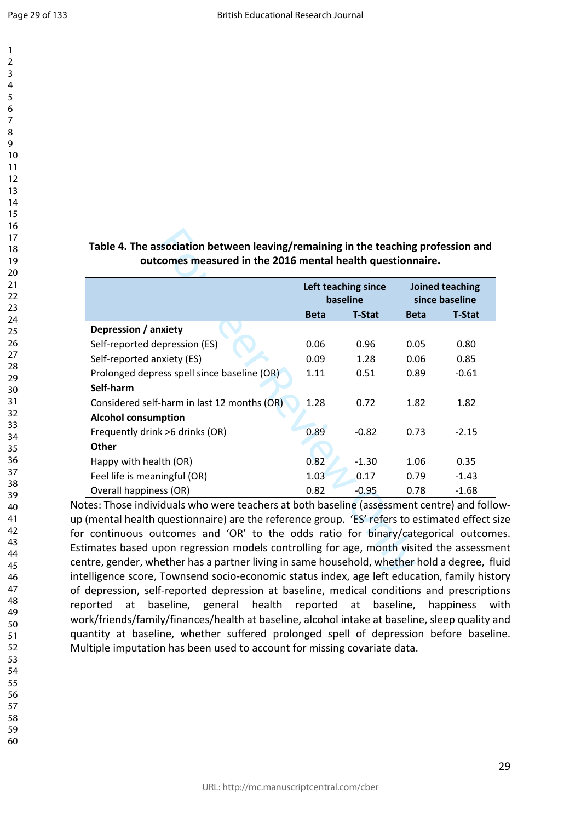| 1                                                  |  |
|----------------------------------------------------|--|
| 2                                                  |  |
| 3                                                  |  |
| 4                                                  |  |
| 5                                                  |  |
| 6                                                  |  |
|                                                    |  |
| 8                                                  |  |
| 9                                                  |  |
| 10                                                 |  |
| 1<br>$\mathbf{1}$                                  |  |
| 1.<br>$\overline{c}$                               |  |
| 13                                                 |  |
| 4<br>1                                             |  |
| 15                                                 |  |
|                                                    |  |
| 16                                                 |  |
| 1                                                  |  |
| 18                                                 |  |
| 19                                                 |  |
| 20                                                 |  |
| $\overline{21}$                                    |  |
| 21<br>,                                            |  |
| 23                                                 |  |
| $\frac{24}{3}$                                     |  |
| 25                                                 |  |
| 26                                                 |  |
| 27                                                 |  |
| 28                                                 |  |
| 29                                                 |  |
| 30                                                 |  |
| $\overline{\textbf{3}}$                            |  |
| ś.<br>$\overline{ }$                               |  |
| $\overline{\mathbf{3}}$<br>$\overline{\mathbf{3}}$ |  |
|                                                    |  |
| 34                                                 |  |
| 35                                                 |  |
| 36                                                 |  |
| 37                                                 |  |
| 88                                                 |  |
| 39                                                 |  |
| 40                                                 |  |
| 41                                                 |  |
| 42<br>2                                            |  |
| 43                                                 |  |
| 44                                                 |  |
| 45                                                 |  |
| 46                                                 |  |
| 47                                                 |  |
| 48                                                 |  |
| 49                                                 |  |
| 50                                                 |  |
| 51                                                 |  |
|                                                    |  |
| 5.<br>,                                            |  |
| $\overline{\mathbf{5}}$<br>ξ                       |  |
| 54                                                 |  |
| 55                                                 |  |
| 56                                                 |  |
| 57                                                 |  |
| 58                                                 |  |
| 59                                                 |  |

60

# **Table 4. The association between leaving/remaining in the teaching profession and outcomes measured in the 2016 mental health questionnaire.**

|                                                                                            | Left teaching since<br>baseline |               |             | Joined teaching<br>since baseline |
|--------------------------------------------------------------------------------------------|---------------------------------|---------------|-------------|-----------------------------------|
|                                                                                            | <b>Beta</b>                     | <b>T-Stat</b> | <b>Beta</b> | <b>T-Stat</b>                     |
| Depression / anxiety                                                                       |                                 |               |             |                                   |
| Self-reported depression (ES)                                                              | 0.06                            | 0.96          | 0.05        | 0.80                              |
| Self-reported anxiety (ES)                                                                 | 0.09                            | 1.28          | 0.06        | 0.85                              |
| Prolonged depress spell since baseline (OR)                                                | 1.11                            | 0.51          | 0.89        | $-0.61$                           |
| Self-harm                                                                                  |                                 |               |             |                                   |
| Considered self-harm in last 12 months (OR)                                                | 1.28                            | 0.72          | 1.82        | 1.82                              |
| <b>Alcohol consumption</b>                                                                 |                                 |               |             |                                   |
| Frequently drink >6 drinks (OR)                                                            | 0.89                            | $-0.82$       | 0.73        | $-2.15$                           |
| <b>Other</b>                                                                               |                                 |               |             |                                   |
| Happy with health (OR)                                                                     | 0.82                            | $-1.30$       | 1.06        | 0.35                              |
| Feel life is meaningful (OR)                                                               | 1.03                            | 0.17          | 0.79        | $-1.43$                           |
| Overall happiness (OR)                                                                     | 0.82                            | $-0.95$       | 0.78        | $-1.68$                           |
| tes: Those individuals who were teachers at both baseline (assessment centre) and foll     |                                 |               |             |                                   |
| (mental health questionnaire) are the reference group. 'ES' refers to estimated effect and |                                 |               |             |                                   |
| continuous outcomes and 'OR' to the odds ratio for binary/categorical outcom               |                                 |               |             |                                   |
| imates based upon regression models controlling for age, month visited the assessm         |                                 |               |             |                                   |
| itre, gender, whether has a partner living in same household, whether hold a degree, f     |                                 |               |             |                                   |
| elligence score, Townsend socio-economic status index, age left education, family hist     |                                 |               |             |                                   |

Notes: Those individuals who were teachers at both baseline (assessment centre) and followup (mental health questionnaire) are the reference group. 'ES' refers to estimated effect size for continuous outcomes and 'OR' to the odds ratio for binary/categorical outcomes. Estimates based upon regression models controlling for age, month visited the assessment centre, gender, whether has a partner living in same household, whether hold a degree, fluid intelligence score, Townsend socio-economic status index, age left education, family history of depression, self-reported depression at baseline, medical conditions and prescriptions reported at baseline, general health reported at baseline, happiness with work/friends/family/finances/health at baseline, alcohol intake at baseline, sleep quality and quantity at baseline, whether suffered prolonged spell of depression before baseline. Multiple imputation has been used to account for missing covariate data.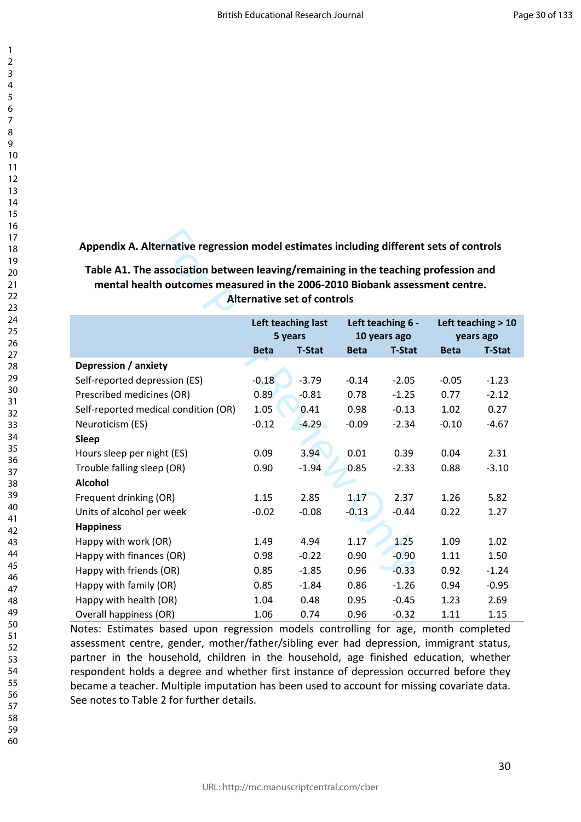$\mathbf{1}$  $\overline{2}$ 

60

| Appendix A. Alternative regression model estimates including different sets of controls                                                                                                                 |             |               |             |               |             |               |  |  |
|---------------------------------------------------------------------------------------------------------------------------------------------------------------------------------------------------------|-------------|---------------|-------------|---------------|-------------|---------------|--|--|
| Table A1. The association between leaving/remaining in the teaching profession and<br>mental health outcomes measured in the 2006-2010 Biobank assessment centre.<br><b>Alternative set of controls</b> |             |               |             |               |             |               |  |  |
| Left teaching 6 -<br>Left teaching $>10$<br>Left teaching last                                                                                                                                          |             |               |             |               |             |               |  |  |
|                                                                                                                                                                                                         |             | 5 years       |             | 10 years ago  |             | years ago     |  |  |
|                                                                                                                                                                                                         | <b>Beta</b> | <b>T-Stat</b> | <b>Beta</b> | <b>T-Stat</b> | <b>Beta</b> | <b>T-Stat</b> |  |  |
| Depression / anxiety                                                                                                                                                                                    |             |               |             |               |             |               |  |  |
| Self-reported depression (ES)                                                                                                                                                                           | $-0.18$     | $-3.79$       | $-0.14$     | $-2.05$       | $-0.05$     | $-1.23$       |  |  |
| Prescribed medicines (OR)                                                                                                                                                                               | 0.89        | $-0.81$       | 0.78        | $-1.25$       | 0.77        | $-2.12$       |  |  |
| Self-reported medical condition (OR)                                                                                                                                                                    | 1.05        | 0.41          | 0.98        | $-0.13$       | 1.02        | 0.27          |  |  |
| Neuroticism (ES)                                                                                                                                                                                        | $-0.12$     | $-4.29$       | $-0.09$     | $-2.34$       | $-0.10$     | $-4.67$       |  |  |
| <b>Sleep</b>                                                                                                                                                                                            |             |               |             |               |             |               |  |  |
| Hours sleep per night (ES)                                                                                                                                                                              | 0.09        | 3.94          | 0.01        | 0.39          | 0.04        | 2.31          |  |  |
| Trouble falling sleep (OR)                                                                                                                                                                              | 0.90        | $-1.94$       | 0.85        | $-2.33$       | 0.88        | $-3.10$       |  |  |
| <b>Alcohol</b>                                                                                                                                                                                          |             |               |             |               |             |               |  |  |
| Frequent drinking (OR)                                                                                                                                                                                  | 1.15        | 2.85          | 1.17        | 2.37          | 1.26        | 5.82          |  |  |
| Units of alcohol per week                                                                                                                                                                               | $-0.02$     | $-0.08$       | $-0.13$     | $-0.44$       | 0.22        | 1.27          |  |  |
| <b>Happiness</b>                                                                                                                                                                                        |             |               |             |               |             |               |  |  |
| Happy with work (OR)                                                                                                                                                                                    | 1.49        | 4.94          | 1.17        | 1.25          | 1.09        | 1.02          |  |  |
| Happy with finances (OR)                                                                                                                                                                                | 0.98        | $-0.22$       | 0.90        | $-0.90$       | 1.11        | 1.50          |  |  |
| Happy with friends (OR)                                                                                                                                                                                 | 0.85        | $-1.85$       | 0.96        | $-0.33$       | 0.92        | $-1.24$       |  |  |
| Happy with family (OR)                                                                                                                                                                                  | 0.85        | $-1.84$       | 0.86        | $-1.26$       | 0.94        | $-0.95$       |  |  |
| Happy with health (OR)                                                                                                                                                                                  | 1.04        | 0.48          | 0.95        | $-0.45$       | 1.23        | 2.69          |  |  |
| Overall happiness (OR)                                                                                                                                                                                  | 1.06        | 0.74          | 0.96        | $-0.32$       | 1.11        | 1.15          |  |  |

Notes: Estimates based upon regression models controlling for age, month completed assessment centre, gender, mother/father/sibling ever had depression, immigrant status, partner in the household, children in the household, age finished education, whether respondent holds a degree and whether first instance of depression occurred before they became a teacher. Multiple imputation has been used to account for missing covariate data. See notes to Table 2 for further details.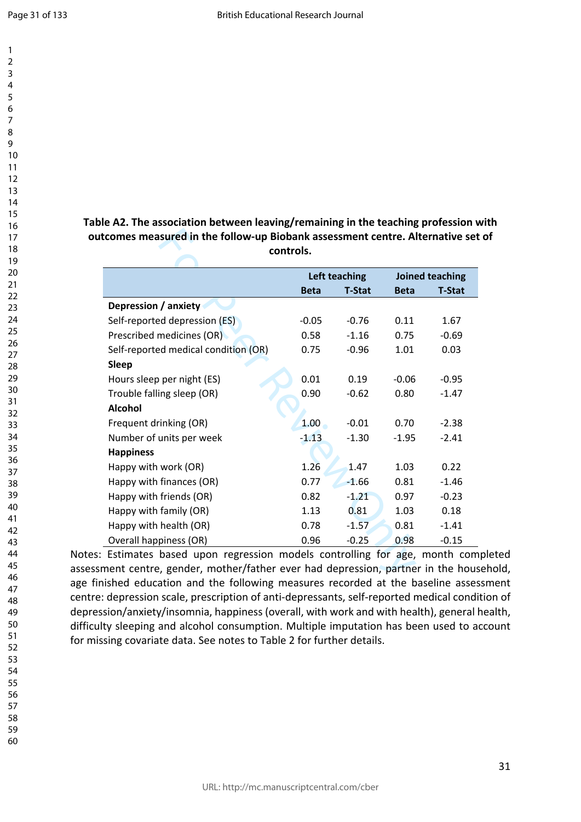$\mathbf{1}$  $\overline{2}$  $\overline{4}$ 

**Table A2. The association between leaving/remaining in the teaching profession with outcomes measured in the follow-up Biobank assessment centre. Alternative set of controls.** 

|                                      | Left teaching |               |             | Joined teaching |
|--------------------------------------|---------------|---------------|-------------|-----------------|
|                                      | <b>Beta</b>   | <b>T-Stat</b> | <b>Beta</b> | <b>T-Stat</b>   |
| Depression / anxiety                 |               |               |             |                 |
| Self-reported depression (ES)        | $-0.05$       | $-0.76$       | 0.11        | 1.67            |
| Prescribed medicines (OR)            | 0.58          | $-1.16$       | 0.75        | $-0.69$         |
| Self-reported medical condition (OR) | 0.75          | $-0.96$       | 1.01        | 0.03            |
| <b>Sleep</b>                         |               |               |             |                 |
| Hours sleep per night (ES)           | 0.01          | 0.19          | $-0.06$     | $-0.95$         |
| Trouble falling sleep (OR)           | 0.90          | $-0.62$       | 0.80        | $-1.47$         |
| <b>Alcohol</b>                       |               |               |             |                 |
| Frequent drinking (OR)               | 1.00          | $-0.01$       | 0.70        | $-2.38$         |
| Number of units per week             | $-1.13$       | $-1.30$       | $-1.95$     | $-2.41$         |
| <b>Happiness</b>                     |               |               |             |                 |
| Happy with work (OR)                 | 1.26          | 1.47          | 1.03        | 0.22            |
| Happy with finances (OR)             | 0.77          | $-1.66$       | 0.81        | $-1.46$         |
| Happy with friends (OR)              | 0.82          | $-1.21$       | 0.97        | $-0.23$         |
| Happy with family (OR)               | 1.13          | 0.81          | 1.03        | 0.18            |
| Happy with health (OR)               | 0.78          | $-1.57$       | 0.81        | $-1.41$         |
| Overall happiness (OR)               | 0.96          | $-0.25$       | 0.98        | $-0.15$         |

Notes: Estimates based upon regression models controlling for age, month completed assessment centre, gender, mother/father ever had depression, partner in the household, age finished education and the following measures recorded at the baseline assessment centre: depression scale, prescription of anti-depressants, self-reported medical condition of depression/anxiety/insomnia, happiness (overall, with work and with health), general health, difficulty sleeping and alcohol consumption. Multiple imputation has been used to account for missing covariate data. See notes to Table 2 for further details.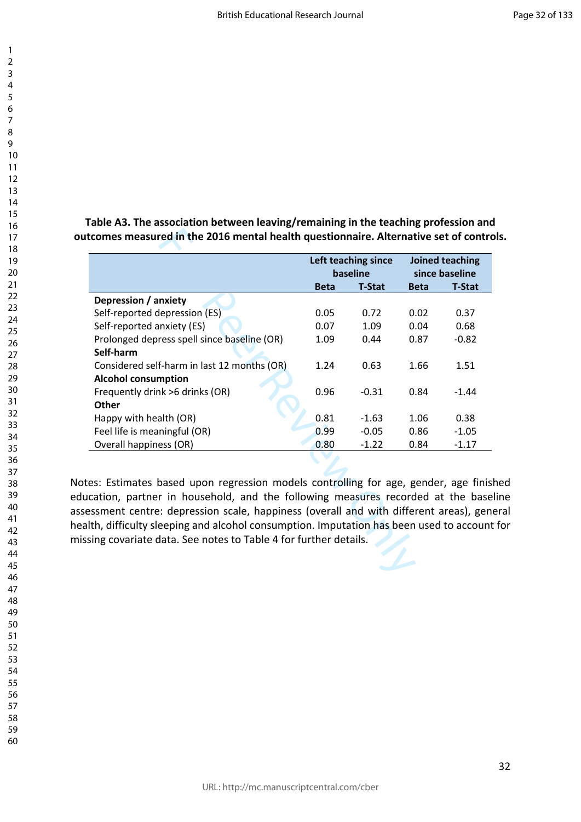$\mathbf{1}$  $\overline{2}$ 

 

**Table A3. The association between leaving/remaining in the teaching profession and outcomes measured in the 2016 mental health questionnaire. Alternative set of controls.** 

|                                                                                      |             | Left teaching since |             | <b>Joined teaching</b> |
|--------------------------------------------------------------------------------------|-------------|---------------------|-------------|------------------------|
|                                                                                      | baseline    |                     |             | since baseline         |
|                                                                                      | <b>Beta</b> | <b>T-Stat</b>       | <b>Beta</b> | <b>T-Stat</b>          |
| Depression / anxiety                                                                 |             |                     |             |                        |
| Self-reported depression (ES)                                                        | 0.05        | 0.72                | 0.02        | 0.37                   |
| Self-reported anxiety (ES)                                                           | 0.07        | 1.09                | 0.04        | 0.68                   |
| Prolonged depress spell since baseline (OR)                                          | 1.09        | 0.44                | 0.87        | $-0.82$                |
| Self-harm                                                                            |             |                     |             |                        |
| Considered self-harm in last 12 months (OR)                                          | 1.24        | 0.63                | 1.66        | 1.51                   |
| <b>Alcohol consumption</b>                                                           |             |                     |             |                        |
| Frequently drink >6 drinks (OR)                                                      | 0.96        | $-0.31$             | 0.84        | $-1.44$                |
| <b>Other</b>                                                                         |             |                     |             |                        |
| Happy with health (OR)                                                               | 0.81        | $-1.63$             | 1.06        | 0.38                   |
| Feel life is meaningful (OR)                                                         | 0.99        | $-0.05$             | 0.86        | $-1.05$                |
| Overall happiness (OR)                                                               | 0.80        | $-1.22$             | 0.84        | $-1.17$                |
|                                                                                      |             |                     |             |                        |
|                                                                                      |             |                     |             |                        |
| es: Estimates based upon regression models controlling for age, gender, age finis    |             |                     |             |                        |
| cation, partner in household, and the following measures recorded at the base        |             |                     |             |                        |
| ssment centre: depression scale, happiness (overall and with different areas), gen   |             |                     |             |                        |
| th, difficulty sleeping and alcohol consumption. Imputation has been used to account |             |                     |             |                        |
| sing covariate data. See notes to Table 4 for further details.                       |             |                     |             |                        |
|                                                                                      |             |                     |             |                        |

Notes: Estimates based upon regression models controlling for age, gender, age finished education, partner in household, and the following measures recorded at the baseline assessment centre: depression scale, happiness (overall and with different areas), general health, difficulty sleeping and alcohol consumption. Imputation has been used to account for missing covariate data. See notes to Table 4 for further details.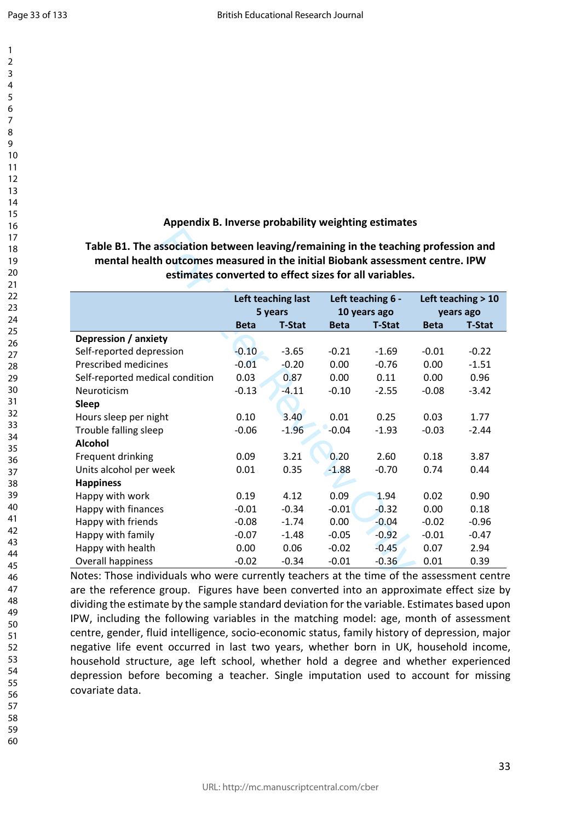$\mathbf{1}$ 

# **Appendix B. Inverse probability weighting estimates**

|                                 | Left teaching last<br>5 years |               | Left teaching 6 -<br>10 years ago |               | Left teaching $> 10$<br>years ago |               |
|---------------------------------|-------------------------------|---------------|-----------------------------------|---------------|-----------------------------------|---------------|
|                                 | <b>Beta</b>                   | <b>T-Stat</b> | <b>Beta</b>                       | <b>T-Stat</b> | <b>Beta</b>                       | <b>T-Stat</b> |
| Depression / anxiety            |                               |               |                                   |               |                                   |               |
| Self-reported depression        | $-0.10$                       | $-3.65$       | $-0.21$                           | $-1.69$       | $-0.01$                           | $-0.22$       |
| Prescribed medicines            | $-0.01$                       | $-0.20$       | 0.00                              | $-0.76$       | 0.00                              | $-1.51$       |
| Self-reported medical condition | 0.03                          | 0.87          | 0.00                              | 0.11          | 0.00                              | 0.96          |
| Neuroticism                     | $-0.13$                       | $-4.11$       | $-0.10$                           | $-2.55$       | $-0.08$                           | $-3.42$       |
| <b>Sleep</b>                    |                               |               |                                   |               |                                   |               |
| Hours sleep per night           | 0.10                          | 3.40          | 0.01                              | 0.25          | 0.03                              | 1.77          |
| Trouble falling sleep           | $-0.06$                       | $-1.96$       | $-0.04$                           | $-1.93$       | $-0.03$                           | $-2.44$       |
| <b>Alcohol</b>                  |                               |               |                                   |               |                                   |               |
| Frequent drinking               | 0.09                          | 3.21          | 0.20                              | 2.60          | 0.18                              | 3.87          |
| Units alcohol per week          | 0.01                          | 0.35          | $-1.88$                           | $-0.70$       | 0.74                              | 0.44          |
| <b>Happiness</b>                |                               |               |                                   |               |                                   |               |
| Happy with work                 | 0.19                          | 4.12          | 0.09                              | 1.94          | 0.02                              | 0.90          |
| Happy with finances             | $-0.01$                       | $-0.34$       | $-0.01$                           | $-0.32$       | 0.00                              | 0.18          |
| Happy with friends              | $-0.08$                       | $-1.74$       | 0.00                              | $-0.04$       | $-0.02$                           | $-0.96$       |
| Happy with family               | $-0.07$                       | $-1.48$       | $-0.05$                           | $-0.92$       | $-0.01$                           | $-0.47$       |
| Happy with health               | 0.00                          | 0.06          | $-0.02$                           | $-0.45$       | 0.07                              | 2.94          |
| Overall happiness               | $-0.02$                       | $-0.34$       | $-0.01$                           | $-0.36$       | 0.01                              | 0.39          |

Notes: Those individuals who were currently teachers at the time of the assessment centre are the reference group. Figures have been converted into an approximate effect size by dividing the estimate by the sample standard deviation for the variable. Estimates based upon IPW, including the following variables in the matching model: age, month of assessment centre, gender, fluid intelligence, socio-economic status, family history of depression, major negative life event occurred in last two years, whether born in UK, household income, household structure, age left school, whether hold a degree and whether experienced depression before becoming a teacher. Single imputation used to account for missing covariate data.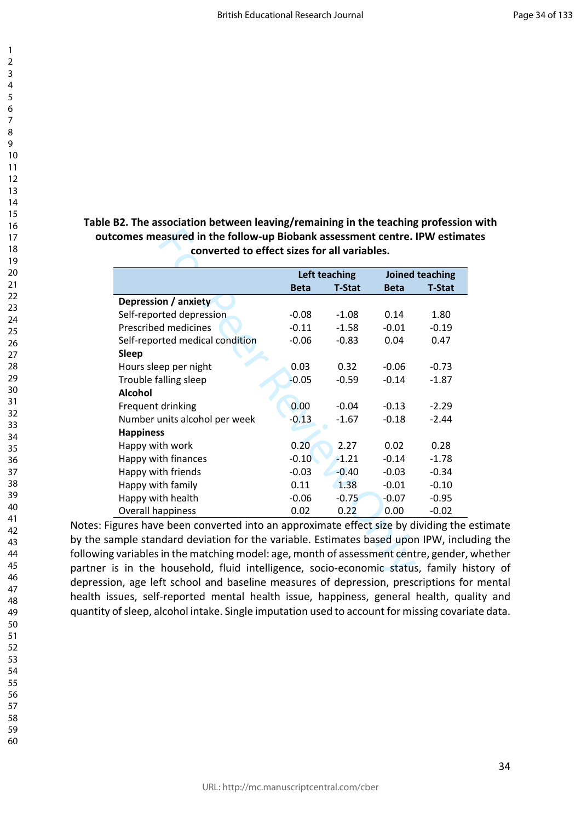#### $\overline{4}$  $\overline{7}$

 $\mathbf{1}$  $\overline{2}$ 

# **Table B2. The association between leaving/remaining in the teaching profession with outcomes measured in the follow-up Biobank assessment centre. IPW estimates converted to effect sizes for all variables.**

|                                                                            | Left teaching |               | Joined teaching |               |
|----------------------------------------------------------------------------|---------------|---------------|-----------------|---------------|
|                                                                            | <b>Beta</b>   | <b>T-Stat</b> | <b>Beta</b>     | <b>T-Stat</b> |
| Depression / anxiety                                                       |               |               |                 |               |
| Self-reported depression                                                   | $-0.08$       | $-1.08$       | 0.14            | 1.80          |
| <b>Prescribed medicines</b>                                                | $-0.11$       | $-1.58$       | $-0.01$         | $-0.19$       |
| Self-reported medical condition                                            | $-0.06$       | $-0.83$       | 0.04            | 0.47          |
| <b>Sleep</b>                                                               |               |               |                 |               |
| Hours sleep per night                                                      | 0.03          | 0.32          | $-0.06$         | $-0.73$       |
| Trouble falling sleep                                                      | $-0.05$       | $-0.59$       | $-0.14$         | $-1.87$       |
| <b>Alcohol</b>                                                             |               |               |                 |               |
| Frequent drinking                                                          | 0.00          | $-0.04$       | $-0.13$         | $-2.29$       |
| Number units alcohol per week                                              | $-0.13$       | $-1.67$       | $-0.18$         | $-2.44$       |
| <b>Happiness</b>                                                           |               |               |                 |               |
| Happy with work                                                            | 0.20          | 2.27          | 0.02            | 0.28          |
| Happy with finances                                                        | $-0.10$       | $-1.21$       | $-0.14$         | $-1.78$       |
| Happy with friends                                                         | $-0.03$       | $-0.40$       | $-0.03$         | $-0.34$       |
| Happy with family                                                          | 0.11          | 1.38          | $-0.01$         | $-0.10$       |
| Happy with health                                                          | $-0.06$       | $-0.75$       | $-0.07$         | $-0.95$       |
| Overall happiness                                                          | 0.02          | 0.22          | 0.00            | $-0.02$       |
| igures have been converted into an approximate effect size by dividing the |               |               |                 |               |
| ample standard deviation for the variable. Estimates based upon IPW, inclu |               |               |                 |               |

Notes: Figures have been converted into an approximate effect size by dividing the estimate by the sample standard deviation for the variable. Estimates based upon IPW, including the following variables in the matching model: age, month of assessment centre, gender, whether partner is in the household, fluid intelligence, socio-economic status, family history of depression, age left school and baseline measures of depression, prescriptions for mental health issues, self-reported mental health issue, happiness, general health, quality and quantity of sleep, alcohol intake. Single imputation used to account for missing covariate data.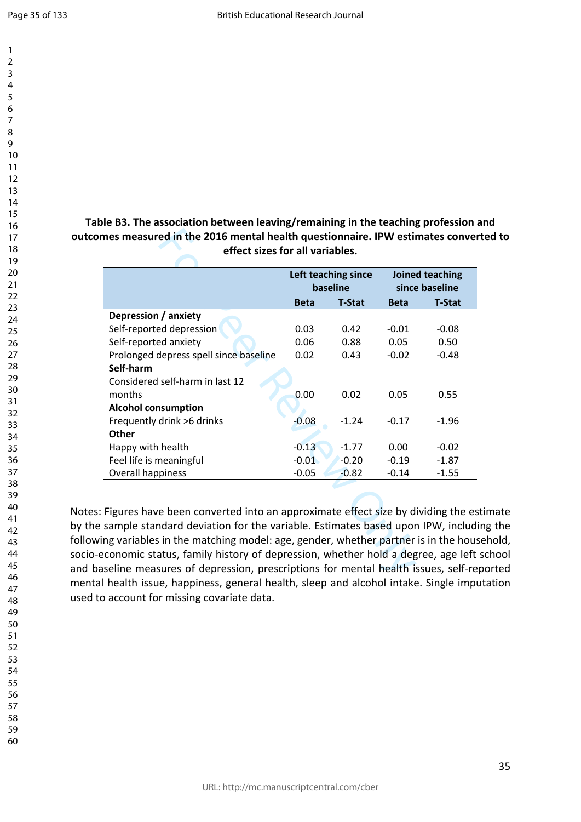$\mathbf{1}$  $\overline{2}$ 

**Table B3. The association between leaving/remaining in the teaching profession and outcomes measured in the 2016 mental health questionnaire. IPW estimates converted to effect sizes for all variables.** 

|                                                                                                                                                                                                                                                                                                                                                                                                                       | Left teaching since<br>baseline |               | <b>Joined teaching</b><br>since baseline |               |
|-----------------------------------------------------------------------------------------------------------------------------------------------------------------------------------------------------------------------------------------------------------------------------------------------------------------------------------------------------------------------------------------------------------------------|---------------------------------|---------------|------------------------------------------|---------------|
|                                                                                                                                                                                                                                                                                                                                                                                                                       | <b>Beta</b>                     | <b>T-Stat</b> | <b>Beta</b>                              | <b>T-Stat</b> |
| Depression / anxiety                                                                                                                                                                                                                                                                                                                                                                                                  |                                 |               |                                          |               |
| Self-reported depression                                                                                                                                                                                                                                                                                                                                                                                              | 0.03                            | 0.42          | $-0.01$                                  | $-0.08$       |
| Self-reported anxiety                                                                                                                                                                                                                                                                                                                                                                                                 | 0.06                            | 0.88          | 0.05                                     | 0.50          |
| Prolonged depress spell since baseline                                                                                                                                                                                                                                                                                                                                                                                | 0.02                            | 0.43          | $-0.02$                                  | $-0.48$       |
| Self-harm                                                                                                                                                                                                                                                                                                                                                                                                             |                                 |               |                                          |               |
| Considered self-harm in last 12                                                                                                                                                                                                                                                                                                                                                                                       |                                 |               |                                          |               |
| months                                                                                                                                                                                                                                                                                                                                                                                                                | 0.00                            | 0.02          | 0.05                                     | 0.55          |
| <b>Alcohol consumption</b>                                                                                                                                                                                                                                                                                                                                                                                            |                                 |               |                                          |               |
| Frequently drink >6 drinks                                                                                                                                                                                                                                                                                                                                                                                            | $-0.08$                         | $-1.24$       | $-0.17$                                  | $-1.96$       |
| <b>Other</b>                                                                                                                                                                                                                                                                                                                                                                                                          |                                 |               |                                          |               |
| Happy with health                                                                                                                                                                                                                                                                                                                                                                                                     | $-0.13$                         | $-1.77$       | 0.00                                     | $-0.02$       |
| Feel life is meaningful                                                                                                                                                                                                                                                                                                                                                                                               | $-0.01$                         | $-0.20$       | $-0.19$                                  | $-1.87$       |
| Overall happiness                                                                                                                                                                                                                                                                                                                                                                                                     | $-0.05$                         | $-0.82$       | $-0.14$                                  | $-1.55$       |
| Figures have been converted into an approximate effect size by dividing the es<br>sample standard deviation for the variable. Estimates based upon IPW, includi<br>ng variables in the matching model: age, gender, whether partner is in the hous<br>conomic status, family history of depression, whether hold a degree, age left<br>seline measures of depression, prescriptions for mental health issues, self-re |                                 |               |                                          |               |

Notes: Figures have been converted into an approximate effect size by dividing the estimate by the sample standard deviation for the variable. Estimates based upon IPW, including the following variables in the matching model: age, gender, whether partner is in the household, socio-economic status, family history of depression, whether hold a degree, age left school and baseline measures of depression, prescriptions for mental health issues, self-reported mental health issue, happiness, general health, sleep and alcohol intake. Single imputation used to account for missing covariate data.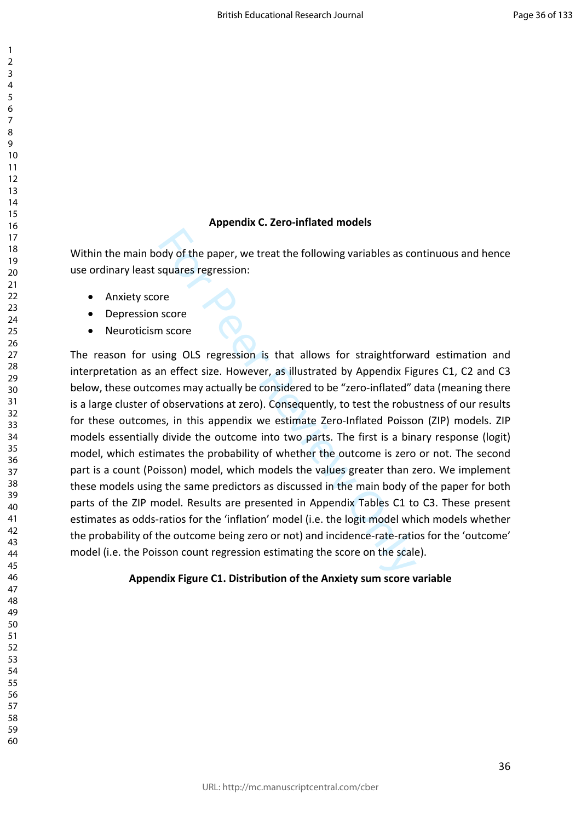#### $\overline{3}$  $\overline{4}$  $\overline{7}$

 $\mathbf{1}$  $\overline{2}$ 

 

#### **Appendix C. Zero-inflated models**

Within the main body of the paper, we treat the following variables as continuous and hence use ordinary least squares regression:

- Anxiety score
- Depression score
- Neuroticism score

body of the paper, we treat the following variables as co<br>squares regression:<br>re<br>score<br>and an occure<br>in the science of the allows for straightforware<br>in effect size. However, as illustrated by Appendix Fig<br>mes may actually The reason for using OLS regression is that allows for straightforward estimation and interpretation as an effect size. However, as illustrated by Appendix Figures C1, C2 and C3 below, these outcomes may actually be considered to be "zero-inflated" data (meaning there is a large cluster of observations at zero). Consequently, to test the robustness of our results for these outcomes, in this appendix we estimate Zero-Inflated Poisson (ZIP) models. ZIP models essentially divide the outcome into two parts. The first is a binary response (logit) model, which estimates the probability of whether the outcome is zero or not. The second part is a count (Poisson) model, which models the values greater than zero. We implement these models using the same predictors as discussed in the main body of the paper for both parts of the ZIP model. Results are presented in Appendix Tables C1 to C3. These present estimates as odds-ratios for the 'inflation' model (i.e. the logit model which models whether the probability of the outcome being zero or not) and incidence-rate-ratios for the 'outcome' model (i.e. the Poisson count regression estimating the score on the scale).

#### **Appendix Figure C1. Distribution of the Anxiety sum score variable**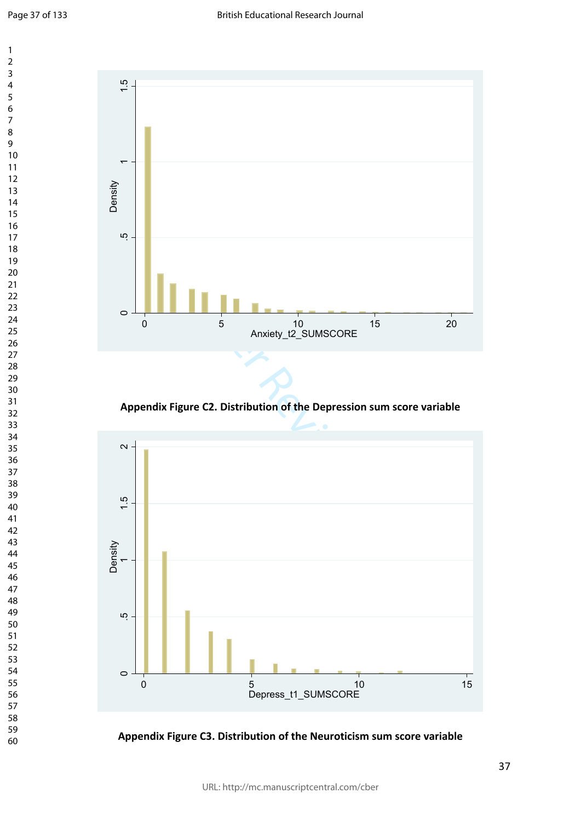$\mathbf{1}$  $\overline{2}$  $\overline{3}$  $\overline{4}$  $\overline{7}$ 



**Appendix Figure C2. Distribution of the Depression sum score variable**



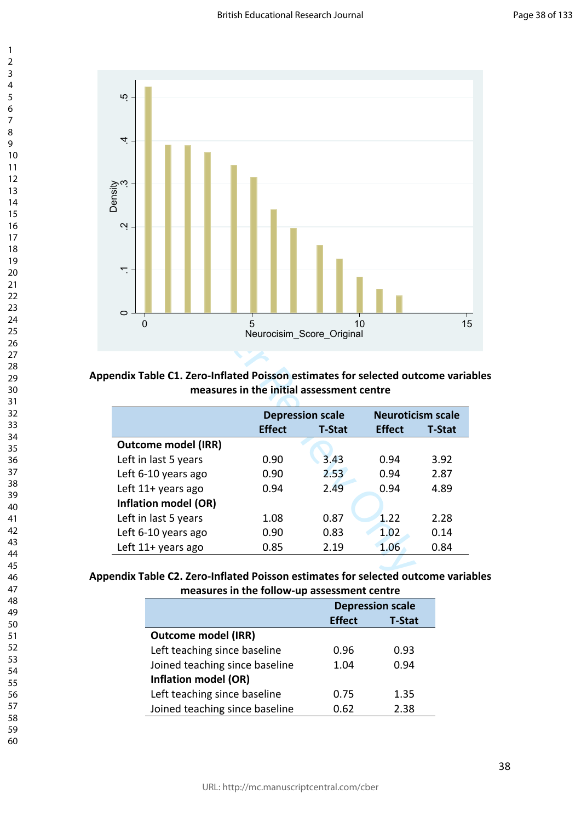

 $\mathbf{1}$  $\overline{2}$  $\overline{3}$  $\overline{4}$  $\overline{7}$ 

### **Appendix Table C1. Zero-Inflated Poisson estimates for selected outcome variables measures in the initial assessment centre**

| ↽.<br>$\circ$                                                              |                                           |                                 |               |                          |
|----------------------------------------------------------------------------|-------------------------------------------|---------------------------------|---------------|--------------------------|
| 0                                                                          | 5                                         | 10<br>Neurocisim_Score_Original |               | 15                       |
|                                                                            |                                           |                                 |               |                          |
|                                                                            |                                           |                                 |               |                          |
| endix Table C1. Zero-Inflated Poisson estimates for selected outcome varia | measures in the initial assessment centre |                                 |               |                          |
|                                                                            |                                           |                                 |               |                          |
|                                                                            |                                           |                                 |               |                          |
|                                                                            |                                           | <b>Depression scale</b>         |               | <b>Neuroticism scale</b> |
|                                                                            | <b>Effect</b>                             | <b>T-Stat</b>                   | <b>Effect</b> | <b>T-Stat</b>            |
| <b>Outcome model (IRR)</b>                                                 |                                           |                                 |               |                          |
| Left in last 5 years                                                       | 0.90                                      | 3.43                            | 0.94          | 3.92                     |
| Left 6-10 years ago                                                        | 0.90                                      | 2.53                            | 0.94          | 2.87                     |
| Left 11+ years ago                                                         | 0.94                                      | 2.49                            | 0.94          | 4.89                     |
| Inflation model (OR)                                                       |                                           |                                 |               |                          |
| Left in last 5 years                                                       | 1.08                                      | 0.87                            | 1.22          | 2.28                     |
| Left 6-10 years ago                                                        | 0.90                                      | 0.83                            | 1.02          | 0.14                     |
| Left 11+ years ago                                                         | 0.85                                      | 2.19                            | 1.06          | 0.84                     |

### **Appendix Table C2. Zero-Inflated Poisson estimates for selected outcome variables measures in the follow-up assessment centre**

|                                | <b>Depression scale</b> |               |  |
|--------------------------------|-------------------------|---------------|--|
|                                | <b>Effect</b>           | <b>T-Stat</b> |  |
| <b>Outcome model (IRR)</b>     |                         |               |  |
| Left teaching since baseline   | 0.96                    | 0.93          |  |
| Joined teaching since baseline | 1.04                    | 0.94          |  |
| Inflation model (OR)           |                         |               |  |
| Left teaching since baseline   | 0.75                    | 1.35          |  |
| Joined teaching since baseline | 0.62                    | 2.38          |  |
|                                |                         |               |  |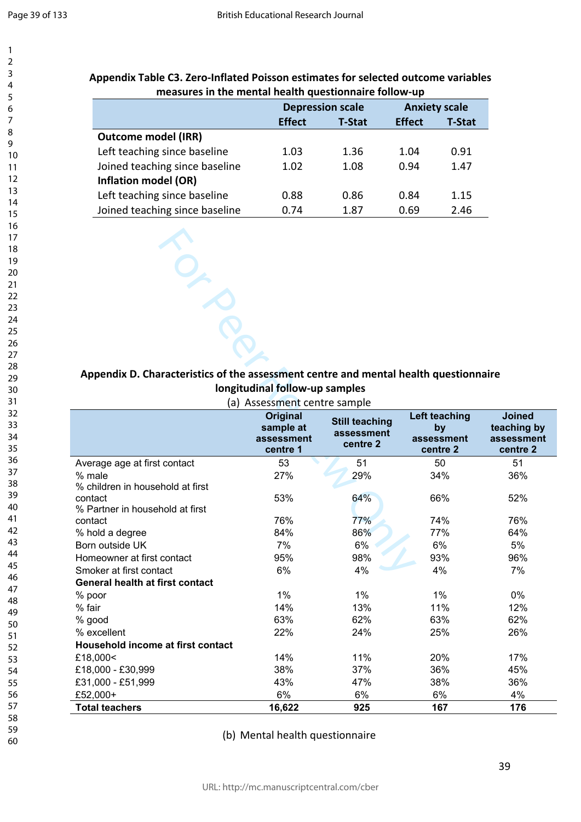| 1                            |
|------------------------------|
| 2                            |
| 3                            |
| 4                            |
| 5                            |
| 6                            |
|                              |
| 8                            |
| d<br>€                       |
|                              |
| 10                           |
| 11                           |
| $\mathbf{1}$<br>C            |
| $\overline{13}$              |
| 4<br>1.                      |
| 15                           |
| 16                           |
| 17                           |
| 18                           |
| 19                           |
| 20                           |
| $\overline{21}$              |
| $\overline{2}$<br>C          |
| $\overline{2}$<br>3          |
|                              |
| $\frac{24}{5}$               |
| 25                           |
| 26                           |
| 27                           |
| $\frac{28}{5}$               |
| 29                           |
| 30                           |
| $\overline{\textbf{3}}$      |
| $\overline{\mathbf{3}}$<br>, |
| $\overline{\mathbf{3}}$<br>ξ |
| 3.<br>4                      |
| 35                           |
|                              |
| 36                           |
| 37                           |
| 88                           |
| 39                           |
| 40                           |
| 41                           |
| 42                           |
| $\overline{4}$<br>₹          |
| 44                           |
| 45                           |
| 46                           |
| 47                           |
|                              |
| 48                           |
| 49                           |
| 50                           |
| 51                           |
| 5.<br>$\overline{c}$         |
| 5.<br>ξ                      |
| 54                           |
| 55                           |
| 56                           |
| 57                           |
| 58                           |
| 59                           |
| ر                            |

60

| Appendix Table C3. Zero-Inflated Poisson estimates for selected outcome variables |
|-----------------------------------------------------------------------------------|
| measures in the mental health questionnaire follow-up                             |

|                                | <b>Depression scale</b> |               |               | <b>Anxiety scale</b> |
|--------------------------------|-------------------------|---------------|---------------|----------------------|
|                                | <b>Effect</b>           | <b>T-Stat</b> | <b>Effect</b> | <b>T-Stat</b>        |
| <b>Outcome model (IRR)</b>     |                         |               |               |                      |
| Left teaching since baseline   | 1.03                    | 1.36          | 1.04          | 0.91                 |
| Joined teaching since baseline | 1.02                    | 1.08          | 0.94          | 1.47                 |
| Inflation model (OR)           |                         |               |               |                      |
| Left teaching since baseline   | 0.88                    | 0.86          | 0.84          | 1.15                 |
| Joined teaching since baseline | 0.74                    | 1.87          | 0.69          | 2.46                 |

## **Appendix D. Characteristics of the assessment centre and mental health questionnaire longitudinal follow-up samples**

| Appendix D. Characteristics of the assessment centre and mental health questionnaire | longitudinal follow-up samples                         |                                                 |                                                      |                                                        |
|--------------------------------------------------------------------------------------|--------------------------------------------------------|-------------------------------------------------|------------------------------------------------------|--------------------------------------------------------|
|                                                                                      | (a) Assessment centre sample                           |                                                 |                                                      |                                                        |
|                                                                                      | <b>Original</b><br>sample at<br>assessment<br>centre 1 | <b>Still teaching</b><br>assessment<br>centre 2 | <b>Left teaching</b><br>by<br>assessment<br>centre 2 | <b>Joined</b><br>teaching by<br>assessment<br>centre 2 |
| Average age at first contact                                                         | 53                                                     | 51                                              | 50                                                   | 51                                                     |
| % male                                                                               | 27%                                                    | 29%                                             | 34%                                                  | 36%                                                    |
| % children in household at first                                                     |                                                        |                                                 |                                                      |                                                        |
| contact                                                                              | 53%                                                    | 64%                                             | 66%                                                  | 52%                                                    |
| % Partner in household at first                                                      |                                                        |                                                 |                                                      |                                                        |
| contact                                                                              | 76%                                                    | 77%                                             | 74%                                                  | 76%                                                    |
| % hold a degree                                                                      | 84%                                                    | 86%                                             | 77%                                                  | 64%                                                    |
| Born outside UK                                                                      | 7%                                                     | 6%                                              | 6%                                                   | 5%                                                     |
| Homeowner at first contact                                                           | 95%                                                    | 98%                                             | 93%                                                  | 96%                                                    |
| Smoker at first contact                                                              | 6%                                                     | 4%                                              | 4%                                                   | 7%                                                     |
| <b>General health at first contact</b>                                               |                                                        |                                                 |                                                      |                                                        |
| % poor                                                                               | 1%                                                     | $1\%$                                           | 1%                                                   | $0\%$                                                  |
| % fair                                                                               | 14%                                                    | 13%                                             | 11%                                                  | 12%                                                    |
| % good                                                                               | 63%                                                    | 62%                                             | 63%                                                  | 62%                                                    |
| % excellent                                                                          | 22%                                                    | 24%                                             | 25%                                                  | 26%                                                    |
| <b>Household income at first contact</b>                                             |                                                        |                                                 |                                                      |                                                        |
| £18,000<                                                                             | 14%                                                    | 11%                                             | 20%                                                  | 17%                                                    |
| £18,000 - £30,999                                                                    | 38%                                                    | 37%                                             | 36%                                                  | 45%                                                    |
| £31,000 - £51,999                                                                    | 43%                                                    | 47%                                             | 38%                                                  | 36%                                                    |
| £52,000+                                                                             | 6%                                                     | 6%                                              | 6%                                                   | 4%                                                     |
| <b>Total teachers</b>                                                                | 16,622                                                 | 925                                             | 167                                                  | 176                                                    |

(b) Mental health questionnaire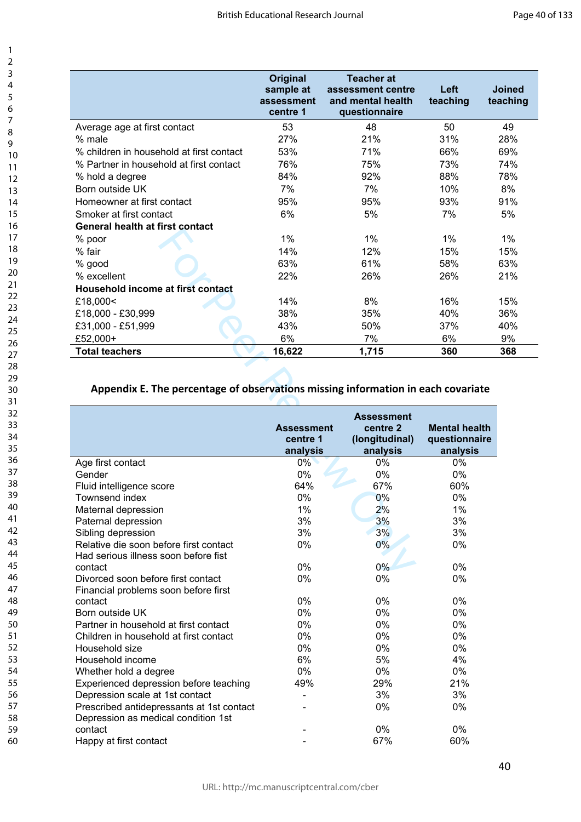$\mathbf{1}$  $\overline{2}$  $\overline{3}$  $\overline{4}$ 5 6  $\overline{7}$ 8  $\overline{9}$ 

|                                          | Original<br>sample at<br>assessment<br>centre 1 | Teacher at<br>assessment centre<br>and mental health<br>questionnaire | Left<br>teaching | <b>Joined</b><br>teaching |
|------------------------------------------|-------------------------------------------------|-----------------------------------------------------------------------|------------------|---------------------------|
| Average age at first contact             | 53                                              | 48                                                                    | 50               | 49                        |
| % male                                   | 27%                                             | 21%                                                                   | 31%              | 28%                       |
| % children in household at first contact | 53%                                             | 71%                                                                   | 66%              | 69%                       |
| % Partner in household at first contact  | 76%                                             | 75%                                                                   | 73%              | 74%                       |
| % hold a degree                          | 84%                                             | 92%                                                                   | 88%              | 78%                       |
| Born outside UK                          | 7%                                              | 7%                                                                    | 10%              | 8%                        |
| Homeowner at first contact               | 95%                                             | 95%                                                                   | 93%              | 91%                       |
| Smoker at first contact                  | 6%                                              | 5%                                                                    | 7%               | 5%                        |
| <b>General health at first contact</b>   |                                                 |                                                                       |                  |                           |
| % poor                                   | 1%                                              | $1\%$                                                                 | 1%               | 1%                        |
| % fair                                   | 14%                                             | 12%                                                                   | 15%              | 15%                       |
| % good                                   | 63%                                             | 61%                                                                   | 58%              | 63%                       |
| % excellent                              | 22%                                             | 26%                                                                   | 26%              | 21%                       |
| Household income at first contact        |                                                 |                                                                       |                  |                           |
| £18,000<                                 | 14%                                             | 8%                                                                    | 16%              | 15%                       |
| £18,000 - £30,999                        | 38%                                             | 35%                                                                   | 40%              | 36%                       |
| £31,000 - £51,999                        | 43%                                             | 50%                                                                   | 37%              | 40%                       |
| £52,000+                                 | 6%                                              | 7%                                                                    | 6%               | 9%                        |
| <b>Total teachers</b>                    | 16,622                                          | 1,715                                                                 | 360              | 368                       |

# **Appendix E. The percentage of observations missing information in each covariate**

| % poor                                                                           | 1%                | 1%                | 1%                   |
|----------------------------------------------------------------------------------|-------------------|-------------------|----------------------|
| % fair                                                                           | 14%               | 12%               | 15%                  |
| % good                                                                           | 63%               | 61%               | 58%                  |
| % excellent                                                                      | 22%               | 26%               | 26%                  |
| <b>Household income at first contact</b>                                         |                   |                   |                      |
| £18,000<                                                                         | 14%               | 8%                | 16%                  |
| £18,000 - £30,999                                                                | 38%               | 35%               | 40%                  |
| £31,000 - £51,999                                                                | 43%               | 50%               | 37%                  |
| £52,000+                                                                         | 6%                | 7%                | 6%                   |
| <b>Total teachers</b>                                                            | 16,622            | 1,715             | 360                  |
|                                                                                  |                   |                   |                      |
|                                                                                  |                   |                   |                      |
| Appendix E. The percentage of observations missing information in each covariate |                   |                   |                      |
|                                                                                  |                   |                   |                      |
|                                                                                  |                   | <b>Assessment</b> |                      |
|                                                                                  | <b>Assessment</b> | centre 2          | <b>Mental health</b> |
|                                                                                  | centre 1          | (longitudinal)    | questionnaire        |
|                                                                                  | analysis          | analysis          | analysis             |
| Age first contact                                                                | 0%                | 0%                | 0%                   |
| Gender                                                                           | 0%                | $0\%$             | $0\%$                |
| Fluid intelligence score                                                         | 64%               | 67%               | 60%                  |
| Townsend index                                                                   | 0%                | 0%                | 0%                   |
| Maternal depression                                                              | 1%                | 2%                | 1%                   |
| Paternal depression                                                              | 3%                | 3%                | 3%                   |
| Sibling depression                                                               | 3%                | 3%                | 3%                   |
| Relative die soon before first contact                                           | 0%                | 0%                | 0%                   |
| Had serious illness soon before fist                                             |                   |                   |                      |
| contact                                                                          | 0%                | 0%                | 0%                   |
| Divorced soon before first contact                                               | 0%                | 0%                | 0%                   |
| Financial problems soon before first                                             |                   |                   |                      |
| contact                                                                          | 0%                | 0%                | 0%                   |
| Born outside UK                                                                  | 0%                | 0%                | 0%                   |
| Partner in household at first contact                                            | 0%                | 0%                | 0%                   |
| Children in household at first contact                                           | 0%                | 0%                | 0%                   |
| Household size                                                                   | 0%                | 0%                | 0%                   |
| Household income                                                                 | 6%                | 5%                | 4%                   |
| Whether hold a degree                                                            | 0%                | 0%                | 0%                   |
| Experienced depression before teaching                                           | 49%               | 29%               | 21%                  |
| Depression scale at 1st contact                                                  |                   | 3%                | 3%                   |
| Prescribed antidepressants at 1st contact                                        |                   | 0%                | 0%                   |
| Depression as medical condition 1st<br>contact                                   |                   | 0%                | 0%                   |
| Happy at first contact                                                           |                   | 67%               | 60%                  |
|                                                                                  |                   |                   |                      |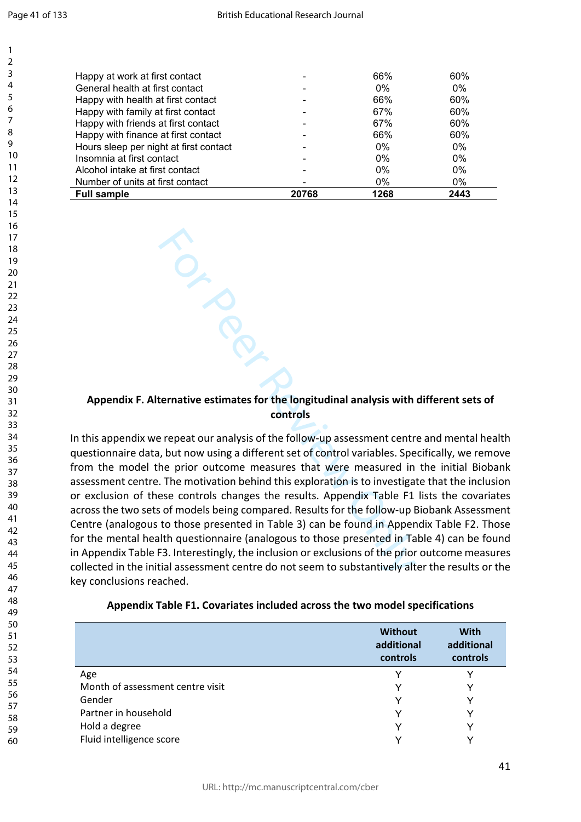$\mathbf{1}$  $\overline{2}$  $\overline{3}$  $\overline{4}$ 5 6  $\overline{7}$ 8 9

| <b>Full sample</b>                     | 20768 | 1268  | 2443  |
|----------------------------------------|-------|-------|-------|
| Number of units at first contact       |       | $0\%$ | $0\%$ |
| Alcohol intake at first contact        |       | $0\%$ | $0\%$ |
| Insomnia at first contact              |       | $0\%$ | $0\%$ |
| Hours sleep per night at first contact |       | $0\%$ | $0\%$ |
| Happy with finance at first contact    |       | 66%   | 60%   |
| Happy with friends at first contact    |       | 67%   | 60%   |
| Happy with family at first contact     |       | 67%   | 60%   |
| Happy with health at first contact     |       | 66%   | 60%   |
| General health at first contact        |       | $0\%$ | $0\%$ |
| Happy at work at first contact         |       | 66%   | 60%   |

TON BEE

**Appendix F. Alternative estimates for the longitudinal analysis with different sets of controls**

In this appendix we repeat our analysis of the follow-up assessment centre and mental health questionnaire data, but now using a different set of control variables. Specifically, we remove from the model the prior outcome measures that were measured in the initial Biobank assessment centre. The motivation behind this exploration is to investigate that the inclusion or exclusion of these controls changes the results. Appendix Table F1 lists the covariates across the two sets of models being compared. Results for the follow-up Biobank Assessment Centre (analogous to those presented in Table 3) can be found in Appendix Table F2. Those for the mental health questionnaire (analogous to those presented in Table 4) can be found in Appendix Table F3. Interestingly, the inclusion or exclusions of the prior outcome measures collected in the initial assessment centre do not seem to substantively alter the results or the key conclusions reached.

|                                  | <b>Without</b><br>additional<br>controls | <b>With</b><br>additional<br>controls |
|----------------------------------|------------------------------------------|---------------------------------------|
| Age                              | v                                        |                                       |
| Month of assessment centre visit | Y                                        |                                       |
| Gender                           | v                                        |                                       |
| Partner in household             | Υ                                        |                                       |
| Hold a degree                    | ∨                                        |                                       |
| Fluid intelligence score         | ◡                                        |                                       |

| Appendix Table F1. Covariates included across the two model specifications |  |  |  |
|----------------------------------------------------------------------------|--|--|--|
|                                                                            |  |  |  |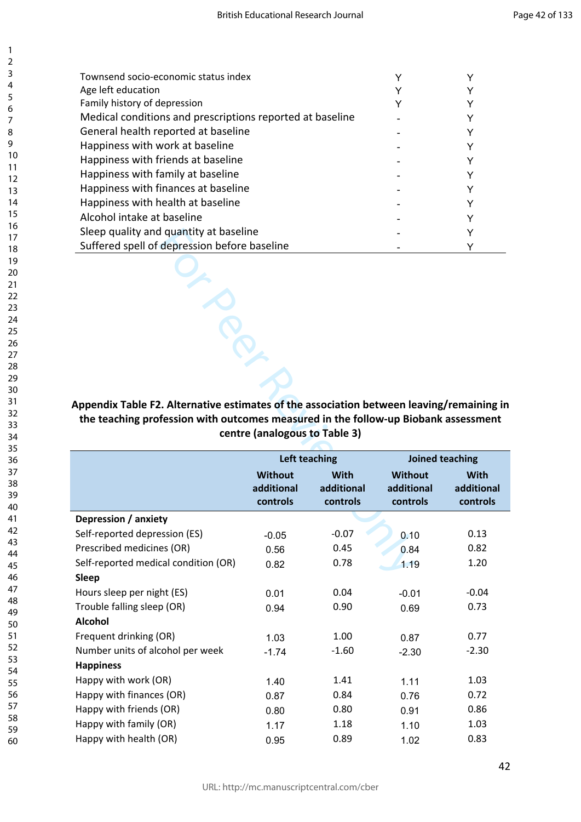| Townsend socio-economic status index                      |  |
|-----------------------------------------------------------|--|
| Age left education                                        |  |
| Family history of depression                              |  |
| Medical conditions and prescriptions reported at baseline |  |
| General health reported at baseline                       |  |
| Happiness with work at baseline                           |  |
| Happiness with friends at baseline                        |  |
| Happiness with family at baseline                         |  |
| Happiness with finances at baseline                       |  |
| Happiness with health at baseline                         |  |
| Alcohol intake at baseline                                |  |
| Sleep quality and quantity at baseline                    |  |
| Suffered spell of depression before baseline              |  |

 $\mathbf{1}$  $\overline{2}$ 3  $\overline{4}$ 5 6  $\overline{7}$ 8 9

# **PRIDER Appendix Table F2. Alternative estimates of the association between leaving/remaining in the teaching profession with outcomes measured in the follow-up Biobank assessment centre (analogous to Table 3)**

|                                      |                                          | Left teaching                         |                                          | Joined teaching                       |  |  |
|--------------------------------------|------------------------------------------|---------------------------------------|------------------------------------------|---------------------------------------|--|--|
|                                      | <b>Without</b><br>additional<br>controls | <b>With</b><br>additional<br>controls | <b>Without</b><br>additional<br>controls | <b>With</b><br>additional<br>controls |  |  |
| Depression / anxiety                 |                                          |                                       |                                          |                                       |  |  |
| Self-reported depression (ES)        | $-0.05$                                  | $-0.07$                               | 0.10                                     | 0.13                                  |  |  |
| Prescribed medicines (OR)            | 0.56                                     | 0.45                                  | 0.84                                     | 0.82                                  |  |  |
| Self-reported medical condition (OR) | 0.82                                     | 0.78                                  | 1.19                                     | 1.20                                  |  |  |
| <b>Sleep</b>                         |                                          |                                       |                                          |                                       |  |  |
| Hours sleep per night (ES)           | 0.01                                     | 0.04                                  | $-0.01$                                  | $-0.04$                               |  |  |
| Trouble falling sleep (OR)           | 0.94                                     | 0.90                                  | 0.69                                     | 0.73                                  |  |  |
| <b>Alcohol</b>                       |                                          |                                       |                                          |                                       |  |  |
| Frequent drinking (OR)               | 1.03                                     | 1.00                                  | 0.87                                     | 0.77                                  |  |  |
| Number units of alcohol per week     | $-1.74$                                  | $-1.60$                               | $-2.30$                                  | $-2.30$                               |  |  |
| <b>Happiness</b>                     |                                          |                                       |                                          |                                       |  |  |
| Happy with work (OR)                 | 1.40                                     | 1.41                                  | 1.11                                     | 1.03                                  |  |  |
| Happy with finances (OR)             | 0.87                                     | 0.84                                  | 0.76                                     | 0.72                                  |  |  |
| Happy with friends (OR)              | 0.80                                     | 0.80                                  | 0.91                                     | 0.86                                  |  |  |
| Happy with family (OR)               | 1.17                                     | 1.18                                  | 1.10                                     | 1.03                                  |  |  |
| Happy with health (OR)               | 0.95                                     | 0.89                                  | 1.02                                     | 0.83                                  |  |  |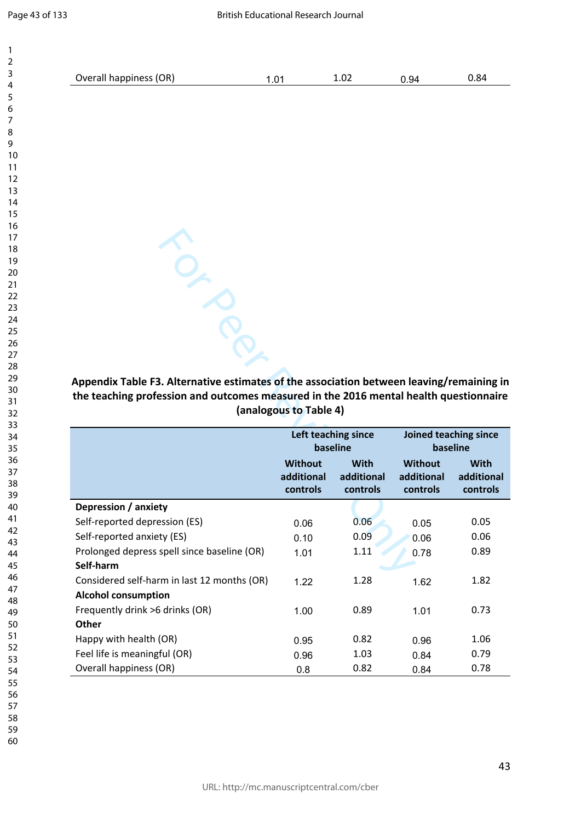$\mathbf{1}$  $\overline{2}$  $\overline{3}$  $\overline{4}$ 5 6  $\overline{7}$ 

For Peer Review Only **Appendix Table F3. Alternative estimates of the association between leaving/remaining in the teaching profession and outcomes measured in the 2016 mental health questionnaire (analogous to Table 4)**

|                                             | Left teaching since<br>baseline          |                                       | Joined teaching since<br>baseline        |                                       |
|---------------------------------------------|------------------------------------------|---------------------------------------|------------------------------------------|---------------------------------------|
|                                             | <b>Without</b><br>additional<br>controls | <b>With</b><br>additional<br>controls | <b>Without</b><br>additional<br>controls | <b>With</b><br>additional<br>controls |
| Depression / anxiety                        |                                          |                                       |                                          |                                       |
| Self-reported depression (ES)               | 0.06                                     | 0.06                                  | 0.05                                     | 0.05                                  |
| Self-reported anxiety (ES)                  | 0.10                                     | 0.09                                  | 0.06                                     | 0.06                                  |
| Prolonged depress spell since baseline (OR) | 1.01                                     | 1.11                                  | 0.78                                     | 0.89                                  |
| Self-harm                                   |                                          |                                       |                                          |                                       |
| Considered self-harm in last 12 months (OR) | 1.22                                     | 1.28                                  | 1.62                                     | 1.82                                  |
| <b>Alcohol consumption</b>                  |                                          |                                       |                                          |                                       |
| Frequently drink >6 drinks (OR)             | 1.00                                     | 0.89                                  | 1.01                                     | 0.73                                  |
| <b>Other</b>                                |                                          |                                       |                                          |                                       |
| Happy with health (OR)                      | 0.95                                     | 0.82                                  | 0.96                                     | 1.06                                  |
| Feel life is meaningful (OR)                | 0.96                                     | 1.03                                  | 0.84                                     | 0.79                                  |
| Overall happiness (OR)                      | 0.8                                      | 0.82                                  | 0.84                                     | 0.78                                  |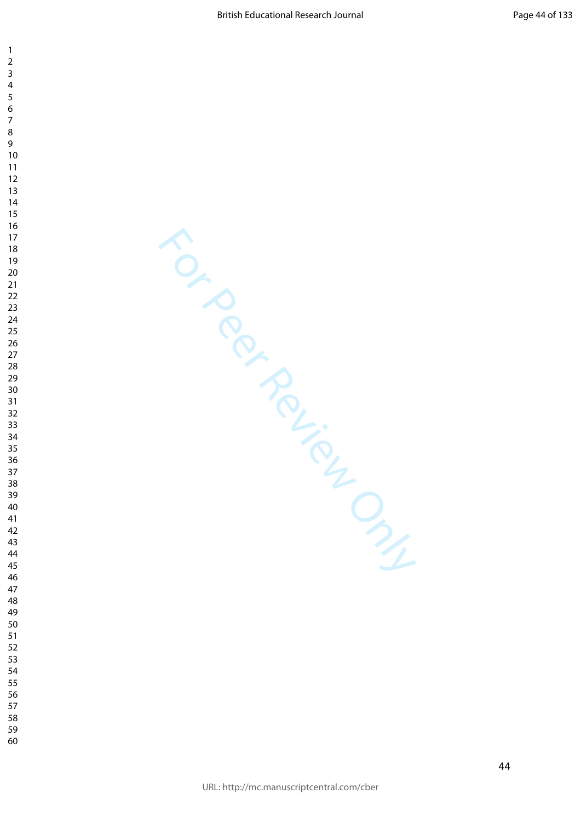$\mathbf{1}$  $\overline{2}$  $\overline{3}$ 

 

 

URL: http://mc.manuscriptcentral.com/cber

For Per Review Only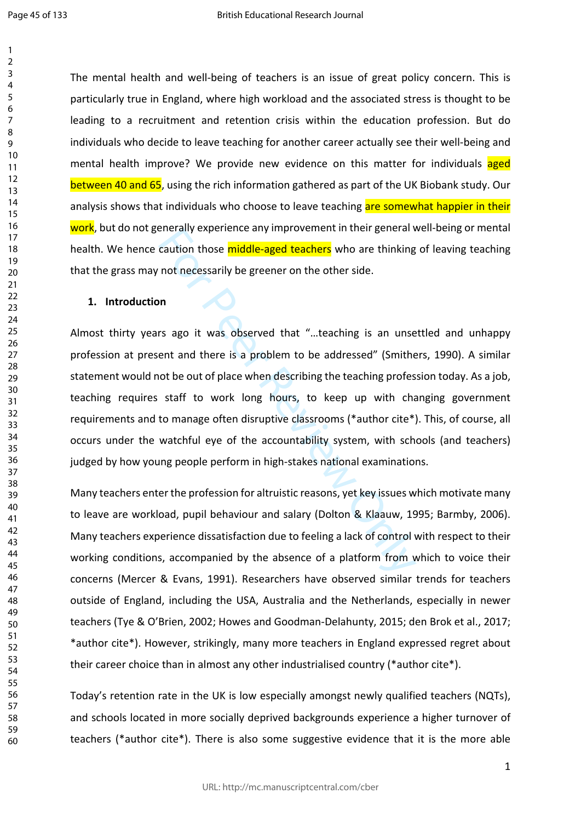Page 45 of 133

60

The mental health and well-being of teachers is an issue of great policy concern. This is particularly true in England, where high workload and the associated stress is thought to be leading to a recruitment and retention crisis within the education profession. But do individuals who decide to leave teaching for another career actually see their well-being and mental health improve? We provide new evidence on this matter for individuals aged between 40 and 65, using the rich information gathered as part of the UK Biobank study. Our analysis shows that individuals who choose to leave teaching are somewhat happier in their work, but do not generally experience any improvement in their general well-being or mental health. We hence caution those middle-aged teachers who are thinking of leaving teaching that the grass may not necessarily be greener on the other side.

#### **1. Introduction**

For Peer Review Only Almost thirty years ago it was observed that "…teaching is an unsettled and unhappy profession at present and there is a problem to be addressed" (Smithers, 1990). A similar statement would not be out of place when describing the teaching profession today. As a job, teaching requires staff to work long hours, to keep up with changing government requirements and to manage often disruptive classrooms (\*author cite\*). This, of course, all occurs under the watchful eye of the accountability system, with schools (and teachers) judged by how young people perform in high-stakes national examinations.

Many teachers enter the profession for altruistic reasons, yet key issues which motivate many to leave are workload, pupil behaviour and salary (Dolton & Klaauw, 1995; Barmby, 2006). Many teachers experience dissatisfaction due to feeling a lack of control with respect to their working conditions, accompanied by the absence of a platform from which to voice their concerns (Mercer & Evans, 1991). Researchers have observed similar trends for teachers outside of England, including the USA, Australia and the Netherlands, especially in newer teachers (Tye & O'Brien, 2002; Howes and Goodman-Delahunty, 2015; den Brok et al., 2017; \*author cite\*). However, strikingly, many more teachers in England expressed regret about their career choice than in almost any other industrialised country (\*author cite\*).

Today's retention rate in the UK is low especially amongst newly qualified teachers (NQTs), and schools located in more socially deprived backgrounds experience a higher turnover of teachers (\*author cite\*). There is also some suggestive evidence that it is the more able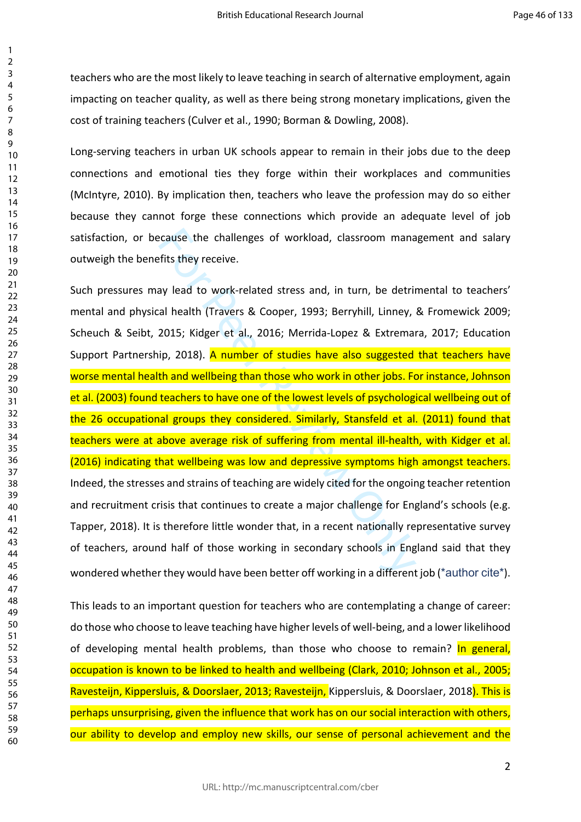teachers who are the most likely to leave teaching in search of alternative employment, again impacting on teacher quality, as well as there being strong monetary implications, given the cost of training teachers (Culver et al., 1990; Borman & Dowling, 2008).

Long-serving teachers in urban UK schools appear to remain in their jobs due to the deep connections and emotional ties they forge within their workplaces and communities (McIntyre, 2010). By implication then, teachers who leave the profession may do so either because they cannot forge these connections which provide an adequate level of job satisfaction, or because the challenges of workload, classroom management and salary outweigh the benefits they receive.

ecause the challenges of workload, classroom mana<br>
fits they receive.<br>
ay lead to work-related stress and, in turn, be detrin<br>
al health (Travers & Cooper, 1993; Berryhill, Linney,<br>
2015; Kidger et al., 2016; Merrida-Lopez Such pressures may lead to work-related stress and, in turn, be detrimental to teachers' mental and physical health (Travers & Cooper, 1993; Berryhill, Linney, & Fromewick 2009; Scheuch & Seibt, 2015; Kidger et al., 2016; Merrida-Lopez & Extremara, 2017; Education Support Partnership, 2018). A number of studies have also suggested that teachers have worse mental health and wellbeing than those who work in other jobs. For instance, Johnson et al. (2003) found teachers to have one of the lowest levels of psychological wellbeing out of the 26 occupational groups they considered. Similarly, Stansfeld et al. (2011) found that teachers were at above average risk of suffering from mental ill-health, with Kidger et al. (2016) indicating that wellbeing was low and depressive symptoms high amongst teachers. Indeed, the stresses and strains of teaching are widely cited for the ongoing teacher retention and recruitment crisis that continues to create a major challenge for England's schools (e.g. Tapper, 2018). It is therefore little wonder that, in a recent nationally representative survey of teachers, around half of those working in secondary schools in England said that they wondered whether they would have been better off working in a different job (\*author cite\*).

This leads to an important question for teachers who are contemplating a change of career: do those who choose to leave teaching have higher levels of well-being, and a lower likelihood of developing mental health problems, than those who choose to remain? In general, occupation is known to be linked to health and wellbeing (Clark, 2010; Johnson et al., 2005; Ravesteijn, Kippersluis, & Doorslaer, 2013; Ravesteijn, Kippersluis, & Doorslaer, 2018). This is perhaps unsurprising, given the influence that work has on our social interaction with others, our ability to develop and employ new skills, our sense of personal achievement and the

 $\mathbf{1}$  $\overline{2}$  $\overline{4}$  $\overline{7}$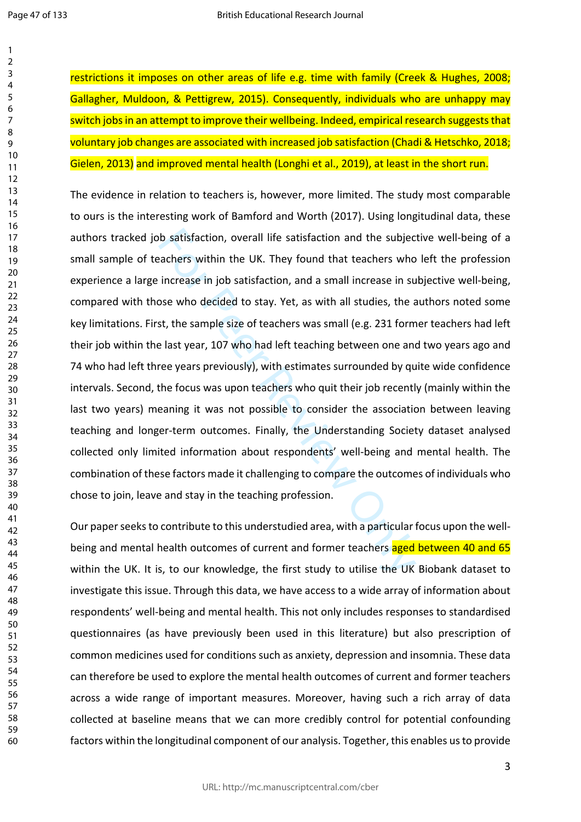$\mathbf{1}$ 

60

restrictions it imposes on other areas of life e.g. time with family (Creek & Hughes, 2008; Gallagher, Muldoon, & Pettigrew, 2015). Consequently, individuals who are unhappy may switch jobs in an attempt to improve their wellbeing. Indeed, empirical research suggests that voluntary job changes are associated with increased job satisfaction (Chadi & Hetschko, 2018; Gielen, 2013) and improved mental health (Longhi et al., 2019), at least in the short run.

b satisfaction, overall life satisfaction and the subjection<br>eachers within the UK. They found that teachers who<br>increase in job satisfaction, and a small increase in su<br>ose who decided to stay. Yet, as with all studies, t The evidence in relation to teachers is, however, more limited. The study most comparable to ours is the interesting work of Bamford and Worth (2017). Using longitudinal data, these authors tracked job satisfaction, overall life satisfaction and the subjective well-being of a small sample of teachers within the UK. They found that teachers who left the profession experience a large increase in job satisfaction, and a small increase in subjective well-being, compared with those who decided to stay. Yet, as with all studies, the authors noted some key limitations. First, the sample size of teachers was small (e.g. 231 former teachers had left their job within the last year, 107 who had left teaching between one and two years ago and 74 who had left three years previously), with estimates surrounded by quite wide confidence intervals. Second, the focus was upon teachers who quit their job recently (mainly within the last two years) meaning it was not possible to consider the association between leaving teaching and longer-term outcomes. Finally, the Understanding Society dataset analysed collected only limited information about respondents' well-being and mental health. The combination of these factors made it challenging to compare the outcomes of individuals who chose to join, leave and stay in the teaching profession.

Our paper seeks to contribute to this understudied area, with a particular focus upon the wellbeing and mental health outcomes of current and former teachers aged between 40 and 65 within the UK. It is, to our knowledge, the first study to utilise the UK Biobank dataset to investigate this issue. Through this data, we have access to a wide array of information about respondents' well-being and mental health. This not only includes responses to standardised questionnaires (as have previously been used in this literature) but also prescription of common medicines used for conditions such as anxiety, depression and insomnia. These data can therefore be used to explore the mental health outcomes of current and former teachers across a wide range of important measures. Moreover, having such a rich array of data collected at baseline means that we can more credibly control for potential confounding factors within the longitudinal component of our analysis. Together, this enables us to provide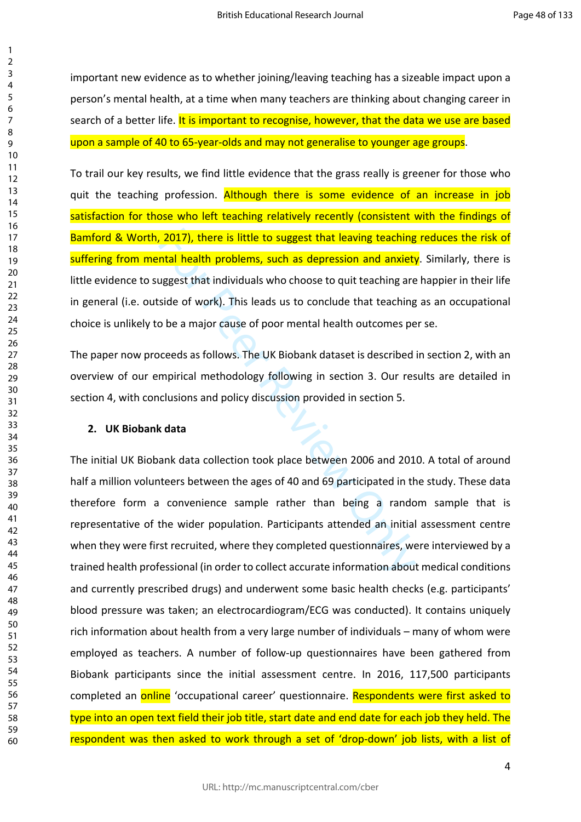important new evidence as to whether joining/leaving teaching has a sizeable impact upon a person's mental health, at a time when many teachers are thinking about changing career in search of a better life. It is important to recognise, however, that the data we use are based upon a sample of 40 to 65-year-olds and may not generalise to younger age groups.

To trail our key results, we find little evidence that the grass really is greener for those who quit the teaching profession. Although there is some evidence of an increase in job satisfaction for those who left teaching relatively recently (consistent with the findings of Bamford & Worth, 2017), there is little to suggest that leaving teaching reduces the risk of suffering from mental health problems, such as depression and anxiety. Similarly, there is little evidence to suggest that individuals who choose to quit teaching are happier in their life in general (i.e. outside of work). This leads us to conclude that teaching as an occupational choice is unlikely to be a major cause of poor mental health outcomes per se.

The paper now proceeds as follows. The UK Biobank dataset is described in section 2, with an overview of our empirical methodology following in section 3. Our results are detailed in section 4, with conclusions and policy discussion provided in section 5.

#### **2. UK Biobank data**

 $\mathbf{1}$  $\overline{2}$  $\overline{4}$  $\overline{7}$ 

**2017), there is little to suggest that leaving teaching**<br> **ortal health problems, such as depression and anxiety**<br>
1992 uses that individuals who choose to quit teaching are<br>
side of work). This leads us to conclude that The initial UK Biobank data collection took place between 2006 and 2010. A total of around half a million volunteers between the ages of 40 and 69 participated in the study. These data therefore form a convenience sample rather than being a random sample that is representative of the wider population. Participants attended an initial assessment centre when they were first recruited, where they completed questionnaires, were interviewed by a trained health professional (in order to collect accurate information about medical conditions and currently prescribed drugs) and underwent some basic health checks (e.g. participants' blood pressure was taken; an electrocardiogram/ECG was conducted). It contains uniquely rich information about health from a very large number of individuals – many of whom were employed as teachers. A number of follow-up questionnaires have been gathered from Biobank participants since the initial assessment centre. In 2016, 117,500 participants completed an **online** 'occupational career' questionnaire. Respondents were first asked to type into an open text field their job title, start date and end date for each job they held. The respondent was then asked to work through a set of 'drop-down' job lists, with a list of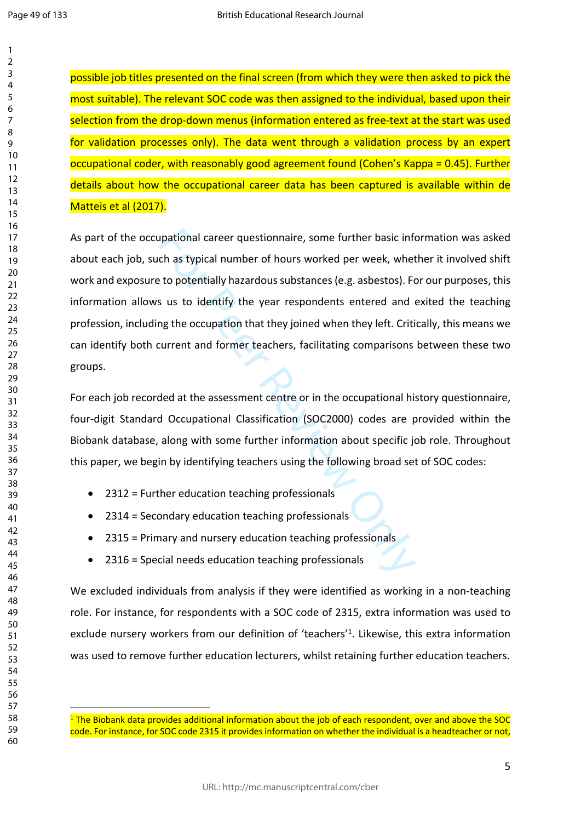$\mathbf{1}$  $\overline{2}$ 

possible job titles presented on the final screen (from which they were then asked to pick the most suitable). The relevant SOC code was then assigned to the individual, based upon their selection from the drop-down menus (information entered as free-text at the start was used for validation processes only). The data went through a validation process by an expert occupational coder, with reasonably good agreement found (Cohen's Kappa = 0.45). Further details about how the occupational career data has been captured is available within de Matteis et al (2017).

mational career questionnaire, some further basic inforch as typical number of hours worked per week, whet to potentially hazardous substances (e.g. asbestos). For the solution of the sear respondents entered and or and th As part of the occupational career questionnaire, some further basic information was asked about each job, such as typical number of hours worked per week, whether it involved shift work and exposure to potentially hazardous substances (e.g. asbestos). For our purposes, this information allows us to identify the year respondents entered and exited the teaching profession, including the occupation that they joined when they left. Critically, this means we can identify both current and former teachers, facilitating comparisons between these two groups.

For each job recorded at the assessment centre or in the occupational history questionnaire, four-digit Standard Occupational Classification (SOC2000) codes are provided within the Biobank database, along with some further information about specific job role. Throughout this paper, we begin by identifying teachers using the following broad set of SOC codes:

- 2312 = Further education teaching professionals
- 2314 = Secondary education teaching professionals
- 2315 = Primary and nursery education teaching professionals
- 2316 = Special needs education teaching professionals

We excluded individuals from analysis if they were identified as working in a non-teaching role. For instance, for respondents with a SOC code of 2315, extra information was used to exclude nursery workers from our definition of 'teachers'<sup>1</sup>. Likewise, this extra information was used to remove further education lecturers, whilst retaining further education teachers.

<sup>&</sup>lt;sup>1</sup> The Biobank data provides additional information about the job of each respondent, over and above the SOC code. For instance, for SOC code 2315 it provides information on whether the individual is a headteacher or not,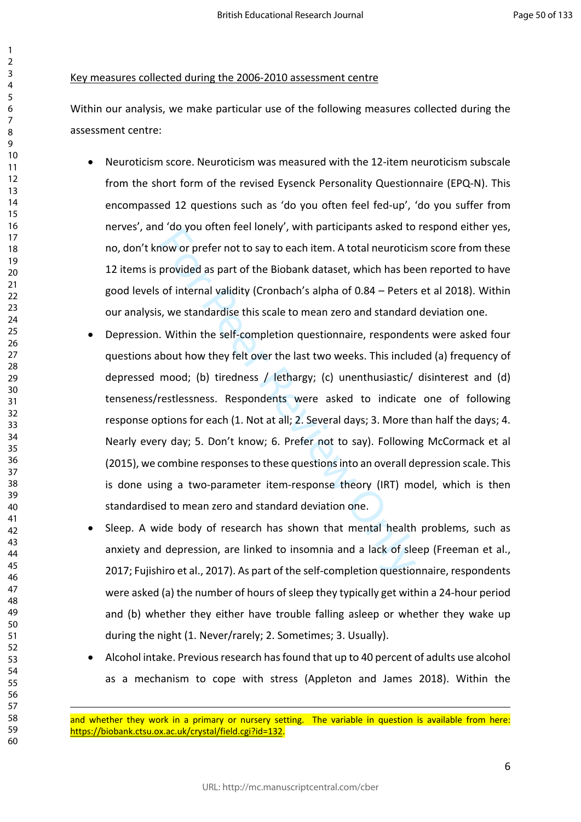#### Key measures collected during the 2006-2010 assessment centre

Within our analysis, we make particular use of the following measures collected during the assessment centre:

- Neuroticism score. Neuroticism was measured with the 12-item neuroticism subscale from the short form of the revised Eysenck Personality Questionnaire (EPQ-N). This encompassed 12 questions such as 'do you often feel fed-up', 'do you suffer from nerves', and 'do you often feel lonely', with participants asked to respond either yes, no, don't know or prefer not to say to each item. A total neuroticism score from these 12 items is provided as part of the Biobank dataset, which has been reported to have good levels of internal validity (Cronbach's alpha of 0.84 – Peters et al 2018). Within our analysis, we standardise this scale to mean zero and standard deviation one.
- The Biobal and Hall chemistic sisted to<br>now or prefer not to say to each item. A total neuroticis<br>provided as part of the Biobank dataset, which has be<br>of internal validity (Cronbach's alpha of 0.84 Peters<br>s, we standard Depression. Within the self-completion questionnaire, respondents were asked four questions about how they felt over the last two weeks. This included (a) frequency of depressed mood; (b) tiredness / lethargy; (c) unenthusiastic/ disinterest and (d) tenseness/restlessness. Respondents were asked to indicate one of following response options for each (1. Not at all; 2. Several days; 3. More than half the days; 4. Nearly every day; 5. Don't know; 6. Prefer not to say). Following McCormack et al (2015), we combine responses to these questions into an overall depression scale. This is done using a two-parameter item-response theory (IRT) model, which is then standardised to mean zero and standard deviation one.
- Sleep. A wide body of research has shown that mental health problems, such as anxiety and depression, are linked to insomnia and a lack of sleep (Freeman et al., 2017; [Fujishiro](https://www.sciencedirect.com/science/article/abs/pii/S0277953617305531) et al., 2017). As part of the self-completion questionnaire, respondents were asked (a) the number of hours of sleep they typically get within a 24-hour period and (b) whether they either have trouble falling asleep or whether they wake up during the night (1. Never/rarely; 2. Sometimes; 3. Usually).
- Alcohol intake. Previous research has found that up to 40 percent of adults use alcohol as a mechanism to cope with stress (Appleton and James 2018). Within the

 $\mathbf{1}$ 

and whether they work in a primary or nursery setting. The variable in question is available from here: [https://biobank.ctsu.ox.ac.uk/crystal/field.cgi?id=132.](https://biobank.ctsu.ox.ac.uk/crystal/field.cgi?id=132)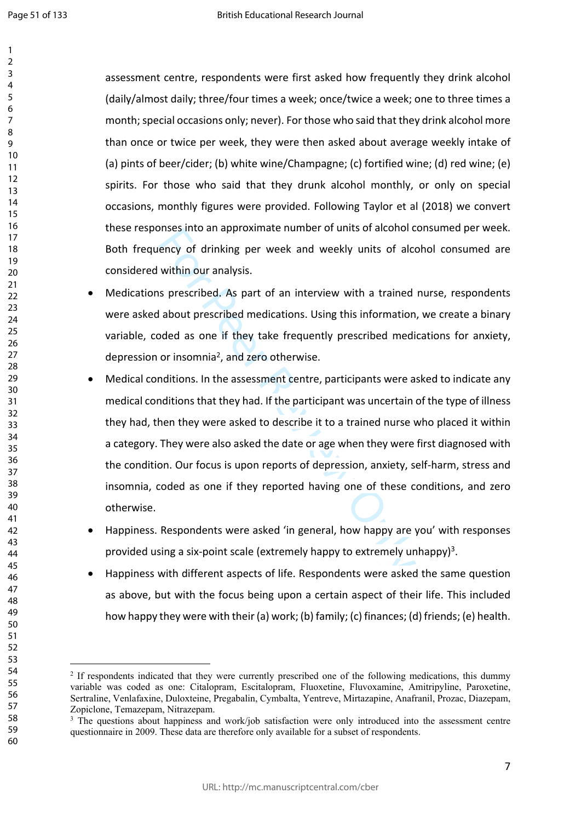assessment centre, respondents were first asked how frequently they drink alcohol (daily/almost daily; three/four times a week; once/twice a week; one to three times a month; special occasions only; never). For those who said that they drink alcohol more than once or twice per week, they were then asked about average weekly intake of (a) pints of beer/cider; (b) white wine/Champagne; (c) fortified wine; (d) red wine; (e) spirits. For those who said that they drunk alcohol monthly, or only on special occasions, monthly figures were provided. Following Taylor et al (2018) we convert these responses into an approximate number of units of alcohol consumed per week. Both frequency of drinking per week and weekly units of alcohol consumed are considered within our analysis.

- Medications prescribed. As part of an interview with a trained nurse, respondents were asked about prescribed medications. Using this information, we create a binary variable, coded as one if they take frequently prescribed medications for anxiety, depression or insomnia 2 , and zero otherwise.
- Shares into an approximate number or units or attorion correct of drinking per week and weekly units of alcordic<br>ency of drinking per week and weekly units of alcordic<br>within our analysis.<br>So prescribed. As part of an inte Medical conditions. In the assessment centre, participants were asked to indicate any medical conditions that they had. If the participant was uncertain of the type of illness they had, then they were asked to describe it to a trained nurse who placed it within a category. They were also asked the date or age when they were first diagnosed with the condition. Our focus is upon reports of depression, anxiety, self-harm, stress and insomnia, coded as one if they reported having one of these conditions, and zero otherwise.
- Happiness. Respondents were asked 'in general, how happy are you' with responses provided using a six-point scale (extremely happy to extremely unhappy)<sup>3</sup>.
- Happiness with different aspects of life. Respondents were asked the same question as above, but with the focus being upon a certain aspect of their life. This included how happy they were with their (a) work; (b) family; (c) finances; (d) friends; (e) health.

<sup>&</sup>lt;sup>2</sup> If respondents indicated that they were currently prescribed one of the following medications, this dummy variable was coded as one: Citalopram, Escitalopram, Fluoxetine, Fluvoxamine, Amitripyline, Paroxetine, Sertraline, Venlafaxine, Duloxteine, Pregabalin, Cymbalta, Yentreve, Mirtazapine, Anafranil, Prozac, Diazepam, Zopiclone, Temazepam, Nitrazepam.

<sup>&</sup>lt;sup>3</sup> The questions about happiness and work/job satisfaction were only introduced into the assessment centre questionnaire in 2009. These data are therefore only available for a subset of respondents.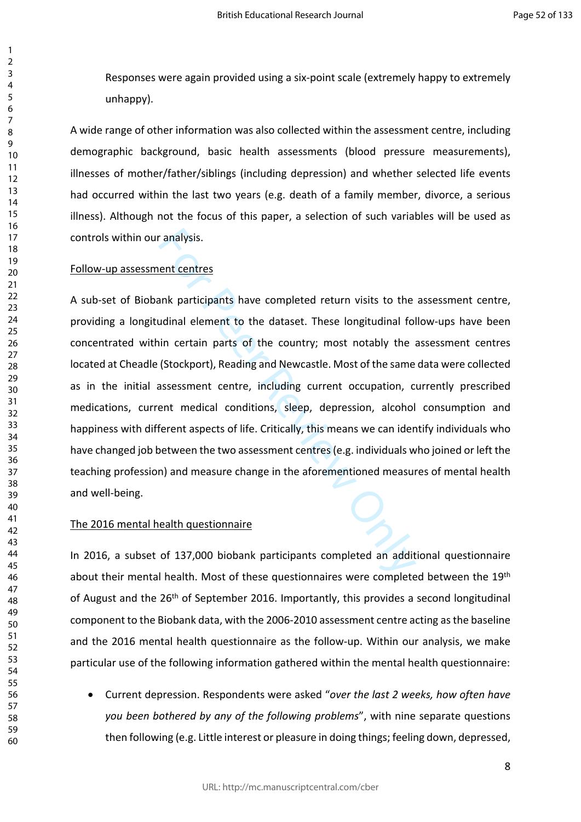Responses were again provided using a six-point scale (extremely happy to extremely unhappy).

A wide range of other information was also collected within the assessment centre, including demographic background, basic health assessments (blood pressure measurements), illnesses of mother/father/siblings (including depression) and whether selected life events had occurred within the last two years (e.g. death of a family member, divorce, a serious illness). Although not the focus of this paper, a selection of such variables will be used as controls within our analysis.

#### Follow-up assessment centres

123456789

 $\mathbf{1}$  $\overline{2}$  $\overline{3}$  $\overline{4}$ 5 6  $\overline{7}$ 8  $\mathsf{Q}$ 

r analysis.<br>
ent centres<br>
sink participants have completed return visits to the<br>
udinal element to the dataset. These longitudinal fol<br>
in certain parts of the country; most notably the<br>
(Stockport), Reading and Newcastle. A sub-set of Biobank participants have completed return visits to the assessment centre, providing a longitudinal element to the dataset. These longitudinal follow-ups have been concentrated within certain parts of the country; most notably the assessment centres located at Cheadle (Stockport), Reading and Newcastle. Most of the same data were collected as in the initial assessment centre, including current occupation, currently prescribed medications, current medical conditions, sleep, depression, alcohol consumption and happiness with different aspects of life. Critically, this means we can identify individuals who have changed job between the two assessment centres (e.g. individuals who joined or left the teaching profession) and measure change in the aforementioned measures of mental health and well-being.

#### The 2016 mental health questionnaire

In 2016, a subset of 137,000 biobank participants completed an additional questionnaire about their mental health. Most of these questionnaires were completed between the 19<sup>th</sup> of August and the 26<sup>th</sup> of September 2016. Importantly, this provides a second longitudinal component to the Biobank data, with the 2006-2010 assessment centre acting as the baseline and the 2016 mental health questionnaire as the follow-up. Within our analysis, we make particular use of the following information gathered within the mental health questionnaire:

 Current depression. Respondents were asked "*over the last 2 weeks, how often have you been bothered by any of the following problems*", with nine separate questions then following (e.g. Little interest or pleasure in doing things; feeling down, depressed,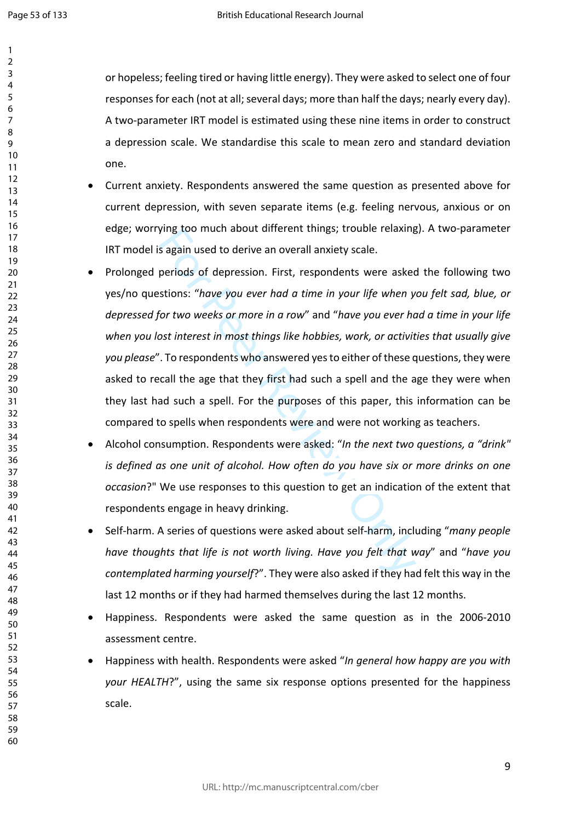$\mathbf{1}$  $\overline{2}$  $\overline{3}$  $\overline{4}$ 5 6  $\overline{7}$ 8 9

or hopeless; feeling tired or having little energy). They were asked to select one of four responses for each (not at all; several days; more than half the days; nearly every day). A two-parameter IRT model is estimated using these nine items in order to construct a depression scale. We standardise this scale to mean zero and standard deviation one.

- Current anxiety. Respondents answered the same question as presented above for current depression, with seven separate items (e.g. feeling nervous, anxious or on edge; worrying too much about different things; trouble relaxing). A two-parameter IRT model is again used to derive an overall anxiety scale.
- bying too much about different things; trouble relaxing<br>s again used to derive an overall anxiety scale.<br>periods of depression. First, respondents were asked<br>stions: "have you ever had a time in your life when y<br>for two we Prolonged periods of depression. First, respondents were asked the following two yes/no questions: "*have you ever had a time in your life when you felt sad, blue, or depressed for two weeks or more in a row*" and "*have you ever had a time in your life when you lost interest in most things like hobbies, work, or activities that usually give you please*". To respondents who answered yes to either of these questions, they were asked to recall the age that they first had such a spell and the age they were when they last had such a spell. For the purposes of this paper, this information can be compared to spells when respondents were and were not working as teachers.
- Alcohol consumption. Respondents were asked: "*In the next two questions, a "drink" is defined as one unit of alcohol. How often do you have six or more drinks on one occasion*?" We use responses to this question to get an indication of the extent that respondents engage in heavy drinking.
- Self-harm. A series of questions were asked about self-harm, including "*many people have thoughts that life is not worth living. Have you felt that way*" and "*have you contemplated harming yourself*?". They were also asked if they had felt this way in the last 12 months or if they had harmed themselves during the last 12 months.
- Happiness. Respondents were asked the same question as in the 2006-2010 assessment centre.
- Happiness with health. Respondents were asked "*In general how happy are you with your HEALTH*?", using the same six response options presented for the happiness scale.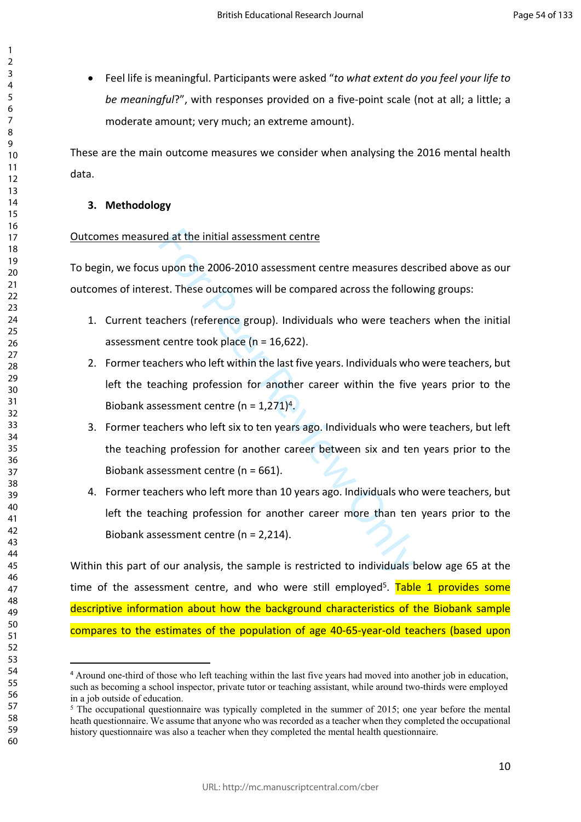Feel life is meaningful. Participants were asked "*to what extent do you feel your life to be meaningful*?", with responses provided on a five-point scale (not at all; a little; a moderate amount; very much; an extreme amount).

These are the main outcome measures we consider when analysing the 2016 mental health data.

#### **3. Methodology**

#### Outcomes measured at the initial assessment centre

To begin, we focus upon the 2006-2010 assessment centre measures described above as our outcomes of interest. These outcomes will be compared across the following groups:

- 1. Current teachers (reference group). Individuals who were teachers when the initial assessment centre took place (n = 16,622).
- 2. Former teachers who left within the last five years. Individuals who were teachers, but left the teaching profession for another career within the five years prior to the Biobank assessment centre (n =  $1,271$ )<sup>4</sup>.
- 3. Former teachers who left six to ten years ago. Individuals who were teachers, but left the teaching profession for another career between six and ten years prior to the Biobank assessment centre (n = 661).
- ed at the initial assessment centre<br>upon the 2006-2010 assessment centre measures des<br>sst. These outcomes will be compared across the follow<br>achers (reference group). Individuals who were teach<br>t centre took place (n = 16 4. Former teachers who left more than 10 years ago. Individuals who were teachers, but left the teaching profession for another career more than ten years prior to the Biobank assessment centre (n = 2,214).

Within this part of our analysis, the sample is restricted to individuals below age 65 at the time of the assessment centre, and who were still employed<sup>5</sup>. Table 1 provides some descriptive information about how the background characteristics of the Biobank sample compares to the estimates of the population of age 40-65-year-old teachers (based upon

 $\mathbf{1}$ 

 Around one-third of those who left teaching within the last five years had moved into another job in education, such as becoming a school inspector, private tutor or teaching assistant, while around two-thirds were employed in a job outside of education.

<sup>&</sup>lt;sup>5</sup> The occupational questionnaire was typically completed in the summer of 2015; one year before the mental heath questionnaire. We assume that anyone who was recorded as a teacher when they completed the occupational history questionnaire was also a teacher when they completed the mental health questionnaire.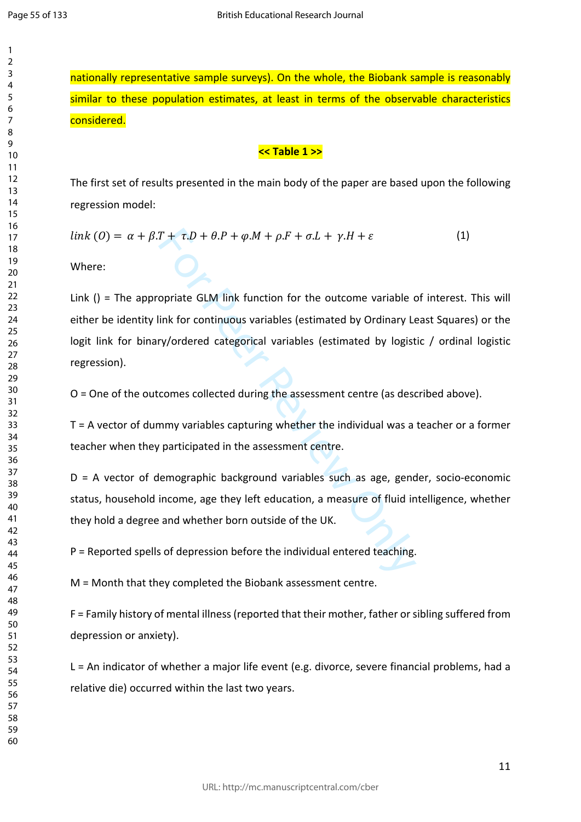$\mathbf{1}$  $\overline{2}$  $\overline{3}$  $\overline{4}$ 5 6  $\overline{7}$ 8 9

nationally representative sample surveys). On the whole, the Biobank sample is reasonably similar to these population estimates, at least in terms of the observable characteristics considered.

#### **<< Table 1 >>**

The first set of results presented in the main body of the paper are based upon the following regression model:

$$
link (0) = \alpha + \beta \cdot T + \tau \cdot D + \theta \cdot P + \varphi \cdot M + \rho \cdot F + \sigma \cdot L + \gamma \cdot H + \varepsilon
$$
 (1)

Where:

 $T + \tau D + \theta P + \varphi M + \rho F + \sigma L + \gamma H + \varepsilon$ <br>
opriate GLM link function for the outcome variable is<br>
ink for continuous variables (estimated by Ordinary Levy/ordered categorical variables (estimated by logist<br>
comes collected during Link () = The appropriate GLM link function for the outcome variable of interest. This will either be identity link for continuous variables (estimated by Ordinary Least Squares) or the logit link for binary/ordered categorical variables (estimated by logistic / ordinal logistic regression).

O = One of the outcomes collected during the assessment centre (as described above).

T = A vector of dummy variables capturing whether the individual was a teacher or a former teacher when they participated in the assessment centre.

D = A vector of demographic background variables such as age, gender, socio-economic status, household income, age they left education, a measure of fluid intelligence, whether they hold a degree and whether born outside of the UK.

P = Reported spells of depression before the individual entered teaching.

M = Month that they completed the Biobank assessment centre.

F = Family history of mental illness (reported that their mother, father or sibling suffered from depression or anxiety).

L = An indicator of whether a major life event (e.g. divorce, severe financial problems, had a relative die) occurred within the last two years.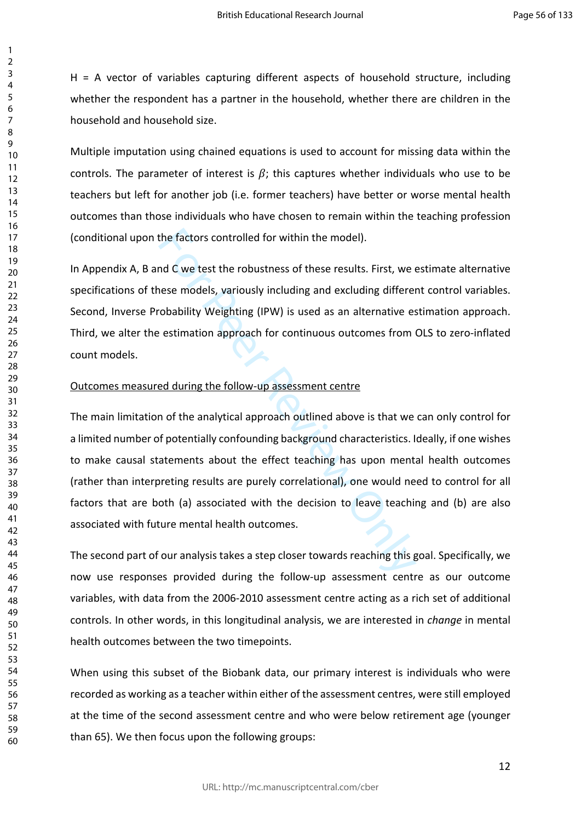$H = A$  vector of variables capturing different aspects of household structure, including whether the respondent has a partner in the household, whether there are children in the household and household size.

Multiple imputation using chained equations is used to account for missing data within the controls. The parameter of interest is  $\beta$ ; this captures whether individuals who use to be teachers but left for another job (i.e. former teachers) have better or worse mental health outcomes than those individuals who have chosen to remain within the teaching profession (conditional upon the factors controlled for within the model).

In Appendix A, B and C we test the robustness of these results. First, we estimate alternative specifications of these models, variously including and excluding different control variables. Second, Inverse Probability Weighting (IPW) is used as an alternative estimation approach. Third, we alter the estimation approach for continuous outcomes from OLS to zero-inflated count models.

#### Outcomes measured during the follow-up assessment centre

123456789

 $\mathbf{1}$  $\overline{2}$  $\overline{3}$  $\overline{4}$ 5 6  $\overline{7}$ 8  $\mathsf{Q}$ 

the factors controlled for within the model).<br>
Ind C we test the robustness of these results. First, we verse models, variously including and excluding differer<br>
obability Weighting (IPW) is used as an alternative estimati The main limitation of the analytical approach outlined above is that we can only control for a limited number of potentially confounding background characteristics. Ideally, if one wishes to make causal statements about the effect teaching has upon mental health outcomes (rather than interpreting results are purely correlational), one would need to control for all factors that are both (a) associated with the decision to leave teaching and (b) are also associated with future mental health outcomes.

The second part of our analysis takes a step closer towards reaching this goal. Specifically, we now use responses provided during the follow-up assessment centre as our outcome variables, with data from the 2006-2010 assessment centre acting as a rich set of additional controls. In other words, in this longitudinal analysis, we are interested in *change* in mental health outcomes between the two timepoints.

When using this subset of the Biobank data, our primary interest is individuals who were recorded as working as a teacher within either of the assessment centres, were still employed at the time of the second assessment centre and who were below retirement age (younger than 65). We then focus upon the following groups: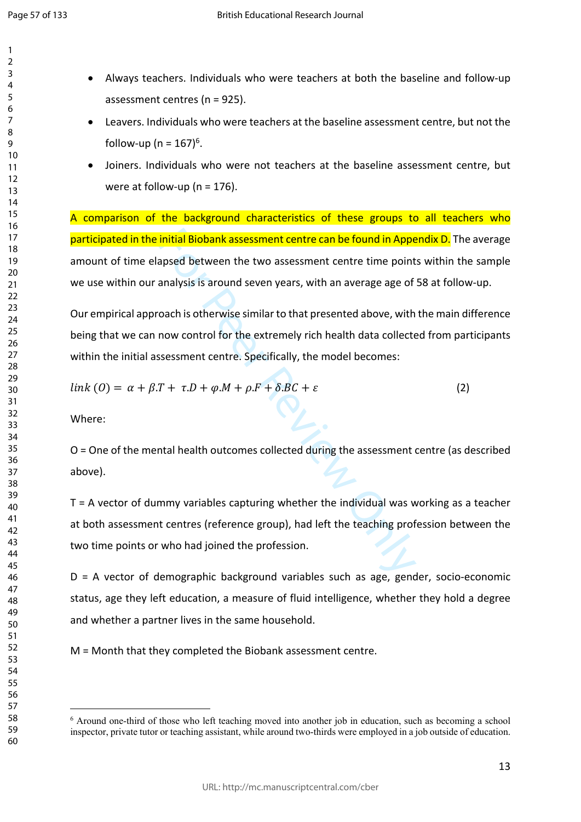60

- Always teachers. Individuals who were teachers at both the baseline and follow-up assessment centres (n = 925).
	- Leavers. Individuals who were teachers at the baseline assessment centre, but not the follow-up ( $n = 167$ )<sup>6</sup>.
	- Joiners. Individuals who were not teachers at the baseline assessment centre, but were at follow-up (n = 176).

initial Biobank assessment centre can be found in Appendianalysis is around seven years, with an average age of<br>pack is around seven years, with an average age of<br>pach is otherwise similar to that presented above, with<br>no A comparison of the background characteristics of these groups to all teachers who participated in the initial Biobank assessment centre can be found in Appendix D. The average amount of time elapsed between the two assessment centre time points within the sample we use within our analysis is around seven years, with an average age of 58 at follow-up.

Our empirical approach is otherwise similar to that presented above, with the main difference being that we can now control for the extremely rich health data collected from participants within the initial assessment centre. Specifically, the model becomes:

$$
link (0) = \alpha + \beta \cdot T + \tau \cdot D + \varphi \cdot M + \rho \cdot F + \delta \cdot BC + \varepsilon
$$
 (2)

Where:

O = One of the mental health outcomes collected during the assessment centre (as described above).

T = A vector of dummy variables capturing whether the individual was working as a teacher at both assessment centres (reference group), had left the teaching profession between the two time points or who had joined the profession.

 $D = A$  vector of demographic background variables such as age, gender, socio-economic status, age they left education, a measure of fluid intelligence, whether they hold a degree and whether a partner lives in the same household.

M = Month that they completed the Biobank assessment centre.

<sup>6</sup> Around one-third of those who left teaching moved into another job in education, such as becoming a school inspector, private tutor or teaching assistant, while around two-thirds were employed in a job outside of education.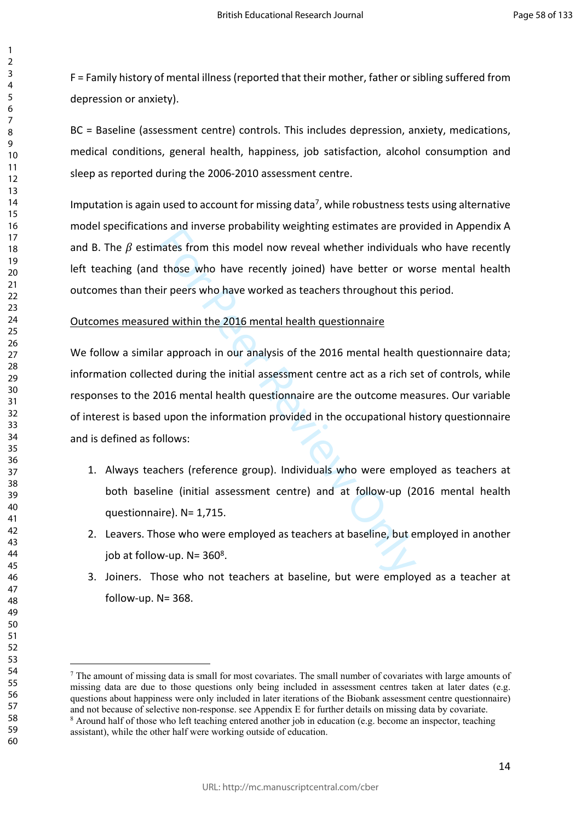F = Family history of mental illness (reported that their mother, father or sibling suffered from depression or anxiety).

BC = Baseline (assessment centre) controls. This includes depression, anxiety, medications, medical conditions, general health, happiness, job satisfaction, alcohol consumption and sleep as reported during the 2006-2010 assessment centre.

Imputation is again used to account for missing data<sup>7</sup>, while robustness tests using alternative model specifications and inverse probability weighting estimates are provided in Appendix A and B. The  $\beta$  estimates from this model now reveal whether individuals who have recently left teaching (and those who have recently joined) have better or worse mental health outcomes than their peers who have worked as teachers throughout this period.

#### Outcomes measured within the 2016 mental health questionnaire

 $\mathbf{1}$  $\overline{2}$  $\overline{3}$  $\overline{4}$  $\overline{7}$ 

The state interists probability weighting estimated are pro-<br>attes from this model now reveal whether individuals<br>those who have recently joined) have better or w<br>ir peers who have worked as teachers throughout this<br>ed wi We follow a similar approach in our analysis of the 2016 mental health questionnaire data; information collected during the initial assessment centre act as a rich set of controls, while responses to the 2016 mental health questionnaire are the outcome measures. Our variable of interest is based upon the information provided in the occupational history questionnaire and is defined as follows:

- 1. Always teachers (reference group). Individuals who were employed as teachers at both baseline (initial assessment centre) and at follow-up (2016 mental health questionnaire). N= 1,715.
- 2. Leavers. Those who were employed as teachers at baseline, but employed in another job at follow-up. N= 360<sup>8</sup>.
- 3. Joiners. Those who not teachers at baseline, but were employed as a teacher at follow-up.  $N = 368$ .

 The amount of missing data is small for most covariates. The small number of covariates with large amounts of missing data are due to those questions only being included in assessment centres taken at later dates (e.g. questions about happiness were only included in later iterations of the Biobank assessment centre questionnaire) and not because of selective non-response. see Appendix E for further details on missing data by covariate. Around half of those who left teaching entered another job in education (e.g. become an inspector, teaching assistant), while the other half were working outside of education.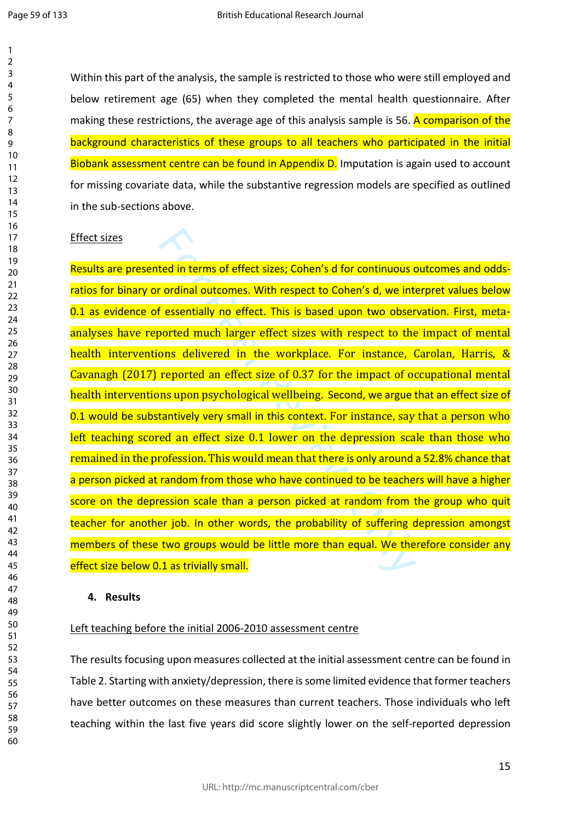$\mathbf{1}$ 

Within this part of the analysis, the sample is restricted to those who were still employed and below retirement age (65) when they completed the mental health questionnaire. After making these restrictions, the average age of this analysis sample is 56. A comparison of the background characteristics of these groups to all teachers who participated in the initial Biobank assessment centre can be found in Appendix D. Imputation is again used to account for missing covariate data, while the substantive regression models are specified as outlined in the sub-sections above.

#### Effect sizes

ted in terms of effect sizes; Cohen's d for continuous cordinal outcomes. With respect to Cohen's d, we into fessentially no effect. This is based upon two observanted much larger effect sizes with respect to the ons deliv Results are presented in terms of effect sizes; Cohen's d for continuous outcomes and oddsratios for binary or ordinal outcomes. With respect to Cohen's d, we interpret values below 0.1 as evidence of essentially no effect. This is based upon two observation. First, metaanalyses have reported much larger effect sizes with respect to the impact of mental health interventions delivered in the workplace. For instance, Carolan, Harris, & Cavanagh (2017) reported an effect size of 0.37 for the impact of occupational mental health interventions upon psychological wellbeing. Second, we argue that an effect size of 0.1 would be substantively very small in this context. For instance, say that a person who left teaching scored an effect size 0.1 lower on the depression scale than those who remained in the profession. This would mean that there is only around a 52.8% chance that a person picked at random from those who have continued to be teachers will have a higher score on the depression scale than a person picked at random from the group who quit teacher for another job. In other words, the probability of suffering depression amongst members of these two groups would be little more than equal. We therefore consider any effect size below 0.1 as trivially small.

#### **4. Results**

#### Left teaching before the initial 2006-2010 assessment centre

The results focusing upon measures collected at the initial assessment centre can be found in Table 2. Starting with anxiety/depression, there is some limited evidence that former teachers have better outcomes on these measures than current teachers. Those individuals who left teaching within the last five years did score slightly lower on the self-reported depression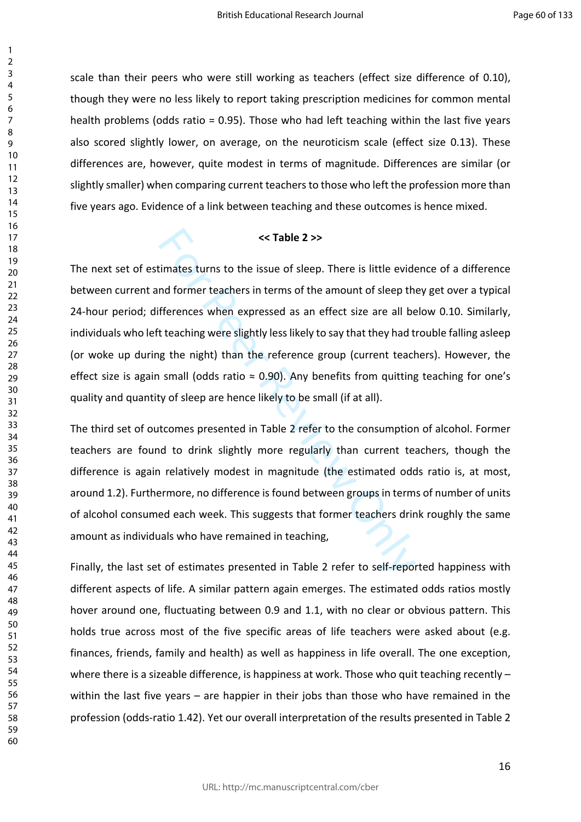scale than their peers who were still working as teachers (effect size difference of 0.10), though they were no less likely to report taking prescription medicines for common mental health problems (odds ratio = 0.95). Those who had left teaching within the last five years also scored slightly lower, on average, on the neuroticism scale (effect size 0.13). These differences are, however, quite modest in terms of magnitude. Differences are similar (or slightly smaller) when comparing current teachers to those who left the profession more than five years ago. Evidence of a link between teaching and these outcomes is hence mixed.

#### **<< Table 2 >>**

 $\le$  Table 2>><br>
simates turns to the issue of sleep. There is little evident<br>
fferences when expressed as an effect size are all be<br>
t teaching were slightly less likely to say that they had t<br>
g the night) than the refer The next set of estimates turns to the issue of sleep. There is little evidence of a difference between current and former teachers in terms of the amount of sleep they get over a typical 24-hour period; differences when expressed as an effect size are all below 0.10. Similarly, individuals who left teaching were slightly less likely to say that they had trouble falling asleep (or woke up during the night) than the reference group (current teachers). However, the effect size is again small (odds ratio  $\approx$  0.90). Any benefits from quitting teaching for one's quality and quantity of sleep are hence likely to be small (if at all).

The third set of outcomes presented in Table 2 refer to the consumption of alcohol. Former teachers are found to drink slightly more regularly than current teachers, though the difference is again relatively modest in magnitude (the estimated odds ratio is, at most, around 1.2). Furthermore, no difference is found between groups in terms of number of units of alcohol consumed each week. This suggests that former teachers drink roughly the same amount as individuals who have remained in teaching,

Finally, the last set of estimates presented in Table 2 refer to self-reported happiness with different aspects of life. A similar pattern again emerges. The estimated odds ratios mostly hover around one, fluctuating between 0.9 and 1.1, with no clear or obvious pattern. This holds true across most of the five specific areas of life teachers were asked about (e.g. finances, friends, family and health) as well as happiness in life overall. The one exception, where there is a sizeable difference, is happiness at work. Those who quit teaching recently – within the last five years – are happier in their jobs than those who have remained in the profession (odds-ratio 1.42). Yet our overall interpretation of the results presented in Table 2

 $\mathbf{1}$  $\overline{2}$  $\overline{4}$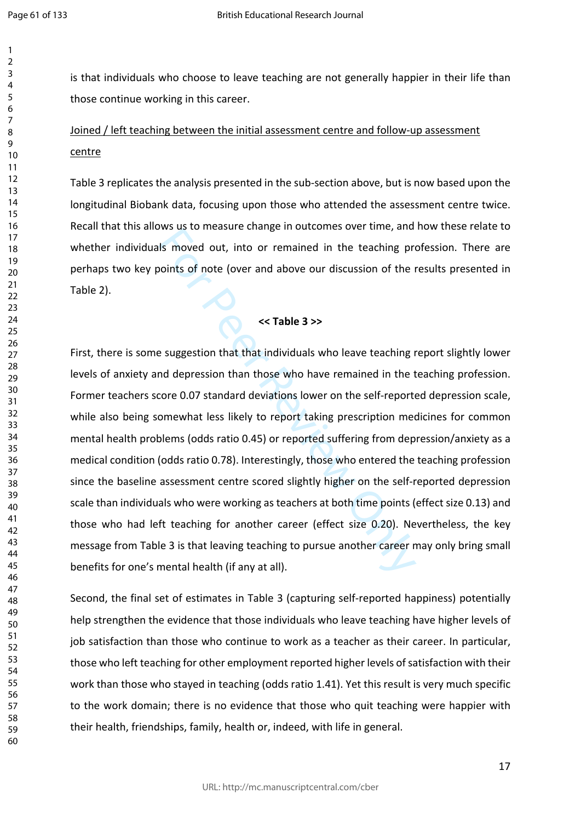$\mathbf{1}$  $\overline{2}$  $\overline{3}$  $\overline{4}$ 5 6  $\overline{7}$ 8  $\mathsf{Q}$ 

is that individuals who choose to leave teaching are not generally happier in their life than those continue working in this career.

# Joined / left teaching between the initial assessment centre and follow-up assessment centre

Table 3 replicates the analysis presented in the sub-section above, but is now based upon the longitudinal Biobank data, focusing upon those who attended the assessment centre twice. Recall that this allows us to measure change in outcomes over time, and how these relate to whether individuals moved out, into or remained in the teaching profession. There are perhaps two key points of note (over and above our discussion of the results presented in Table 2).

#### **<< Table 3 >>**

Is moved out, into or remained in the teaching providents over the particular origins of note (over and above our discussion of the review of the review of the review of the review of the review of the review of the review First, there is some suggestion that that individuals who leave teaching report slightly lower levels of anxiety and depression than those who have remained in the teaching profession. Former teachers score 0.07 standard deviations lower on the self-reported depression scale, while also being somewhat less likely to report taking prescription medicines for common mental health problems (odds ratio 0.45) or reported suffering from depression/anxiety as a medical condition (odds ratio 0.78). Interestingly, those who entered the teaching profession since the baseline assessment centre scored slightly higher on the self-reported depression scale than individuals who were working as teachers at both time points (effect size 0.13) and those who had left teaching for another career (effect size 0.20). Nevertheless, the key message from Table 3 is that leaving teaching to pursue another career may only bring small benefits for one's mental health (if any at all).

Second, the final set of estimates in Table 3 (capturing self-reported happiness) potentially help strengthen the evidence that those individuals who leave teaching have higher levels of job satisfaction than those who continue to work as a teacher as their career. In particular, those who left teaching for other employment reported higher levels of satisfaction with their work than those who stayed in teaching (odds ratio 1.41). Yet this result is very much specific to the work domain; there is no evidence that those who quit teaching were happier with their health, friendships, family, health or, indeed, with life in general.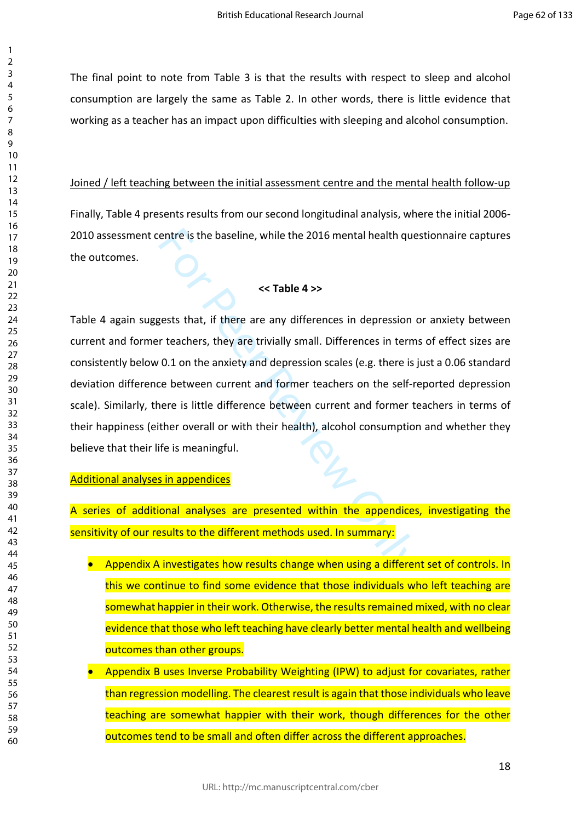The final point to note from Table 3 is that the results with respect to sleep and alcohol consumption are largely the same as Table 2. In other words, there is little evidence that working as a teacher has an impact upon difficulties with sleeping and alcohol consumption.

#### Joined / left teaching between the initial assessment centre and the mental health follow-up

Finally, Table 4 presents results from our second longitudinal analysis, where the initial 2006- 2010 assessment centre is the baseline, while the 2016 mental health questionnaire captures the outcomes.

#### **<< Table 4 >>**

entre is the baseline, while the 2016 mental health que<br>
sests that, if there are any differences in depression<br>
r teachers, they are trivially small. Differences in term<br>
0.1 on the anxiety and depression scales (e.g. the Table 4 again suggests that, if there are any differences in depression or anxiety between current and former teachers, they are trivially small. Differences in terms of effect sizes are consistently below 0.1 on the anxiety and depression scales (e.g. there is just a 0.06 standard deviation difference between current and former teachers on the self-reported depression scale). Similarly, there is little difference between current and former teachers in terms of their happiness (either overall or with their health), alcohol consumption and whether they believe that their life is meaningful.

#### Additional analyses in appendices

A series of additional analyses are presented within the appendices, investigating the sensitivity of our results to the different methods used. In summary:

- Appendix A investigates how results change when using a different set of controls. In this we continue to find some evidence that those individuals who left teaching are somewhat happier in their work. Otherwise, the results remained mixed, with no clear evidence that those who left teaching have clearly better mental health and wellbeing outcomes than other groups.
- Appendix B uses Inverse Probability Weighting (IPW) to adjust for covariates, rather than regression modelling. The clearest result is again that those individuals who leave teaching are somewhat happier with their work, though differences for the other outcomes tend to be small and often differ across the different approaches.

 $\mathbf{1}$  $\overline{2}$  $\overline{3}$  $\overline{4}$  $\overline{7}$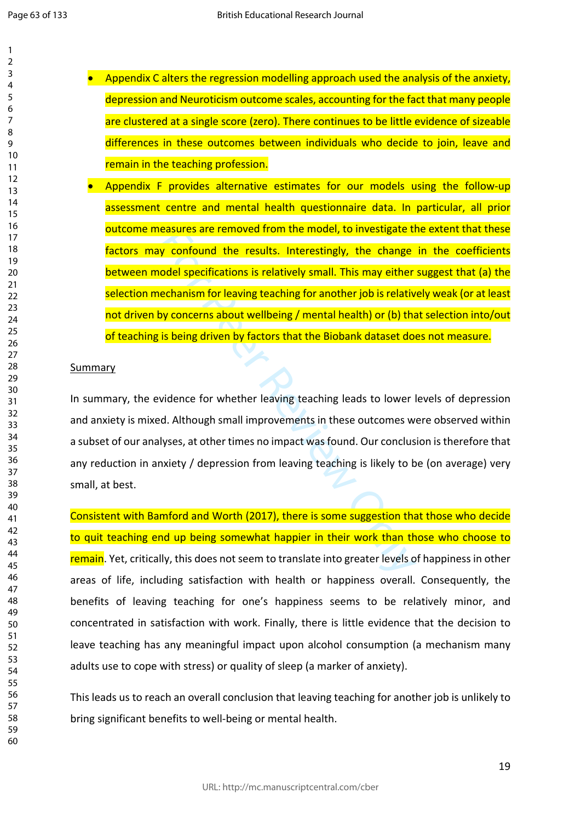$\mathbf{1}$ 

60

• Appendix C alters the regression modelling approach used the analysis of the anxiety, depression and Neuroticism outcome scales, accounting for the fact that many people are clustered at a single score (zero). There continues to be little evidence of sizeable differences in these outcomes between individuals who decide to join, leave and remain in the teaching profession.

reasures are removed from the model, to investigate the veronded the results. Interestingly, the change odel specifications is relatively small. This may either echanism for leaving teaching for another job is relatively s • Appendix F provides alternative estimates for our models using the follow-up assessment centre and mental health questionnaire data. In particular, all prior outcome measures are removed from the model, to investigate the extent that these factors may confound the results. Interestingly, the change in the coefficients between model specifications is relatively small. This may either suggest that (a) the selection mechanism for leaving teaching for another job is relatively weak (or at least not driven by concerns about wellbeing / mental health) or (b) that selection into/out of teaching is being driven by factors that the Biobank dataset does not measure.

#### Summary

In summary, the evidence for whether leaving teaching leads to lower levels of depression and anxiety is mixed. Although small improvements in these outcomes were observed within a subset of our analyses, at other times no impact was found. Our conclusion is therefore that any reduction in anxiety / depression from leaving teaching is likely to be (on average) very small, at best.

Consistent with Bamford and Worth (2017), there is some suggestion that those who decide to quit teaching end up being somewhat happier in their work than those who choose to remain. Yet, critically, this does not seem to translate into greater levels of happiness in other areas of life, including satisfaction with health or happiness overall. Consequently, the benefits of leaving teaching for one's happiness seems to be relatively minor, and concentrated in satisfaction with work. Finally, there is little evidence that the decision to leave teaching has any meaningful impact upon alcohol consumption (a mechanism many adults use to cope with stress) or quality of sleep (a marker of anxiety).

This leads us to reach an overall conclusion that leaving teaching for another job is unlikely to bring significant benefits to well-being or mental health.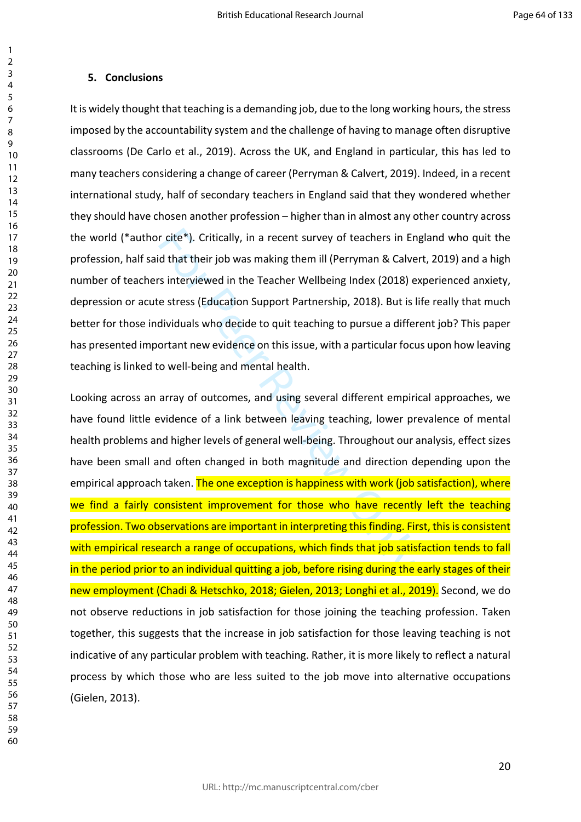#### **5. Conclusions**

It is widely thought that teaching is a demanding job, due to the long working hours, the stress imposed by the accountability system and the challenge of having to manage often disruptive classrooms (De Carlo et al., 2019). Across the UK, and England in particular, this has led to many teachers considering a change of career (Perryman & Calvert, 2019). Indeed, in a recent international study, half of secondary teachers in England said that they wondered whether they should have chosen another profession – higher than in almost any other country across the world (\*author cite\*). Critically, in a recent survey of teachers in England who quit the profession, half said that their job was making them ill (Perryman & Calvert, 2019) and a high number of teachers interviewed in the Teacher Wellbeing Index (2018) experienced anxiety, depression or acute stress (Education Support Partnership, 2018). But is life really that much better for those individuals who decide to quit teaching to pursue a different job? This paper has presented important new evidence on this issue, with a particular focus upon how leaving teaching is linked to well-being and mental health.

r cite\*). Critically, in a recent survey of teachers in Er<br>d that their job was making them ill (Perryman & Calve<br>s interviewed in the Teacher Wellbeing Index (2018) e<br>e stress (Education Support Partnership, 2018). But is Looking across an array of outcomes, and using several different empirical approaches, we have found little evidence of a link between leaving teaching, lower prevalence of mental health problems and higher levels of general well-being. Throughout our analysis, effect sizes have been small and often changed in both magnitude and direction depending upon the empirical approach taken. The one exception is happiness with work (job satisfaction), where we find a fairly consistent improvement for those who have recently left the teaching profession. Two observations are important in interpreting this finding. First, this is consistent with empirical research a range of occupations, which finds that job satisfaction tends to fall in the period prior to an individual quitting a job, before rising during the early stages of their new employment (Chadi & Hetschko, 2018; Gielen, 2013; Longhi et al., 2019). Second, we do not observe reductions in job satisfaction for those joining the teaching profession. Taken together, this suggests that the increase in job satisfaction for those leaving teaching is not indicative of any particular problem with teaching. Rather, it is more likely to reflect a natural process by which those who are less suited to the job move into alternative occupations (Gielen, 2013).

 $\mathbf{1}$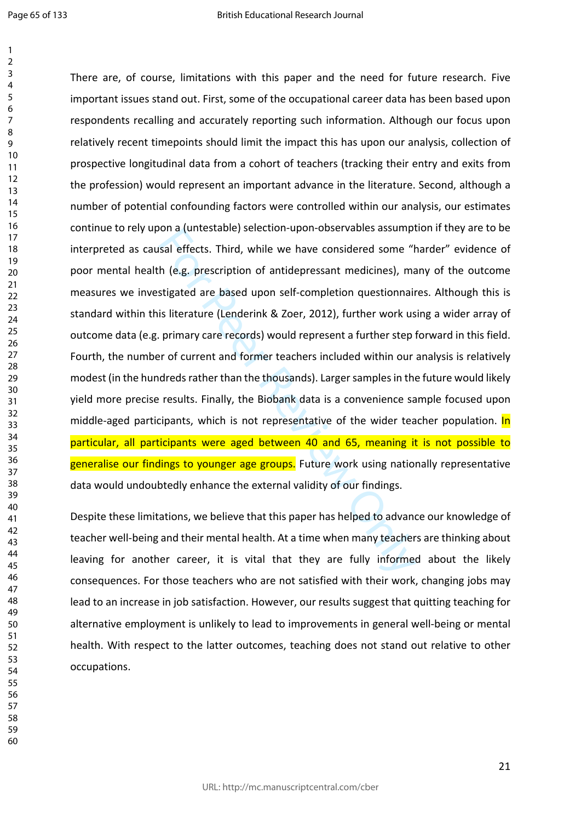$\mathbf{1}$ 

For a (untestable) selection-upon-observables assumptional effects. Third, while we have considered some "the e.g. prescription of antidepressant medicines), mastigated are based upon self-completion questionnain is litera There are, of course, limitations with this paper and the need for future research. Five important issues stand out. First, some of the occupational career data has been based upon respondents recalling and accurately reporting such information. Although our focus upon relatively recent timepoints should limit the impact this has upon our analysis, collection of prospective longitudinal data from a cohort of teachers (tracking their entry and exits from the profession) would represent an important advance in the literature. Second, although a number of potential confounding factors were controlled within our analysis, our estimates continue to rely upon a (untestable) selection-upon-observables assumption if they are to be interpreted as causal effects. Third, while we have considered some "harder" evidence of poor mental health (e.g. prescription of antidepressant medicines), many of the outcome measures we investigated are based upon self-completion questionnaires. Although this is standard within this literature (Lenderink & Zoer, 2012), further work using a wider array of outcome data (e.g. primary care records) would represent a further step forward in this field. Fourth, the number of current and former teachers included within our analysis is relatively modest (in the hundreds rather than the thousands). Larger samples in the future would likely yield more precise results. Finally, the Biobank data is a convenience sample focused upon middle-aged participants, which is not representative of the wider teacher population. In particular, all participants were aged between 40 and 65, meaning it is not possible to generalise our findings to younger age groups. Future work using nationally representative data would undoubtedly enhance the external validity of our findings.

Despite these limitations, we believe that this paper has helped to advance our knowledge of teacher well-being and their mental health. At a time when many teachers are thinking about leaving for another career, it is vital that they are fully informed about the likely consequences. For those teachers who are not satisfied with their work, changing jobs may lead to an increase in job satisfaction. However, our results suggest that quitting teaching for alternative employment is unlikely to lead to improvements in general well-being or mental health. With respect to the latter outcomes, teaching does not stand out relative to other occupations.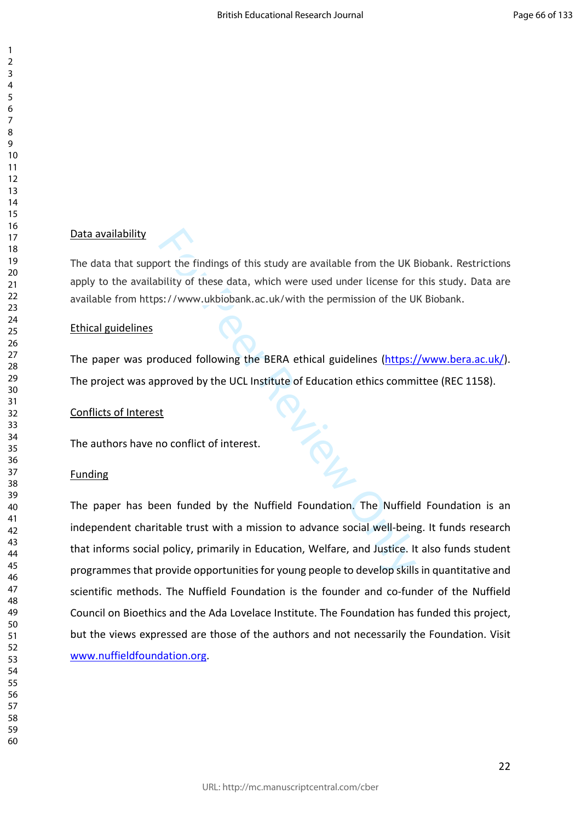#### Data availability

The data that support the findings of this study are available from the UK Biobank. Restrictions apply to the availability of these data, which were used under license for this study. Data are available from https://www.ukbiobank.ac.uk/with the permission of the UK Biobank.

#### Ethical guidelines

The paper was produced following the BERA ethical guidelines ([https://www.bera.ac.uk/\)](https://www.bera.ac.uk/). The project was approved by the UCL Institute of Education ethics committee (REC 1158).

#### Conflicts of Interest

The authors have no conflict of interest.

#### Funding

ort the findings of this study are available from the UK I<br>bility of these data, which were used under license for<br>s://www.ukbiobank.ac.uk/with the permission of the U<br>duced following the BERA ethical guidelines (https:/<br>p The paper has been funded by the Nuffield Foundation. The Nuffield Foundation is an independent charitable trust with a mission to advance social well-being. It funds research that informs social policy, primarily in Education, Welfare, and Justice. It also funds student programmes that provide opportunities for young people to develop skills in quantitative and scientific methods. The Nuffield Foundation is the founder and co-funder of the Nuffield Council on Bioethics and the Ada Lovelace Institute. The Foundation has funded this project, but the views expressed are those of the authors and not necessarily the Foundation. Visit [www.nuffieldfoundation.org](http://www.nuffieldfoundation.org).

 $\mathbf{1}$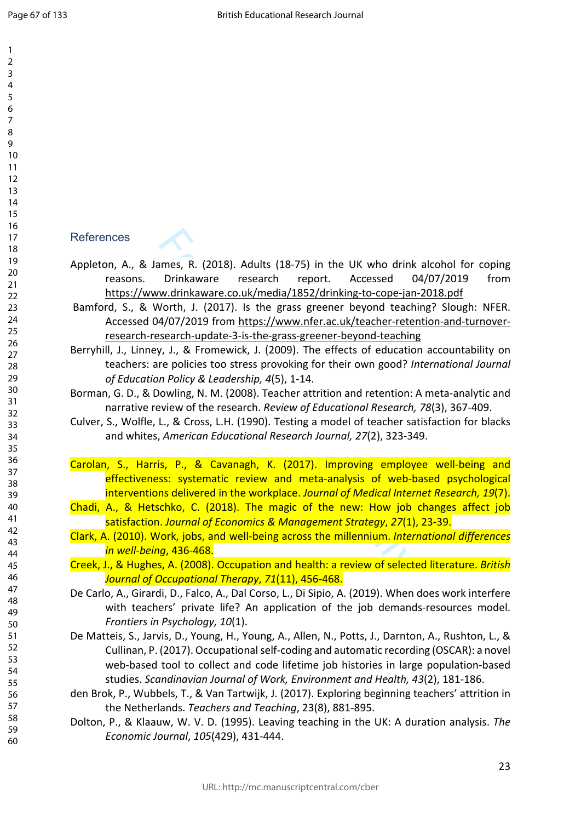$\mathbf{1}$  $\overline{2}$  $\overline{3}$  $\overline{4}$ 5 6  $\overline{7}$ 8 9

**References** 

<https://www.drinkaware.co.uk/media/1852/drinking-to-cope-jan-2018.pdf> Bamford, S., & Worth, J. (2017). Is the grass greener beyond teaching? Slough: NFER. Accessed 04/07/2019 from [https://www.nfer.ac.uk/teacher-retention-and-turnover](https://www.nfer.ac.uk/teacher-retention-and-turnover-research-research-update-3-is-the-grass-greener-beyond-teaching)[research-research-update-3-is-the-grass-greener-beyond-teaching](https://www.nfer.ac.uk/teacher-retention-and-turnover-research-research-update-3-is-the-grass-greener-beyond-teaching)

Appleton, A., & James, R. (2018). Adults (18-75) in the UK who drink alcohol for coping

reasons. Drinkaware research report. Accessed 04/07/2019 from

- ames, R. (2018). Adults (18-75) in the UK who drink<br>
Drinkaware research report. Accessed C<br>
w.drinkaware.co.uk/media/1852/drinking-to-cope-jan<br>
w.drinkaware.co.uk/media/1852/drinking-to-cope-jan<br>
4/07/2019 from https://ww Berryhill, J., Linney, J., & Fromewick, J. (2009). The effects of education accountability on teachers: are policies too stress provoking for their own good? *International Journal of Education Policy & Leadership, 4*(5), 1-14.
- Borman, G. D., & Dowling, N. M. (2008). Teacher attrition and retention: A meta-analytic and narrative review of the research. *Review of Educational Research, 78*(3), 367-409.
- Culver, S., Wolfle, L., & Cross, L.H. (1990). Testing a model of teacher satisfaction for blacks and whites, *American Educational Research Journal, 27*(2), 323-349.
- Carolan, S., Harris, P., & Cavanagh, K. (2017). Improving employee well-being and effectiveness: systematic review and meta-analysis of web-based psychological interventions delivered in the workplace. *Journal of Medical Internet Research, 19*(7).
- Chadi, A., & Hetschko, C. (2018). The magic of the new: How job changes affect job satisfaction. *Journal of Economics & Management Strategy*, *27*(1), 23-39.
- Clark, A. (2010). Work, jobs, and well-being across the millennium. *International differences in well-being*, 436-468.
- Creek, J., & Hughes, A. (2008). Occupation and health: a review of selected literature. *British Journal of Occupational Therapy*, *71*(11), 456-468.
- De Carlo, A., Girardi, D., Falco, A., Dal Corso, L., Di Sipio, A. (2019). When does work interfere with teachers' private life? An application of the job demands-resources model. *Frontiers in Psychology, 10*(1).
- De Matteis, S., Jarvis, D., Young, H., Young, A., Allen, N., Potts, J., Darnton, A., Rushton, L., & Cullinan, P. (2017). Occupational self-coding and automatic recording (OSCAR): a novel web-based tool to collect and code lifetime job histories in large population-based studies. *Scandinavian Journal of Work, Environment and Health, 43*(2), 181-186.
- den Brok, P., Wubbels, T., & Van Tartwijk, J. (2017). Exploring beginning teachers' attrition in the Netherlands. *Teachers and Teaching*, 23(8), 881-895.
- Dolton, P., & Klaauw, W. V. D. (1995). Leaving teaching in the UK: A duration analysis. *The Economic Journal*, *105*(429), 431-444.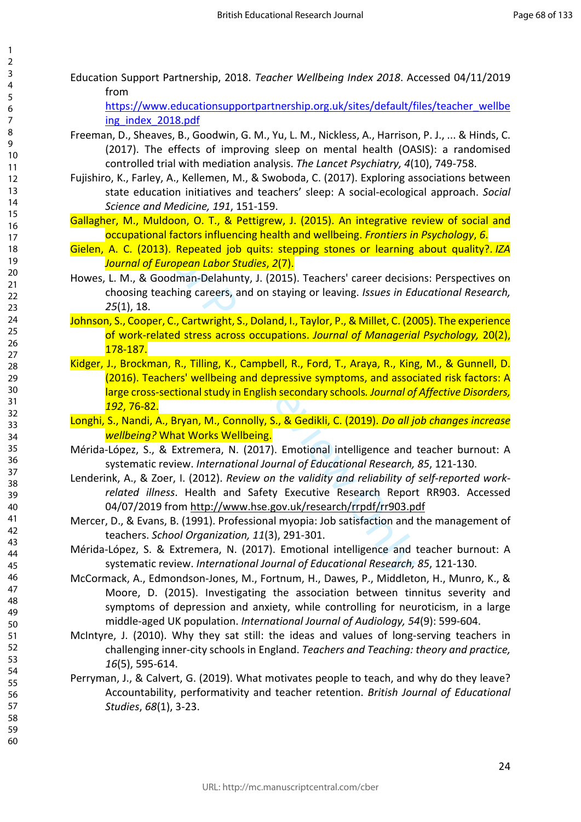| 1                                         |
|-------------------------------------------|
| 2                                         |
| 3                                         |
| 4                                         |
| 5                                         |
| 6                                         |
|                                           |
| 8                                         |
| d<br>€                                    |
| 10                                        |
| 11                                        |
| $\mathbf{1}$<br>C                         |
| 13                                        |
| 1.<br>4                                   |
| 15                                        |
| 16                                        |
| 1                                         |
| 18                                        |
| 19                                        |
| 20                                        |
| $\overline{21}$                           |
| $\overline{2}$<br>$\overline{2}$          |
| $\overline{2}$<br>3                       |
| $\frac{24}{3}$                            |
| 25                                        |
| 26                                        |
| $^{27}$                                   |
| 28                                        |
| 29                                        |
| 30                                        |
| $\overline{\textbf{3}}$                   |
| $\overline{\mathbf{3}}$<br>$\overline{2}$ |
| $\overline{\mathbf{3}}$<br>ξ              |
| 34                                        |
| 35                                        |
| 36                                        |
|                                           |
| 37                                        |
| 88                                        |
| 39                                        |
| 40                                        |
| 41                                        |
| 42                                        |
| ξ<br>$\overline{4}$                       |
| 44                                        |
| 45                                        |
| 46                                        |
| 47                                        |
| 48                                        |
| 49                                        |
| 50                                        |
| 51                                        |
| 5.<br>$\overline{2}$                      |
| 5.<br>ξ                                   |
| 54                                        |
| 55                                        |
| 56                                        |
| 57                                        |
| 58                                        |
| 59                                        |

 $\mathbf{1}$ 

60

Education Support Partnership, 2018. *Teacher Wellbeing Index 2018*. Accessed 04/11/2019 from

[https://www.educationsupportpartnership.org.uk/sites/default/files/teacher\\_wellbe](https://www.educationsupportpartnership.org.uk/sites/default/files/teacher_wellbeing_index_2018.pdf) [ing\\_index\\_2018.pdf](https://www.educationsupportpartnership.org.uk/sites/default/files/teacher_wellbeing_index_2018.pdf)

- Freeman, D., Sheaves, B., Goodwin, G. M., Yu, L. M., Nickless, A., Harrison, P. J., ... & Hinds, C. (2017). The effects of improving sleep on mental health (OASIS): a randomised controlled trial with mediation analysis. *The Lancet Psychiatry, 4*(10), 749-758.
- Fujishiro, K., Farley, A., Kellemen, M., & Swoboda, C. (2017). Exploring associations between state education initiatives and teachers' sleep: A social-ecological approach. *Social Science and Medicine, 191*, 151-159.
- Gallagher, M., Muldoon, O. T., & Pettigrew, J. (2015). An integrative review of social and occupational factors influencing health and wellbeing. *Frontiers in Psychology*, *6* .
- Gielen, A. C. (2013). Repeated job quits: stepping stones or learning about quality?. *IZA Journal of European Labor Studies*, *2*(7).
- Howes, L. M., & Goodman-Delahunty, J. (2015). Teachers' career decisions: Perspectives on choosing teaching careers, and on staying or leaving. *Issues in Educational Research, 25*(1), 18.
- Johnson, S., Cooper, C., Cartwright, S., Doland, I., Taylor, P., & Millet, C. (2005). The experience of work-related stress across occupations. *Journal of Managerial Psychology,* 20(2), 178-187.
- al factors influencing health and wellbeing. Frontiers ir<br>
3). Repeated job quits: stepping stones or learning<br>
European Labor Studies, 2(7).<br>
Doodman-Delahunty, J. (2015). Teachers' career decisic<br>
aching careers, and on Kidger, J., Brockman, R., Tilling, K., Campbell, R., Ford, T., Araya, R., King, M., & Gunnell, D. (2016). Teachers' wellbeing and depressive symptoms, and associated risk factors: A large cross-sectional study in English secondary schools*. Journal of Affective Disorders, 192*, 76-82.
- Longhi, S., Nandi, A., Bryan, M., Connolly, S., & Gedikli, C. (2019). *Do all job changes increase wellbeing?* What Works Wellbeing.
- Mérida-López, S., & Extremera, N. (2017). Emotional intelligence and teacher burnout: A systematic review. *International Journal of Educational Research, 85*, 121-130.
- Lenderink, A., & Zoer, I. (2012). *Review on the validity and reliability of self-reported workrelated illness*. Health and Safety Executive Research Report RR903. Accessed 04/07/2019 from http://www.hse.gov.uk/research/rrpdf/rr903.pdf
- Mercer, D., & Evans, B. (1991). Professional myopia: Job satisfaction and the management of teachers. *School Organization, 11*(3), 291-301.
- Mérida-López, S. & Extremera, N. (2017). Emotional intelligence and teacher burnout: A systematic review. *International Journal of Educational Research, 85*, 121-130.
- McCormack, A., Edmondson-Jones, M., Fortnum, H., Dawes, P., Middleton, H., Munro, K., & Moore, D. (2015). Investigating the association between tinnitus severity and symptoms of depression and anxiety, while controlling for neuroticism, in a large middle-aged UK population. *International Journal of Audiology, 54*(9): 599-604.
- McIntyre, J. (2010). Why they sat still: the ideas and values of long-serving teachers in challenging inner-city schools in England. *Teachers and Teaching: theory and practice, 16*(5), 595-614.
- Perryman, J., & Calvert, G. (2019). What motivates people to teach, and why do they leave? Accountability, performativity and teacher retention. *British Journal of Educational Studies*, *68*(1), 3-23.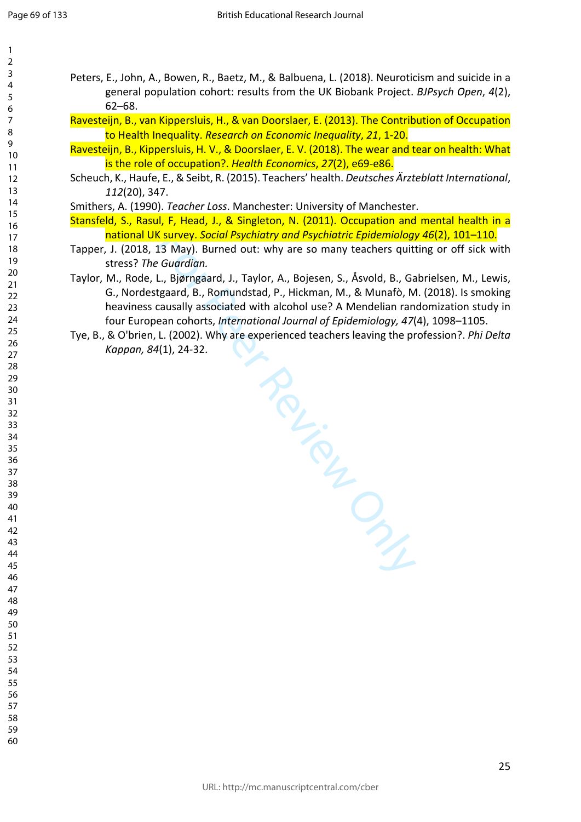$\mathbf{1}$ 

| 1               |  |
|-----------------|--|
| 2               |  |
| 3               |  |
| 4               |  |
| 5               |  |
| 6               |  |
|                 |  |
| 8               |  |
| 9               |  |
| 10              |  |
| 11              |  |
| $\overline{12}$ |  |
| 3<br>1          |  |
| $\overline{14}$ |  |
| 15              |  |
| 16              |  |
| 1               |  |
|                 |  |
| 18<br>19        |  |
|                 |  |
| 20              |  |
| $\overline{21}$ |  |
| $^{22}$         |  |
| 23              |  |
| 24              |  |
| 25              |  |
| 26              |  |
| 27              |  |
| 28              |  |
| 29              |  |
| 30              |  |
| $\overline{31}$ |  |
| $\overline{32}$ |  |
| 33              |  |
| 34              |  |
| 35              |  |
| 36              |  |
| 37              |  |
| 38              |  |
| 39              |  |
| 40              |  |
| 41              |  |
| 42              |  |
| 43              |  |
|                 |  |
| 44              |  |
| 45              |  |
| 46              |  |
| 47              |  |
| 48              |  |
| 49              |  |
| 50              |  |
| 51              |  |
| 52              |  |
| 53              |  |
| 54              |  |
| 55              |  |
| 56              |  |
| 57              |  |
| 58              |  |
|                 |  |

 

- Peters, E., John, A., Bowen, R., Baetz, M., & Balbuena, L. (2018). Neuroticism and suicide in a general population cohort: results from the UK Biobank Project. *BJPsych Open*, *4*(2), 62–68.
- Ravesteijn, B., van Kippersluis, H., & van Doorslaer, E. (2013). The Contribution of Occupation to Health Inequality. *Research on Economic Inequality*, *21*, 1-20.
- Ravesteijn, B., Kippersluis, H. V., & Doorslaer, E. V. (2018). The wear and tear on health: What is the role of occupation?. *Health Economics*, *27*(2), e69-e86.
- Scheuch, K., Haufe, E., & Seibt, R. (2015). Teachers' health. *Deutsches Ärzteblatt International*, (20), 347.

Smithers, A. (1990). *Teacher Loss*. Manchester: University of Manchester.

- Stansfeld, S., Rasul, F, Head, J., & Singleton, N. (2011). Occupation and mental health in a national UK survey. *Social Psychiatry and Psychiatric Epidemiology 46*(2), 101–110.
- Tapper, J. (2018, 13 May). Burned out: why are so many teachers quitting or off sick with stress? *The Guardian.*
- Taylor, M., Rode, L., Bjørngaard, J., Taylor, A., Bojesen, S., Åsvold, B., Gabrielsen, M., Lewis, G., Nordestgaard, B., Romundstad, P., Hickman, M., & Munafò, M. (2018). Is smoking heaviness causally associated with alcohol use? A Mendelian randomization study in four European cohorts, *International Journal of Epidemiology, 47*(4), 1098–1105.
- Mercy Clay Clay Tye, B., & O'brien, L. (2002). Why are experienced teachers leaving the profession?. *Phi Delta Kappan, 84*(1), 24-32.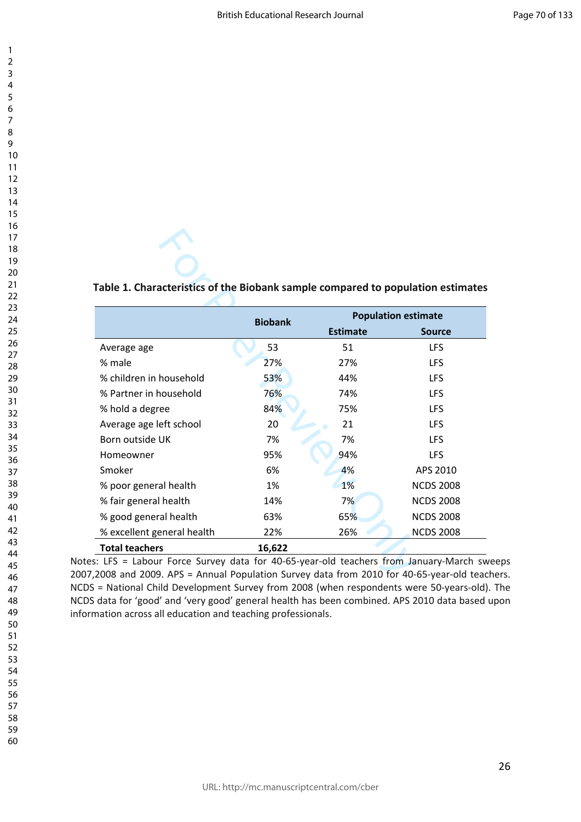| 1                            |  |
|------------------------------|--|
| 2                            |  |
| 3                            |  |
| 4                            |  |
| 5                            |  |
| 6                            |  |
|                              |  |
| 8                            |  |
| d<br>€                       |  |
| 10                           |  |
| 11                           |  |
| 1<br>C                       |  |
| $\overline{13}$              |  |
| 4<br>1.                      |  |
| 15                           |  |
| 16                           |  |
| 17                           |  |
|                              |  |
| 18                           |  |
| 19                           |  |
| 20                           |  |
| $\overline{21}$              |  |
| $\overline{2}$<br>C          |  |
| $\overline{2}$<br>3          |  |
| $\frac{24}{5}$               |  |
| 25                           |  |
| 26                           |  |
| 27                           |  |
| $\frac{28}{5}$               |  |
| 29                           |  |
| 30                           |  |
| $\overline{\textbf{3}}$      |  |
| $\overline{\mathbf{3}}$<br>, |  |
| $\overline{\mathbf{3}}$<br>ξ |  |
| 3.<br>4                      |  |
| 35                           |  |
| 36                           |  |
| 37                           |  |
| 88                           |  |
| 39                           |  |
| 40                           |  |
| 41                           |  |
| 42                           |  |
| ξ                            |  |
| $\overline{4}$               |  |
| 44                           |  |
| 45                           |  |
| 46                           |  |
| 47                           |  |
| 48                           |  |
| 49                           |  |
| 50                           |  |
| 51                           |  |
| 5.<br>2                      |  |
| 5.<br>ξ                      |  |
| 54                           |  |
| 55                           |  |
| 56                           |  |
| 57                           |  |
| 58                           |  |

 

|     | Table 1. Characteristics of the Biobank sample compared to population estimates<br><b>Population estimate</b> |                  |  |
|-----|---------------------------------------------------------------------------------------------------------------|------------------|--|
|     | <b>Estimate</b>                                                                                               | <b>Source</b>    |  |
| 53  | 51                                                                                                            | <b>LFS</b>       |  |
| 27% | 27%                                                                                                           | <b>LFS</b>       |  |
| 53% | 44%                                                                                                           | <b>LFS</b>       |  |
| 76% | 74%                                                                                                           | <b>LFS</b>       |  |
| 84% | 75%                                                                                                           | <b>LFS</b>       |  |
| 20  | 21                                                                                                            | <b>LFS</b>       |  |
| 7%  | 7%                                                                                                            | <b>LFS</b>       |  |
| 95% | 94%                                                                                                           | <b>LFS</b>       |  |
| 6%  | 4%                                                                                                            | APS 2010         |  |
| 1%  | 1%                                                                                                            | <b>NCDS 2008</b> |  |
| 14% | 7%                                                                                                            | <b>NCDS 2008</b> |  |
| 63% | 65%                                                                                                           | <b>NCDS 2008</b> |  |
| 22% | 26%                                                                                                           | <b>NCDS 2008</b> |  |
|     | <b>Biobank</b>                                                                                                |                  |  |

#### **Table 1. Characteristics of the Biobank sample compared to population estimates**

Notes: LFS = Labour Force Survey data for 40-65-year-old teachers from January-March sweeps 2007,2008 and 2009. APS = Annual Population Survey data from 2010 for 40-65-year-old teachers. NCDS = National Child Development Survey from 2008 (when respondents were 50-years-old). The NCDS data for 'good' and 'very good' general health has been combined. APS 2010 data based upon information across all education and teaching professionals.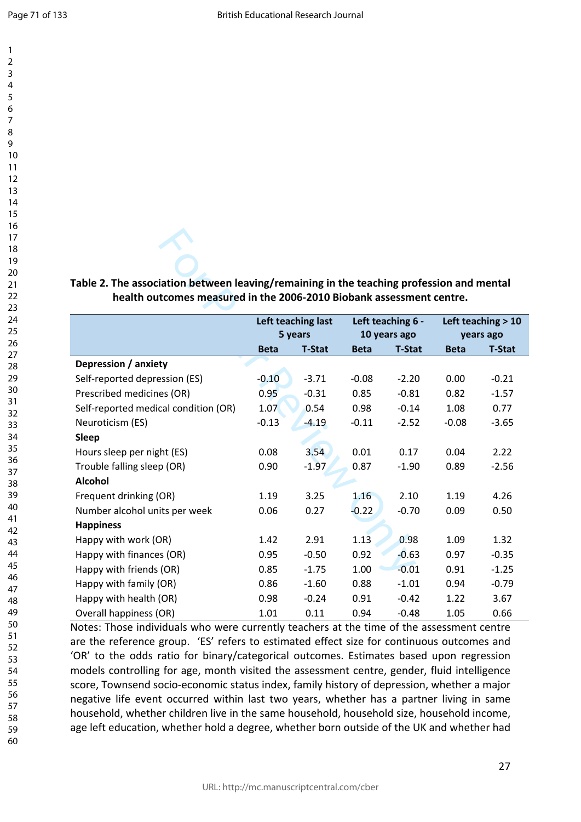| 1<br>,<br>3                                     |  |
|-------------------------------------------------|--|
| 4<br>5                                          |  |
| 6<br>8                                          |  |
| 9<br>10                                         |  |
| 11<br>$\overline{12}$<br>13                     |  |
| 1<br>4<br>15                                    |  |
| 16<br>1                                         |  |
| 18<br>19<br>20                                  |  |
| $\overline{21}$<br>22                           |  |
| 23<br>$\frac{24}{3}$                            |  |
| 25<br>26<br>$\overline{2}$                      |  |
| $\overline{28}$<br>29                           |  |
| 30<br>$\overline{\textbf{3}}$<br>$\overline{2}$ |  |
| 33<br>34                                        |  |
| 35<br>36                                        |  |
| 37<br>R۶<br>ì<br>39                             |  |
| 40<br>41                                        |  |
| 42<br>43                                        |  |
| 44<br>45<br>46                                  |  |
| 47<br>48                                        |  |
| 49<br>50                                        |  |
| 51<br>52<br>53                                  |  |
| 54<br>55                                        |  |
| 56<br>57                                        |  |
| 58<br>C<br>59                                   |  |

60

| Table 2. The association between leaving/remaining in the teaching profession and mental |
|------------------------------------------------------------------------------------------|
| health outcomes measured in the 2006-2010 Biobank assessment centre.                     |

| Table 2. The association between leaving/remaining in the teaching profession and mental<br>health outcomes measured in the 2006-2010 Biobank assessment centre. |                    |               |                   |               |             |                     |  |
|------------------------------------------------------------------------------------------------------------------------------------------------------------------|--------------------|---------------|-------------------|---------------|-------------|---------------------|--|
|                                                                                                                                                                  | Left teaching last |               | Left teaching 6 - |               |             | Left teaching $>10$ |  |
|                                                                                                                                                                  | 5 years            |               |                   | 10 years ago  | years ago   |                     |  |
|                                                                                                                                                                  | <b>Beta</b>        | <b>T-Stat</b> | <b>Beta</b>       | <b>T-Stat</b> | <b>Beta</b> | <b>T-Stat</b>       |  |
| Depression / anxiety                                                                                                                                             |                    |               |                   |               |             |                     |  |
| Self-reported depression (ES)                                                                                                                                    | $-0.10$            | $-3.71$       | $-0.08$           | $-2.20$       | 0.00        | $-0.21$             |  |
| Prescribed medicines (OR)                                                                                                                                        | 0.95               | $-0.31$       | 0.85              | $-0.81$       | 0.82        | $-1.57$             |  |
| Self-reported medical condition (OR)                                                                                                                             | 1.07               | 0.54          | 0.98              | $-0.14$       | 1.08        | 0.77                |  |
| Neuroticism (ES)                                                                                                                                                 | $-0.13$            | $-4.19$       | $-0.11$           | $-2.52$       | $-0.08$     | $-3.65$             |  |
| <b>Sleep</b>                                                                                                                                                     |                    |               |                   |               |             |                     |  |
| Hours sleep per night (ES)                                                                                                                                       | 0.08               | 3.54          | 0.01              | 0.17          | 0.04        | 2.22                |  |
| Trouble falling sleep (OR)                                                                                                                                       | 0.90               | $-1.97$       | 0.87              | $-1.90$       | 0.89        | $-2.56$             |  |
| <b>Alcohol</b>                                                                                                                                                   |                    |               |                   |               |             |                     |  |
| Frequent drinking (OR)                                                                                                                                           | 1.19               | 3.25          | 1.16              | 2.10          | 1.19        | 4.26                |  |
| Number alcohol units per week                                                                                                                                    | 0.06               | 0.27          | $-0.22$           | $-0.70$       | 0.09        | 0.50                |  |
| <b>Happiness</b>                                                                                                                                                 |                    |               |                   |               |             |                     |  |
| Happy with work (OR)                                                                                                                                             | 1.42               | 2.91          | 1.13              | 0.98          | 1.09        | 1.32                |  |
| Happy with finances (OR)                                                                                                                                         | 0.95               | $-0.50$       | 0.92              | $-0.63$       | 0.97        | $-0.35$             |  |
| Happy with friends (OR)                                                                                                                                          | 0.85               | $-1.75$       | 1.00              | $-0.01$       | 0.91        | $-1.25$             |  |
| Happy with family (OR)                                                                                                                                           | 0.86               | $-1.60$       | 0.88              | $-1.01$       | 0.94        | $-0.79$             |  |
| Happy with health (OR)                                                                                                                                           | 0.98               | $-0.24$       | 0.91              | $-0.42$       | 1.22        | 3.67                |  |
| Overall happiness (OR)                                                                                                                                           | 1.01               | 0.11          | 0.94              | $-0.48$       | 1.05        | 0.66                |  |

Notes: Those individuals who were currently teachers at the time of the assessment centre are the reference group. 'ES' refers to estimated effect size for continuous outcomes and 'OR' to the odds ratio for binary/categorical outcomes. Estimates based upon regression models controlling for age, month visited the assessment centre, gender, fluid intelligence score, Townsend socio-economic status index, family history of depression, whether a major negative life event occurred within last two years, whether has a partner living in same household, whether children live in the same household, household size, household income, age left education, whether hold a degree, whether born outside of the UK and whether had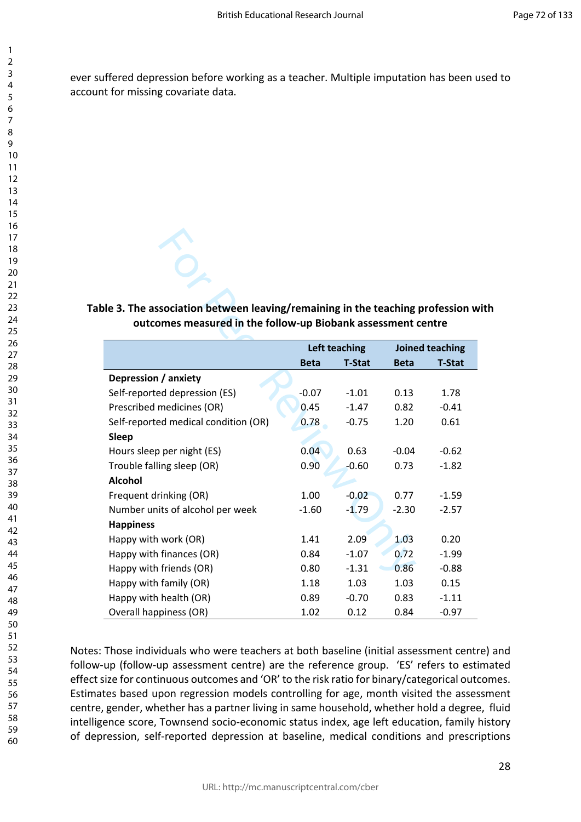ever suffered depression before working as a teacher. Multiple imputation has been used to account for missing covariate data.

#### **Table 3. The association between leaving/remaining in the teaching profession with outcomes measured in the follow-up Biobank assessment centre**

| ble 3. The association between leaving/remaining in the teaching profession w<br>outcomes measured in the follow-up Biobank assessment centre |             |               |             |                 |
|-----------------------------------------------------------------------------------------------------------------------------------------------|-------------|---------------|-------------|-----------------|
|                                                                                                                                               |             |               |             |                 |
|                                                                                                                                               |             | Left teaching |             | Joined teaching |
|                                                                                                                                               | <b>Beta</b> | <b>T-Stat</b> | <b>Beta</b> | <b>T-Stat</b>   |
| Depression / anxiety                                                                                                                          |             |               |             |                 |
| Self-reported depression (ES)                                                                                                                 | $-0.07$     | $-1.01$       | 0.13        | 1.78            |
| Prescribed medicines (OR)                                                                                                                     | 0.45        | $-1.47$       | 0.82        | $-0.41$         |
| Self-reported medical condition (OR)                                                                                                          | 0.78        | $-0.75$       | 1.20        | 0.61            |
| <b>Sleep</b>                                                                                                                                  |             |               |             |                 |
| Hours sleep per night (ES)                                                                                                                    | 0.04        | 0.63          | $-0.04$     | $-0.62$         |
| Trouble falling sleep (OR)                                                                                                                    | 0.90        | $-0.60$       | 0.73        | $-1.82$         |
| <b>Alcohol</b>                                                                                                                                |             |               |             |                 |
| Frequent drinking (OR)                                                                                                                        | 1.00        | $-0.02$       | 0.77        | $-1.59$         |
| Number units of alcohol per week                                                                                                              | $-1.60$     | $-1.79$       | $-2.30$     | $-2.57$         |
| <b>Happiness</b>                                                                                                                              |             |               |             |                 |
| Happy with work (OR)                                                                                                                          | 1.41        | 2.09          | 1.03        | 0.20            |
| Happy with finances (OR)                                                                                                                      | 0.84        | $-1.07$       | 0.72        | $-1.99$         |
| Happy with friends (OR)                                                                                                                       | 0.80        | $-1.31$       | 0.86        | $-0.88$         |
| Happy with family (OR)                                                                                                                        | 1.18        | 1.03          | 1.03        | 0.15            |
| Happy with health (OR)                                                                                                                        | 0.89        | $-0.70$       | 0.83        | $-1.11$         |
| Overall happiness (OR)                                                                                                                        | 1.02        | 0.12          | 0.84        | $-0.97$         |

Notes: Those individuals who were teachers at both baseline (initial assessment centre) and follow-up (follow-up assessment centre) are the reference group. 'ES' refers to estimated effect size for continuous outcomes and 'OR' to the risk ratio for binary/categorical outcomes. Estimates based upon regression models controlling for age, month visited the assessment centre, gender, whether has a partner living in same household, whether hold a degree, fluid intelligence score, Townsend socio-economic status index, age left education, family history of depression, self-reported depression at baseline, medical conditions and prescriptions

 $\mathbf{1}$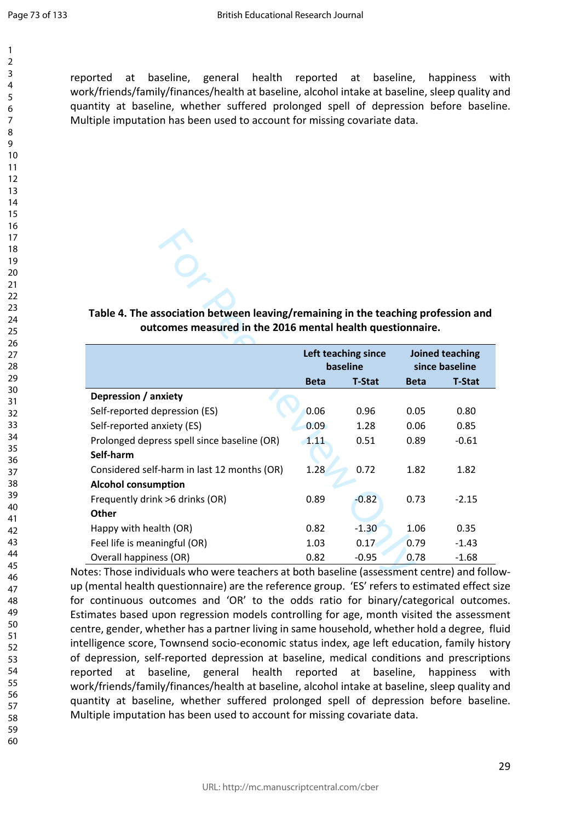$\mathbf{1}$  $\overline{2}$  $\overline{3}$  $\overline{4}$ 5 6  $\overline{7}$ 8  $\mathsf{Q}$ 

reported at baseline, general health reported at baseline, happiness with work/friends/family/finances/health at baseline, alcohol intake at baseline, sleep quality and quantity at baseline, whether suffered prolonged spell of depression before baseline. Multiple imputation has been used to account for missing covariate data.

**Table 4. The association between leaving/remaining in the teaching profession and outcomes measured in the 2016 mental health questionnaire.**

| Table 4. The association between leaving/remaining in the teaching profession and<br>outcomes measured in the 2016 mental health questionnaire. |             |                                 |             |                                   |
|-------------------------------------------------------------------------------------------------------------------------------------------------|-------------|---------------------------------|-------------|-----------------------------------|
|                                                                                                                                                 |             | Left teaching since<br>baseline |             | Joined teaching<br>since baseline |
|                                                                                                                                                 | <b>Beta</b> | <b>T-Stat</b>                   | <b>Beta</b> | <b>T-Stat</b>                     |
| <b>Depression / anxiety</b>                                                                                                                     |             |                                 |             |                                   |
| Self-reported depression (ES)                                                                                                                   | 0.06        | 0.96                            | 0.05        | 0.80                              |
| Self-reported anxiety (ES)                                                                                                                      | 0.09        | 1.28                            | 0.06        | 0.85                              |
| Prolonged depress spell since baseline (OR)                                                                                                     | 1.11        | 0.51                            | 0.89        | $-0.61$                           |
| Self-harm                                                                                                                                       |             |                                 |             |                                   |
| Considered self-harm in last 12 months (OR)                                                                                                     | 1.28        | 0.72                            | 1.82        | 1.82                              |
| <b>Alcohol consumption</b>                                                                                                                      |             |                                 |             |                                   |
| Frequently drink >6 drinks (OR)                                                                                                                 | 0.89        | $-0.82$                         | 0.73        | $-2.15$                           |
| <b>Other</b>                                                                                                                                    |             |                                 |             |                                   |
| Happy with health (OR)                                                                                                                          | 0.82        | $-1.30$                         | 1.06        | 0.35                              |
| Feel life is meaningful (OR)                                                                                                                    | 1.03        | 0.17                            | 0.79        | $-1.43$                           |
| Overall happiness (OR)                                                                                                                          | 0.82        | $-0.95$                         | 0.78        | $-1.68$                           |
| tes: Those individuals who were teachers at both baseline (assessment centre) and follo                                                         |             |                                 |             |                                   |
|                                                                                                                                                 |             |                                 |             |                                   |

Notes: Those individuals who were teachers at both baseline (assessment centre) and followup (mental health questionnaire) are the reference group. 'ES' refers to estimated effect size for continuous outcomes and 'OR' to the odds ratio for binary/categorical outcomes. Estimates based upon regression models controlling for age, month visited the assessment centre, gender, whether has a partner living in same household, whether hold a degree, fluid intelligence score, Townsend socio-economic status index, age left education, family history of depression, self-reported depression at baseline, medical conditions and prescriptions reported at baseline, general health reported at baseline, happiness with work/friends/family/finances/health at baseline, alcohol intake at baseline, sleep quality and quantity at baseline, whether suffered prolonged spell of depression before baseline. Multiple imputation has been used to account for missing covariate data.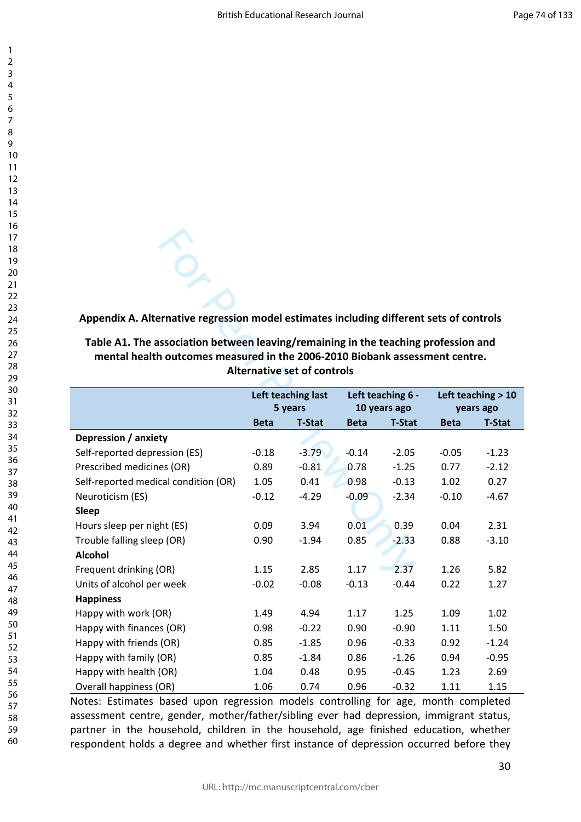$\mathbf{1}$ 

60

| Appendix A. Alternative regression model estimates including different sets of controls |         |                                    |             |                   |         |                     |
|-----------------------------------------------------------------------------------------|---------|------------------------------------|-------------|-------------------|---------|---------------------|
|                                                                                         |         |                                    |             |                   |         |                     |
| Table A1. The association between leaving/remaining in the teaching profession and      |         |                                    |             |                   |         |                     |
| mental health outcomes measured in the 2006-2010 Biobank assessment centre.             |         | <b>Alternative set of controls</b> |             |                   |         |                     |
|                                                                                         |         |                                    |             |                   |         |                     |
|                                                                                         |         | Left teaching last                 |             | Left teaching 6 - |         | Left teaching $>10$ |
|                                                                                         |         | 5 years                            |             | 10 years ago      |         | years ago           |
|                                                                                         | Beta    | <b>T-Stat</b>                      | <b>Beta</b> | <b>T-Stat</b>     | Beta    | <b>T-Stat</b>       |
| Depression / anxiety                                                                    |         |                                    |             |                   |         |                     |
| Self-reported depression (ES)                                                           | $-0.18$ | $-3.79$                            | $-0.14$     | $-2.05$           | $-0.05$ | $-1.23$             |
| Prescribed medicines (OR)                                                               | 0.89    | $-0.81$                            | 0.78        | $-1.25$           | 0.77    | $-2.12$             |
| Self-reported medical condition (OR)                                                    | 1.05    | 0.41                               | 0.98        | $-0.13$           | 1.02    | 0.27                |
| Neuroticism (ES)                                                                        | $-0.12$ | $-4.29$                            | $-0.09$     | $-2.34$           | $-0.10$ | $-4.67$             |
| <b>Sleep</b>                                                                            |         |                                    |             |                   |         |                     |
| Hours sleep per night (ES)                                                              | 0.09    | 3.94                               | 0.01        | 0.39              | 0.04    | 2.31                |
| Trouble falling sleep (OR)                                                              | 0.90    | $-1.94$                            | 0.85        | $-2.33$           | 0.88    | $-3.10$             |
| <b>Alcohol</b>                                                                          |         |                                    |             |                   |         |                     |
| Frequent drinking (OR)                                                                  | 1.15    | 2.85                               | 1.17        | 2.37              | 1.26    | 5.82                |
| Units of alcohol per week                                                               | $-0.02$ | $-0.08$                            | $-0.13$     | $-0.44$           | 0.22    | 1.27                |
| <b>Happiness</b>                                                                        |         |                                    |             |                   |         |                     |
| Happy with work (OR)                                                                    | 1.49    | 4.94                               | 1.17        | 1.25              | 1.09    | 1.02                |
| Happy with finances (OR)                                                                | 0.98    | $-0.22$                            | 0.90        | $-0.90$           | 1.11    | 1.50                |
| Happy with friends (OR)                                                                 | 0.85    | $-1.85$                            | 0.96        | $-0.33$           | 0.92    | $-1.24$             |
| Happy with family (OR)                                                                  | 0.85    | $-1.84$                            | 0.86        | $-1.26$           | 0.94    | $-0.95$             |
| Happy with health (OR)                                                                  | 1.04    | 0.48                               | 0.95        | $-0.45$           | 1.23    | 2.69                |
| Overall happiness (OR)                                                                  | 1.06    | 0.74                               | 0.96        | $-0.32$           | 1.11    | 1.15                |

Notes: Estimates based upon regression models controlling for age, month completed assessment centre, gender, mother/father/sibling ever had depression, immigrant status, partner in the household, children in the household, age finished education, whether respondent holds a degree and whether first instance of depression occurred before they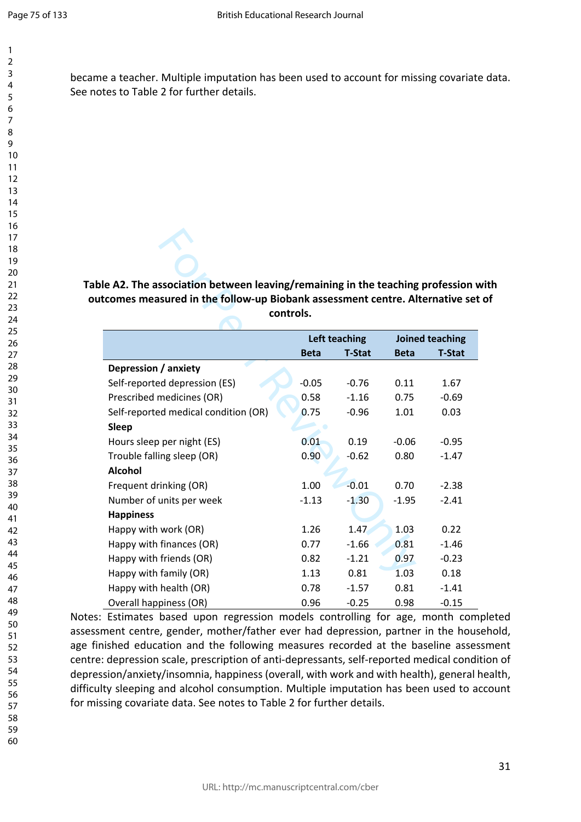$\mathbf{1}$  $\overline{2}$  $\overline{3}$  $\overline{4}$ 5 6  $\overline{7}$ 8 9

10

became a teacher. Multiple imputation has been used to account for missing covariate data. See notes to Table 2 for further details.

**Table A2. The association between leaving/remaining in the teaching profession with outcomes measured in the follow-up Biobank assessment centre. Alternative set of controls.** 

|                                      |             | Left teaching |             | Joined teaching |
|--------------------------------------|-------------|---------------|-------------|-----------------|
|                                      | <b>Beta</b> | <b>T-Stat</b> | <b>Beta</b> | <b>T-Stat</b>   |
| Depression / anxiety                 |             |               |             |                 |
| Self-reported depression (ES)        | $-0.05$     | $-0.76$       | 0.11        | 1.67            |
| Prescribed medicines (OR)            | 0.58        | $-1.16$       | 0.75        | $-0.69$         |
| Self-reported medical condition (OR) | 0.75        | $-0.96$       | 1.01        | 0.03            |
| <b>Sleep</b>                         |             |               |             |                 |
| Hours sleep per night (ES)           | 0.01        | 0.19          | $-0.06$     | $-0.95$         |
| Trouble falling sleep (OR)           | 0.90        | $-0.62$       | 0.80        | $-1.47$         |
| <b>Alcohol</b>                       |             |               |             |                 |
| Frequent drinking (OR)               | 1.00        | $-0.01$       | 0.70        | $-2.38$         |
| Number of units per week             | $-1.13$     | $-1.30$       | $-1.95$     | $-2.41$         |
| <b>Happiness</b>                     |             |               |             |                 |
| Happy with work (OR)                 | 1.26        | 1.47          | 1.03        | 0.22            |
| Happy with finances (OR)             | 0.77        | $-1.66$       | 0.81        | $-1.46$         |
| Happy with friends (OR)              | 0.82        | $-1.21$       | 0.97        | $-0.23$         |
| Happy with family (OR)               | 1.13        | 0.81          | 1.03        | 0.18            |
| Happy with health (OR)               | 0.78        | $-1.57$       | 0.81        | $-1.41$         |
| Overall happiness (OR)               | 0.96        | $-0.25$       | 0.98        | $-0.15$         |

Notes: Estimates based upon regression models controlling for age, month completed assessment centre, gender, mother/father ever had depression, partner in the household, age finished education and the following measures recorded at the baseline assessment centre: depression scale, prescription of anti-depressants, self-reported medical condition of depression/anxiety/insomnia, happiness (overall, with work and with health), general health, difficulty sleeping and alcohol consumption. Multiple imputation has been used to account for missing covariate data. See notes to Table 2 for further details.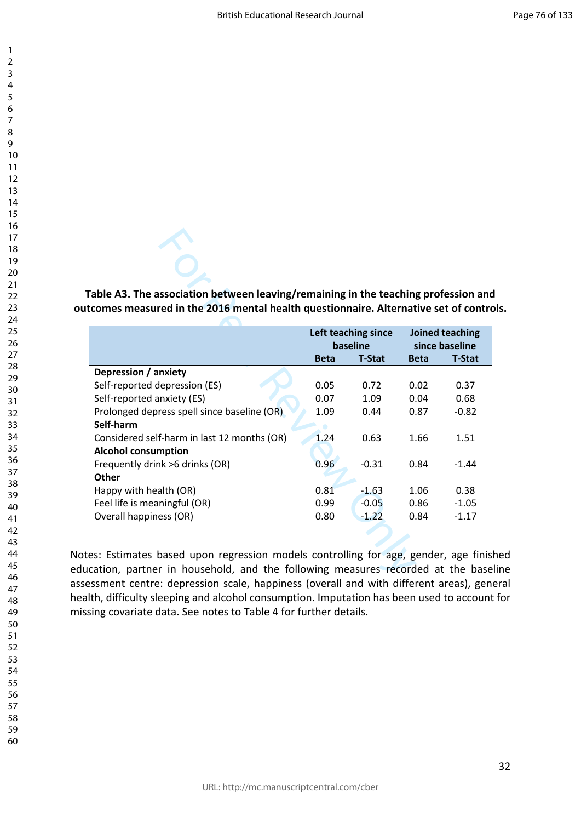$\mathbf{1}$  $\overline{2}$ 

 

**Table A3. The association between leaving/remaining in the teaching profession and outcomes measured in the 2016 mental health questionnaire. Alternative set of controls.** 

|                                             | tcomes measured in the 2016 mental health questionnaire. Alternative set of contro | Left teaching since |             | <b>Joined teaching</b> |
|---------------------------------------------|------------------------------------------------------------------------------------|---------------------|-------------|------------------------|
|                                             |                                                                                    | baseline            |             | since baseline         |
|                                             | <b>Beta</b>                                                                        | <b>T-Stat</b>       | <b>Beta</b> | <b>T-Stat</b>          |
| Depression / anxiety                        | 0.05                                                                               | 0.72                | 0.02        | 0.37                   |
| Self-reported depression (ES)               | 0.07                                                                               |                     |             | 0.68                   |
| Self-reported anxiety (ES)                  |                                                                                    | 1.09                | 0.04        |                        |
| Prolonged depress spell since baseline (OR) | 1.09                                                                               | 0.44                | 0.87        | $-0.82$                |
| Self-harm                                   |                                                                                    |                     |             |                        |
| Considered self-harm in last 12 months (OR) | 1.24                                                                               | 0.63                | 1.66        | 1.51                   |
| <b>Alcohol consumption</b>                  |                                                                                    |                     |             |                        |
| Frequently drink >6 drinks (OR)             | 0.96                                                                               | $-0.31$             | 0.84        | $-1.44$                |
| <b>Other</b>                                |                                                                                    |                     |             |                        |
| Happy with health (OR)                      | 0.81                                                                               | $-1.63$             | 1.06        | 0.38                   |
| Feel life is meaningful (OR)                | 0.99                                                                               | $-0.05$             | 0.86        | $-1.05$                |
| Overall happiness (OR)                      | 0.80                                                                               | $-1.22$             | 0.84        | $-1.17$                |

Notes: Estimates based upon regression models controlling for age, gender, age finished education, partner in household, and the following measures recorded at the baseline assessment centre: depression scale, happiness (overall and with different areas), general health, difficulty sleeping and alcohol consumption. Imputation has been used to account for missing covariate data. See notes to Table 4 for further details.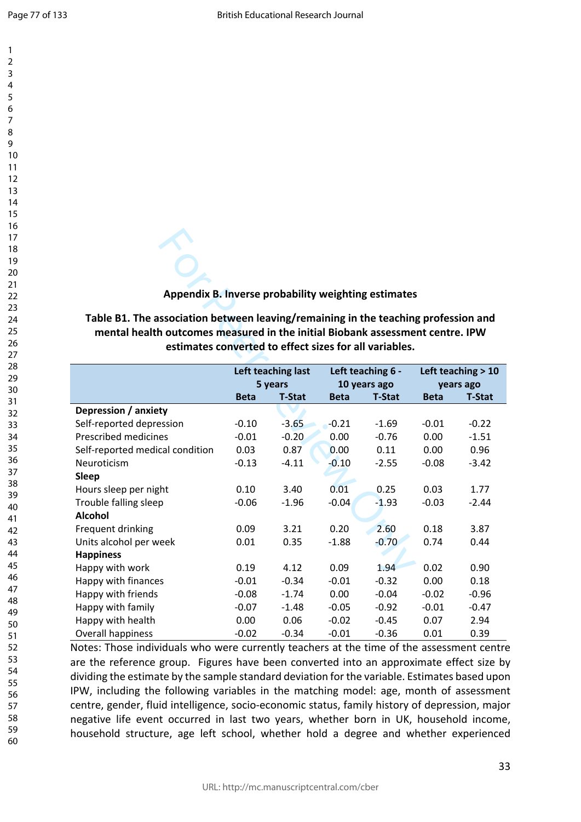$\mathbf{1}$  $\overline{2}$  $\overline{3}$  $\overline{4}$ 

60

| Appendix B. Inverse probability weighting estimates<br>Table B1. The association between leaving/remaining in the teaching profession and<br>mental health outcomes measured in the initial Biobank assessment centre. IPW |             |                          |             |                               |             |                            |
|----------------------------------------------------------------------------------------------------------------------------------------------------------------------------------------------------------------------------|-------------|--------------------------|-------------|-------------------------------|-------------|----------------------------|
| estimates converted to effect sizes for all variables.                                                                                                                                                                     |             |                          |             |                               |             |                            |
|                                                                                                                                                                                                                            |             | Left teaching last       |             | Left teaching 6 -             |             | Left teaching $>10$        |
|                                                                                                                                                                                                                            | <b>Beta</b> | 5 years<br><b>T-Stat</b> | <b>Beta</b> | 10 years ago<br><b>T-Stat</b> | <b>Beta</b> | years ago<br><b>T-Stat</b> |
| Depression / anxiety                                                                                                                                                                                                       |             |                          |             |                               |             |                            |
| Self-reported depression                                                                                                                                                                                                   | $-0.10$     | $-3.65$                  | $-0.21$     | $-1.69$                       | $-0.01$     | $-0.22$                    |
| <b>Prescribed medicines</b>                                                                                                                                                                                                | $-0.01$     | $-0.20$                  | 0.00        | $-0.76$                       | 0.00        | $-1.51$                    |
| Self-reported medical condition                                                                                                                                                                                            | 0.03        | 0.87                     | 0.00        | 0.11                          | 0.00        | 0.96                       |
| Neuroticism                                                                                                                                                                                                                | $-0.13$     | $-4.11$                  | $-0.10$     | $-2.55$                       | $-0.08$     | $-3.42$                    |
| <b>Sleep</b>                                                                                                                                                                                                               |             |                          |             |                               |             |                            |
| Hours sleep per night                                                                                                                                                                                                      | 0.10        | 3.40                     | 0.01        | 0.25                          | 0.03        | 1.77                       |
| Trouble falling sleep                                                                                                                                                                                                      | $-0.06$     | $-1.96$                  | $-0.04$     | $-1.93$                       | $-0.03$     | $-2.44$                    |
| <b>Alcohol</b>                                                                                                                                                                                                             |             |                          |             |                               |             |                            |
| Frequent drinking                                                                                                                                                                                                          | 0.09        | 3.21                     | 0.20        | 2.60                          | 0.18        | 3.87                       |
| Units alcohol per week                                                                                                                                                                                                     | 0.01        | 0.35                     | $-1.88$     | $-0.70$                       | 0.74        | 0.44                       |
| <b>Happiness</b>                                                                                                                                                                                                           |             |                          |             |                               |             |                            |
| Happy with work                                                                                                                                                                                                            | 0.19        | 4.12                     | 0.09        | 1.94                          | 0.02        | 0.90                       |
| Happy with finances                                                                                                                                                                                                        | $-0.01$     | $-0.34$                  | $-0.01$     | $-0.32$                       | 0.00        | 0.18                       |
| Happy with friends                                                                                                                                                                                                         | $-0.08$     | $-1.74$                  | 0.00        | $-0.04$                       | $-0.02$     | $-0.96$                    |
| Happy with family                                                                                                                                                                                                          | $-0.07$     | $-1.48$                  | $-0.05$     | $-0.92$                       | $-0.01$     | $-0.47$                    |
| Happy with health                                                                                                                                                                                                          | 0.00        | 0.06                     | $-0.02$     | $-0.45$                       | 0.07        | 2.94                       |
| Overall happiness                                                                                                                                                                                                          | $-0.02$     | $-0.34$                  | $-0.01$     | $-0.36$                       | 0.01        | 0.39                       |

Notes: Those individuals who were currently teachers at the time of the assessment centre are the reference group. Figures have been converted into an approximate effect size by dividing the estimate by the sample standard deviation for the variable. Estimates based upon IPW, including the following variables in the matching model: age, month of assessment centre, gender, fluid intelligence, socio-economic status, family history of depression, major negative life event occurred in last two years, whether born in UK, household income, household structure, age left school, whether hold a degree and whether experienced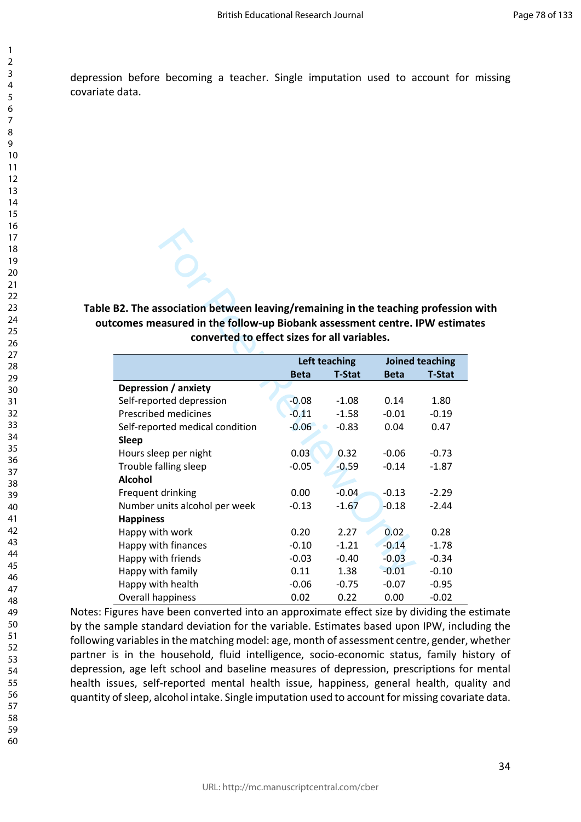depression before becoming a teacher. Single imputation used to account for missing covariate data.

**Table B2. The association between leaving/remaining in the teaching profession with outcomes measured in the follow-up Biobank assessment centre. IPW estimates converted to effect sizes for all variables.** 

| e B2. The association between leaving/remaining in the teaching professio |             |               |             |                        |
|---------------------------------------------------------------------------|-------------|---------------|-------------|------------------------|
| tcomes measured in the follow-up Biobank assessment centre. IPW estim     |             |               |             |                        |
| converted to effect sizes for all variables.                              |             |               |             |                        |
|                                                                           |             | Left teaching |             | <b>Joined teaching</b> |
|                                                                           | <b>Beta</b> | <b>T-Stat</b> | <b>Beta</b> | <b>T-Stat</b>          |
| <b>Depression / anxiety</b>                                               |             |               |             |                        |
| Self-reported depression                                                  | $-0.08$     | $-1.08$       | 0.14        | 1.80                   |
| <b>Prescribed medicines</b>                                               | $-0.11$     | $-1.58$       | $-0.01$     | $-0.19$                |
| Self-reported medical condition                                           | $-0.06$     | $-0.83$       | 0.04        | 0.47                   |
| <b>Sleep</b>                                                              |             |               |             |                        |
| Hours sleep per night                                                     | 0.03        | 0.32          | $-0.06$     | $-0.73$                |
| Trouble falling sleep                                                     | $-0.05$     | $-0.59$       | $-0.14$     | $-1.87$                |
| <b>Alcohol</b>                                                            |             |               |             |                        |
| Frequent drinking                                                         | 0.00        | $-0.04$       | $-0.13$     | $-2.29$                |
| Number units alcohol per week                                             | $-0.13$     | $-1.67$       | $-0.18$     | $-2.44$                |
| <b>Happiness</b>                                                          |             |               |             |                        |
| Happy with work                                                           | 0.20        | 2.27          | 0.02        | 0.28                   |
| Happy with finances                                                       | $-0.10$     | $-1.21$       | $-0.14$     | $-1.78$                |
| Happy with friends                                                        | $-0.03$     | $-0.40$       | $-0.03$     | $-0.34$                |
| Happy with family                                                         | 0.11        | 1.38          | $-0.01$     | $-0.10$                |
| Happy with health                                                         | $-0.06$     | $-0.75$       | $-0.07$     | $-0.95$                |
| Overall happiness                                                         | 0.02        | 0.22          | 0.00        | $-0.02$                |

Notes: Figures have been converted into an approximate effect size by dividing the estimate by the sample standard deviation for the variable. Estimates based upon IPW, including the following variables in the matching model: age, month of assessment centre, gender, whether partner is in the household, fluid intelligence, socio-economic status, family history of depression, age left school and baseline measures of depression, prescriptions for mental health issues, self-reported mental health issue, happiness, general health, quality and quantity of sleep, alcohol intake. Single imputation used to account for missing covariate data.

 $\mathbf{1}$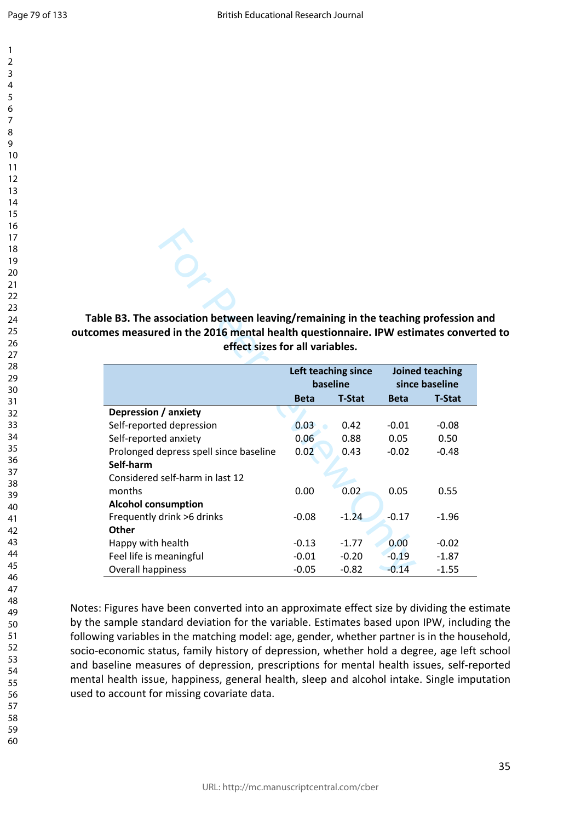$\mathbf{1}$  $\overline{2}$ 

 

**Table B3. The association between leaving/remaining in the teaching profession and outcomes measured in the 2016 mental health questionnaire. IPW estimates converted to effect sizes for all variables.** 

| lle B3. The association between leaving/remaining in the teaching profession<br>mes measured in the 2016 mental health questionnaire. IPW estimates conver<br>effect sizes for all variables. |             |                     |             |                        |
|-----------------------------------------------------------------------------------------------------------------------------------------------------------------------------------------------|-------------|---------------------|-------------|------------------------|
|                                                                                                                                                                                               |             | Left teaching since |             | <b>Joined teaching</b> |
|                                                                                                                                                                                               |             | baseline            |             | since baseline         |
|                                                                                                                                                                                               | <b>Beta</b> | <b>T-Stat</b>       | <b>Beta</b> | <b>T-Stat</b>          |
| Depression / anxiety                                                                                                                                                                          |             |                     |             |                        |
| Self-reported depression                                                                                                                                                                      | 0.03        | 0.42                | $-0.01$     | $-0.08$                |
| Self-reported anxiety                                                                                                                                                                         | 0.06        | 0.88                | 0.05        | 0.50                   |
| Prolonged depress spell since baseline                                                                                                                                                        | 0.02        | 0.43                | $-0.02$     | $-0.48$                |
| Self-harm                                                                                                                                                                                     |             |                     |             |                        |
| Considered self-harm in last 12                                                                                                                                                               |             |                     |             |                        |
| months                                                                                                                                                                                        | 0.00        | 0.02                | 0.05        | 0.55                   |
| <b>Alcohol consumption</b>                                                                                                                                                                    |             |                     |             |                        |
| Frequently drink >6 drinks                                                                                                                                                                    | $-0.08$     | $-1.24$             | $-0.17$     | $-1.96$                |
| <b>Other</b>                                                                                                                                                                                  |             |                     |             |                        |
| Happy with health                                                                                                                                                                             | $-0.13$     | $-1.77$             | 0.00        | $-0.02$                |
| Feel life is meaningful                                                                                                                                                                       | $-0.01$     | $-0.20$             | $-0.19$     | $-1.87$                |
| Overall happiness                                                                                                                                                                             | $-0.05$     | $-0.82$             | $-0.14$     | $-1.55$                |
|                                                                                                                                                                                               |             |                     |             |                        |

Notes: Figures have been converted into an approximate effect size by dividing the estimate by the sample standard deviation for the variable. Estimates based upon IPW, including the following variables in the matching model: age, gender, whether partner is in the household, socio-economic status, family history of depression, whether hold a degree, age left school and baseline measures of depression, prescriptions for mental health issues, self-reported mental health issue, happiness, general health, sleep and alcohol intake. Single imputation used to account for missing covariate data.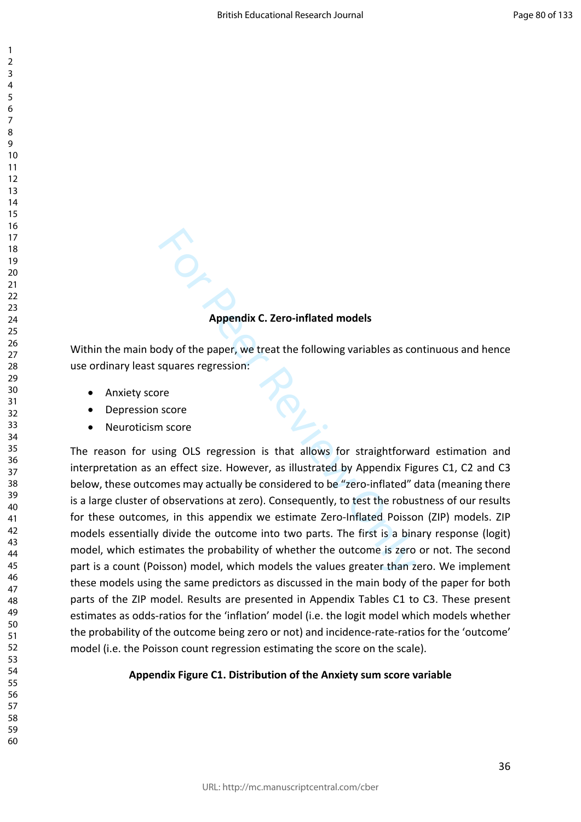#### $\overline{2}$  $\overline{3}$  $\overline{4}$  $\overline{7}$ q

 $\mathbf{1}$ 

#### **Appendix C. Zero-inflated models**

Within the main body of the paper, we treat the following variables as continuous and hence use ordinary least squares regression:

- Anxiety score
- Depression score
- Neuroticism score

**Appendix C. Zero-inflated models**<br> **Solvending C. Zero-inflated models**<br> **Solvending COS** of the paper, we treat the following variables as co<br>
squares regression:<br> **For Solvending COS** regression is that allows for strai The reason for using OLS regression is that allows for straightforward estimation and interpretation as an effect size. However, as illustrated by Appendix Figures C1, C2 and C3 below, these outcomes may actually be considered to be "zero-inflated" data (meaning there is a large cluster of observations at zero). Consequently, to test the robustness of our results for these outcomes, in this appendix we estimate Zero-Inflated Poisson (ZIP) models. ZIP models essentially divide the outcome into two parts. The first is a binary response (logit) model, which estimates the probability of whether the outcome is zero or not. The second part is a count (Poisson) model, which models the values greater than zero. We implement these models using the same predictors as discussed in the main body of the paper for both parts of the ZIP model. Results are presented in Appendix Tables C1 to C3. These present estimates as odds-ratios for the 'inflation' model (i.e. the logit model which models whether the probability of the outcome being zero or not) and incidence-rate-ratios for the 'outcome' model (i.e. the Poisson count regression estimating the score on the scale).

#### **Appendix Figure C1. Distribution of the Anxiety sum score variable**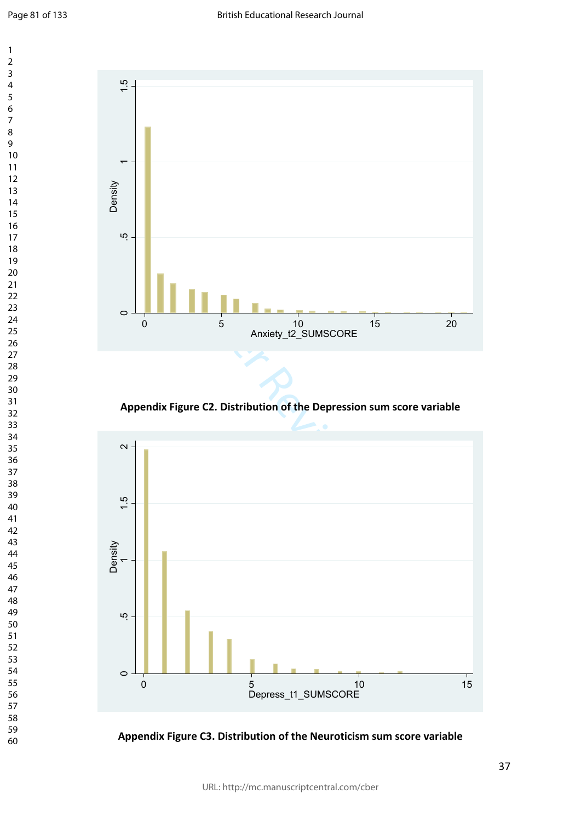$\mathbf{1}$  $\overline{2}$  $\overline{3}$  $\overline{4}$  $\overline{7}$ 



**Appendix Figure C2. Distribution of the Depression sum score variable**



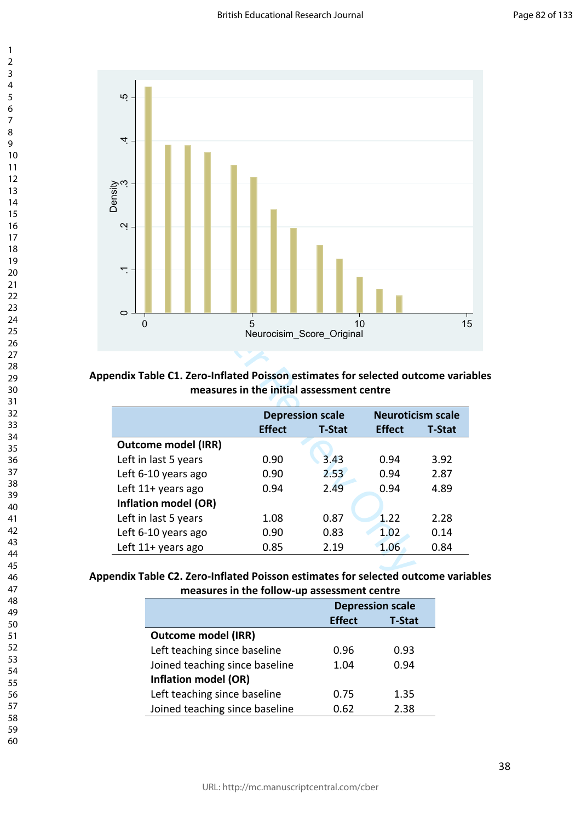

 $\mathbf{1}$  $\overline{2}$  $\overline{3}$  $\overline{4}$  $\overline{7}$ 

## **Appendix Table C1. Zero-Inflated Poisson estimates for selected outcome variables measures in the initial assessment centre**

| 4.            |                                                                                |                                             |               |                          |               |
|---------------|--------------------------------------------------------------------------------|---------------------------------------------|---------------|--------------------------|---------------|
|               |                                                                                |                                             |               |                          |               |
|               |                                                                                |                                             |               |                          |               |
|               |                                                                                |                                             |               |                          |               |
| Density<br>3. |                                                                                |                                             |               |                          |               |
| Ņ             |                                                                                |                                             |               |                          |               |
|               |                                                                                |                                             |               |                          |               |
|               |                                                                                |                                             |               |                          |               |
|               |                                                                                |                                             |               |                          |               |
|               |                                                                                |                                             |               |                          |               |
| $\circ$       |                                                                                |                                             |               |                          | ⊤             |
| $\mathbf 0$   |                                                                                | 5<br>Neurocisim Score Original              | 10            |                          | 15            |
|               |                                                                                |                                             |               |                          |               |
|               |                                                                                |                                             |               |                          |               |
|               |                                                                                |                                             |               |                          |               |
|               | endix Table C1. Zero-Inflated Poisson estimates for selected outcome variables |                                             |               |                          |               |
|               |                                                                                | measures in the initial assessment centre   |               |                          |               |
|               |                                                                                | <b>Depression scale</b>                     |               | <b>Neuroticism scale</b> |               |
|               |                                                                                | <b>Effect</b>                               | <b>T-Stat</b> | <b>Effect</b>            | <b>T-Stat</b> |
|               | <b>Outcome model (IRR)</b>                                                     |                                             |               |                          |               |
|               | Left in last 5 years                                                           | 0.90                                        | 3.43          | 0.94                     | 3.92          |
|               | Left 6-10 years ago                                                            | 0.90                                        | 2.53          | 0.94                     | 2.87          |
|               | Left 11+ years ago                                                             | 0.94                                        | 2.49          | 0.94                     | 4.89          |
|               | <b>Inflation model (OR)</b>                                                    |                                             |               |                          |               |
|               | Left in last 5 years                                                           | 1.08                                        | 0.87          | 1.22                     | 2.28          |
|               | Left 6-10 years ago                                                            | 0.90                                        | 0.83          | 1.02                     | 0.14          |
|               | Left 11+ years ago                                                             | 0.85                                        | 2.19          | 1.06                     | 0.84          |
|               |                                                                                |                                             |               |                          |               |
|               | endix Table C2. Zero-Inflated Poisson estimates for selected outcome variables |                                             |               |                          |               |
|               |                                                                                | measures in the follow-up assessment centre |               |                          |               |
|               |                                                                                |                                             |               | <b>Depression scale</b>  |               |
|               |                                                                                |                                             | <b>Effect</b> | <b>T-Stat</b>            |               |
|               | <b>Outcome model (IRR)</b>                                                     |                                             |               |                          |               |
|               | Left teaching since baseline                                                   |                                             | 0.96          | 0.93                     |               |
|               | Joined teaching since baseline                                                 |                                             | 1.04          | 0.94                     |               |
|               | Inflation model (OR)<br>Left teaching since baseline                           |                                             | 0.75          | 1.35                     |               |

#### **Appendix Table C2. Zero-Inflated Poisson estimates for selected outcome variables measures in the follow-up assessment centre**

|                                | <b>Depression scale</b> |               |  |
|--------------------------------|-------------------------|---------------|--|
|                                | <b>Effect</b>           | <b>T-Stat</b> |  |
| <b>Outcome model (IRR)</b>     |                         |               |  |
| Left teaching since baseline   | 0.96                    | 0.93          |  |
| Joined teaching since baseline | 1.04                    | 0.94          |  |
| Inflation model (OR)           |                         |               |  |
| Left teaching since baseline   | 0.75                    | 1.35          |  |
| Joined teaching since baseline | 0.62                    | 2.38          |  |
|                                |                         |               |  |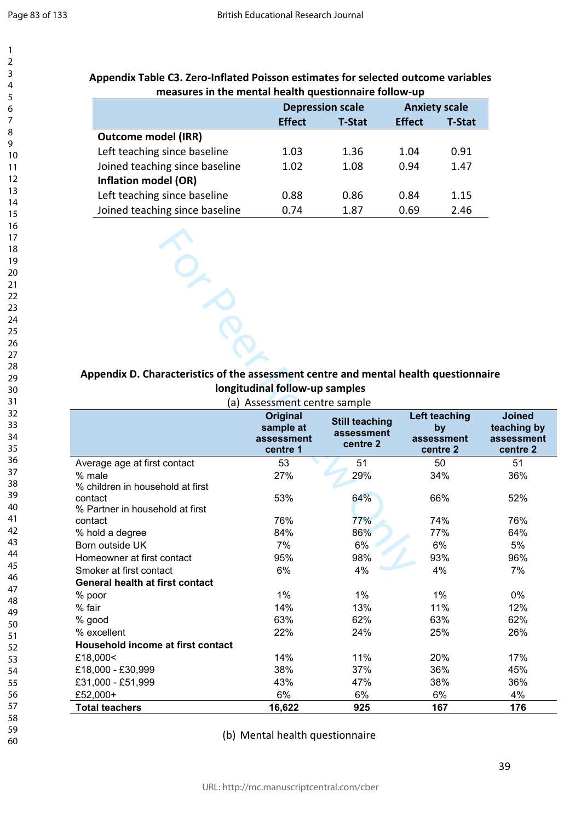| 1                            |
|------------------------------|
| 2                            |
| 3                            |
| 4                            |
| 5                            |
| 6                            |
|                              |
| 8                            |
| )<br>$\mathbf$               |
| 10                           |
| 11                           |
| $\mathbf{1}$<br>2            |
| 13                           |
| 1<br>4                       |
| 15                           |
| 16                           |
| 17                           |
| 18                           |
| 19                           |
| 20                           |
| $\overline{21}$              |
| $\overline{2}$<br>,          |
| $\overline{2}$<br>z          |
| $\frac{24}{3}$               |
| 25                           |
| 26                           |
| $^{27}$                      |
| $\frac{28}{5}$               |
| 29                           |
| 30                           |
| $\overline{\textbf{3}}$      |
| $\overline{\mathbf{3}}$<br>, |
| $\overline{\mathbf{3}}$<br>ξ |
| 3.<br>4                      |
| 35                           |
| 36                           |
| 37                           |
| $\overline{\text{8}}$<br>l   |
| 39                           |
| 40                           |
| 41                           |
| 4.<br>C                      |
| ξ<br>4.                      |
| 44                           |
| 45                           |
| 46                           |
| 47                           |
| 48                           |
| 49                           |
| 50                           |
| 51                           |
| 5.<br>$\overline{2}$         |
| 5.<br>ξ                      |
| 54                           |
| 55                           |
| 56                           |
| 57                           |
| 58                           |
| 59                           |
|                              |

60

| Appendix Table C3. Zero-Inflated Poisson estimates for selected outcome variables |
|-----------------------------------------------------------------------------------|
| measures in the mental health questionnaire follow-up                             |

|                                | <b>Depression scale</b> |               | <b>Anxiety scale</b> |               |
|--------------------------------|-------------------------|---------------|----------------------|---------------|
|                                | <b>Effect</b>           | <b>T-Stat</b> | <b>Effect</b>        | <b>T-Stat</b> |
| <b>Outcome model (IRR)</b>     |                         |               |                      |               |
| Left teaching since baseline   | 1.03                    | 1.36          | 1.04                 | 0.91          |
| Joined teaching since baseline | 1.02                    | 1.08          | 0.94                 | 1.47          |
| Inflation model (OR)           |                         |               |                      |               |
| Left teaching since baseline   | 0.88                    | 0.86          | 0.84                 | 1.15          |
| Joined teaching since baseline | 0.74                    | 1.87          | 0.69                 | 2.46          |

#### **Appendix D. Characteristics of the assessment centre and mental health questionnaire longitudinal follow-up samples**

| Appendix D. Characteristics of the assessment centre and mental health questionnaire | longitudinal follow-up samples                         |                                                 |                                                      |                                                        |
|--------------------------------------------------------------------------------------|--------------------------------------------------------|-------------------------------------------------|------------------------------------------------------|--------------------------------------------------------|
|                                                                                      | (a) Assessment centre sample                           |                                                 |                                                      |                                                        |
|                                                                                      | <b>Original</b><br>sample at<br>assessment<br>centre 1 | <b>Still teaching</b><br>assessment<br>centre 2 | <b>Left teaching</b><br>by<br>assessment<br>centre 2 | <b>Joined</b><br>teaching by<br>assessment<br>centre 2 |
| Average age at first contact                                                         | 53                                                     | 51                                              | 50                                                   | 51                                                     |
| % male                                                                               | 27%                                                    | 29%                                             | 34%                                                  | 36%                                                    |
| % children in household at first                                                     |                                                        |                                                 |                                                      |                                                        |
| contact                                                                              | 53%                                                    | 64%                                             | 66%                                                  | 52%                                                    |
| % Partner in household at first                                                      |                                                        |                                                 |                                                      |                                                        |
| contact                                                                              | 76%                                                    | 77%                                             | 74%                                                  | 76%                                                    |
| % hold a degree                                                                      | 84%                                                    | 86%                                             | 77%                                                  | 64%                                                    |
| Born outside UK                                                                      | 7%                                                     | 6%                                              | 6%                                                   | 5%                                                     |
| Homeowner at first contact                                                           | 95%                                                    | 98%                                             | 93%                                                  | 96%                                                    |
| Smoker at first contact                                                              | 6%                                                     | 4%                                              | 4%                                                   | 7%                                                     |
| <b>General health at first contact</b>                                               |                                                        |                                                 |                                                      |                                                        |
| % poor                                                                               | 1%                                                     | 1%                                              | 1%                                                   | 0%                                                     |
| % fair                                                                               | 14%                                                    | 13%                                             | 11%                                                  | 12%                                                    |
| % good                                                                               | 63%                                                    | 62%                                             | 63%                                                  | 62%                                                    |
| % excellent                                                                          | 22%                                                    | 24%                                             | 25%                                                  | 26%                                                    |
| Household income at first contact                                                    |                                                        |                                                 |                                                      |                                                        |
| £18,000<                                                                             | 14%                                                    | 11%                                             | 20%                                                  | 17%                                                    |
| £18,000 - £30,999                                                                    | 38%                                                    | 37%                                             | 36%                                                  | 45%                                                    |
| £31,000 - £51,999                                                                    | 43%                                                    | 47%                                             | 38%                                                  | 36%                                                    |
| £52,000+                                                                             | 6%                                                     | 6%                                              | 6%                                                   | 4%                                                     |
| <b>Total teachers</b>                                                                | 16,622                                                 | 925                                             | 167                                                  | 176                                                    |

(b) Mental health questionnaire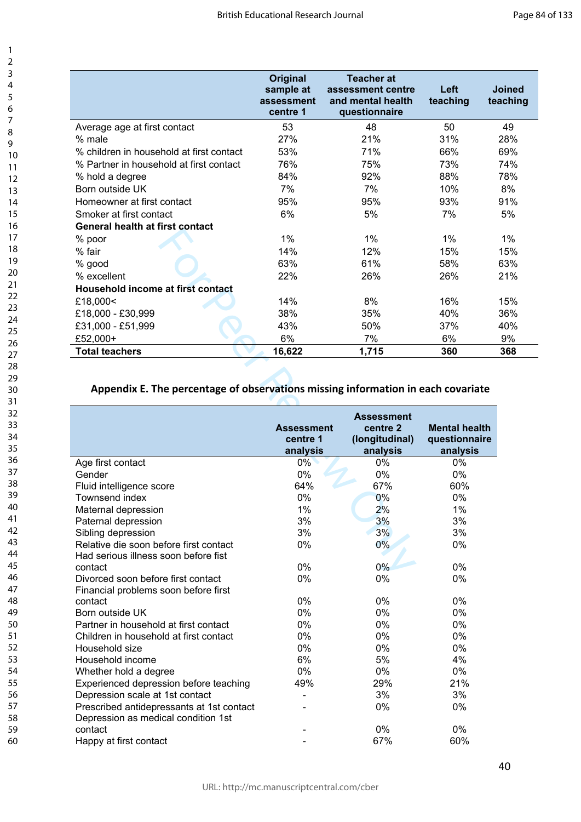$\mathbf{1}$  $\overline{2}$  $\overline{3}$  $\overline{4}$ 5 6  $\overline{7}$ 8  $\overline{9}$ 

|                                          | Original<br>sample at<br>assessment<br>centre 1 | <b>Teacher at</b><br>assessment centre<br>and mental health<br>questionnaire | Left<br>teaching | <b>Joined</b><br>teaching |
|------------------------------------------|-------------------------------------------------|------------------------------------------------------------------------------|------------------|---------------------------|
| Average age at first contact             | 53                                              | 48                                                                           | 50               | 49                        |
| $%$ male                                 | 27%                                             | 21%                                                                          | 31%              | 28%                       |
| % children in household at first contact | 53%                                             | 71%                                                                          | 66%              | 69%                       |
| % Partner in household at first contact  | 76%                                             | 75%                                                                          | 73%              | 74%                       |
| % hold a degree                          | 84%                                             | 92%                                                                          | 88%              | 78%                       |
| Born outside UK                          | 7%                                              | 7%                                                                           | 10%              | 8%                        |
| Homeowner at first contact               | 95%                                             | 95%                                                                          | 93%              | 91%                       |
| Smoker at first contact                  | 6%                                              | 5%                                                                           | 7%               | 5%                        |
| General health at first contact          |                                                 |                                                                              |                  |                           |
| % poor                                   | 1%                                              | $1\%$                                                                        | 1%               | $1\%$                     |
| % fair                                   | 14%                                             | 12%                                                                          | 15%              | 15%                       |
| % good                                   | 63%                                             | 61%                                                                          | 58%              | 63%                       |
| % excellent                              | 22%                                             | 26%                                                                          | 26%              | 21%                       |
| Household income at first contact        |                                                 |                                                                              |                  |                           |
| £18,000<                                 | 14%                                             | 8%                                                                           | 16%              | 15%                       |
| £18,000 - £30,999                        | 38%                                             | 35%                                                                          | 40%              | 36%                       |
| £31,000 - £51,999                        | 43%                                             | 50%                                                                          | 37%              | 40%                       |
| £52,000+                                 | 6%                                              | 7%                                                                           | 6%               | 9%                        |
| <b>Total teachers</b>                    | 16,622                                          | 1,715                                                                        | 360              | 368                       |

### **Appendix E. The percentage of observations missing information in each covariate**

| % poor                                                                           | 1%                | 1%                | 1%                   |
|----------------------------------------------------------------------------------|-------------------|-------------------|----------------------|
| % fair                                                                           | 14%               | 12%               | 15%                  |
| % good                                                                           | 63%               | 61%               | 58%                  |
| % excellent                                                                      | 22%               | 26%               | 26%                  |
| <b>Household income at first contact</b>                                         |                   |                   |                      |
| £18,000<                                                                         | 14%               | 8%                | 16%                  |
| £18,000 - £30,999                                                                | 38%               | 35%               | 40%                  |
| £31,000 - £51,999                                                                | 43%               | 50%               | 37%                  |
| £52,000+                                                                         | 6%                | 7%                | 6%                   |
| <b>Total teachers</b>                                                            | 16,622            | 1,715             | 360                  |
|                                                                                  |                   |                   |                      |
|                                                                                  |                   |                   |                      |
| Appendix E. The percentage of observations missing information in each covariate |                   |                   |                      |
|                                                                                  |                   |                   |                      |
|                                                                                  |                   | <b>Assessment</b> |                      |
|                                                                                  | <b>Assessment</b> | centre 2          | <b>Mental health</b> |
|                                                                                  | centre 1          | (longitudinal)    | questionnaire        |
|                                                                                  | analysis          | analysis          | analysis             |
| Age first contact                                                                | 0%                | 0%                | 0%                   |
| Gender                                                                           | 0%                | $0\%$             | $0\%$                |
| Fluid intelligence score                                                         | 64%               | 67%               | 60%                  |
| Townsend index                                                                   | 0%                | 0%                | 0%                   |
| Maternal depression                                                              | 1%                | 2%                | 1%                   |
| Paternal depression                                                              | 3%                | 3%                | 3%                   |
| Sibling depression                                                               | 3%                | 3%                | 3%                   |
| Relative die soon before first contact                                           | 0%                | 0%                | 0%                   |
| Had serious illness soon before fist                                             |                   |                   |                      |
| contact                                                                          | 0%                | 0%                | 0%                   |
| Divorced soon before first contact                                               | 0%                | 0%                | 0%                   |
| Financial problems soon before first                                             |                   |                   |                      |
| contact                                                                          | 0%                | 0%                | 0%                   |
| Born outside UK                                                                  | 0%                | 0%                | 0%                   |
| Partner in household at first contact                                            | 0%                | 0%                | 0%                   |
| Children in household at first contact                                           | 0%                | 0%                | 0%                   |
| Household size                                                                   | 0%                | 0%                | 0%                   |
| Household income                                                                 | 6%                | 5%                | 4%                   |
| Whether hold a degree                                                            | $0\%$             | 0%                | 0%                   |
| Experienced depression before teaching                                           | 49%               | 29%               | 21%                  |
| Depression scale at 1st contact                                                  |                   | 3%                | 3%                   |
| Prescribed antidepressants at 1st contact                                        |                   | 0%                | 0%                   |
| Depression as medical condition 1st<br>contact                                   |                   | 0%                | 0%                   |
| Happy at first contact                                                           |                   | 67%               | 60%                  |
|                                                                                  |                   |                   |                      |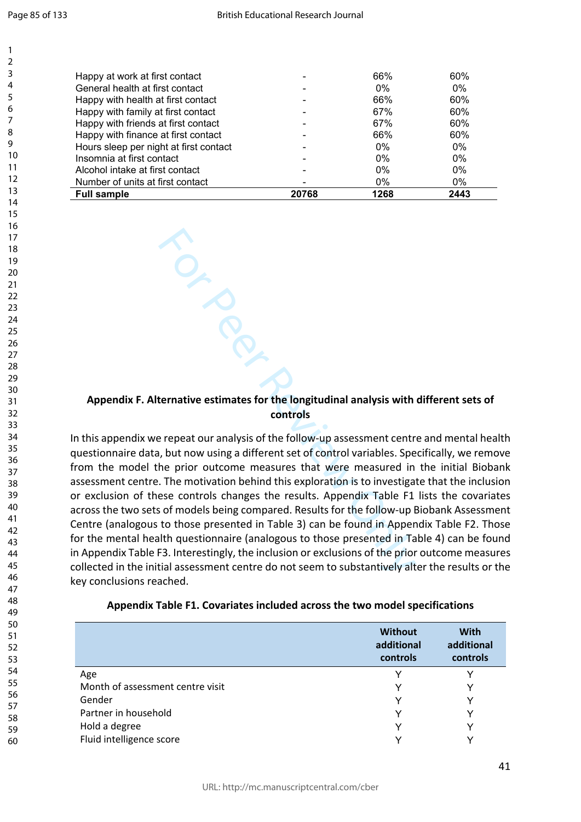| $\mathbf{1}$   |                                                                                          |          |       |       |
|----------------|------------------------------------------------------------------------------------------|----------|-------|-------|
| $\overline{2}$ |                                                                                          |          |       |       |
| 3              | Happy at work at first contact                                                           |          | 66%   | 60%   |
| 4              | General health at first contact                                                          |          | 0%    | 0%    |
| 5              | Happy with health at first contact                                                       |          | 66%   | 60%   |
| 6              | Happy with family at first contact                                                       |          | 67%   | 60%   |
| $\overline{7}$ | Happy with friends at first contact                                                      |          | 67%   | 60%   |
| 8              | Happy with finance at first contact                                                      |          | 66%   | 60%   |
| 9              | Hours sleep per night at first contact                                                   |          | 0%    | $0\%$ |
| 10             | Insomnia at first contact                                                                |          | 0%    | 0%    |
| 11             | Alcohol intake at first contact                                                          |          | 0%    | 0%    |
| 12             | Number of units at first contact                                                         |          | $0\%$ | 0%    |
| 13             | <b>Full sample</b>                                                                       | 20768    | 1268  | 2443  |
| 14             |                                                                                          |          |       |       |
| 15             |                                                                                          |          |       |       |
| 16             |                                                                                          |          |       |       |
| 17             |                                                                                          |          |       |       |
| 18             |                                                                                          |          |       |       |
| 19             |                                                                                          |          |       |       |
| 20             |                                                                                          |          |       |       |
| 21             |                                                                                          |          |       |       |
| 22             |                                                                                          |          |       |       |
| 23<br>24       |                                                                                          |          |       |       |
| 25             |                                                                                          |          |       |       |
| 26             |                                                                                          |          |       |       |
| 27             |                                                                                          |          |       |       |
| 28             |                                                                                          |          |       |       |
| 29             |                                                                                          |          |       |       |
| 30             |                                                                                          |          |       |       |
| 31             | Appendix F. Alternative estimates for the longitudinal analysis with different se        |          |       |       |
| 32             |                                                                                          | controls |       |       |
| 33             |                                                                                          |          |       |       |
| 34             |                                                                                          |          |       |       |
| 35             | In this appendix we repeat our analysis of the follow-up assessment centre and ment      |          |       |       |
| 36             | questionnaire data, but now using a different set of control variables. Specifically, we |          |       |       |
| 37             | from the model the prior outcome measures that were measured in the initial              |          |       |       |
|                |                                                                                          |          |       |       |

Alternative estimates for the longitudinal analysis with different sets of **controls**

Formative estimates for the longitudinal analysis with<br>
ternative estimates for the longitudinal analysis with<br>
tontrols<br>
peer Peer A cour analysis of the follow-up assessment centrical<br>
peer prior outcome measures that we we repeat our analysis of the follow-up assessment centre and mental health ata, but now using a different set of control variables. Specifically, we remove from the model the prior outcome measures that were measured in the initial Biobank assessment centre. The motivation behind this exploration is to investigate that the inclusion or exclusion of these controls changes the results. Appendix Table F1 lists the covariates across the two sets of models being compared. Results for the follow-up Biobank Assessment Centre (analogous to those presented in Table 3) can be found in Appendix Table F2. Those for the mental health questionnaire (analogous to those presented in Table 4) can be found in Appendix Table F3. Interestingly, the inclusion or exclusions of the prior outcome measures collected in the initial assessment centre do not seem to substantively alter the results or the key conclusions reached.

|                                  | <b>Without</b><br>additional<br>controls | <b>With</b><br>additional<br>controls |
|----------------------------------|------------------------------------------|---------------------------------------|
| Age                              | v                                        |                                       |
| Month of assessment centre visit | v                                        |                                       |
| Gender                           | v                                        |                                       |
| Partner in household             | v                                        |                                       |
| Hold a degree                    | v                                        |                                       |
| Fluid intelligence score         | ◡                                        |                                       |

| Appendix Table F1. Covariates included across the two model specifications |  |  |  |  |
|----------------------------------------------------------------------------|--|--|--|--|
|----------------------------------------------------------------------------|--|--|--|--|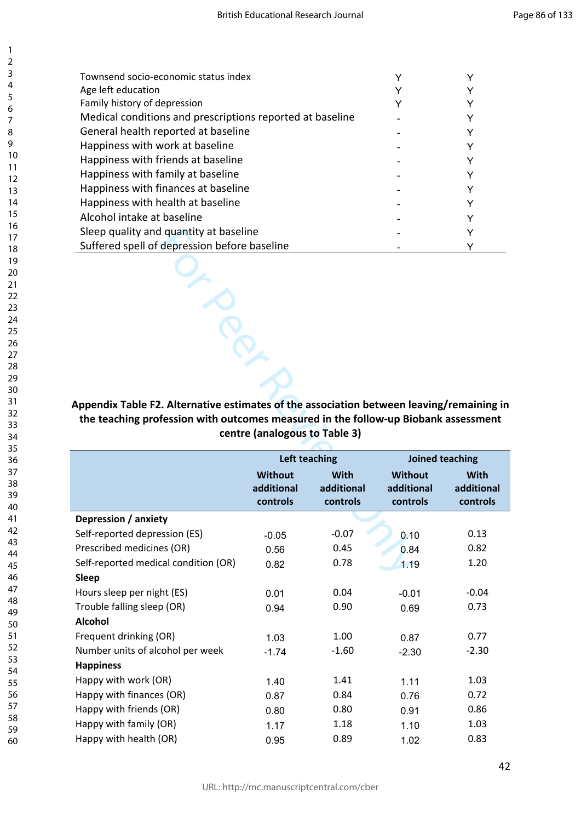| Townsend socio-economic status index                      |  |
|-----------------------------------------------------------|--|
| Age left education                                        |  |
| Family history of depression                              |  |
| Medical conditions and prescriptions reported at baseline |  |
| General health reported at baseline                       |  |
| Happiness with work at baseline                           |  |
| Happiness with friends at baseline                        |  |
| Happiness with family at baseline                         |  |
| Happiness with finances at baseline                       |  |
| Happiness with health at baseline                         |  |
| Alcohol intake at baseline                                |  |
| Sleep quality and quantity at baseline                    |  |
| Suffered spell of depression before baseline              |  |

 $\mathbf{1}$  $\overline{2}$ 3  $\overline{4}$ 5 6  $\overline{7}$ 8 9

# **PRIMER Appendix Table F2. Alternative estimates of the association between leaving/remaining in the teaching profession with outcomes measured in the follow-up Biobank assessment centre (analogous to Table 3)**

|                                      | Left teaching                            |                                       |                                          | Joined teaching                       |
|--------------------------------------|------------------------------------------|---------------------------------------|------------------------------------------|---------------------------------------|
|                                      | <b>Without</b><br>additional<br>controls | <b>With</b><br>additional<br>controls | <b>Without</b><br>additional<br>controls | <b>With</b><br>additional<br>controls |
| Depression / anxiety                 |                                          |                                       |                                          |                                       |
| Self-reported depression (ES)        | $-0.05$                                  | $-0.07$                               | 0.10                                     | 0.13                                  |
| Prescribed medicines (OR)            | 0.56                                     | 0.45                                  | 0.84                                     | 0.82                                  |
| Self-reported medical condition (OR) | 0.82                                     | 0.78                                  | 1.19                                     | 1.20                                  |
| <b>Sleep</b>                         |                                          |                                       |                                          |                                       |
| Hours sleep per night (ES)           | 0.01                                     | 0.04                                  | $-0.01$                                  | $-0.04$                               |
| Trouble falling sleep (OR)           | 0.94                                     | 0.90                                  | 0.69                                     | 0.73                                  |
| <b>Alcohol</b>                       |                                          |                                       |                                          |                                       |
| Frequent drinking (OR)               | 1.03                                     | 1.00                                  | 0.87                                     | 0.77                                  |
| Number units of alcohol per week     | $-1.74$                                  | $-1.60$                               | $-2.30$                                  | $-2.30$                               |
| <b>Happiness</b>                     |                                          |                                       |                                          |                                       |
| Happy with work (OR)                 | 1.40                                     | 1.41                                  | 1.11                                     | 1.03                                  |
| Happy with finances (OR)             | 0.87                                     | 0.84                                  | 0.76                                     | 0.72                                  |
| Happy with friends (OR)              | 0.80                                     | 0.80                                  | 0.91                                     | 0.86                                  |
| Happy with family (OR)               | 1.17                                     | 1.18                                  | 1.10                                     | 1.03                                  |
| Happy with health (OR)               | 0.95                                     | 0.89                                  | 1.02                                     | 0.83                                  |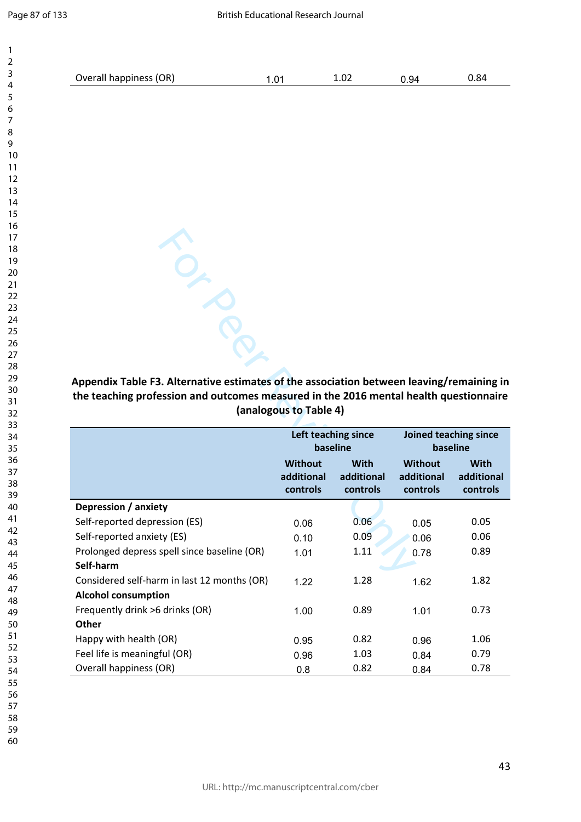$\mathbf{1}$  $\overline{2}$  $\overline{3}$  $\overline{4}$ 5 6  $\overline{7}$ 8 9

| Overall happiness (OR) | 1.01 | 1.02 | 0.94 | 0.84 |
|------------------------|------|------|------|------|
|                        |      |      |      |      |
|                        |      |      |      |      |
|                        |      |      |      |      |
|                        |      |      |      |      |
|                        |      |      |      |      |

For Peer Review Only **Appendix Table F3. Alternative estimates of the association between leaving/remaining in the teaching profession and outcomes measured in the 2016 mental health questionnaire (analogous to Table 4)**

|                                             | Left teaching since<br>baseline          |                                       | Joined teaching since                    | baseline                              |
|---------------------------------------------|------------------------------------------|---------------------------------------|------------------------------------------|---------------------------------------|
|                                             | <b>Without</b><br>additional<br>controls | <b>With</b><br>additional<br>controls | <b>Without</b><br>additional<br>controls | <b>With</b><br>additional<br>controls |
| Depression / anxiety                        |                                          |                                       |                                          |                                       |
| Self-reported depression (ES)               | 0.06                                     | 0.06                                  | 0.05                                     | 0.05                                  |
| Self-reported anxiety (ES)                  | 0.10                                     | 0.09                                  | 0.06                                     | 0.06                                  |
| Prolonged depress spell since baseline (OR) | 1.01                                     | 1.11                                  | 0.78                                     | 0.89                                  |
| Self-harm                                   |                                          |                                       |                                          |                                       |
| Considered self-harm in last 12 months (OR) | 1.22                                     | 1.28                                  | 1.62                                     | 1.82                                  |
| <b>Alcohol consumption</b>                  |                                          |                                       |                                          |                                       |
| Frequently drink >6 drinks (OR)             | 1.00                                     | 0.89                                  | 1.01                                     | 0.73                                  |
| <b>Other</b>                                |                                          |                                       |                                          |                                       |
| Happy with health (OR)                      | 0.95                                     | 0.82                                  | 0.96                                     | 1.06                                  |
| Feel life is meaningful (OR)                | 0.96                                     | 1.03                                  | 0.84                                     | 0.79                                  |
| Overall happiness (OR)                      | 0.8                                      | 0.82                                  | 0.84                                     | 0.78                                  |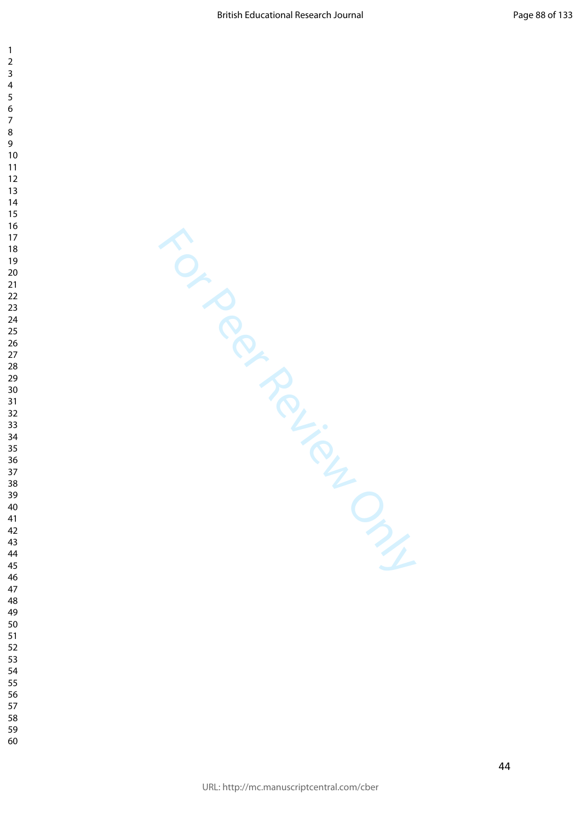$\mathbf{1}$  $\overline{2}$ 

 

 

URL: http://mc.manuscriptcentral.com/cber

For Per Review Only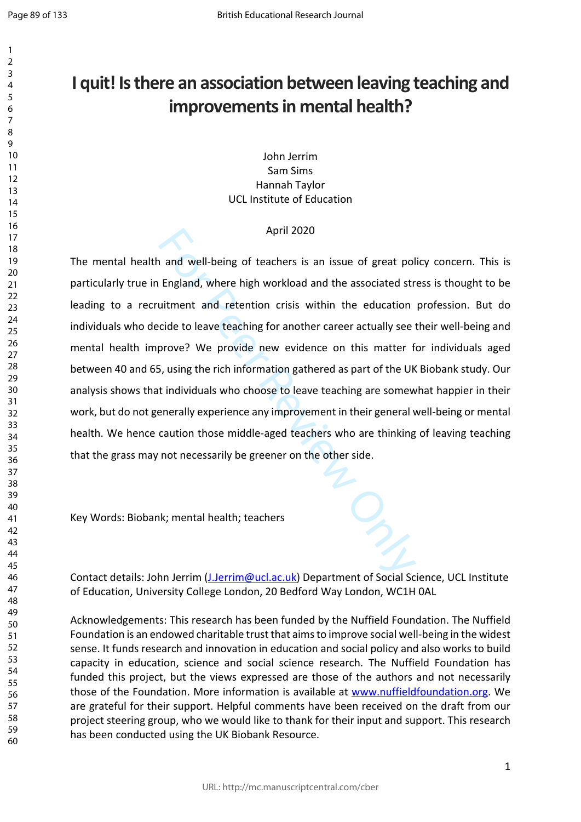$\mathbf{1}$  $\overline{2}$  $\overline{3}$  $\overline{4}$ 5 6  $\overline{7}$ 8  $\mathsf{Q}$ 

# **I quit! Is there an association between leaving teaching and improvements in mental health?**

John Jerrim Sam Sims Hannah Taylor UCL Institute of Education

#### April 2020

April 2020<br>
April 2020<br>
In and well-being of teachers is an issue of great pol<br>
England, where high workload and the associated struitment and retention crisis within the education<br>
cide to leave teaching for another caree The mental health and well-being of teachers is an issue of great policy concern. This is particularly true in England, where high workload and the associated stress is thought to be leading to a recruitment and retention crisis within the education profession. But do individuals who decide to leave teaching for another career actually see their well-being and mental health improve? We provide new evidence on this matter for individuals aged between 40 and 65, using the rich information gathered as part of the UK Biobank study. Our analysis shows that individuals who choose to leave teaching are somewhat happier in their work, but do not generally experience any improvement in their general well-being or mental health. We hence caution those middle-aged teachers who are thinking of leaving teaching that the grass may not necessarily be greener on the other side.

Key Words: Biobank; mental health; teachers

Contact details: John Jerrim (J.Jerrim@ucl.ac.uk) Department of Social Science, UCL Institute of Education, University College London, 20 Bedford Way London, WC1H 0AL

Acknowledgements: This research has been funded by the Nuffield Foundation. The Nuffield Foundation is an endowed charitable trust that aims to improve social well-being in the widest sense. It funds research and innovation in education and social policy and also works to build capacity in education, science and social science research. The Nuffield Foundation has funded this project, but the views expressed are those of the authors and not necessarily those of the Foundation. More information is available at [www.nuffieldfoundation.org](http://www.nuffieldfoundation.org). We are grateful for their support. Helpful comments have been received on the draft from our project steering group, who we would like to thank for their input and support. This research has been conducted using the UK Biobank Resource.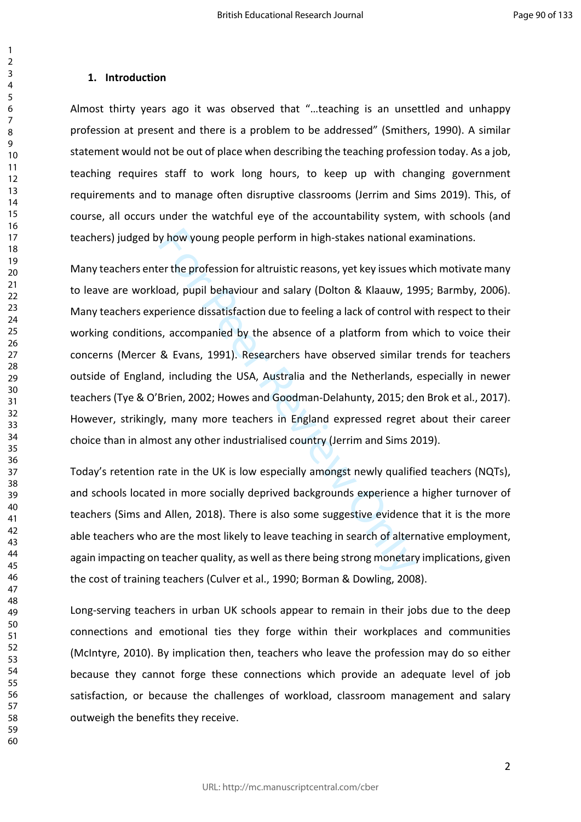#### **1. Introduction**

Almost thirty years ago it was observed that "…teaching is an unsettled and unhappy profession at present and there is a problem to be addressed" (Smithers, 1990). A similar statement would not be out of place when describing the teaching profession today. As a job, teaching requires staff to work long hours, to keep up with changing government requirements and to manage often disruptive classrooms (Jerrim and Sims 2019). This, of course, all occurs under the watchful eye of the accountability system, with schools (and teachers) judged by how young people perform in high-stakes national examinations.

y how young people perform in high-stakes national e:<br>er the profession for altruistic reasons, yet key issues w<br>oad, pupil behaviour and salary (Dolton & Klaauw, 19<br>erience dissatisfaction due to feeling a lack of control Many teachers enter the profession for altruistic reasons, yet key issues which motivate many to leave are workload, pupil behaviour and salary (Dolton & Klaauw, 1995; Barmby, 2006). Many teachers experience dissatisfaction due to feeling a lack of control with respect to their working conditions, accompanied by the absence of a platform from which to voice their concerns (Mercer & Evans, 1991). Researchers have observed similar trends for teachers outside of England, including the USA, Australia and the Netherlands, especially in newer teachers (Tye & O'Brien, 2002; Howes and Goodman-Delahunty, 2015; den Brok et al., 2017). However, strikingly, many more teachers in England expressed regret about their career choice than in almost any other industrialised country (Jerrim and Sims 2019).

Today's retention rate in the UK is low especially amongst newly qualified teachers (NQTs), and schools located in more socially deprived backgrounds experience a higher turnover of teachers (Sims and Allen, 2018). There is also some suggestive evidence that it is the more able teachers who are the most likely to leave teaching in search of alternative employment, again impacting on teacher quality, as well as there being strong monetary implications, given the cost of training teachers (Culver et al., 1990; Borman & Dowling, 2008).

Long-serving teachers in urban UK schools appear to remain in their jobs due to the deep connections and emotional ties they forge within their workplaces and communities (McIntyre, 2010). By implication then, teachers who leave the profession may do so either because they cannot forge these connections which provide an adequate level of job satisfaction, or because the challenges of workload, classroom management and salary outweigh the benefits they receive.

 $\mathbf{1}$  $\overline{2}$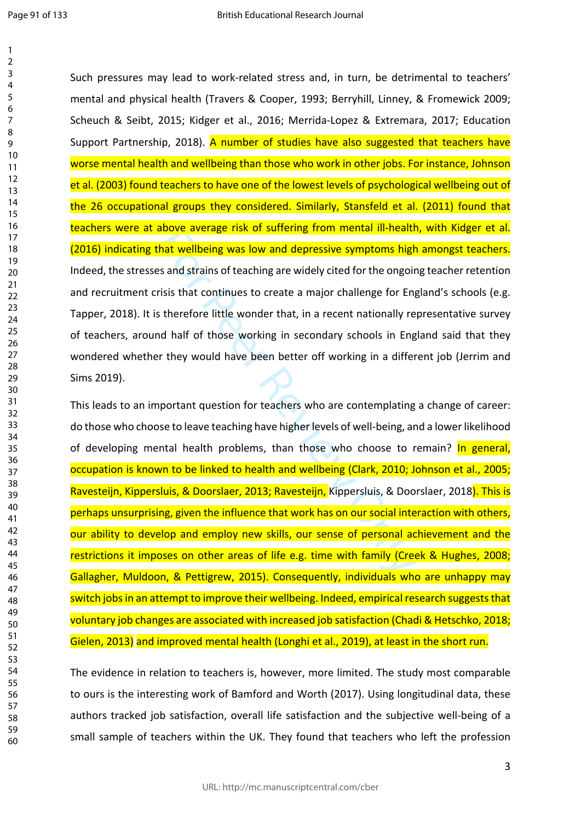$\mathbf{1}$ 

Such pressures may lead to work-related stress and, in turn, be detrimental to teachers' mental and physical health (Travers & Cooper, 1993; Berryhill, Linney, & Fromewick 2009; Scheuch & Seibt, 2015; Kidger et al., 2016; Merrida-Lopez & Extremara, 2017; Education Support Partnership, 2018). A number of studies have also suggested that teachers have worse mental health and wellbeing than those who work in other jobs. For instance, Johnson et al. (2003) found teachers to have one of the lowest levels of psychological wellbeing out of the 26 occupational groups they considered. Similarly, Stansfeld et al. (2011) found that teachers were at above average risk of suffering from mental ill-health, with Kidger et al. (2016) indicating that wellbeing was low and depressive symptoms high amongst teachers. Indeed, the stresses and strains of teaching are widely cited for the ongoing teacher retention and recruitment crisis that continues to create a major challenge for England's schools (e.g. Tapper, 2018). It is therefore little wonder that, in a recent nationally representative survey of teachers, around half of those working in secondary schools in England said that they wondered whether they would have been better off working in a different job (Jerrim and Sims 2019).

above average risk or surrenng from mentar in-neart<br>hat wellbeing was low and depressive symptoms high<br>is and strains of teaching are widely cited for the ongoir<br>isis that continues to create a major challenge for Eng<br>ther This leads to an important question for teachers who are contemplating a change of career: do those who choose to leave teaching have higher levels of well-being, and a lower likelihood of developing mental health problems, than those who choose to remain? In general, occupation is known to be linked to health and wellbeing (Clark, 2010; Johnson et al., 2005; Ravesteijn, Kippersluis, & Doorslaer, 2013; Ravesteijn, Kippersluis, & Doorslaer, 2018). This is perhaps unsurprising, given the influence that work has on our social interaction with others, our ability to develop and employ new skills, our sense of personal achievement and the restrictions it imposes on other areas of life e.g. time with family (Creek & Hughes, 2008; Gallagher, Muldoon, & Pettigrew, 2015). Consequently, individuals who are unhappy may switch jobs in an attempt to improve their wellbeing. Indeed, empirical research suggests that voluntary job changes are associated with increased job satisfaction (Chadi & Hetschko, 2018; Gielen, 2013) and improved mental health (Longhi et al., 2019), at least in the short run.

The evidence in relation to teachers is, however, more limited. The study most comparable to ours is the interesting work of Bamford and Worth (2017). Using longitudinal data, these authors tracked job satisfaction, overall life satisfaction and the subjective well-being of a small sample of teachers within the UK. They found that teachers who left the profession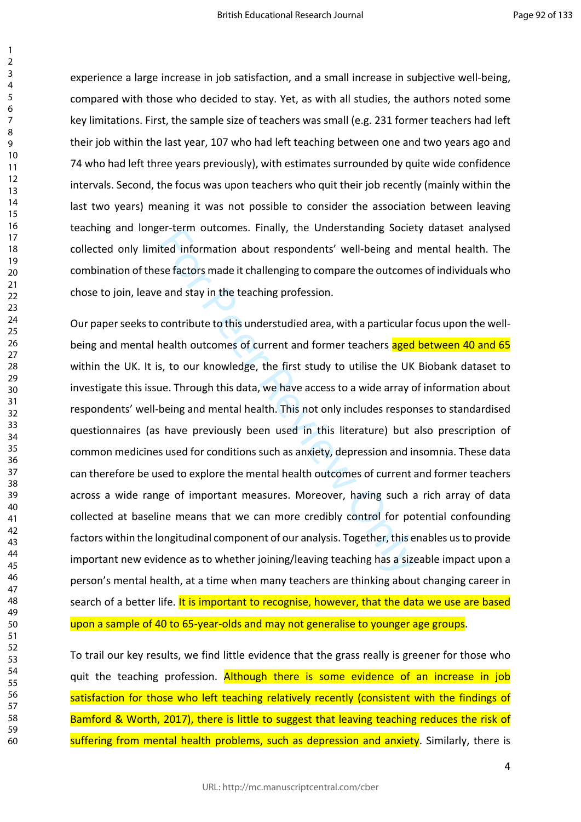experience a large increase in job satisfaction, and a small increase in subjective well-being, compared with those who decided to stay. Yet, as with all studies, the authors noted some key limitations. First, the sample size of teachers was small (e.g. 231 former teachers had left their job within the last year, 107 who had left teaching between one and two years ago and 74 who had left three years previously), with estimates surrounded by quite wide confidence intervals. Second, the focus was upon teachers who quit their job recently (mainly within the last two years) meaning it was not possible to consider the association between leaving teaching and longer-term outcomes. Finally, the Understanding Society dataset analysed collected only limited information about respondents' well-being and mental health. The combination of these factors made it challenging to compare the outcomes of individuals who chose to join, leave and stay in the teaching profession.

Entimation about respondents' well-being and<br>se factors made it challenging to compare the outcome<br>and stay in the teaching profession.<br>contribute to this understudied area, with a particular<br>nealth outcomes of current and Our paper seeks to contribute to this understudied area, with a particular focus upon the wellbeing and mental health outcomes of current and former teachers aged between 40 and 65 within the UK. It is, to our knowledge, the first study to utilise the UK Biobank dataset to investigate this issue. Through this data, we have access to a wide array of information about respondents' well-being and mental health. This not only includes responses to standardised questionnaires (as have previously been used in this literature) but also prescription of common medicines used for conditions such as anxiety, depression and insomnia. These data can therefore be used to explore the mental health outcomes of current and former teachers across a wide range of important measures. Moreover, having such a rich array of data collected at baseline means that we can more credibly control for potential confounding factors within the longitudinal component of our analysis. Together, this enables us to provide important new evidence as to whether joining/leaving teaching has a sizeable impact upon a person's mental health, at a time when many teachers are thinking about changing career in search of a better life. It is important to recognise, however, that the data we use are based upon a sample of 40 to 65-year-olds and may not generalise to younger age groups.

To trail our key results, we find little evidence that the grass really is greener for those who quit the teaching profession. Although there is some evidence of an increase in job satisfaction for those who left teaching relatively recently (consistent with the findings of Bamford & Worth, 2017), there is little to suggest that leaving teaching reduces the risk of suffering from mental health problems, such as depression and anxiety. Similarly, there is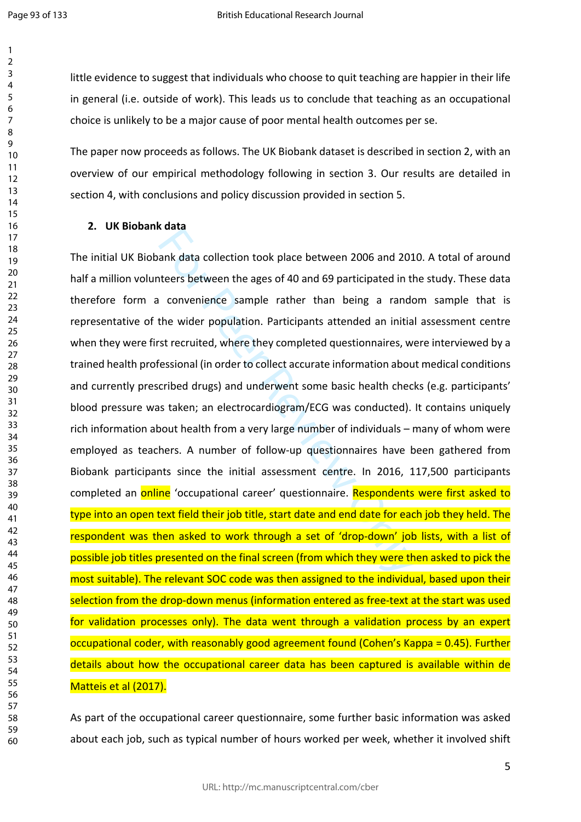$\mathbf{1}$ 

  little evidence to suggest that individuals who choose to quit teaching are happier in their life in general (i.e. outside of work). This leads us to conclude that teaching as an occupational choice is unlikely to be a major cause of poor mental health outcomes per se.

The paper now proceeds as follows. The UK Biobank dataset is described in section 2, with an overview of our empirical methodology following in section 3. Our results are detailed in section 4, with conclusions and policy discussion provided in section 5.

#### **2. UK Biobank data**

ank data collection took place between 2006 and 201<br>ank data collection took place between 2006 and 201<br>teers between the ages of 40 and 69 participated in th<br>convenience sample rather than being a rando<br>the wider populati The initial UK Biobank data collection took place between 2006 and 2010. A total of around half a million volunteers between the ages of 40 and 69 participated in the study. These data therefore form a convenience sample rather than being a random sample that is representative of the wider population. Participants attended an initial assessment centre when they were first recruited, where they completed questionnaires, were interviewed by a trained health professional (in order to collect accurate information about medical conditions and currently prescribed drugs) and underwent some basic health checks (e.g. participants' blood pressure was taken; an electrocardiogram/ECG was conducted). It contains uniquely rich information about health from a very large number of individuals – many of whom were employed as teachers. A number of follow-up questionnaires have been gathered from Biobank participants since the initial assessment centre. In 2016, 117,500 participants completed an **online** 'occupational career' questionnaire. Respondents were first asked to type into an open text field their job title, start date and end date for each job they held. The respondent was then asked to work through a set of 'drop-down' job lists, with a list of possible job titles presented on the final screen (from which they were then asked to pick the most suitable). The relevant SOC code was then assigned to the individual, based upon their selection from the drop-down menus (information entered as free-text at the start was used for validation processes only). The data went through a validation process by an expert occupational coder, with reasonably good agreement found (Cohen's Kappa = 0.45). Further details about how the occupational career data has been captured is available within de Matteis et al (2017).

As part of the occupational career questionnaire, some further basic information was asked about each job, such as typical number of hours worked per week, whether it involved shift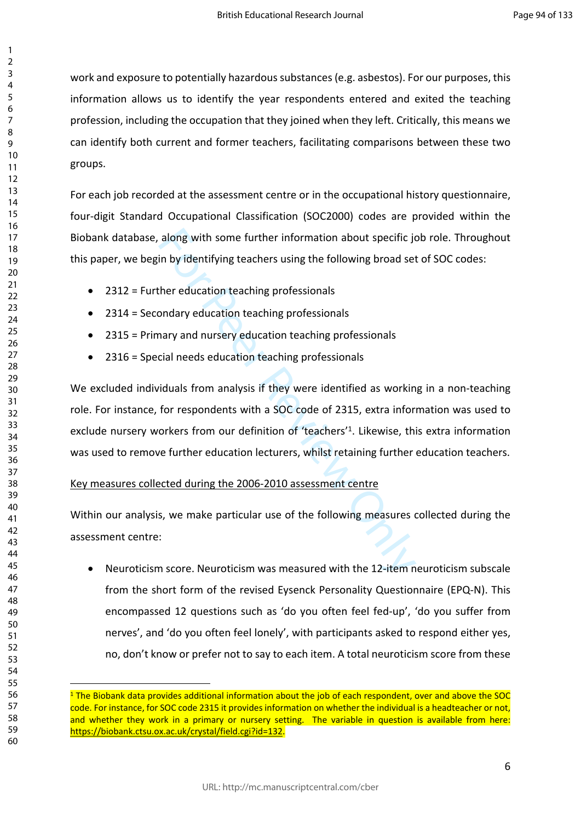work and exposure to potentially hazardous substances (e.g. asbestos). For our purposes, this information allows us to identify the year respondents entered and exited the teaching profession, including the occupation that they joined when they left. Critically, this means we can identify both current and former teachers, facilitating comparisons between these two groups.

For each job recorded at the assessment centre or in the occupational history questionnaire, four-digit Standard Occupational Classification (SOC2000) codes are provided within the Biobank database, along with some further information about specific job role. Throughout this paper, we begin by identifying teachers using the following broad set of SOC codes:

2312 = Further education teaching professionals

123456789

 $\mathbf{1}$  $\overline{2}$ 3  $\overline{4}$ 5 6  $\overline{7}$ 8  $\mathsf{Q}$ 

- 2314 = Secondary education teaching professionals
- 2315 = Primary and nursery education teaching professionals
- 2316 = Special needs education teaching professionals

along with some further information about specific join by identifying teachers using the following broad set<br>ther education teaching professionals<br>ondary education teaching professionals<br>arry and nursery education teachin We excluded individuals from analysis if they were identified as working in a non-teaching role. For instance, for respondents with a SOC code of 2315, extra information was used to exclude nursery workers from our definition of 'teachers'<sup>1</sup>. Likewise, this extra information was used to remove further education lecturers, whilst retaining further education teachers.

#### Key measures collected during the 2006-2010 assessment centre

Within our analysis, we make particular use of the following measures collected during the assessment centre:

 Neuroticism score. Neuroticism was measured with the 12-item neuroticism subscale from the short form of the revised Eysenck Personality Questionnaire (EPQ-N). This encompassed 12 questions such as 'do you often feel fed-up', 'do you suffer from nerves', and 'do you often feel lonely', with participants asked to respond either yes, no, don't know or prefer not to say to each item. A total neuroticism score from these

<sup>&</sup>lt;sup>1</sup> The Biobank data provides additional information about the job of each respondent, over and above the SOC code. For instance, for SOC code 2315 it provides information on whether the individual is a headteacher or not, and whether they work in a primary or nursery setting. The variable in question is available from here: [https://biobank.ctsu.ox.ac.uk/crystal/field.cgi?id=132.](https://biobank.ctsu.ox.ac.uk/crystal/field.cgi?id=132)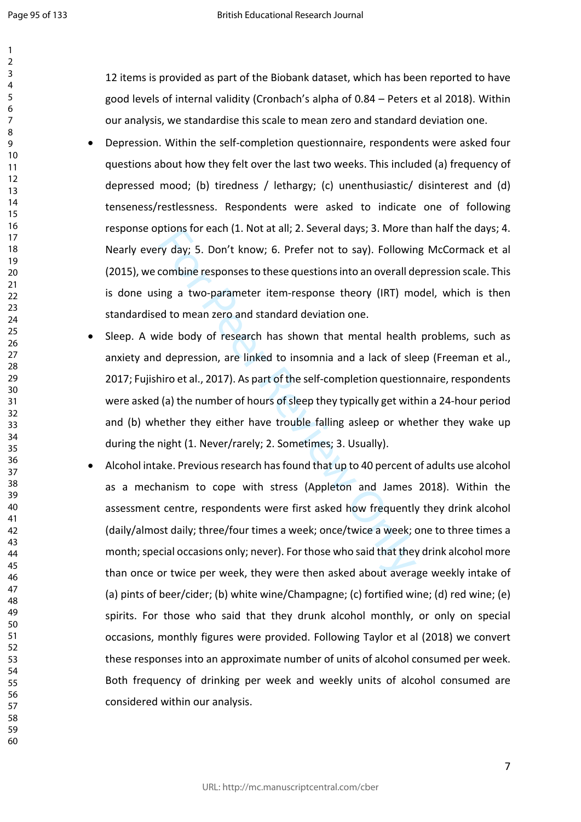$\mathbf{1}$ 

12 items is provided as part of the Biobank dataset, which has been reported to have good levels of internal validity (Cronbach's alpha of 0.84 – Peters et al 2018). Within our analysis, we standardise this scale to mean zero and standard deviation one.

- Depression. Within the self-completion questionnaire, respondents were asked four questions about how they felt over the last two weeks. This included (a) frequency of depressed mood; (b) tiredness / lethargy; (c) unenthusiastic/ disinterest and (d) tenseness/restlessness. Respondents were asked to indicate one of following response options for each (1. Not at all; 2. Several days; 3. More than half the days; 4. Nearly every day; 5. Don't know; 6. Prefer not to say). Following McCormack et al (2015), we combine responses to these questions into an overall depression scale. This is done using a two-parameter item-response theory (IRT) model, which is then standardised to mean zero and standard deviation one.
- Sleep. A wide body of research has shown that mental health problems, such as anxiety and depression, are linked to insomnia and a lack of sleep (Freeman et al., 2017; [Fujishiro](https://www.sciencedirect.com/science/article/abs/pii/S0277953617305531) et al., 2017). As part of the self-completion questionnaire, respondents were asked (a) the number of hours of sleep they typically get within a 24-hour period and (b) whether they either have trouble falling asleep or whether they wake up during the night (1. Never/rarely; 2. Sometimes; 3. Usually).
- pluons for each (1. Not at all; 2. Several days; 3. More the<br>ry day; 5. Don't know; 6. Prefer not to say). Followir<br>combine responses to these questions into an overall d<br>ing a two-parameter item-response theory (IRT) med<br> Alcohol intake. Previous research has found that up to 40 percent of adults use alcohol as a mechanism to cope with stress (Appleton and James 2018). Within the assessment centre, respondents were first asked how frequently they drink alcohol (daily/almost daily; three/four times a week; once/twice a week; one to three times a month; special occasions only; never). For those who said that they drink alcohol more than once or twice per week, they were then asked about average weekly intake of (a) pints of beer/cider; (b) white wine/Champagne; (c) fortified wine; (d) red wine; (e) spirits. For those who said that they drunk alcohol monthly, or only on special occasions, monthly figures were provided. Following Taylor et al (2018) we convert these responses into an approximate number of units of alcohol consumed per week. Both frequency of drinking per week and weekly units of alcohol consumed are considered within our analysis.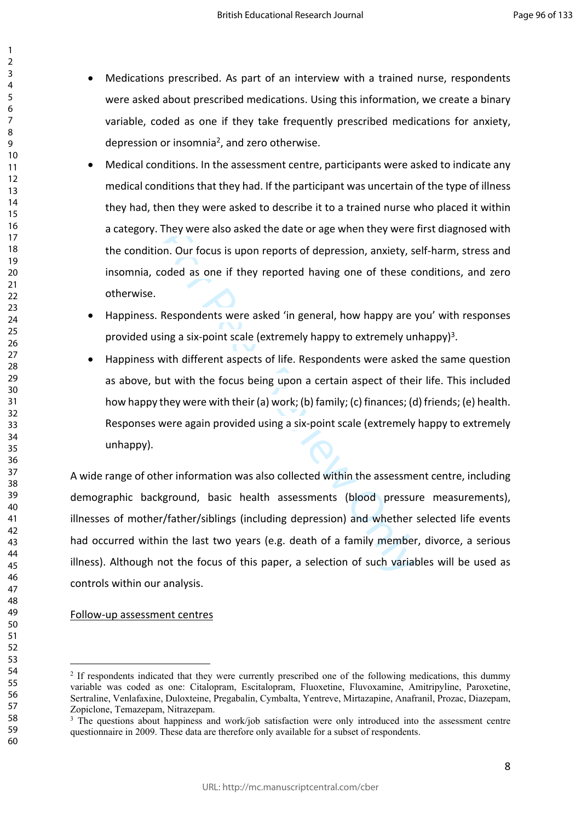- Medications prescribed. As part of an interview with a trained nurse, respondents were asked about prescribed medications. Using this information, we create a binary variable, coded as one if they take frequently prescribed medications for anxiety, depression or insomnia 2 , and zero otherwise.
	- Medical conditions. In the assessment centre, participants were asked to indicate any medical conditions that they had. If the participant was uncertain of the type of illness they had, then they were asked to describe it to a trained nurse who placed it within a category. They were also asked the date or age when they were first diagnosed with the condition. Our focus is upon reports of depression, anxiety, self-harm, stress and insomnia, coded as one if they reported having one of these conditions, and zero otherwise.
	- Happiness. Respondents were asked 'in general, how happy are you' with responses provided using a six-point scale (extremely happy to extremely unhappy)<sup>3</sup>.
	- Happiness with different aspects of life. Respondents were asked the same question as above, but with the focus being upon a certain aspect of their life. This included how happy they were with their (a) work; (b) family; (c) finances; (d) friends; (e) health. Responses were again provided using a six-point scale (extremely happy to extremely unhappy).

They were also asked the date or age when they were<br>on. Our focus is upon reports of depression, anxiety, so<br>coded as one if they reported having one of these c<br>Respondents were asked 'in general, how happy are v<br>sing a si A wide range of other information was also collected within the assessment centre, including demographic background, basic health assessments (blood pressure measurements), illnesses of mother/father/siblings (including depression) and whether selected life events had occurred within the last two years (e.g. death of a family member, divorce, a serious illness). Although not the focus of this paper, a selection of such variables will be used as controls within our analysis.

#### Follow-up assessment centres

 $\mathbf{1}$ 

<sup>&</sup>lt;sup>2</sup> If respondents indicated that they were currently prescribed one of the following medications, this dummy variable was coded as one: Citalopram, Escitalopram, Fluoxetine, Fluvoxamine, Amitripyline, Paroxetine, Sertraline, Venlafaxine, Duloxteine, Pregabalin, Cymbalta, Yentreve, Mirtazapine, Anafranil, Prozac, Diazepam, Zopiclone, Temazepam, Nitrazepam.

<sup>&</sup>lt;sup>3</sup> The questions about happiness and work/job satisfaction were only introduced into the assessment centre questionnaire in 2009. These data are therefore only available for a subset of respondents.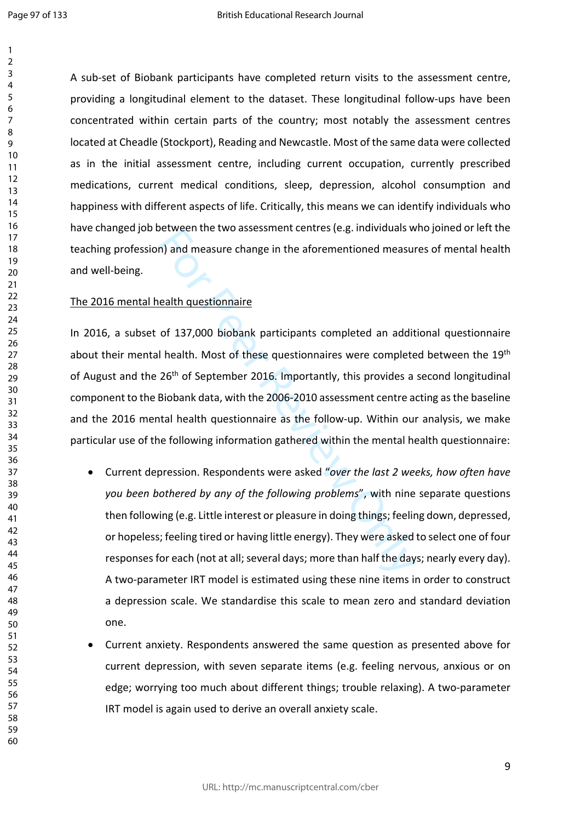$\mathbf{1}$  $\overline{2}$ 

A sub-set of Biobank participants have completed return visits to the assessment centre, providing a longitudinal element to the dataset. These longitudinal follow-ups have been concentrated within certain parts of the country; most notably the assessment centres located at Cheadle (Stockport), Reading and Newcastle. Most of the same data were collected as in the initial assessment centre, including current occupation, currently prescribed medications, current medical conditions, sleep, depression, alcohol consumption and happiness with different aspects of life. Critically, this means we can identify individuals who have changed job between the two assessment centres (e.g. individuals who joined or left the teaching profession) and measure change in the aforementioned measures of mental health and well-being.

#### The 2016 mental health questionnaire

many and measure change in the aforementioned measur<br>
m) and measure change in the aforementioned measur<br>
ealth questionnaire<br>
of 137,000 biobank participants completed an addit<br>
I health. Most of these questionnaires were In 2016, a subset of 137,000 biobank participants completed an additional questionnaire about their mental health. Most of these questionnaires were completed between the 19<sup>th</sup> of August and the 26<sup>th</sup> of September 2016. Importantly, this provides a second longitudinal component to the Biobank data, with the 2006-2010 assessment centre acting as the baseline and the 2016 mental health questionnaire as the follow-up. Within our analysis, we make particular use of the following information gathered within the mental health questionnaire:

- Current depression. Respondents were asked "*over the last 2 weeks, how often have you been bothered by any of the following problems*", with nine separate questions then following (e.g. Little interest or pleasure in doing things; feeling down, depressed, or hopeless; feeling tired or having little energy). They were asked to select one of four responses for each (not at all; several days; more than half the days; nearly every day). A two-parameter IRT model is estimated using these nine items in order to construct a depression scale. We standardise this scale to mean zero and standard deviation one.
- Current anxiety. Respondents answered the same question as presented above for current depression, with seven separate items (e.g. feeling nervous, anxious or on edge; worrying too much about different things; trouble relaxing). A two-parameter IRT model is again used to derive an overall anxiety scale.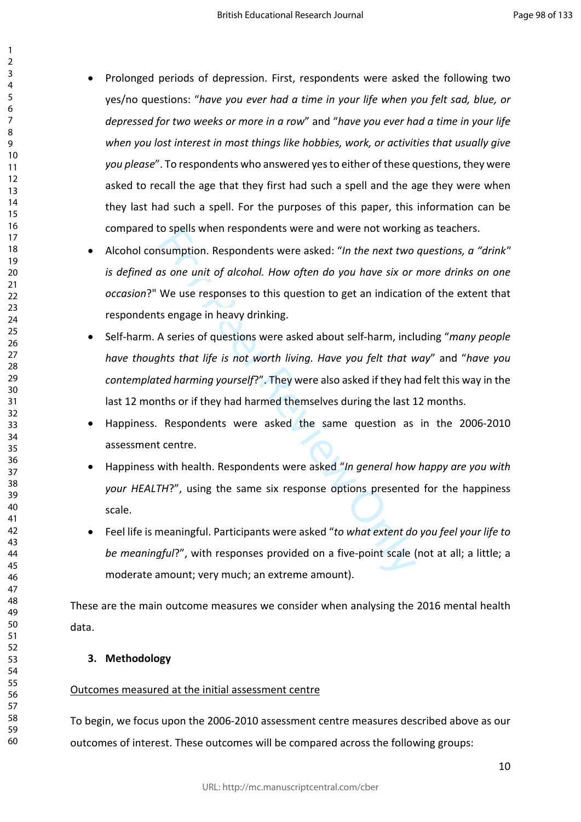- Prolonged periods of depression. First, respondents were asked the following two yes/no questions: "*have you ever had a time in your life when you felt sad, blue, or depressed for two weeks or more in a row*" and "*have you ever had a time in your life when you lost interest in most things like hobbies, work, or activities that usually give you please*". To respondents who answered yes to either of these questions, they were asked to recall the age that they first had such a spell and the age they were when they last had such a spell. For the purposes of this paper, this information can be compared to spells when respondents were and were not working as teachers.
	- to spells when respondents were and were not working<br>Islumption. Respondents were asked: "In the next two<br>as one unit of alcohol. How often do you have six or<br>We use responses to this question to get an indicatio<br>is engage Alcohol consumption. Respondents were asked: "*In the next two questions, a "drink" is defined as one unit of alcohol. How often do you have six or more drinks on one occasion*?" We use responses to this question to get an indication of the extent that respondents engage in heavy drinking.
- Self-harm. A series of questions were asked about self-harm, including "*many people have thoughts that life is not worth living. Have you felt that way*" and "*have you contemplated harming yourself*?". They were also asked if they had felt this way in the last 12 months or if they had harmed themselves during the last 12 months.
- Happiness. Respondents were asked the same question as in the 2006-2010 assessment centre.
- Happiness with health. Respondents were asked "*In general how happy are you with your HEALTH*?", using the same six response options presented for the happiness scale.
- Feel life is meaningful. Participants were asked "*to what extent do you feel your life to be meaningful*?", with responses provided on a five-point scale (not at all; a little; a moderate amount; very much; an extreme amount).

These are the main outcome measures we consider when analysing the 2016 mental health data.

#### **3. Methodology**

123456789

 $\mathbf{1}$  $\overline{2}$  $\overline{3}$  $\overline{4}$ 5 6  $\overline{7}$ 8 9

#### Outcomes measured at the initial assessment centre

To begin, we focus upon the 2006-2010 assessment centre measures described above as our outcomes of interest. These outcomes will be compared across the following groups: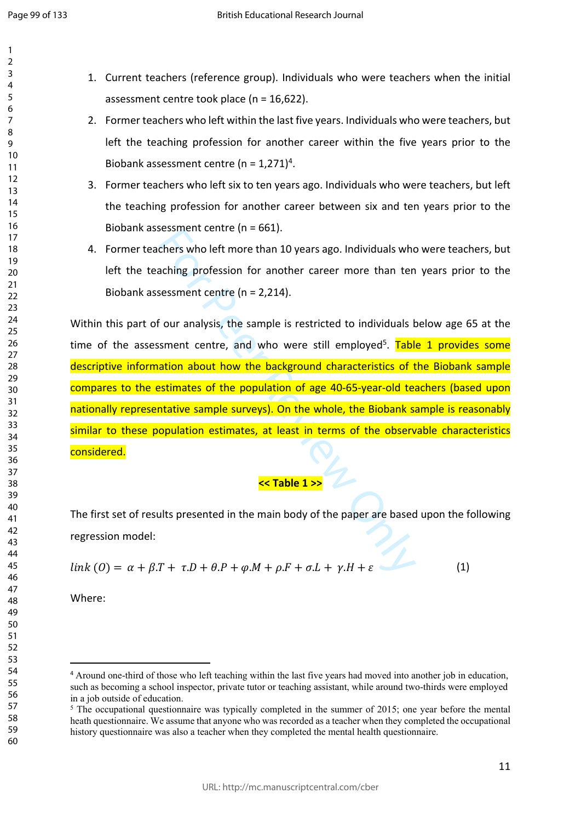$\mathbf{1}$ 

- 1. Current teachers (reference group). Individuals who were teachers when the initial assessment centre took place (n = 16,622).
	- 2. Former teachers who left within the last five years. Individuals who were teachers, but left the teaching profession for another career within the five years prior to the Biobank assessment centre ( $n = 1,271$ )<sup>4</sup>.
	- 3. Former teachers who left six to ten years ago. Individuals who were teachers, but left the teaching profession for another career between six and ten years prior to the Biobank assessment centre (n = 661).
	- 4. Former teachers who left more than 10 years ago. Individuals who were teachers, but left the teaching profession for another career more than ten years prior to the Biobank assessment centre (n = 2,214).

bessinent centre (ii – oo 1).<br>
Schers who left more than 10 years ago. Individuals who<br>
aching profession for another career more than ten<br>
sessment centre (n = 2,214).<br>
Four analysis, the sample is restricted to individu Within this part of our analysis, the sample is restricted to individuals below age 65 at the time of the assessment centre, and who were still employed<sup>5</sup>. Table 1 provides some descriptive information about how the background characteristics of the Biobank sample compares to the estimates of the population of age 40-65-year-old teachers (based upon nationally representative sample surveys). On the whole, the Biobank sample is reasonably similar to these population estimates, at least in terms of the observable characteristics considered.

# **Example 1 >>>>>>>**

The first set of results presented in the main body of the paper are based upon the following regression model:

 $\lim_{\alpha \to 0} k(0) = \alpha + \beta \cdot T + \tau \cdot D + \theta \cdot P + \varphi \cdot M + \rho \cdot F + \sigma \cdot L + \gamma \cdot H + \varepsilon$  (1)

Where:

 Around one-third of those who left teaching within the last five years had moved into another job in education, such as becoming a school inspector, private tutor or teaching assistant, while around two-thirds were employed in a job outside of education.

<sup>&</sup>lt;sup>5</sup> The occupational questionnaire was typically completed in the summer of 2015; one year before the mental heath questionnaire. We assume that anyone who was recorded as a teacher when they completed the occupational history questionnaire was also a teacher when they completed the mental health questionnaire.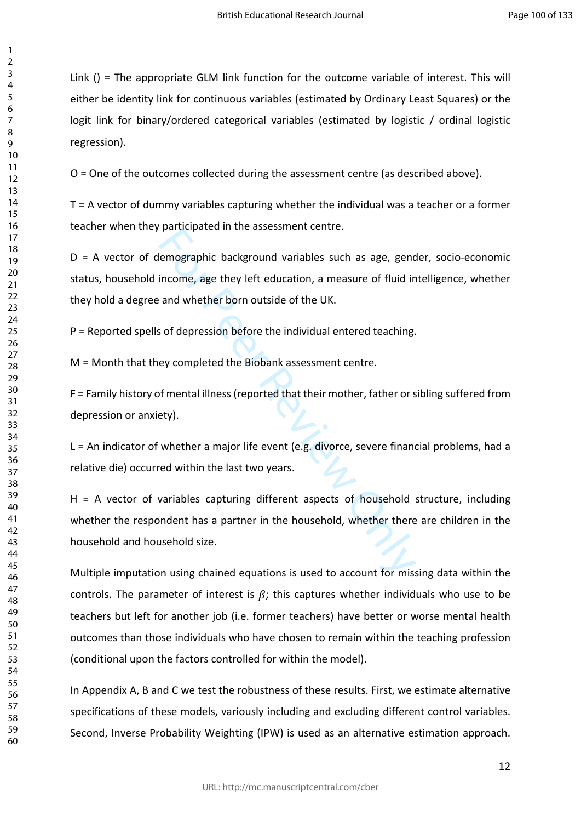Link () = The appropriate GLM link function for the outcome variable of interest. This will either be identity link for continuous variables (estimated by Ordinary Least Squares) or the logit link for binary/ordered categorical variables (estimated by logistic / ordinal logistic regression).

O = One of the outcomes collected during the assessment centre (as described above).

T = A vector of dummy variables capturing whether the individual was a teacher or a former teacher when they participated in the assessment centre.

paracipated in the assessment centre.<br>
lemographic background variables such as age, gence<br>
income, age they left education, a measure of fluid in<br>
and whether born outside of the UK.<br>
sof depression before the individual D = A vector of demographic background variables such as age, gender, socio-economic status, household income, age they left education, a measure of fluid intelligence, whether they hold a degree and whether born outside of the UK.

P = Reported spells of depression before the individual entered teaching.

M = Month that they completed the Biobank assessment centre.

 $\mathbf{1}$  $\overline{2}$  $\overline{3}$  $\overline{4}$  $\overline{7}$  $\mathsf{Q}$ 

F = Family history of mental illness (reported that their mother, father or sibling suffered from depression or anxiety).

L = An indicator of whether a major life event (e.g. divorce, severe financial problems, had a relative die) occurred within the last two years.

 $H = A$  vector of variables capturing different aspects of household structure, including whether the respondent has a partner in the household, whether there are children in the household and household size.

Multiple imputation using chained equations is used to account for missing data within the controls. The parameter of interest is  $\beta$ ; this captures whether individuals who use to be teachers but left for another job (i.e. former teachers) have better or worse mental health outcomes than those individuals who have chosen to remain within the teaching profession (conditional upon the factors controlled for within the model).

In Appendix A, B and C we test the robustness of these results. First, we estimate alternative specifications of these models, variously including and excluding different control variables. Second, Inverse Probability Weighting (IPW) is used as an alternative estimation approach.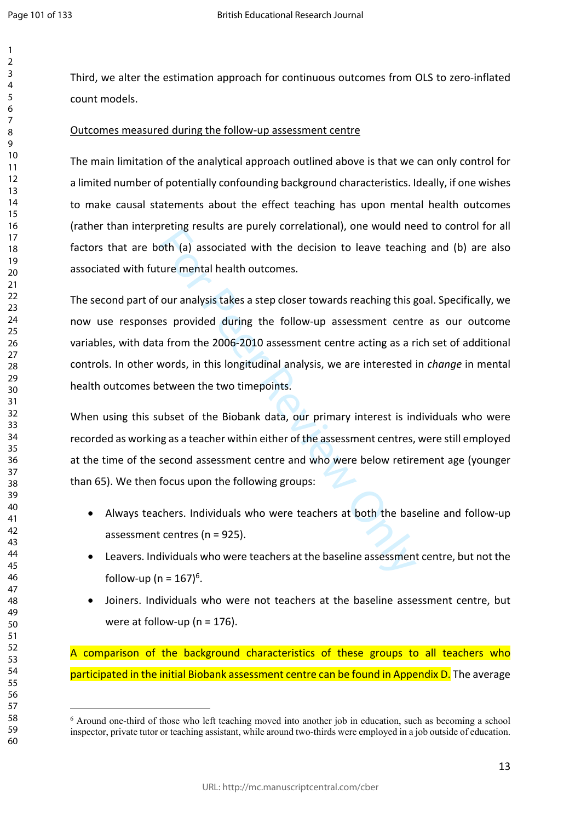$\mathbf{1}$  $\overline{2}$  $\overline{3}$  $\overline{4}$  $\overline{7}$ 

Third, we alter the estimation approach for continuous outcomes from OLS to zero-inflated count models.

#### Outcomes measured during the follow-up assessment centre

The main limitation of the analytical approach outlined above is that we can only control for a limited number of potentially confounding background characteristics. Ideally, if one wishes to make causal statements about the effect teaching has upon mental health outcomes (rather than interpreting results are purely correlational), one would need to control for all factors that are both (a) associated with the decision to leave teaching and (b) are also associated with future mental health outcomes.

ocally resalts are partry correlational), one would need<br>th (a) associated with the decision to leave teachii<br>ture mental health outcomes.<br>Our analysis takes a step closer towards reaching this ges<br>provided during the foll The second part of our analysis takes a step closer towards reaching this goal. Specifically, we now use responses provided during the follow-up assessment centre as our outcome variables, with data from the 2006-2010 assessment centre acting as a rich set of additional controls. In other words, in this longitudinal analysis, we are interested in *change* in mental health outcomes between the two timepoints.

When using this subset of the Biobank data, our primary interest is individuals who were recorded as working as a teacher within either of the assessment centres, were still employed at the time of the second assessment centre and who were below retirement age (younger than 65). We then focus upon the following groups:

- Always teachers. Individuals who were teachers at both the baseline and follow-up assessment centres (n = 925).
- Leavers. Individuals who were teachers at the baseline assessment centre, but not the follow-up ( $n = 167$ )<sup>6</sup>.
- Joiners. Individuals who were not teachers at the baseline assessment centre, but were at follow-up ( $n = 176$ ).

A comparison of the background characteristics of these groups to all teachers who participated in the initial Biobank assessment centre can be found in Appendix D. The average

 Around one-third of those who left teaching moved into another job in education, such as becoming a school inspector, private tutor or teaching assistant, while around two-thirds were employed in a job outside of education.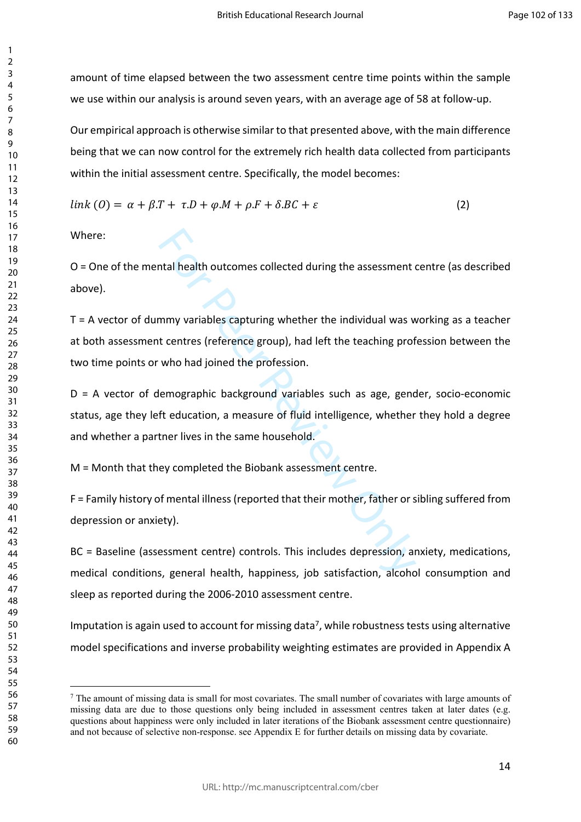amount of time elapsed between the two assessment centre time points within the sample we use within our analysis is around seven years, with an average age of 58 at follow-up.

Our empirical approach is otherwise similar to that presented above, with the main difference being that we can now control for the extremely rich health data collected from participants within the initial assessment centre. Specifically, the model becomes:

$$
link (0) = \alpha + \beta \cdot T + \tau \cdot D + \varphi \cdot M + \rho \cdot F + \delta \cdot BC + \varepsilon
$$
 (2)

Where:

123456789

 $\mathbf{1}$  $\overline{2}$  $\overline{3}$  $\overline{4}$ 5 6  $\overline{7}$ 8 9

O = One of the mental health outcomes collected during the assessment centre (as described above).

ntal health outcomes collected during the assessment<br>
mmy variables capturing whether the individual was w<br>
t centres (reference group), had left the teaching prof<br>
who had joined the profession.<br>
lemographic background va  $T = A$  vector of dummy variables capturing whether the individual was working as a teacher at both assessment centres (reference group), had left the teaching profession between the two time points or who had joined the profession.

D = A vector of demographic background variables such as age, gender, socio-economic status, age they left education, a measure of fluid intelligence, whether they hold a degree and whether a partner lives in the same household.

M = Month that they completed the Biobank assessment centre.

F = Family history of mental illness (reported that their mother, father or sibling suffered from depression or anxiety).

BC = Baseline (assessment centre) controls. This includes depression, anxiety, medications, medical conditions, general health, happiness, job satisfaction, alcohol consumption and sleep as reported during the 2006-2010 assessment centre.

Imputation is again used to account for missing data<sup>7</sup>, while robustness tests using alternative model specifications and inverse probability weighting estimates are provided in Appendix A

<sup>7</sup> The amount of missing data is small for most covariates. The small number of covariates with large amounts of missing data are due to those questions only being included in assessment centres taken at later dates (e.g. questions about happiness were only included in later iterations of the Biobank assessment centre questionnaire) and not because of selective non-response. see Appendix E for further details on missing data by covariate.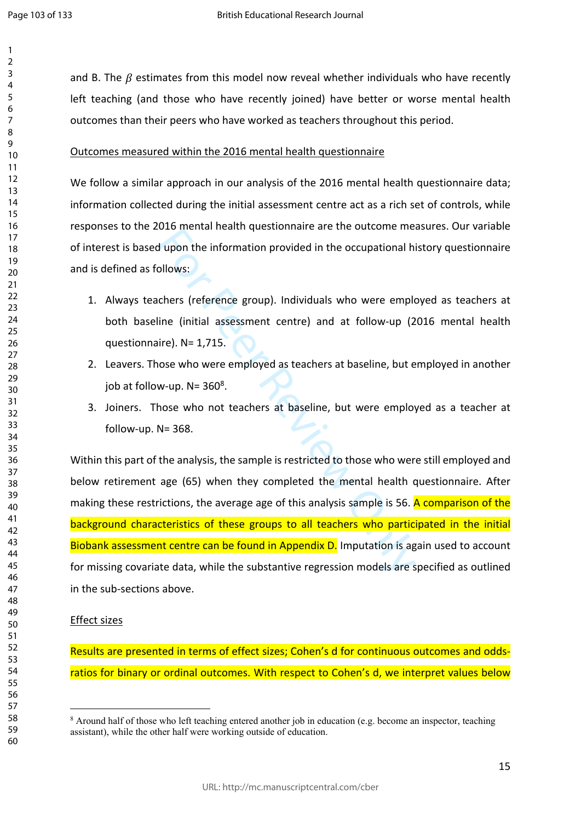$\mathbf{1}$  $\overline{2}$  $\overline{3}$  $\overline{4}$  $\overline{7}$ 

and B. The  $\beta$  estimates from this model now reveal whether individuals who have recently left teaching (and those who have recently joined) have better or worse mental health outcomes than their peers who have worked as teachers throughout this period.

#### Outcomes measured within the 2016 mental health questionnaire

We follow a similar approach in our analysis of the 2016 mental health questionnaire data; information collected during the initial assessment centre act as a rich set of controls, while responses to the 2016 mental health questionnaire are the outcome measures. Our variable of interest is based upon the information provided in the occupational history questionnaire and is defined as follows:

- 1. Always teachers (reference group). Individuals who were employed as teachers at both baseline (initial assessment centre) and at follow-up (2016 mental health questionnaire). N= 1,715.
- 2. Leavers. Those who were employed as teachers at baseline, but employed in another job at follow-up.  $N = 360<sup>8</sup>$ .
- 3. Joiners. Those who not teachers at baseline, but were employed as a teacher at follow-up.  $N = 368$ .

Droman Header quessionnant enterned to the occupational his<br>upon the information provided in the occupational his<br>ultows:<br>chers (reference group). Individuals who were emplo<br>ine (initial assessment centre) and at follow-u Within this part of the analysis, the sample is restricted to those who were still employed and below retirement age (65) when they completed the mental health questionnaire. After making these restrictions, the average age of this analysis sample is 56. A comparison of the background characteristics of these groups to all teachers who participated in the initial Biobank assessment centre can be found in Appendix D. Imputation is again used to account for missing covariate data, while the substantive regression models are specified as outlined in the sub-sections above.

#### Effect sizes

Results are presented in terms of effect sizes; Cohen's d for continuous outcomes and oddsratios for binary or ordinal outcomes. With respect to Cohen's d, we interpret values below

 Around half of those who left teaching entered another job in education (e.g. become an inspector, teaching assistant), while the other half were working outside of education.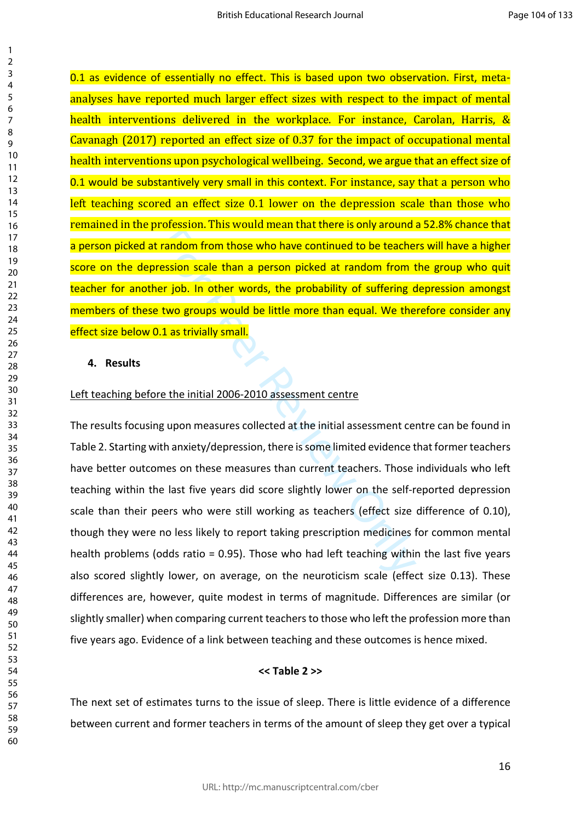0.1 as evidence of essentially no effect. This is based upon two observation. First, metaanalyses have reported much larger effect sizes with respect to the impact of mental health interventions delivered in the workplace. For instance, Carolan, Harris, & Cavanagh (2017) reported an effect size of 0.37 for the impact of occupational mental health interventions upon psychological wellbeing. Second, we argue that an effect size of 0.1 would be substantively very small in this context. For instance, say that a person who left teaching scored an effect size 0.1 lower on the depression scale than those who remained in the profession. This would mean that there is only around a 52.8% chance that a person picked at random from those who have continued to be teachers will have a higher score on the depression scale than a person picked at random from the group who quit teacher for another job. In other words, the probability of suffering depression amongst members of these two groups would be little more than equal. We therefore consider any effect size below 0.1 as trivially small.

#### **4. Results**

123456789

 $\mathbf{1}$  $\overline{2}$ 3  $\overline{4}$ 5 6  $\overline{7}$ 8  $\mathsf{Q}$ 

#### Left teaching before the initial 2006-2010 assessment centre

From those who have continued to be teache<br>
random from those who have continued to be teache<br>
ession scale than a person picked at random from t<br>
er job. In other words, the probability of suffering c<br>
two groups would be The results focusing upon measures collected at the initial assessment centre can be found in Table 2. Starting with anxiety/depression, there is some limited evidence that former teachers have better outcomes on these measures than current teachers. Those individuals who left teaching within the last five years did score slightly lower on the self-reported depression scale than their peers who were still working as teachers (effect size difference of 0.10), though they were no less likely to report taking prescription medicines for common mental health problems (odds ratio = 0.95). Those who had left teaching within the last five years also scored slightly lower, on average, on the neuroticism scale (effect size 0.13). These differences are, however, quite modest in terms of magnitude. Differences are similar (or slightly smaller) when comparing current teachers to those who left the profession more than five years ago. Evidence of a link between teaching and these outcomes is hence mixed.

#### **<< Table 2 >>**

The next set of estimates turns to the issue of sleep. There is little evidence of a difference between current and former teachers in terms of the amount of sleep they get over a typical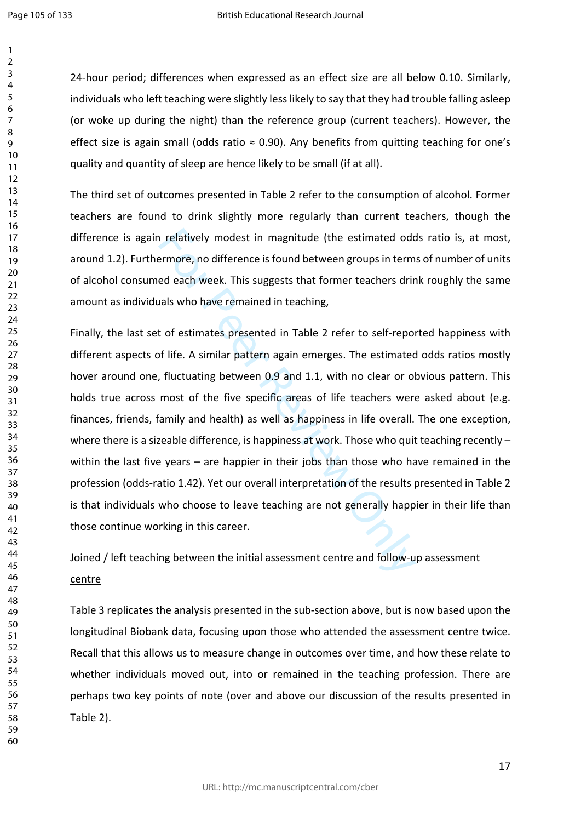$\mathbf{1}$ 

60

24-hour period; differences when expressed as an effect size are all below 0.10. Similarly, individuals who left teaching were slightly less likely to say that they had trouble falling asleep (or woke up during the night) than the reference group (current teachers). However, the effect size is again small (odds ratio  $\approx$  0.90). Any benefits from quitting teaching for one's quality and quantity of sleep are hence likely to be small (if at all).

The third set of outcomes presented in Table 2 refer to the consumption of alcohol. Former teachers are found to drink slightly more regularly than current teachers, though the difference is again relatively modest in magnitude (the estimated odds ratio is, at most, around 1.2). Furthermore, no difference is found between groups in terms of number of units of alcohol consumed each week. This suggests that former teachers drink roughly the same amount as individuals who have remained in teaching,

In relatively modest in magnitude (the estimated odcernore, no difference is found between groups in term<br>ed each week. This suggests that former teachers drired<br>uals who have remained in teaching,<br>of the estimates present Finally, the last set of estimates presented in Table 2 refer to self-reported happiness with different aspects of life. A similar pattern again emerges. The estimated odds ratios mostly hover around one, fluctuating between 0.9 and 1.1, with no clear or obvious pattern. This holds true across most of the five specific areas of life teachers were asked about (e.g. finances, friends, family and health) as well as happiness in life overall. The one exception, where there is a sizeable difference, is happiness at work. Those who quit teaching recently  $$ within the last five years – are happier in their jobs than those who have remained in the profession (odds-ratio 1.42). Yet our overall interpretation of the results presented in Table 2 is that individuals who choose to leave teaching are not generally happier in their life than those continue working in this career.

## Joined / left teaching between the initial assessment centre and follow-up assessment centre

Table 3 replicates the analysis presented in the sub-section above, but is now based upon the longitudinal Biobank data, focusing upon those who attended the assessment centre twice. Recall that this allows us to measure change in outcomes over time, and how these relate to whether individuals moved out, into or remained in the teaching profession. There are perhaps two key points of note (over and above our discussion of the results presented in Table 2).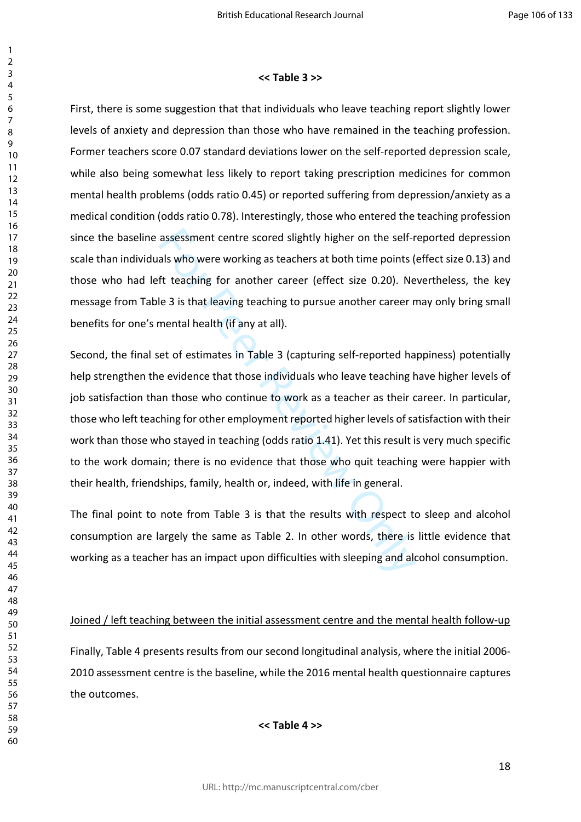#### **<< Table 3 >>**

First, there is some suggestion that that individuals who leave teaching report slightly lower levels of anxiety and depression than those who have remained in the teaching profession. Former teachers score 0.07 standard deviations lower on the self-reported depression scale, while also being somewhat less likely to report taking prescription medicines for common mental health problems (odds ratio 0.45) or reported suffering from depression/anxiety as a medical condition (odds ratio 0.78). Interestingly, those who entered the teaching profession since the baseline assessment centre scored slightly higher on the self-reported depression scale than individuals who were working as teachers at both time points (effect size 0.13) and those who had left teaching for another career (effect size 0.20). Nevertheless, the key message from Table 3 is that leaving teaching to pursue another career may only bring small benefits for one's mental health (if any at all).

assessment centre scored slightly higher on the self-<br>als who were working as teachers at both time points (<br>ft teaching for another career (effect size 0.20). Ne<br>le 3 is that leaving teaching to pursue another career r<br>me Second, the final set of estimates in Table 3 (capturing self-reported happiness) potentially help strengthen the evidence that those individuals who leave teaching have higher levels of job satisfaction than those who continue to work as a teacher as their career. In particular, those who left teaching for other employment reported higher levels of satisfaction with their work than those who stayed in teaching (odds ratio 1.41). Yet this result is very much specific to the work domain; there is no evidence that those who quit teaching were happier with their health, friendships, family, health or, indeed, with life in general.

The final point to note from Table 3 is that the results with respect to sleep and alcohol consumption are largely the same as Table 2. In other words, there is little evidence that working as a teacher has an impact upon difficulties with sleeping and alcohol consumption.

#### Joined / left teaching between the initial assessment centre and the mental health follow-up

Finally, Table 4 presents results from our second longitudinal analysis, where the initial 2006- 2010 assessment centre is the baseline, while the 2016 mental health questionnaire captures the outcomes.

**<< Table 4 >>**

 $\mathbf{1}$  $\overline{2}$  $\overline{4}$  $\mathsf{Q}$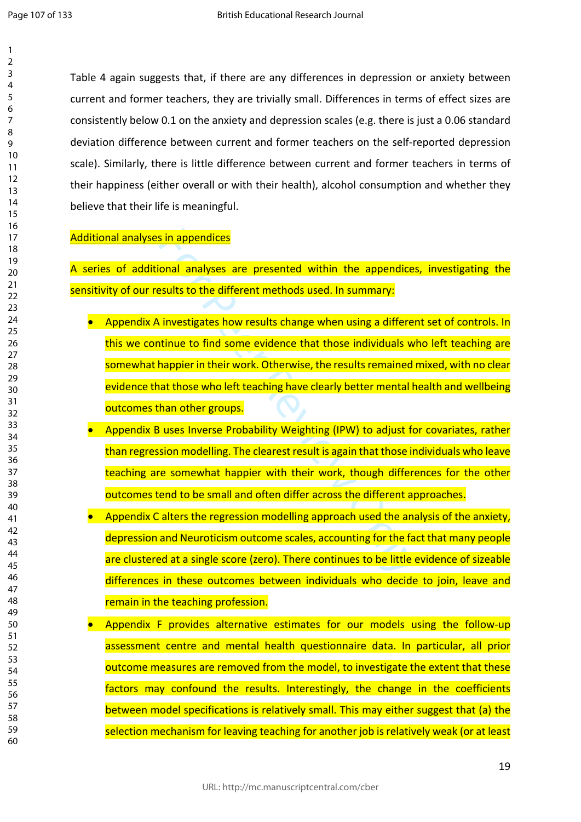$\mathbf{1}$  $\overline{2}$ 

Table 4 again suggests that, if there are any differences in depression or anxiety between current and former teachers, they are trivially small. Differences in terms of effect sizes are consistently below 0.1 on the anxiety and depression scales (e.g. there is just a 0.06 standard deviation difference between current and former teachers on the self-reported depression scale). Similarly, there is little difference between current and former teachers in terms of their happiness (either overall or with their health), alcohol consumption and whether they believe that their life is meaningful.

#### Additional analyses in appendices

A series of additional analyses are presented within the appendices, investigating the sensitivity of our results to the different methods used. In summary:

- is in appendices<br>
onal analyses are presented within the appendices<br>
sults to the different methods used. In summary:<br>
investigates how results change when using a different<br>
tinue to find some evidence that those individu **•** Appendix A investigates how results change when using a different set of controls. In this we continue to find some evidence that those individuals who left teaching are somewhat happier in their work. Otherwise, the results remained mixed, with no clear evidence that those who left teaching have clearly better mental health and wellbeing outcomes than other groups.
- Appendix B uses Inverse Probability Weighting (IPW) to adjust for covariates, rather than regression modelling. The clearest result is again that those individuals who leave teaching are somewhat happier with their work, though differences for the other outcomes tend to be small and often differ across the different approaches.
- Appendix C alters the regression modelling approach used the analysis of the anxiety, depression and Neuroticism outcome scales, accounting for the fact that many people are clustered at a single score (zero). There continues to be little evidence of sizeable differences in these outcomes between individuals who decide to join, leave and remain in the teaching profession.
- Appendix F provides alternative estimates for our models using the follow-up assessment centre and mental health questionnaire data. In particular, all prior outcome measures are removed from the model, to investigate the extent that these factors may confound the results. Interestingly, the change in the coefficients between model specifications is relatively small. This may either suggest that (a) the selection mechanism for leaving teaching for another job is relatively weak (or at least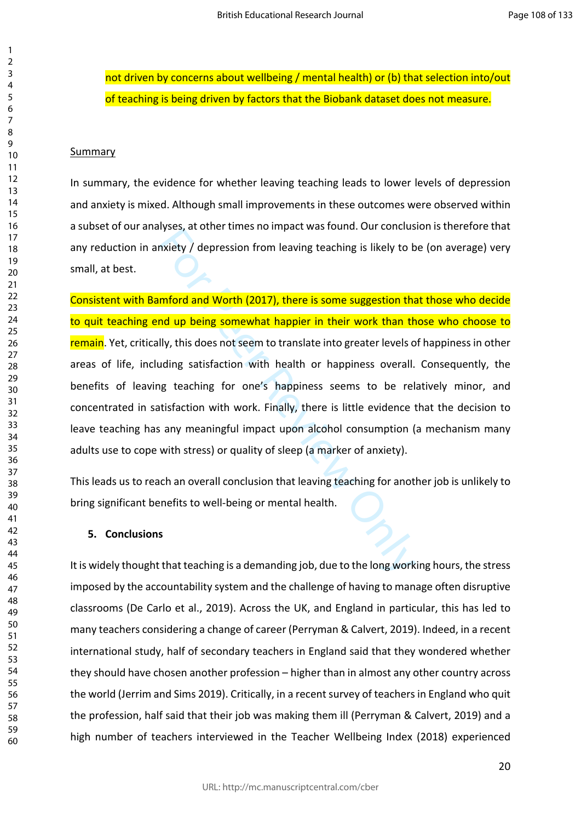not driven by concerns about wellbeing / mental health) or (b) that selection into/out of teaching is being driven by factors that the Biobank dataset does not measure.

#### Summary

 $\mathbf{1}$  $\overline{2}$  $\overline{3}$  $\overline{4}$  $\overline{7}$ 

In summary, the evidence for whether leaving teaching leads to lower levels of depression and anxiety is mixed. Although small improvements in these outcomes were observed within a subset of our analyses, at other times no impact was found. Our conclusion is therefore that any reduction in anxiety / depression from leaving teaching is likely to be (on average) very small, at best.

more and Worth (2017), there is some suggestion than the more and Worth (2017), there is some suggestion than the up being somewhat happier in their work than the up being somewhat happier in their work than the up the up Consistent with Bamford and Worth (2017), there is some suggestion that those who decide to quit teaching end up being somewhat happier in their work than those who choose to remain. Yet, critically, this does not seem to translate into greater levels of happiness in other areas of life, including satisfaction with health or happiness overall. Consequently, the benefits of leaving teaching for one's happiness seems to be relatively minor, and concentrated in satisfaction with work. Finally, there is little evidence that the decision to leave teaching has any meaningful impact upon alcohol consumption (a mechanism many adults use to cope with stress) or quality of sleep (a marker of anxiety).

This leads us to reach an overall conclusion that leaving teaching for another job is unlikely to bring significant benefits to well-being or mental health.

#### **5. Conclusions**

It is widely thought that teaching is a demanding job, due to the long working hours, the stress imposed by the accountability system and the challenge of having to manage often disruptive classrooms (De Carlo et al., 2019). Across the UK, and England in particular, this has led to many teachers considering a change of career (Perryman & Calvert, 2019). Indeed, in a recent international study, half of secondary teachers in England said that they wondered whether they should have chosen another profession – higher than in almost any other country across the world (Jerrim and Sims 2019). Critically, in a recent survey of teachers in England who quit the profession, half said that their job was making them ill (Perryman & Calvert, 2019) and a high number of teachers interviewed in the Teacher Wellbeing Index (2018) experienced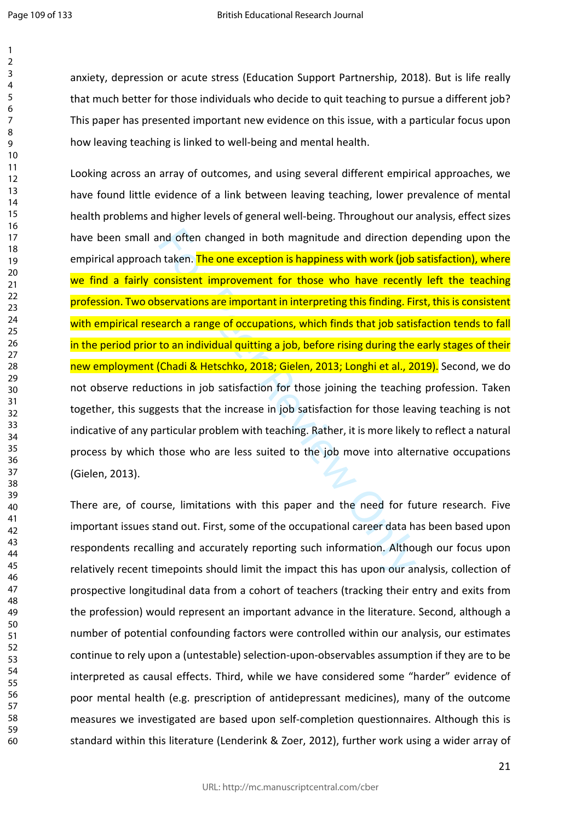anxiety, depression or acute stress (Education Support Partnership, 2018). But is life really that much better for those individuals who decide to quit teaching to pursue a different job? This paper has presented important new evidence on this issue, with a particular focus upon how leaving teaching is linked to well-being and mental health.

nd often changed in both magnitude and direction d<br>a taken. The one exception is happiness with work (job<br>onsistent improvement for those who have recentl<br>servations are important in interpreting this finding. Fi<br>earch a r Looking across an array of outcomes, and using several different empirical approaches, we have found little evidence of a link between leaving teaching, lower prevalence of mental health problems and higher levels of general well-being. Throughout our analysis, effect sizes have been small and often changed in both magnitude and direction depending upon the empirical approach taken. The one exception is happiness with work (job satisfaction), where we find a fairly consistent improvement for those who have recently left the teaching profession. Two observations are important in interpreting this finding. First, this is consistent with empirical research a range of occupations, which finds that job satisfaction tends to fall in the period prior to an individual quitting a job, before rising during the early stages of their new employment (Chadi & Hetschko, 2018; Gielen, 2013; Longhi et al., 2019). Second, we do not observe reductions in job satisfaction for those joining the teaching profession. Taken together, this suggests that the increase in job satisfaction for those leaving teaching is not indicative of any particular problem with teaching. Rather, it is more likely to reflect a natural process by which those who are less suited to the job move into alternative occupations (Gielen, 2013).

There are, of course, limitations with this paper and the need for future research. Five important issues stand out. First, some of the occupational career data has been based upon respondents recalling and accurately reporting such information. Although our focus upon relatively recent timepoints should limit the impact this has upon our analysis, collection of prospective longitudinal data from a cohort of teachers (tracking their entry and exits from the profession) would represent an important advance in the literature. Second, although a number of potential confounding factors were controlled within our analysis, our estimates continue to rely upon a (untestable) selection-upon-observables assumption if they are to be interpreted as causal effects. Third, while we have considered some "harder" evidence of poor mental health (e.g. prescription of antidepressant medicines), many of the outcome measures we investigated are based upon self-completion questionnaires. Although this is standard within this literature (Lenderink & Zoer, 2012), further work using a wider array of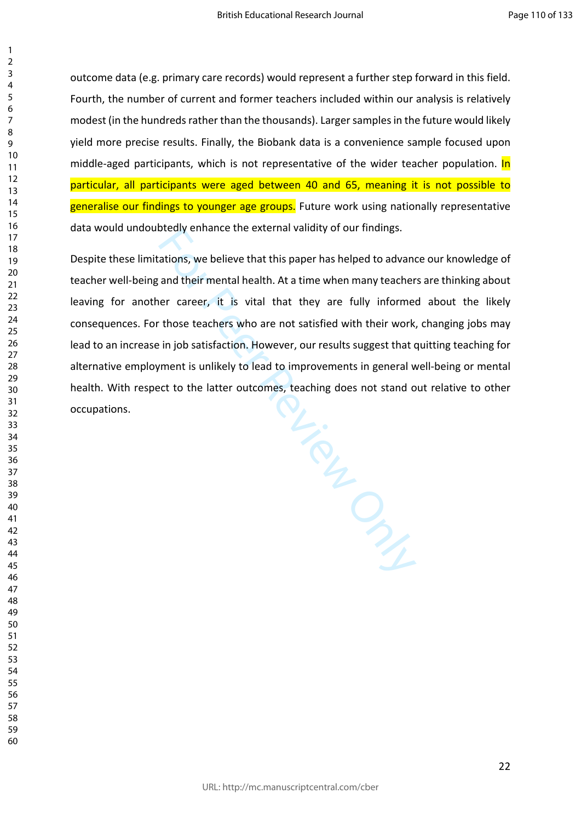outcome data (e.g. primary care records) would represent a further step forward in this field. Fourth, the number of current and former teachers included within our analysis is relatively modest (in the hundreds rather than the thousands). Larger samples in the future would likely yield more precise results. Finally, the Biobank data is a convenience sample focused upon middle-aged participants, which is not representative of the wider teacher population. In particular, all participants were aged between 40 and 65, meaning it is not possible to generalise our findings to younger age groups. Future work using nationally representative data would undoubtedly enhance the external validity of our findings.

rely to my control Despite these limitations, we believe that this paper has helped to advance our knowledge of teacher well-being and their mental health. At a time when many teachers are thinking about leaving for another career, it is vital that they are fully informed about the likely consequences. For those teachers who are not satisfied with their work, changing jobs may lead to an increase in job satisfaction. However, our results suggest that quitting teaching for alternative employment is unlikely to lead to improvements in general well-being or mental health. With respect to the latter outcomes, teaching does not stand out relative to other occupations.

 $\mathbf{1}$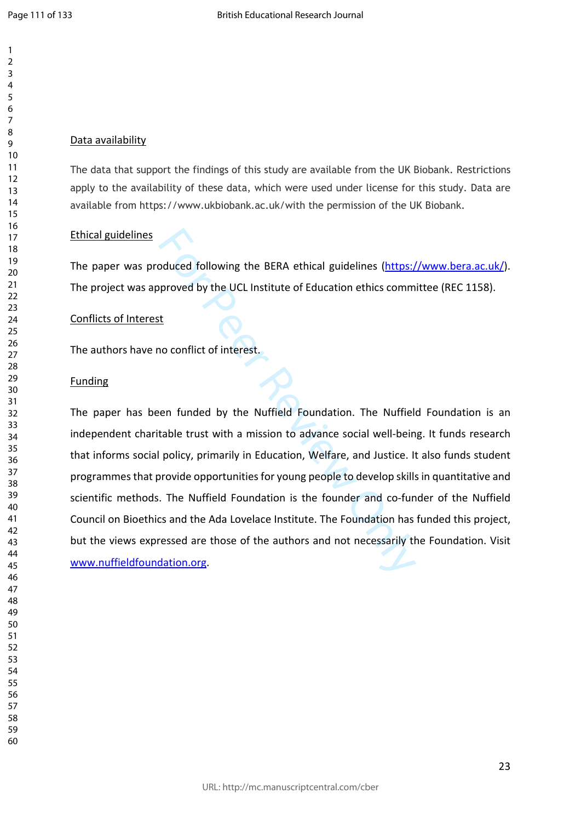$\mathbf{1}$  $\overline{2}$ 

#### $\overline{3}$  $\overline{4}$  $\overline{7}$

 

### Data availability

The data that support the findings of this study are available from the UK Biobank. Restrictions apply to the availability of these data, which were used under license for this study. Data are available from https://www.ukbiobank.ac.uk/with the permission of the UK Biobank.

### Ethical guidelines

The paper was produced following the BERA ethical guidelines ([https://www.bera.ac.uk/\)](https://www.bera.ac.uk/). The project was approved by the UCL Institute of Education ethics committee (REC 1158).

### Conflicts of Interest

The authors have no conflict of interest.

### Funding

boduced following the BERA ethical guidelines (https:/<br>proved by the UCL Institute of Education ethics comm<br>it<br>t<br>t<br>no conflict of interest.<br>en funded by the Nuffield Foundation. The Nuffield<br>table trust with a mission to a The paper has been funded by the Nuffield Foundation. The Nuffield Foundation is an independent charitable trust with a mission to advance social well-being. It funds research that informs social policy, primarily in Education, Welfare, and Justice. It also funds student programmes that provide opportunities for young people to develop skills in quantitative and scientific methods. The Nuffield Foundation is the founder and co-funder of the Nuffield Council on Bioethics and the Ada Lovelace Institute. The Foundation has funded this project, but the views expressed are those of the authors and not necessarily the Foundation. Visit [www.nuffieldfoundation.org](http://www.nuffieldfoundation.org).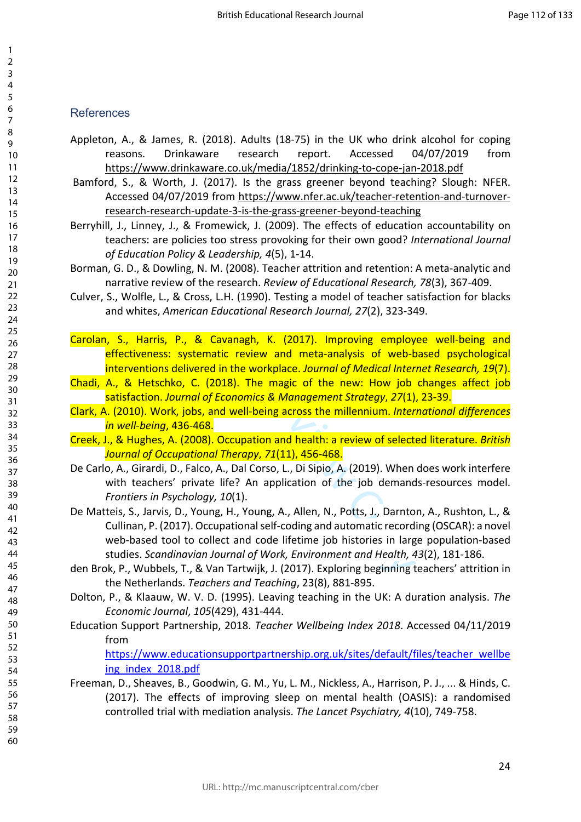## References

- Appleton, A., & James, R. (2018). Adults (18-75) in the UK who drink alcohol for coping reasons. Drinkaware research report. Accessed 04/07/2019 from <https://www.drinkaware.co.uk/media/1852/drinking-to-cope-jan-2018.pdf>
- Bamford, S., & Worth, J. (2017). Is the grass greener beyond teaching? Slough: NFER. Accessed 04/07/2019 from [https://www.nfer.ac.uk/teacher-retention-and-turnover](https://www.nfer.ac.uk/teacher-retention-and-turnover-research-research-update-3-is-the-grass-greener-beyond-teaching)[research-research-update-3-is-the-grass-greener-beyond-teaching](https://www.nfer.ac.uk/teacher-retention-and-turnover-research-research-update-3-is-the-grass-greener-beyond-teaching)
- Berryhill, J., Linney, J., & Fromewick, J. (2009). The effects of education accountability on teachers: are policies too stress provoking for their own good? *International Journal of Education Policy & Leadership, 4*(5), 1-14.
- Borman, G. D., & Dowling, N. M. (2008). Teacher attrition and retention: A meta-analytic and narrative review of the research. *Review of Educational Research, 78*(3), 367-409.
- Culver, S., Wolfle, L., & Cross, L.H. (1990). Testing a model of teacher satisfaction for blacks and whites, *American Educational Research Journal, 27*(2), 323-349.
- Carolan, S., Harris, P., & Cavanagh, K. (2017). Improving employee well-being and effectiveness: systematic review and meta-analysis of web-based psychological interventions delivered in the workplace. *Journal of Medical Internet Research, 19*(7).
- Chadi, A., & Hetschko, C. (2018). The magic of the new: How job changes affect job satisfaction. *Journal of Economics & Management Strategy*, *27*(1), 23-39.
- Clark, A. (2010). Work, jobs, and well-being across the millennium. *International differences in well-being*, 436-468.
- Creek, J., & Hughes, A. (2008). Occupation and health: a review of selected literature. *British Journal of Occupational Therapy*, *71*(11), 456-468.
- De Carlo, A., Girardi, D., Falco, A., Dal Corso, L., Di Sipio, A. (2019). When does work interfere with teachers' private life? An application of the job demands-resources model. *Frontiers in Psychology, 10*(1).
- fr.  $m$ , consumed, and the people on the medicies too stress provoking for their own good? *In nolicy & Leadership,* 4(5), 1-14.<br> *n Policy & Leadership,* 4(5), 1-14.<br> *n Policy & Leadership,* 4(5), 1-14.<br>
L., & Cross, De Matteis, S., Jarvis, D., Young, H., Young, A., Allen, N., Potts, J., Darnton, A., Rushton, L., & Cullinan, P. (2017). Occupational self-coding and automatic recording (OSCAR): a novel web-based tool to collect and code lifetime job histories in large population-based studies. *Scandinavian Journal of Work, Environment and Health, 43*(2), 181-186.
- den Brok, P., Wubbels, T., & Van Tartwijk, J. (2017). Exploring beginning teachers' attrition in the Netherlands. *Teachers and Teaching*, 23(8), 881-895.
- Dolton, P., & Klaauw, W. V. D. (1995). Leaving teaching in the UK: A duration analysis. *The Economic Journal*, *105*(429), 431-444.
- Education Support Partnership, 2018. *Teacher Wellbeing Index 2018*. Accessed 04/11/2019 from

[https://www.educationsupportpartnership.org.uk/sites/default/files/teacher\\_wellbe](https://www.educationsupportpartnership.org.uk/sites/default/files/teacher_wellbeing_index_2018.pdf) [ing\\_index\\_2018.pdf](https://www.educationsupportpartnership.org.uk/sites/default/files/teacher_wellbeing_index_2018.pdf)

Freeman, D., Sheaves, B., Goodwin, G. M., Yu, L. M., Nickless, A., Harrison, P. J., ... & Hinds, C. (2017). The effects of improving sleep on mental health (OASIS): a randomised controlled trial with mediation analysis. *The Lancet Psychiatry, 4*(10), 749-758.

 $\mathbf{1}$  $\overline{2}$  $\overline{3}$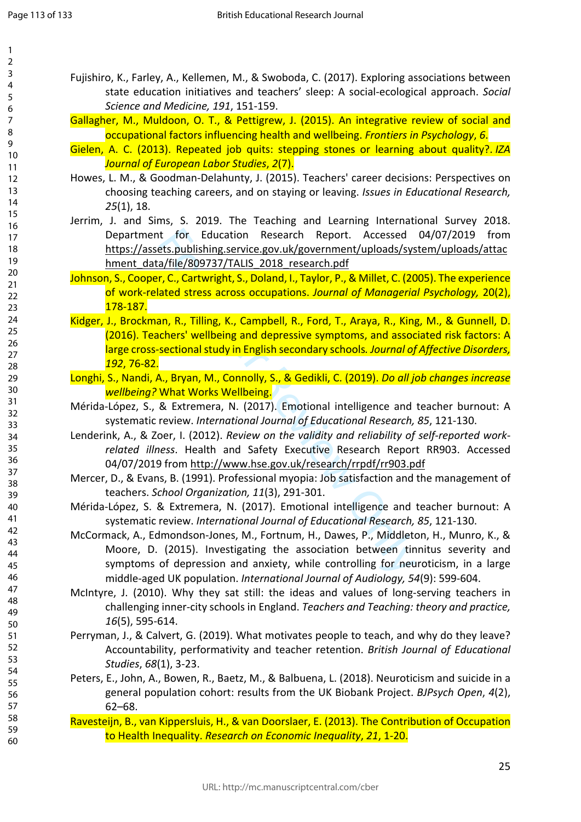$\mathbf{1}$  $\overline{2}$ 

- 123456789 3  $\overline{4}$ 5 6  $\overline{7}$ 8 9 10 11 12 13 14 15 16 17 18 19 20 21 22 23 24 25 26 27 28 29 30 31 32 33 34 35 36 37 38 39 40 41 42 43 44 45 46 47 48 49 50 51 52 53 54 55 56 57 58 59 60
- Fujishiro, K., Farley, A., Kellemen, M., & Swoboda, C. (2017). Exploring associations between state education initiatives and teachers' sleep: A social-ecological approach. *Social Science and Medicine, 191*, 151-159.
	- Gallagher, M., Muldoon, O. T., & Pettigrew, J. (2015). An integrative review of social and occupational factors influencing health and wellbeing. *Frontiers in Psychology*, *6* .
	- Gielen, A. C. (2013). Repeated job quits: stepping stones or learning about quality?. *IZA Journal of European Labor Studies*, *2*(7).
	- Howes, L. M., & Goodman-Delahunty, J. (2015). Teachers' career decisions: Perspectives on choosing teaching careers, and on staying or leaving. *Issues in Educational Research, 25*(1), 18.
	- Jerrim, J. and Sims, S. 2019. The Teaching and Learning International Survey 2018. Department for Education Research Report. Accessed 04/07/2019 from [https://assets.publishing.service.gov.uk/government/uploads/system/uploads/attac](https://assets.publishing.service.gov.uk/government/uploads/system/uploads/attachment_data/file/809737/TALIS_2018_research.pdf) [hment\\_data/file/809737/TALIS\\_2018\\_research.pdf](https://assets.publishing.service.gov.uk/government/uploads/system/uploads/attachment_data/file/809737/TALIS_2018_research.pdf)
	- Johnson, S., Cooper, C., Cartwright, S., Doland, I., Taylor, P., & Millet, C. (2005). The experience of work-related stress across occupations. *Journal of Managerial Psychology,* 20(2), 178-187.
	- t for Education Research Report. Accessed<br>
	ets.publishing.service.gov.uk/government/uploads/sys<br>
	a/file/809737/TALIS\_2018\_research.pdf<br>
	r, C., Cartwright, S., Doland, I., Taylor, P., & Millet, C. (2C<br>
	ated stress across oc Kidger, J., Brockman, R., Tilling, K., Campbell, R., Ford, T., Araya, R., King, M., & Gunnell, D. (2016). Teachers' wellbeing and depressive symptoms, and associated risk factors: A large cross-sectional study in English secondary schools*. Journal of Affective Disorders, 192*, 76-82.
	- Longhi, S., Nandi, A., Bryan, M., Connolly, S., & Gedikli, C. (2019). *Do all job changes increase wellbeing?* What Works Wellbeing.
	- Mérida-López, S., & Extremera, N. (2017). Emotional intelligence and teacher burnout: A systematic review. *International Journal of Educational Research, 85*, 121-130.
	- Lenderink, A., & Zoer, I. (2012). *Review on the validity and reliability of self-reported workrelated illness*. Health and Safety Executive Research Report RR903. Accessed 04/07/2019 from http://www.hse.gov.uk/research/rrpdf/rr903.pdf
	- Mercer, D., & Evans, B. (1991). Professional myopia: Job satisfaction and the management of teachers. *School Organization, 11*(3), 291-301.
	- Mérida-López, S. & Extremera, N. (2017). Emotional intelligence and teacher burnout: A systematic review. *International Journal of Educational Research, 85*, 121-130.
	- McCormack, A., Edmondson-Jones, M., Fortnum, H., Dawes, P., Middleton, H., Munro, K., & Moore, D. (2015). Investigating the association between tinnitus severity and symptoms of depression and anxiety, while controlling for neuroticism, in a large middle-aged UK population. *International Journal of Audiology, 54*(9): 599-604.
	- McIntyre, J. (2010). Why they sat still: the ideas and values of long-serving teachers in challenging inner-city schools in England. *Teachers and Teaching: theory and practice, 16*(5), 595-614.
	- Perryman, J., & Calvert, G. (2019). What motivates people to teach, and why do they leave? Accountability, performativity and teacher retention. *British Journal of Educational Studies*, *68*(1), 3-23.
- Peters, E., John, A., Bowen, R., Baetz, M., & Balbuena, L. (2018). Neuroticism and suicide in a general population cohort: results from the UK Biobank Project. *BJPsych Open*, *4*(2), 62–68.
- Ravesteijn, B., van Kippersluis, H., & van Doorslaer, E. (2013). The Contribution of Occupation to Health Inequality. *Research on Economic Inequality*, *21*, 1-20.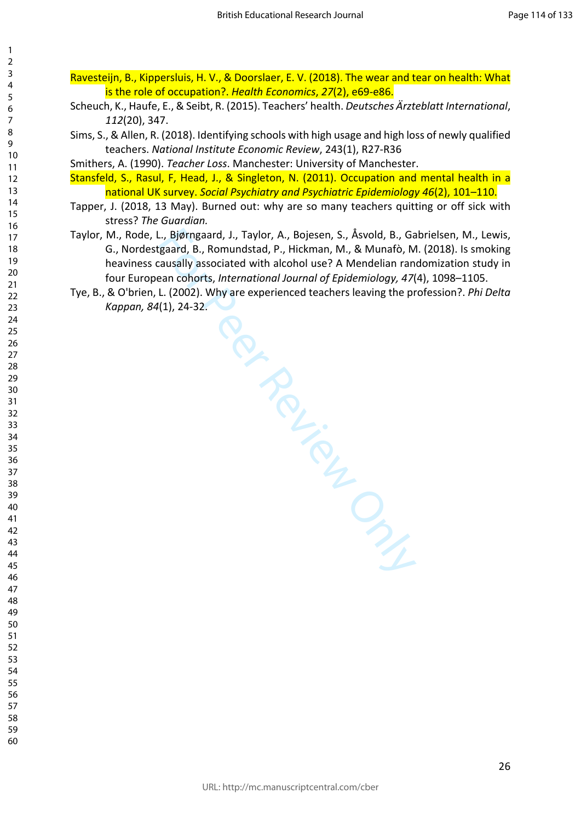- Ravesteijn, B., Kippersluis, H. V., & Doorslaer, E. V. (2018). The wear and tear on health: What is the role of occupation?. *Health Economics*, *27*(2), e69-e86.
- Scheuch, K., Haufe, E., & Seibt, R. (2015). Teachers' health. *Deutsches Ärzteblatt International*, (20), 347.
- Sims, S., & Allen, R. (2018). Identifying schools with high usage and high loss of newly qualified teachers. *National Institute Economic Review*, 243(1), R27-R36
- Smithers, A. (1990). *Teacher Loss*. Manchester: University of Manchester.

 $\mathbf{1}$  $\overline{2}$  $\overline{3}$  $\overline{4}$  $\overline{7}$ 

- Stansfeld, S., Rasul, F, Head, J., & Singleton, N. (2011). Occupation and mental health in a national UK survey. *Social Psychiatry and Psychiatric Epidemiology 46*(2), 101–110.
- Tapper, J. (2018, 13 May). Burned out: why are so many teachers quitting or off sick with stress? *The Guardian.*
- Taylor, M., Rode, L., Bjørngaard, J., Taylor, A., Bojesen, S., Åsvold, B., Gabrielsen, M., Lewis, G., Nordestgaard, B., Romundstad, P., Hickman, M., & Munafò, M. (2018). Is smoking heaviness causally associated with alcohol use? A Mendelian randomization study in four European cohorts, *International Journal of Epidemiology, 47*(4), 1098–1105.
- Per Review Only Tye, B., & O'brien, L. (2002). Why are experienced teachers leaving the profession?. *Phi Delta Kappan, 84*(1), 24-32.

URL: http://mc.manuscriptcentral.com/cber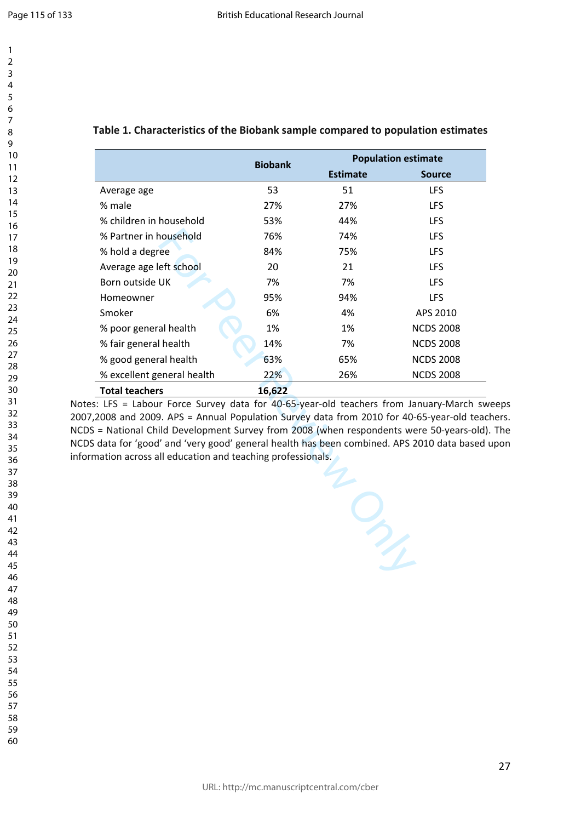$\mathbf{1}$  $\overline{2}$  $\overline{4}$  $\overline{7}$ 

### **Table 1. Characteristics of the Biobank sample compared to population estimates**

|                            | <b>Biobank</b> |                 | <b>Population estimate</b> |
|----------------------------|----------------|-----------------|----------------------------|
|                            |                | <b>Estimate</b> | <b>Source</b>              |
| Average age                | 53             | 51              | <b>LFS</b>                 |
| % male                     | 27%            | 27%             | <b>LFS</b>                 |
| % children in household    | 53%            | 44%             | <b>LFS</b>                 |
| % Partner in household     | 76%            | 74%             | <b>LFS</b>                 |
| % hold a degree            | 84%            | 75%             | <b>LFS</b>                 |
| Average age left school    | 20             | 21              | <b>LFS</b>                 |
| Born outside UK            | 7%             | 7%              | <b>LFS</b>                 |
| Homeowner                  | 95%            | 94%             | <b>LFS</b>                 |
| Smoker                     | 6%             | 4%              | APS 2010                   |
| % poor general health      | 1%             | 1%              | <b>NCDS 2008</b>           |
| % fair general health      | 14%            | 7%              | <b>NCDS 2008</b>           |
| % good general health      | 63%            | 65%             | <b>NCDS 2008</b>           |
| % excellent general health | 22%            | 26%             | <b>NCDS 2008</b>           |
| <b>Total teachers</b>      | 16,622         |                 |                            |

ais.y Notes: LFS = Labour Force Survey data for 40-65-year-old teachers from January-March sweeps 2007,2008 and 2009. APS = Annual Population Survey data from 2010 for 40-65-year-old teachers. NCDS = National Child Development Survey from 2008 (when respondents were 50-years-old). The NCDS data for 'good' and 'very good' general health has been combined. APS 2010 data based upon information across all education and teaching professionals.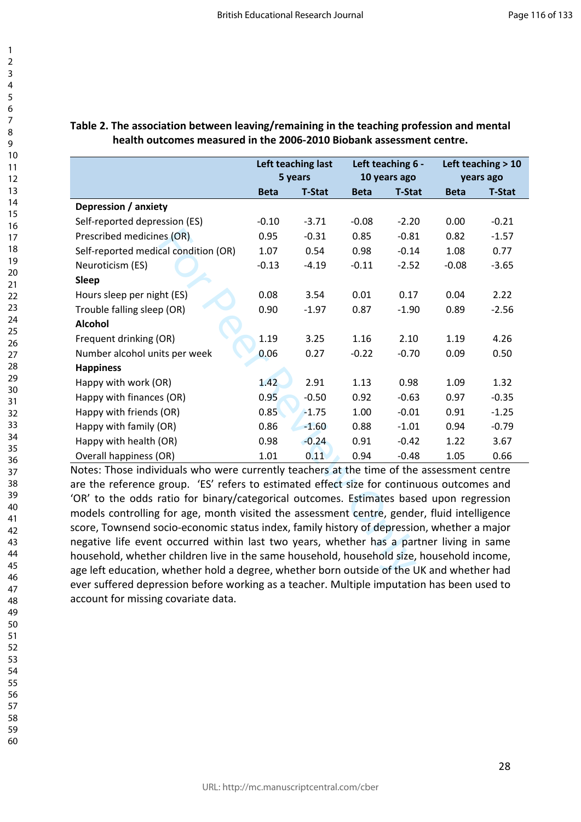|                                                                                                     | Left teaching last |               |             | Left teaching 6 - | Left teaching $>10$ |               |
|-----------------------------------------------------------------------------------------------------|--------------------|---------------|-------------|-------------------|---------------------|---------------|
|                                                                                                     |                    | 5 years       |             | 10 years ago      |                     | years ago     |
|                                                                                                     | <b>Beta</b>        | <b>T-Stat</b> | <b>Beta</b> | <b>T-Stat</b>     | <b>Beta</b>         | <b>T-Stat</b> |
| Depression / anxiety                                                                                |                    |               |             |                   |                     |               |
| Self-reported depression (ES)                                                                       | $-0.10$            | $-3.71$       | $-0.08$     | $-2.20$           | 0.00                | $-0.21$       |
| Prescribed medicines (OR)                                                                           | 0.95               | $-0.31$       | 0.85        | $-0.81$           | 0.82                | $-1.57$       |
| Self-reported medical condition (OR)                                                                | 1.07               | 0.54          | 0.98        | $-0.14$           | 1.08                | 0.77          |
| Neuroticism (ES)                                                                                    | $-0.13$            | $-4.19$       | $-0.11$     | $-2.52$           | $-0.08$             | $-3.65$       |
| <b>Sleep</b>                                                                                        |                    |               |             |                   |                     |               |
| Hours sleep per night (ES)                                                                          | 0.08               | 3.54          | 0.01        | 0.17              | 0.04                | 2.22          |
| Trouble falling sleep (OR)                                                                          | 0.90               | $-1.97$       | 0.87        | $-1.90$           | 0.89                | $-2.56$       |
| <b>Alcohol</b>                                                                                      |                    |               |             |                   |                     |               |
| Frequent drinking (OR)                                                                              | 1.19               | 3.25          | 1.16        | 2.10              | 1.19                | 4.26          |
| Number alcohol units per week                                                                       | 0.06               | 0.27          | $-0.22$     | $-0.70$           | 0.09                | 0.50          |
| <b>Happiness</b>                                                                                    |                    |               |             |                   |                     |               |
| Happy with work (OR)                                                                                | 1.42               | 2.91          | 1.13        | 0.98              | 1.09                | 1.32          |
| Happy with finances (OR)                                                                            | 0.95               | $-0.50$       | 0.92        | $-0.63$           | 0.97                | $-0.35$       |
| Happy with friends (OR)                                                                             | 0.85               | $-1.75$       | 1.00        | $-0.01$           | 0.91                | $-1.25$       |
| Happy with family (OR)                                                                              | 0.86               | $-1.60$       | 0.88        | $-1.01$           | 0.94                | $-0.79$       |
| Happy with health (OR)                                                                              | 0.98               | $-0.24$       | 0.91        | $-0.42$           | 1.22                | 3.67          |
| Overall happiness (OR)                                                                              | 1.01               | 0.11          | 0.94        | $-0.48$           | 1.05                | 0.66          |
| Notes: Those individuals who were currently teachers at the time of the assessment centre           |                    |               |             |                   |                     |               |
| are the reference group. 'ES' refers to estimated effect size for continuous outcomes and           |                    |               |             |                   |                     |               |
| 'OR' to the odds ratio for binary/categorical outcomes. Estimates based upon regression             |                    |               |             |                   |                     |               |
| models controlling for age, month visited the assessment centre, gender, fluid intelligence         |                    |               |             |                   |                     |               |
| score, Townsend socio-economic status index, family history of depression, whether a major          |                    |               |             |                   |                     |               |
| negative life event occurred within last two years, whether has a partner living in same            |                    |               |             |                   |                     |               |
| household, whether children live in the same household, household size, household income,           |                    |               |             |                   |                     |               |
| age left education, whether hold a degree, whether born outside of the UK and whether had           |                    |               |             |                   |                     |               |
| ويرامزهما وجواريته فلجلا يستبيه والمثليان فالمتحاط والمحاول والمسترد وسوالهما استخدمته وبالمستكلينة |                    |               |             |                   |                     |               |

# **Table 2. The association between leaving/remaining in the teaching profession and mental health outcomes measured in the 2006-2010 Biobank assessment centre.**

Notes: Those individuals who were currently teachers at the time of the assessment centre are the reference group. 'ES' refers to estimated effect size for continuous outcomes and 'OR' to the odds ratio for binary/categorical outcomes. Estimates based upon regression models controlling for age, month visited the assessment centre, gender, fluid intelligence score, Townsend socio-economic status index, family history of depression, whether a major negative life event occurred within last two years, whether has a partner living in same household, whether children live in the same household, household size, household income, age left education, whether hold a degree, whether born outside of the UK and whether had ever suffered depression before working as a teacher. Multiple imputation has been used to account for missing covariate data.

 $\mathbf{1}$  $\overline{2}$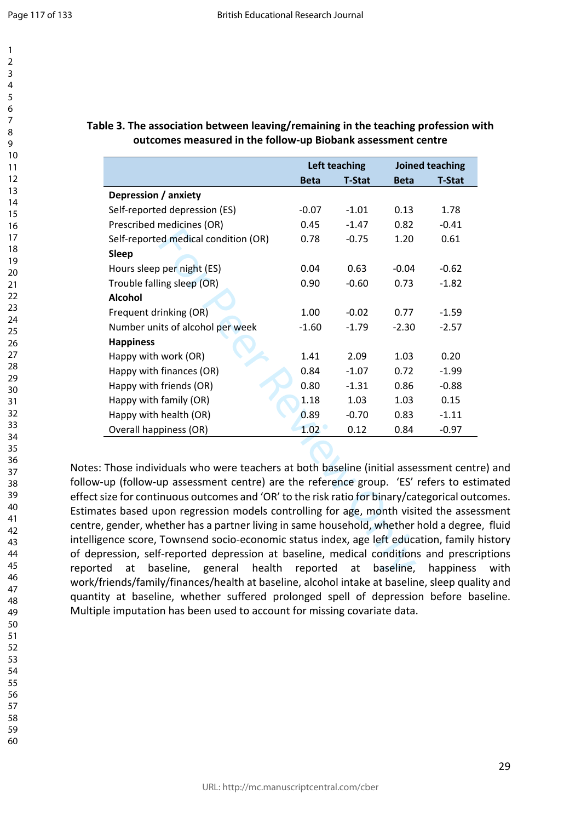$\mathbf{1}$  $\overline{2}$  $\overline{3}$  $\overline{4}$ 5

| Table 3. The association between leaving/remaining in the teaching profession with |
|------------------------------------------------------------------------------------|
| outcomes measured in the follow-up Biobank assessment centre                       |

|                                                                                    |             | Left teaching |             | <b>Joined teaching</b> |  |  |
|------------------------------------------------------------------------------------|-------------|---------------|-------------|------------------------|--|--|
|                                                                                    | <b>Beta</b> | <b>T-Stat</b> | <b>Beta</b> | <b>T-Stat</b>          |  |  |
| Depression / anxiety                                                               |             |               |             |                        |  |  |
| Self-reported depression (ES)                                                      | $-0.07$     | $-1.01$       | 0.13        | 1.78                   |  |  |
| Prescribed medicines (OR)                                                          | 0.45        | $-1.47$       | 0.82        | $-0.41$                |  |  |
| Self-reported medical condition (OR)                                               | 0.78        | $-0.75$       | 1.20        | 0.61                   |  |  |
| <b>Sleep</b>                                                                       |             |               |             |                        |  |  |
| Hours sleep per night (ES)                                                         | 0.04        | 0.63          | $-0.04$     | $-0.62$                |  |  |
| Trouble falling sleep (OR)                                                         | 0.90        | $-0.60$       | 0.73        | $-1.82$                |  |  |
| <b>Alcohol</b>                                                                     |             |               |             |                        |  |  |
| Frequent drinking (OR)                                                             | 1.00        | $-0.02$       | 0.77        | $-1.59$                |  |  |
| Number units of alcohol per week                                                   | $-1.60$     | $-1.79$       | $-2.30$     | $-2.57$                |  |  |
| <b>Happiness</b>                                                                   |             |               |             |                        |  |  |
| Happy with work (OR)                                                               | 1.41        | 2.09          | 1.03        | 0.20                   |  |  |
| Happy with finances (OR)                                                           | 0.84        | $-1.07$       | 0.72        | $-1.99$                |  |  |
| Happy with friends (OR)                                                            | 0.80        | $-1.31$       | 0.86        | $-0.88$                |  |  |
| Happy with family (OR)                                                             | 1.18        | 1.03          | 1.03        | 0.15                   |  |  |
| Happy with health (OR)                                                             | 0.89        | $-0.70$       | 0.83        | $-1.11$                |  |  |
| Overall happiness (OR)                                                             | 1.02        | 0.12          | 0.84        | $-0.97$                |  |  |
|                                                                                    |             |               |             |                        |  |  |
|                                                                                    |             |               |             |                        |  |  |
| Those individuals who were teachers at both baseline (initial assessment centr     |             |               |             |                        |  |  |
| up (follow-up assessment centre) are the reference group. 'ES' refers to esti      |             |               |             |                        |  |  |
| ize for continuous outcomes and 'OR' to the risk ratio for binary/categorical outo |             |               |             |                        |  |  |
| tes based upon regression models controlling for age, month visited the asses      |             |               |             |                        |  |  |
| gender, whether has a partner living in same household, whether hold a degree      |             |               |             |                        |  |  |
| ence score, Townsend socio-economic status index, age left education, family l     |             |               |             |                        |  |  |
| ression, self-reported depression at baseline, medical conditions and prescr       |             |               |             |                        |  |  |
| general<br>health<br>at<br>baseline,<br>bs                                         | reported    | at            | baseline,   | happiness              |  |  |
| rionds/family/finances/hoalth at baseline, alsohol intake at baseline, sleep qual  |             |               |             |                        |  |  |

Notes: Those individuals who were teachers at both baseline (initial assessment centre) and follow-up (follow-up assessment centre) are the reference group. 'ES' refers to estimated effect size for continuous outcomes and 'OR' to the risk ratio for binary/categorical outcomes. Estimates based upon regression models controlling for age, month visited the assessment centre, gender, whether has a partner living in same household, whether hold a degree, fluid intelligence score, Townsend socio-economic status index, age left education, family history of depression, self-reported depression at baseline, medical conditions and prescriptions reported at baseline, general health reported at baseline, happiness with work/friends/family/finances/health at baseline, alcohol intake at baseline, sleep quality and quantity at baseline, whether suffered prolonged spell of depression before baseline. Multiple imputation has been used to account for missing covariate data.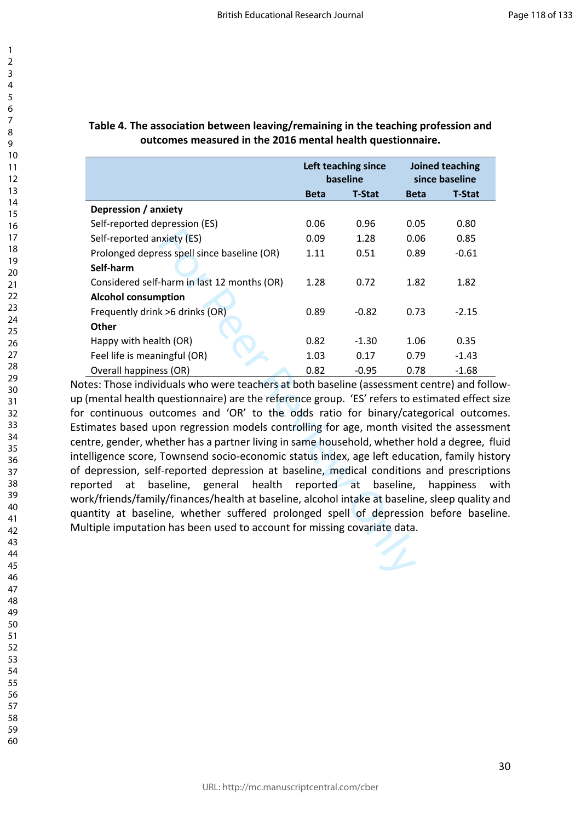### **Table 4. The association between leaving/remaining in the teaching profession and outcomes measured in the 2016 mental health questionnaire.**

|                                             | Left teaching since<br>baseline |               |             | Joined teaching |  |
|---------------------------------------------|---------------------------------|---------------|-------------|-----------------|--|
|                                             |                                 |               |             | since baseline  |  |
|                                             | <b>Beta</b>                     | <b>T-Stat</b> | <b>Beta</b> | <b>T-Stat</b>   |  |
| Depression / anxiety                        |                                 |               |             |                 |  |
| Self-reported depression (ES)               | 0.06                            | 0.96          | 0.05        | 0.80            |  |
| Self-reported anxiety (ES)                  | 0.09                            | 1.28          | 0.06        | 0.85            |  |
| Prolonged depress spell since baseline (OR) | 1.11                            | 0.51          | 0.89        | $-0.61$         |  |
| Self-harm                                   |                                 |               |             |                 |  |
| Considered self-harm in last 12 months (OR) | 1.28                            | 0.72          | 1.82        | 1.82            |  |
| <b>Alcohol consumption</b>                  |                                 |               |             |                 |  |
| Frequently drink >6 drinks (OR)             | 0.89                            | $-0.82$       | 0.73        | $-2.15$         |  |
| <b>Other</b>                                |                                 |               |             |                 |  |
| Happy with health (OR)                      | 0.82                            | $-1.30$       | 1.06        | 0.35            |  |
| Feel life is meaningful (OR)                | 1.03                            | 0.17          | 0.79        | $-1.43$         |  |
| Overall happiness (OR)                      | 0.82                            | $-0.95$       | 0.78        | $-1.68$         |  |

in the state of the state of the state of the state of the state of the state of the state of the state of the state of the state of the state of the state of the state of the state of the state of the state of the state o Notes: Those individuals who were teachers at both baseline (assessment centre) and followup (mental health questionnaire) are the reference group. 'ES' refers to estimated effect size for continuous outcomes and 'OR' to the odds ratio for binary/categorical outcomes. Estimates based upon regression models controlling for age, month visited the assessment centre, gender, whether has a partner living in same household, whether hold a degree, fluid intelligence score, Townsend socio-economic status index, age left education, family history of depression, self-reported depression at baseline, medical conditions and prescriptions reported at baseline, general health reported at baseline, happiness with work/friends/family/finances/health at baseline, alcohol intake at baseline, sleep quality and quantity at baseline, whether suffered prolonged spell of depression before baseline. Multiple imputation has been used to account for missing covariate data.



 $\mathbf{1}$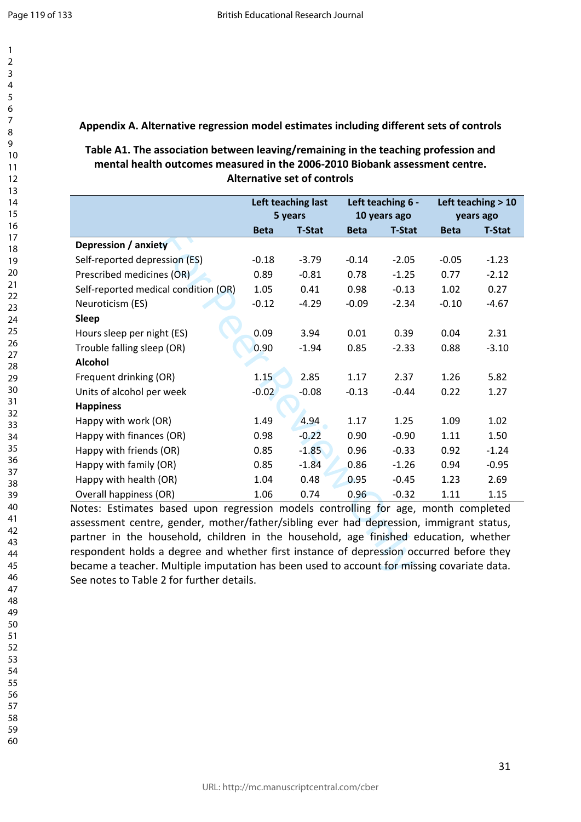$\mathbf{1}$  $\overline{2}$ 3

### **Appendix A. Alternative regression model estimates including different sets of controls**

### **Table A1. The association between leaving/remaining in the teaching profession and mental health outcomes measured in the 2006-2010 Biobank assessment centre. Alternative set of controls**

|                                                                                            |             | Left teaching last       |             | Left teaching 6 -             |             | Left teaching $>10$        |
|--------------------------------------------------------------------------------------------|-------------|--------------------------|-------------|-------------------------------|-------------|----------------------------|
|                                                                                            | <b>Beta</b> | 5 years<br><b>T-Stat</b> | <b>Beta</b> | 10 years ago<br><b>T-Stat</b> | <b>Beta</b> | years ago<br><b>T-Stat</b> |
| <b>Depression / anxiety</b>                                                                |             |                          |             |                               |             |                            |
| Self-reported depression (ES)                                                              | $-0.18$     | $-3.79$                  | $-0.14$     | $-2.05$                       | $-0.05$     | $-1.23$                    |
| Prescribed medicines (OR)                                                                  | 0.89        | $-0.81$                  | 0.78        | $-1.25$                       | 0.77        | $-2.12$                    |
| Self-reported medical condition (OR)                                                       | 1.05        | 0.41                     | 0.98        | $-0.13$                       | 1.02        | 0.27                       |
| Neuroticism (ES)                                                                           | $-0.12$     | $-4.29$                  | $-0.09$     | $-2.34$                       | $-0.10$     | $-4.67$                    |
| Sleep                                                                                      |             |                          |             |                               |             |                            |
| Hours sleep per night (ES)                                                                 | 0.09        | 3.94                     | 0.01        | 0.39                          | 0.04        | 2.31                       |
| Trouble falling sleep (OR)                                                                 | 0.90        | $-1.94$                  | 0.85        | $-2.33$                       | 0.88        | $-3.10$                    |
| <b>Alcohol</b>                                                                             |             |                          |             |                               |             |                            |
| Frequent drinking (OR)                                                                     | 1.15        | 2.85                     | 1.17        | 2.37                          | 1.26        | 5.82                       |
| Units of alcohol per week                                                                  | $-0.02$     | $-0.08$                  | $-0.13$     | $-0.44$                       | 0.22        | 1.27                       |
| <b>Happiness</b>                                                                           |             |                          |             |                               |             |                            |
| Happy with work (OR)                                                                       | 1.49        | 4.94                     | 1.17        | 1.25                          | 1.09        | 1.02                       |
| Happy with finances (OR)                                                                   | 0.98        | $-0.22$                  | 0.90        | $-0.90$                       | 1.11        | 1.50                       |
| Happy with friends (OR)                                                                    | 0.85        | $-1.85$                  | 0.96        | $-0.33$                       | 0.92        | $-1.24$                    |
| Happy with family (OR)                                                                     | 0.85        | $-1.84$                  | 0.86        | $-1.26$                       | 0.94        | $-0.95$                    |
| Happy with health (OR)                                                                     | 1.04        | 0.48                     | 0.95        | $-0.45$                       | 1.23        | 2.69                       |
| Overall happiness (OR)                                                                     | 1.06        | 0.74                     | 0.96        | $-0.32$                       | 1.11        | 1.15                       |
| Notes: Estimates based upon regression models controlling for age, month completed         |             |                          |             |                               |             |                            |
| assessment centre, gender, mother/father/sibling ever had depression, immigrant status,    |             |                          |             |                               |             |                            |
| partner in the household, children in the household, age finished education, whether       |             |                          |             |                               |             |                            |
| respondent holds a degree and whether first instance of depression occurred before they    |             |                          |             |                               |             |                            |
| became a teacher. Multiple imputation has been used to account for missing covariate data. |             |                          |             |                               |             |                            |
| See notes to Table 2 for further details.                                                  |             |                          |             |                               |             |                            |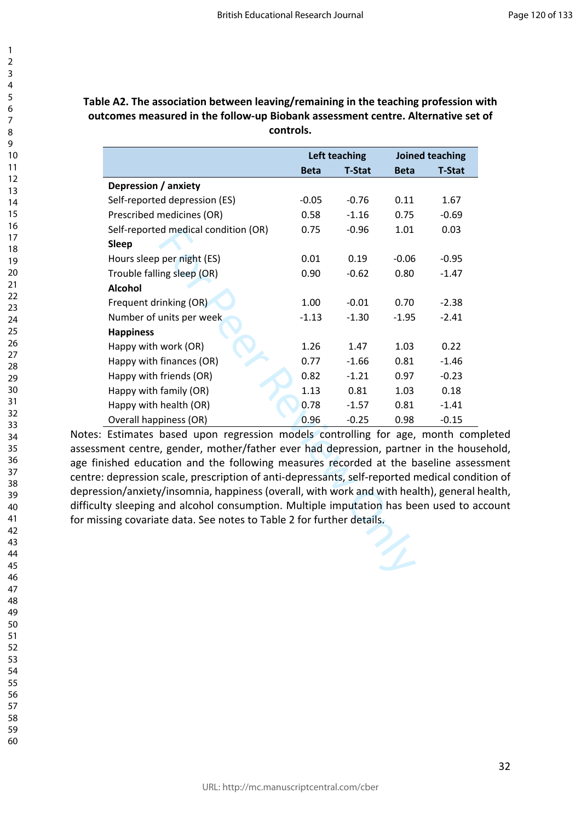| Table A2. The association between leaving/remaining in the teaching profession with |
|-------------------------------------------------------------------------------------|
| outcomes measured in the follow-up Biobank assessment centre. Alternative set of    |
| controls.                                                                           |

|                                                                                   |             | Left teaching |             | Joined teaching |
|-----------------------------------------------------------------------------------|-------------|---------------|-------------|-----------------|
|                                                                                   | <b>Beta</b> | <b>T-Stat</b> | <b>Beta</b> | <b>T-Stat</b>   |
| Depression / anxiety                                                              |             |               |             |                 |
| Self-reported depression (ES)                                                     | $-0.05$     | $-0.76$       | 0.11        | 1.67            |
| Prescribed medicines (OR)                                                         | 0.58        | $-1.16$       | 0.75        | $-0.69$         |
| Self-reported medical condition (OR)                                              | 0.75        | $-0.96$       | 1.01        | 0.03            |
| <b>Sleep</b>                                                                      |             |               |             |                 |
| Hours sleep per night (ES)                                                        | 0.01        | 0.19          | $-0.06$     | $-0.95$         |
| Trouble falling sleep (OR)                                                        | 0.90        | $-0.62$       | 0.80        | $-1.47$         |
| <b>Alcohol</b>                                                                    |             |               |             |                 |
| Frequent drinking (OR)                                                            | 1.00        | $-0.01$       | 0.70        | $-2.38$         |
| Number of units per week                                                          | $-1.13$     | $-1.30$       | $-1.95$     | $-2.41$         |
| <b>Happiness</b>                                                                  |             |               |             |                 |
| Happy with work (OR)                                                              | 1.26        | 1.47          | 1.03        | 0.22            |
| Happy with finances (OR)                                                          | 0.77        | $-1.66$       | 0.81        | $-1.46$         |
| Happy with friends (OR)                                                           | 0.82        | $-1.21$       | 0.97        | $-0.23$         |
| Happy with family (OR)                                                            | 1.13        | 0.81          | 1.03        | 0.18            |
| Happy with health (OR)                                                            | 0.78        | $-1.57$       | 0.81        | $-1.41$         |
| Overall happiness (OR)                                                            | 0.96        | $-0.25$       | 0.98        | $-0.15$         |
| : Estimates based upon regression models controlling for age, month com           |             |               |             |                 |
| ment centre, gender, mother/father ever had depression, partner in the hous       |             |               |             |                 |
| nished education and the following measures recorded at the baseline asses        |             |               |             |                 |
| : depression scale, prescription of anti-depressants, self-reported medical condi |             |               |             |                 |
| ssion/anxiety/insomnia, happiness (overall, with work and with health), general l |             |               |             |                 |
| lty sleeping and alcohol consumption. Multiple imputation has been used to a      |             |               |             |                 |
| ssing covariate data. See notes to Table 2 for further details.                   |             |               |             |                 |
|                                                                                   |             |               |             |                 |
|                                                                                   |             |               |             |                 |
|                                                                                   |             |               |             |                 |
|                                                                                   |             |               |             |                 |

Notes: Estimates based upon regression models controlling for age, month completed assessment centre, gender, mother/father ever had depression, partner in the household, age finished education and the following measures recorded at the baseline assessment centre: depression scale, prescription of anti-depressants, self-reported medical condition of depression/anxiety/insomnia, happiness (overall, with work and with health), general health, difficulty sleeping and alcohol consumption. Multiple imputation has been used to account for missing covariate data. See notes to Table 2 for further details.

 $\mathbf{1}$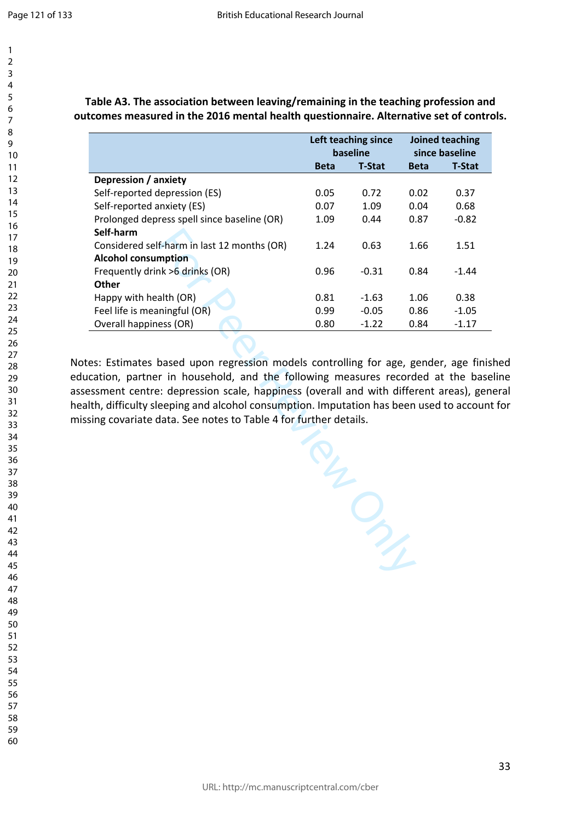|                                             |             | Left teaching since<br>baseline |             | Joined teaching<br>since baseline |
|---------------------------------------------|-------------|---------------------------------|-------------|-----------------------------------|
|                                             | <b>Beta</b> | <b>T-Stat</b>                   | <b>Beta</b> | T-Sta                             |
| Depression / anxiety                        |             |                                 |             |                                   |
| Self-reported depression (ES)               | 0.05        | 0.72                            | 0.02        | 0.37                              |
| Self-reported anxiety (ES)                  | 0.07        | 1.09                            | 0.04        | 0.68                              |
| Prolonged depress spell since baseline (OR) | 1.09        | 0.44                            | 0.87        | $-0.82$                           |
| Self-harm                                   |             |                                 |             |                                   |
| Considered self-harm in last 12 months (OR) | 1.24        | 0.63                            | 1.66        | 1.51                              |
| <b>Alcohol consumption</b>                  |             |                                 |             |                                   |
| Frequently drink >6 drinks (OR)             | 0.96        | $-0.31$                         | 0.84        | $-1.44$                           |
| <b>Other</b>                                |             |                                 |             |                                   |
| Happy with health (OR)                      | 0.81        | $-1.63$                         | 1.06        | 0.38                              |
| Feel life is meaningful (OR)                | 0.99        | $-0.05$                         | 0.86        | $-1.05$                           |
| Overall happiness (OR)                      | 0.80        | $-1.22$                         | 0.84        | $-1.17$                           |

eaving/remaining in the teaching profession and al health questionnaire. Alternative set of controls.

**Joined teaching since baseline**

 $\begin{array}{r}\n 0.68 \\
 0.96 \quad -0.31 \quad 0.84 \\
 0.81 \quad -1.63 \quad 1.06 \\
 0.99 \quad -0.05 \quad 0.86 \\
 0.80 \quad -1.22 \quad 0.84\n\end{array}$ <br>
no models controlling for age, generate following measures recorded<br>
appiness (overall and with differer<br>
numerion. Im on models controlling for age, gender, age finished the following measures recorded at the baseline assessment centre: depression scale, happiness (overall and with different areas), general health, difficulty sleeping and alcohol consumption. Imputation has been used to account for missing covariate data. See notes to Table 4 for further details.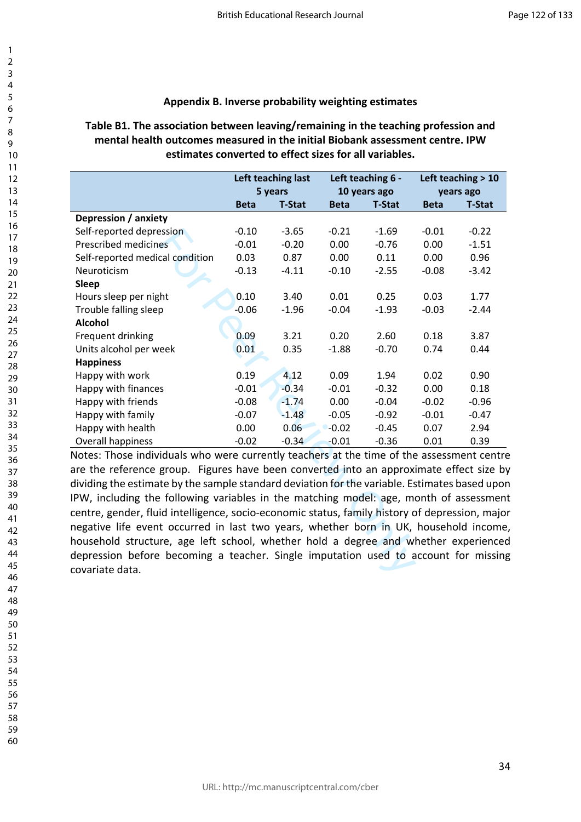#### **Appendix B. Inverse probability weighting estimates**

### **Table B1. The association between leaving/remaining in the teaching profession and mental health outcomes measured in the initial Biobank assessment centre. IPW estimates converted to effect sizes for all variables.**

|                                                                                               |             | Left teaching last |             | Left teaching 6 - |             | Left teaching $>10$ |
|-----------------------------------------------------------------------------------------------|-------------|--------------------|-------------|-------------------|-------------|---------------------|
|                                                                                               |             | 5 years            |             | 10 years ago      |             | years ago           |
|                                                                                               | <b>Beta</b> | <b>T-Stat</b>      | <b>Beta</b> | <b>T-Stat</b>     | <b>Beta</b> | <b>T-Stat</b>       |
| Depression / anxiety                                                                          |             |                    |             |                   |             |                     |
| Self-reported depression                                                                      | $-0.10$     | $-3.65$            | $-0.21$     | $-1.69$           | $-0.01$     | $-0.22$             |
| <b>Prescribed medicines</b>                                                                   | $-0.01$     | $-0.20$            | 0.00        | $-0.76$           | 0.00        | $-1.51$             |
| Self-reported medical condition                                                               | 0.03        | 0.87               | 0.00        | 0.11              | 0.00        | 0.96                |
| Neuroticism                                                                                   | $-0.13$     | $-4.11$            | $-0.10$     | $-2.55$           | $-0.08$     | $-3.42$             |
| <b>Sleep</b>                                                                                  |             |                    |             |                   |             |                     |
| Hours sleep per night                                                                         | 0.10        | 3.40               | 0.01        | 0.25              | 0.03        | 1.77                |
| Trouble falling sleep                                                                         | $-0.06$     | $-1.96$            | $-0.04$     | $-1.93$           | $-0.03$     | $-2.44$             |
| <b>Alcohol</b>                                                                                |             |                    |             |                   |             |                     |
| Frequent drinking                                                                             | 0.09        | 3.21               | 0.20        | 2.60              | 0.18        | 3.87                |
| Units alcohol per week                                                                        | 0.01        | 0.35               | $-1.88$     | $-0.70$           | 0.74        | 0.44                |
| <b>Happiness</b>                                                                              |             |                    |             |                   |             |                     |
| Happy with work                                                                               | 0.19        | 4.12               | 0.09        | 1.94              | 0.02        | 0.90                |
| Happy with finances                                                                           | $-0.01$     | $-0.34$            | $-0.01$     | $-0.32$           | 0.00        | 0.18                |
| Happy with friends                                                                            | $-0.08$     | $-1.74$            | 0.00        | $-0.04$           | $-0.02$     | $-0.96$             |
| Happy with family                                                                             | $-0.07$     | $-1.48$            | $-0.05$     | $-0.92$           | $-0.01$     | $-0.47$             |
| Happy with health                                                                             | 0.00        | 0.06               | $-0.02$     | $-0.45$           | 0.07        | 2.94                |
| Overall happiness                                                                             | $-0.02$     | $-0.34$            | $-0.01$     | $-0.36$           | 0.01        | 0.39                |
| Notes: Those individuals who were currently teachers at the time of the assessment centro     |             |                    |             |                   |             |                     |
| are the reference group. Figures have been converted into an approximate effect size b        |             |                    |             |                   |             |                     |
| dividing the estimate by the sample standard deviation for the variable. Estimates based upor |             |                    |             |                   |             |                     |
| IPW, including the following variables in the matching model: age, month of assessmen         |             |                    |             |                   |             |                     |
| centre, gender, fluid intelligence, socio-economic status, family history of depression, majo |             |                    |             |                   |             |                     |
| negative life event occurred in last two years, whether born in UK, household income          |             |                    |             |                   |             |                     |
| household structure, age left school, whether hold a degree and whether experience            |             |                    |             |                   |             |                     |
|                                                                                               |             |                    |             |                   |             |                     |
| depression before becoming a teacher. Single imputation used to account for missing           |             |                    |             |                   |             |                     |
| covariate data.                                                                               |             |                    |             |                   |             |                     |

 $\mathbf{1}$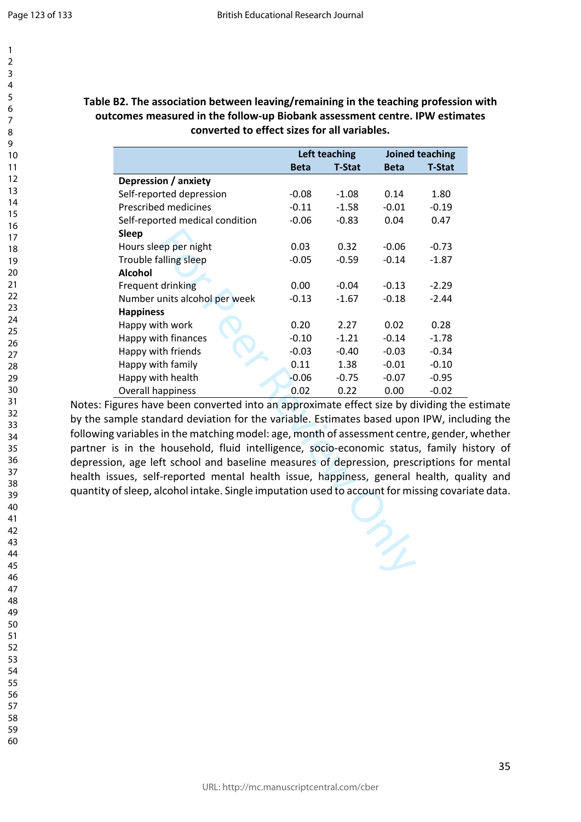$\mathbf{1}$  $\overline{2}$  $\overline{3}$  $\overline{4}$ 5 6  $\overline{7}$ 8 9

## **Table B2. The association between leaving/remaining in the teaching profession with outcomes measured in the follow-up Biobank assessment centre. IPW estimates converted to effect sizes for all variables.**

|                                                                               |             | Left teaching |             | <b>Joined teaching</b> |
|-------------------------------------------------------------------------------|-------------|---------------|-------------|------------------------|
|                                                                               | <b>Beta</b> | <b>T-Stat</b> | <b>Beta</b> | <b>T-Stat</b>          |
| Depression / anxiety                                                          |             |               |             |                        |
| Self-reported depression                                                      | $-0.08$     | $-1.08$       | 0.14        | 1.80                   |
| <b>Prescribed medicines</b>                                                   | $-0.11$     | $-1.58$       | $-0.01$     | $-0.19$                |
| Self-reported medical condition                                               | $-0.06$     | $-0.83$       | 0.04        | 0.47                   |
| <b>Sleep</b>                                                                  |             |               |             |                        |
| Hours sleep per night                                                         | 0.03        | 0.32          | $-0.06$     | $-0.73$                |
| Trouble falling sleep                                                         | $-0.05$     | $-0.59$       | $-0.14$     | $-1.87$                |
| <b>Alcohol</b>                                                                |             |               |             |                        |
| Frequent drinking                                                             | 0.00        | $-0.04$       | $-0.13$     | $-2.29$                |
| Number units alcohol per week                                                 | $-0.13$     | $-1.67$       | $-0.18$     | $-2.44$                |
| <b>Happiness</b>                                                              |             |               |             |                        |
| Happy with work                                                               | 0.20        | 2.27          | 0.02        | 0.28                   |
| Happy with finances                                                           | $-0.10$     | $-1.21$       | $-0.14$     | $-1.78$                |
| Happy with friends                                                            | $-0.03$     | $-0.40$       | $-0.03$     | $-0.34$                |
| Happy with family                                                             | 0.11        | 1.38          | $-0.01$     | $-0.10$                |
| Happy with health                                                             | $-0.06$     | $-0.75$       | $-0.07$     | $-0.95$                |
| Overall happiness                                                             | 0.02        | 0.22          | 0.00        | $-0.02$                |
| igures have been converted into an approximate effect size by dividing the    |             |               |             |                        |
| ample standard deviation for the variable. Estimates based upon IPW, incl     |             |               |             |                        |
| g variables in the matching model: age, month of assessment centre, gender    |             |               |             |                        |
| is in the household, fluid intelligence, socio-economic status, family h      |             |               |             |                        |
| ion, age left school and baseline measures of depression, prescriptions fo    |             |               |             |                        |
| ssues, self-reported mental health issue, happiness, general health, qu       |             |               |             |                        |
| of sleep, alcohol intake. Single imputation used to account for missing covar |             |               |             |                        |
|                                                                               |             |               |             |                        |
|                                                                               |             |               |             |                        |
|                                                                               |             |               |             |                        |
|                                                                               |             |               |             |                        |
|                                                                               |             |               |             |                        |
|                                                                               |             |               |             |                        |
|                                                                               |             |               |             |                        |

Notes: Figures have been converted into an approximate effect size by dividing the estimate by the sample standard deviation for the variable. Estimates based upon IPW, including the following variables in the matching model: age, month of assessment centre, gender, whether partner is in the household, fluid intelligence, socio-economic status, family history of depression, age left school and baseline measures of depression, prescriptions for mental health issues, self-reported mental health issue, happiness, general health, quality and quantity of sleep, alcohol intake. Single imputation used to account for missing covariate data.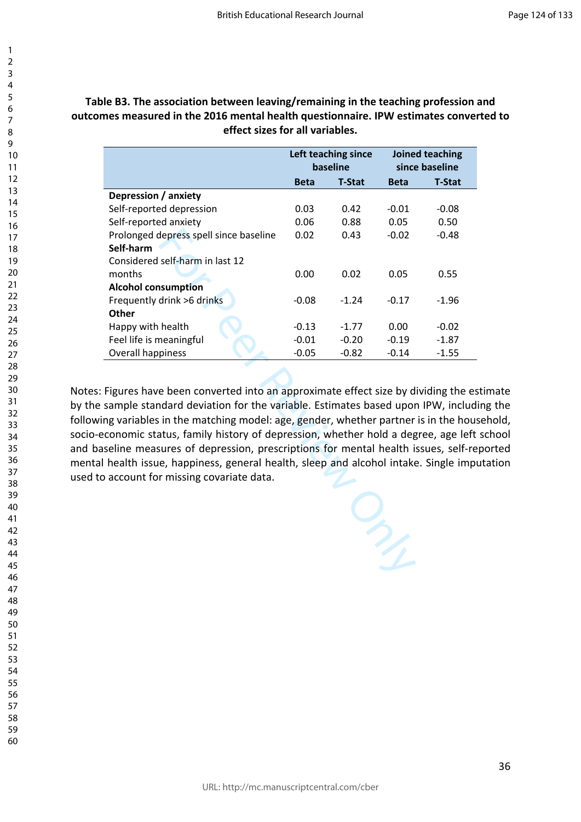## **Table B3. The association between leaving/remaining in the teaching profession and outcomes measured in the 2016 mental health questionnaire. IPW estimates converted to effect sizes for all variables.**

|                                                                                                                                                                                                                                                                                                                                                                                                                                                                                                                                                 | Left teaching since<br>baseline |               |             | <b>Joined teaching</b>          |
|-------------------------------------------------------------------------------------------------------------------------------------------------------------------------------------------------------------------------------------------------------------------------------------------------------------------------------------------------------------------------------------------------------------------------------------------------------------------------------------------------------------------------------------------------|---------------------------------|---------------|-------------|---------------------------------|
|                                                                                                                                                                                                                                                                                                                                                                                                                                                                                                                                                 | <b>Beta</b>                     | <b>T-Stat</b> | <b>Beta</b> | since baseline<br><b>T-Stat</b> |
| Depression / anxiety                                                                                                                                                                                                                                                                                                                                                                                                                                                                                                                            |                                 |               |             |                                 |
| Self-reported depression                                                                                                                                                                                                                                                                                                                                                                                                                                                                                                                        | 0.03                            | 0.42          | $-0.01$     | $-0.08$                         |
| Self-reported anxiety                                                                                                                                                                                                                                                                                                                                                                                                                                                                                                                           | 0.06                            | 0.88          | 0.05        | 0.50                            |
| Prolonged depress spell since baseline                                                                                                                                                                                                                                                                                                                                                                                                                                                                                                          | 0.02                            | 0.43          | $-0.02$     | $-0.48$                         |
| Self-harm                                                                                                                                                                                                                                                                                                                                                                                                                                                                                                                                       |                                 |               |             |                                 |
| Considered self-harm in last 12                                                                                                                                                                                                                                                                                                                                                                                                                                                                                                                 |                                 |               |             |                                 |
| months                                                                                                                                                                                                                                                                                                                                                                                                                                                                                                                                          | 0.00                            | 0.02          | 0.05        | 0.55                            |
| <b>Alcohol consumption</b>                                                                                                                                                                                                                                                                                                                                                                                                                                                                                                                      |                                 |               |             |                                 |
| Frequently drink >6 drinks                                                                                                                                                                                                                                                                                                                                                                                                                                                                                                                      | $-0.08$                         | $-1.24$       | $-0.17$     | $-1.96$                         |
| Other                                                                                                                                                                                                                                                                                                                                                                                                                                                                                                                                           |                                 |               |             |                                 |
| Happy with health                                                                                                                                                                                                                                                                                                                                                                                                                                                                                                                               | $-0.13$                         | $-1.77$       | 0.00        | $-0.02$                         |
| Feel life is meaningful                                                                                                                                                                                                                                                                                                                                                                                                                                                                                                                         | $-0.01$                         | $-0.20$       | $-0.19$     | $-1.87$                         |
| <b>Overall happiness</b>                                                                                                                                                                                                                                                                                                                                                                                                                                                                                                                        | $-0.05$                         | $-0.82$       | $-0.14$     | $-1.55$                         |
| Figures have been converted into an approximate effect size by dividing the es<br>sample standard deviation for the variable. Estimates based upon IPW, includ<br>ng variables in the matching model: age, gender, whether partner is in the hous<br>conomic status, family history of depression, whether hold a degree, age left<br>seline measures of depression, prescriptions for mental health issues, self-re<br>health issue, happiness, general health, sleep and alcohol intake. Single impo<br>o account for missing covariate data. |                                 |               |             |                                 |

Notes: Figures have been converted into an approximate effect size by dividing the estimate by the sample standard deviation for the variable. Estimates based upon IPW, including the following variables in the matching model: age, gender, whether partner is in the household, socio-economic status, family history of depression, whether hold a degree, age left school and baseline measures of depression, prescriptions for mental health issues, self-reported mental health issue, happiness, general health, sleep and alcohol intake. Single imputation used to account for missing covariate data.

 $\mathbf{1}$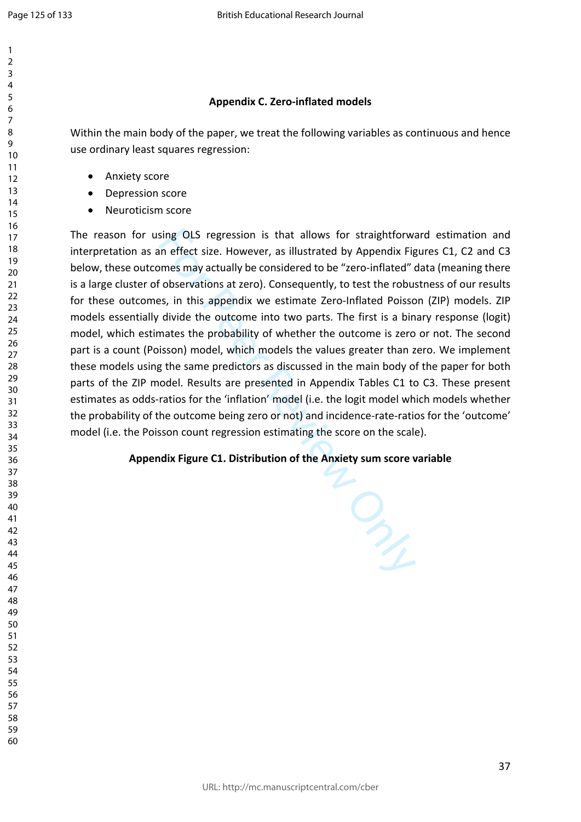$\mathbf{1}$  $\overline{2}$  $\overline{3}$  $\overline{4}$  $\overline{7}$ 

## **Appendix C. Zero-inflated models**

Within the main body of the paper, we treat the following variables as continuous and hence use ordinary least squares regression:

- Anxiety score
- Depression score
- Neuroticism score

sing OLS regression is that allows for straightforwine effect size. However, as illustrated by Appendix Figures may actually be considered to be "zero-inflated" (independix Figures may actually be considered to be "zero-in The reason for using OLS regression is that allows for straightforward estimation and interpretation as an effect size. However, as illustrated by Appendix Figures C1, C2 and C3 below, these outcomes may actually be considered to be "zero-inflated" data (meaning there is a large cluster of observations at zero). Consequently, to test the robustness of our results for these outcomes, in this appendix we estimate Zero-Inflated Poisson (ZIP) models. ZIP models essentially divide the outcome into two parts. The first is a binary response (logit) model, which estimates the probability of whether the outcome is zero or not. The second part is a count (Poisson) model, which models the values greater than zero. We implement these models using the same predictors as discussed in the main body of the paper for both parts of the ZIP model. Results are presented in Appendix Tables C1 to C3. These present estimates as odds-ratios for the 'inflation' model (i.e. the logit model which models whether the probability of the outcome being zero or not) and incidence-rate-ratios for the 'outcome' model (i.e. the Poisson count regression estimating the score on the scale).

## **Appendix Figure C1. Distribution of the Anxiety sum score variable**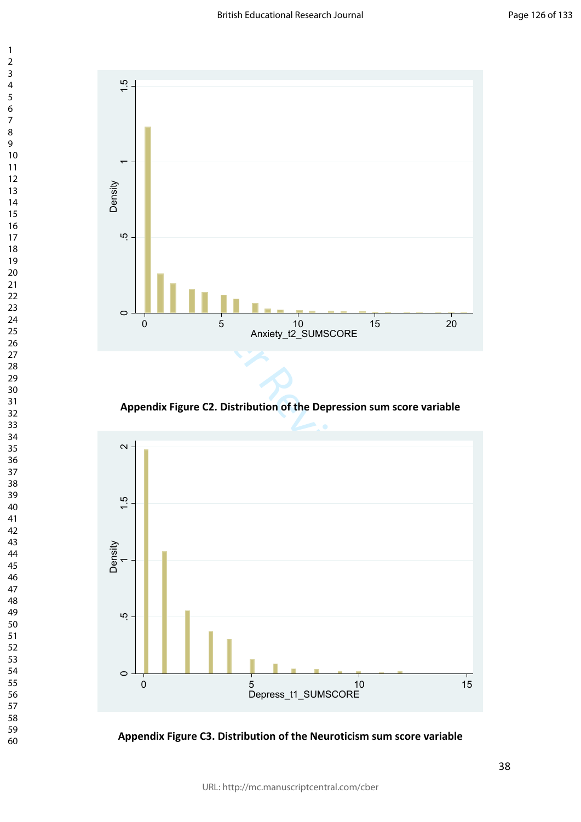$\mathbf{1}$  $\overline{2}$  $\overline{3}$  $\overline{4}$  $\overline{7}$ 



**Appendix Figure C2. Distribution of the Depression sum score variable**



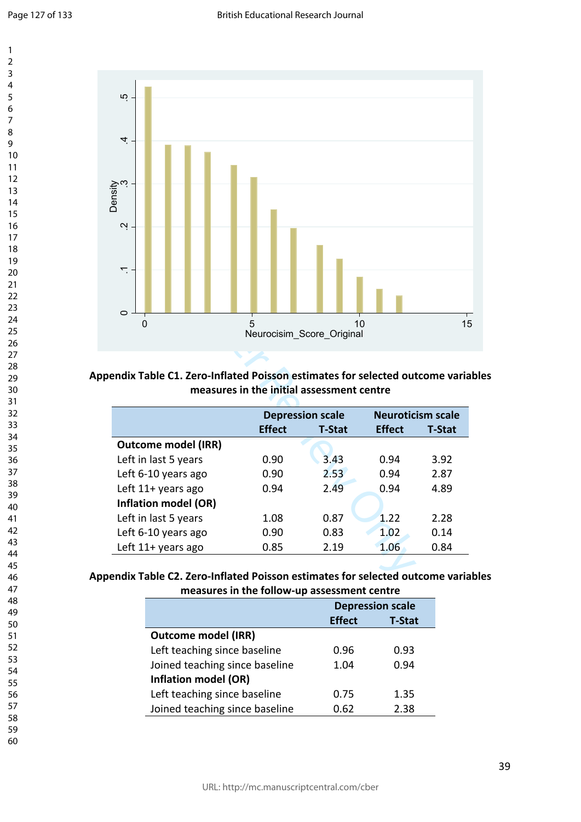$\mathbf{1}$  $\overline{2}$  $\overline{3}$  $\overline{4}$  $\overline{7}$ 



## **Appendix Table C1. Zero-Inflated Poisson estimates for selected outcome variables measures in the initial assessment centre**

| ↽.<br>$\circ$                                                              |                                           |                                 |               |                          |
|----------------------------------------------------------------------------|-------------------------------------------|---------------------------------|---------------|--------------------------|
| 0                                                                          | 5                                         | 10<br>Neurocisim_Score_Original |               | 15                       |
| endix Table C1. Zero-Inflated Poisson estimates for selected outcome varia | measures in the initial assessment centre |                                 |               |                          |
|                                                                            |                                           |                                 |               |                          |
|                                                                            |                                           | <b>Depression scale</b>         |               | <b>Neuroticism scale</b> |
|                                                                            | <b>Effect</b>                             | <b>T-Stat</b>                   | <b>Effect</b> | <b>T-Stat</b>            |
| <b>Outcome model (IRR)</b>                                                 |                                           |                                 |               |                          |
| Left in last 5 years                                                       | 0.90                                      | 3.43                            | 0.94          | 3.92                     |
| Left 6-10 years ago                                                        | 0.90                                      | 2.53                            | 0.94          | 2.87                     |
| Left 11+ years ago                                                         | 0.94                                      | 2.49                            | 0.94          | 4.89                     |
| Inflation model (OR)                                                       |                                           |                                 |               |                          |
| Left in last 5 years                                                       | 1.08                                      | 0.87                            | 1.22          | 2.28                     |
| Left 6-10 years ago                                                        | 0.90                                      | 0.83                            | 1.02          | 0.14                     |
| Left 11+ years ago                                                         | 0.85                                      | 2.19                            | 1.06          | 0.84                     |

## **Appendix Table C2. Zero-Inflated Poisson estimates for selected outcome variables measures in the follow-up assessment centre**

|                                | <b>Depression scale</b> |               |  |
|--------------------------------|-------------------------|---------------|--|
|                                | <b>Effect</b>           | <b>T-Stat</b> |  |
| <b>Outcome model (IRR)</b>     |                         |               |  |
| Left teaching since baseline   | 0.96                    | 0.93          |  |
| Joined teaching since baseline | 1.04                    | 0.94          |  |
| Inflation model (OR)           |                         |               |  |
| Left teaching since baseline   | 0.75                    | 1.35          |  |
| Joined teaching since baseline | 0.62                    | 2.38          |  |
|                                |                         |               |  |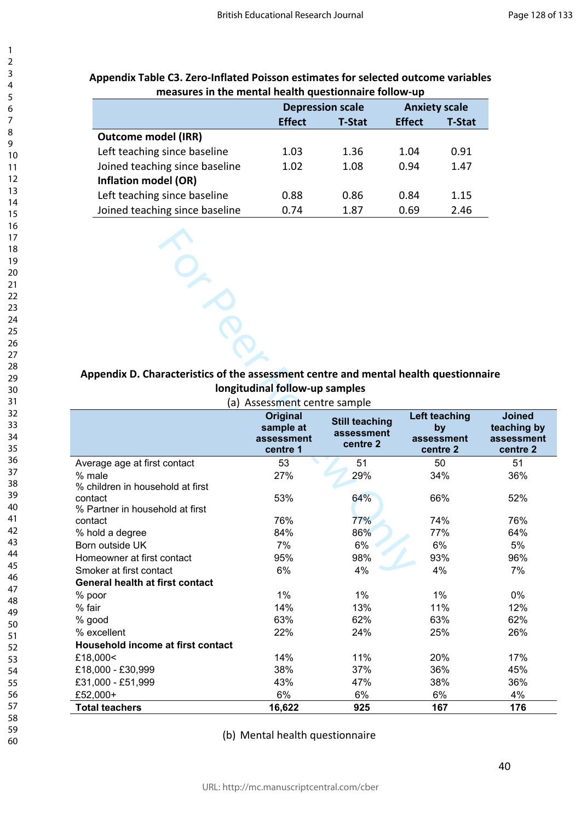| Appendix Table C3. Zero-Inflated Poisson estimates for selected outcome variables |  |
|-----------------------------------------------------------------------------------|--|
| measures in the mental health questionnaire follow-up                             |  |

 $\mathbf{1}$  $\overline{2}$  $\overline{3}$  $\overline{4}$ 5 6  $\overline{7}$ 8 9

|                                | <b>Depression scale</b> |               | <b>Anxiety scale</b> |               |  |
|--------------------------------|-------------------------|---------------|----------------------|---------------|--|
|                                | <b>Effect</b>           | <b>T-Stat</b> | <b>Effect</b>        | <b>T-Stat</b> |  |
| <b>Outcome model (IRR)</b>     |                         |               |                      |               |  |
| Left teaching since baseline   | 1.03                    | 1.36          | 1.04                 | 0.91          |  |
| Joined teaching since baseline | 1.02                    | 1.08          | 0.94                 | 1.47          |  |
| Inflation model (OR)           |                         |               |                      |               |  |
| Left teaching since baseline   | 0.88                    | 0.86          | 0.84                 | 1.15          |  |
| Joined teaching since baseline | 0.74                    | 1.87          | 0.69                 | 2.46          |  |

## **Appendix D. Characteristics of the assessment centre and mental health questionnaire longitudinal follow-up samples**

TON BOOM

|                                        | Original<br>sample at<br>assessment<br>centre 1 | <b>Still teaching</b><br>assessment<br>centre 2 | Left teaching<br>by<br>assessment<br>centre 2 | <b>Joined</b><br>teaching by<br>assessment<br>centre 2 |
|----------------------------------------|-------------------------------------------------|-------------------------------------------------|-----------------------------------------------|--------------------------------------------------------|
| Average age at first contact           | 53                                              | 51                                              | 50                                            | 51                                                     |
| $%$ male                               | 27%                                             | 29%                                             | 34%                                           | 36%                                                    |
| % children in household at first       |                                                 |                                                 |                                               |                                                        |
| contact                                | 53%                                             | 64%                                             | 66%                                           | 52%                                                    |
| % Partner in household at first        |                                                 |                                                 |                                               |                                                        |
| contact                                | 76%                                             | 77%                                             | 74%                                           | 76%                                                    |
| % hold a degree                        | 84%                                             | 86%                                             | 77%                                           | 64%                                                    |
| Born outside UK                        | 7%                                              | 6%                                              | 6%                                            | 5%                                                     |
| Homeowner at first contact             | 95%                                             | 98%                                             | 93%                                           | 96%                                                    |
| Smoker at first contact                | 6%                                              | 4%                                              | 4%                                            | 7%                                                     |
| <b>General health at first contact</b> |                                                 |                                                 |                                               |                                                        |
| % poor                                 | 1%                                              | 1%                                              | $1\%$                                         | 0%                                                     |
| % fair                                 | 14%                                             | 13%                                             | 11%                                           | 12%                                                    |
| % good                                 | 63%                                             | 62%                                             | 63%                                           | 62%                                                    |
| % excellent                            | 22%                                             | 24%                                             | 25%                                           | 26%                                                    |
| Household income at first contact      |                                                 |                                                 |                                               |                                                        |
| £18,000<                               | 14%                                             | 11%                                             | 20%                                           | 17%                                                    |
| £18,000 - £30,999                      | 38%                                             | 37%                                             | 36%                                           | 45%                                                    |
| £31,000 - £51,999                      | 43%                                             | 47%                                             | 38%                                           | 36%                                                    |
| £52,000+                               | 6%                                              | 6%                                              | 6%                                            | 4%                                                     |
| <b>Total teachers</b>                  | 16,622                                          | 925                                             | 167                                           | 176                                                    |

(b) Mental health questionnaire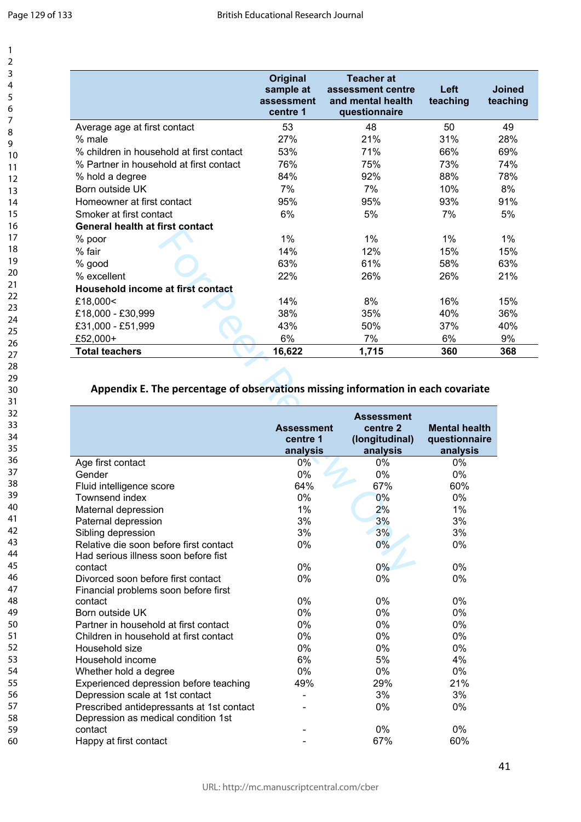| 1<br>2                     |  |
|----------------------------|--|
| 3<br>4                     |  |
| 5<br>6                     |  |
| 8                          |  |
| 9<br>10                    |  |
| 11<br>$\overline{12}$      |  |
| 13<br>$\overline{14}$      |  |
| 15<br>16                   |  |
| 1                          |  |
| 18<br>19                   |  |
| 20<br>$\overline{21}$      |  |
| 22<br>23                   |  |
| $^{24}$<br>25              |  |
| 26<br>27                   |  |
| 28<br>29                   |  |
| 30<br>$\overline{31}$      |  |
| $\overline{32}$<br>33      |  |
| 34<br>35                   |  |
| 36<br>37                   |  |
| 38<br>39                   |  |
| 40<br>41                   |  |
| 42<br>43                   |  |
| 44<br>45                   |  |
| 46                         |  |
| 47<br>48                   |  |
| 49<br>50                   |  |
| 51<br>5.<br>$\overline{ }$ |  |
| 53<br>54                   |  |
| 55<br>56                   |  |
| 57<br>58                   |  |
| 59                         |  |

|                                          | Original<br>sample at<br>assessment<br>centre 1 | <b>Teacher at</b><br>assessment centre<br>and mental health<br>questionnaire | Left<br>teaching | <b>Joined</b><br>teaching |
|------------------------------------------|-------------------------------------------------|------------------------------------------------------------------------------|------------------|---------------------------|
| Average age at first contact             | 53                                              | 48                                                                           | 50               | 49                        |
| $%$ male                                 | 27%                                             | 21%                                                                          | 31%              | 28%                       |
| % children in household at first contact | 53%                                             | 71%                                                                          | 66%              | 69%                       |
| % Partner in household at first contact  | 76%                                             | 75%                                                                          | 73%              | 74%                       |
| % hold a degree                          | 84%                                             | 92%                                                                          | 88%              | 78%                       |
| Born outside UK                          | 7%                                              | 7%                                                                           | 10%              | 8%                        |
| Homeowner at first contact               | 95%                                             | 95%                                                                          | 93%              | 91%                       |
| Smoker at first contact                  | 6%                                              | 5%                                                                           | 7%               | 5%                        |
| <b>General health at first contact</b>   |                                                 |                                                                              |                  |                           |
| % poor                                   | 1%                                              | $1\%$                                                                        | 1%               | 1%                        |
| % fair                                   | 14%                                             | 12%                                                                          | 15%              | 15%                       |
| % good                                   | 63%                                             | 61%                                                                          | 58%              | 63%                       |
| % excellent                              | 22%                                             | 26%                                                                          | 26%              | 21%                       |
| Household income at first contact        |                                                 |                                                                              |                  |                           |
| £18,000<                                 | 14%                                             | 8%                                                                           | 16%              | 15%                       |
| £18,000 - £30,999                        | 38%                                             | 35%                                                                          | 40%              | 36%                       |
| £31,000 - £51,999                        | 43%                                             | 50%                                                                          | 37%              | 40%                       |
| £52,000+                                 | 6%                                              | 7%                                                                           | 6%               | 9%                        |
| <b>Total teachers</b>                    | 16,622                                          | 1,715                                                                        | 360              | 368                       |

# **Appendix E. The percentage of observations missing information in each covariate**

| % poor                                                                           | 1%                   | 1%                            | 1%                        |
|----------------------------------------------------------------------------------|----------------------|-------------------------------|---------------------------|
| % fair                                                                           | 14%                  | 12%                           | 15%                       |
| % good                                                                           | 63%                  | 61%                           | 58%                       |
| % excellent                                                                      | 22%                  | 26%                           | 26%                       |
| <b>Household income at first contact</b>                                         |                      |                               |                           |
| £18,000<                                                                         | 14%                  | 8%                            | 16%                       |
| £18,000 - £30,999                                                                | 38%                  | 35%                           | 40%                       |
| £31,000 - £51,999                                                                | 43%                  | 50%                           | 37%                       |
| £52,000+                                                                         | 6%                   | 7%                            | 6%                        |
| <b>Total teachers</b>                                                            | 16,622               | 1,715                         | 360                       |
| Appendix E. The percentage of observations missing information in each covariate |                      |                               |                           |
|                                                                                  | <b>Assessment</b>    | <b>Assessment</b><br>centre 2 | <b>Mental health</b>      |
|                                                                                  | centre 1<br>analysis | (longitudinal)<br>analysis    | questionnaire<br>analysis |
| Age first contact                                                                | 0%                   | $0\%$                         | 0%                        |
| Gender                                                                           | 0%                   | $0\%$                         | $0\%$                     |
| Fluid intelligence score                                                         | 64%                  | 67%                           | 60%                       |
| Townsend index                                                                   | 0%                   | 0%                            | 0%                        |
| Maternal depression                                                              | 1%                   | 2%                            | 1%                        |
| Paternal depression                                                              | 3%                   | 3%                            | 3%                        |
| Sibling depression                                                               | 3%                   | 3%                            | 3%                        |
| Relative die soon before first contact                                           | 0%                   | 0%                            | 0%                        |
| Had serious illness soon before fist                                             |                      |                               |                           |
| contact                                                                          | 0%                   | 0%                            | $0\%$                     |
| Divorced soon before first contact                                               | 0%                   | 0%                            | 0%                        |
| Financial problems soon before first                                             |                      |                               |                           |
| contact                                                                          | 0%                   | 0%                            | 0%                        |
| Born outside UK                                                                  | 0%                   | 0%                            | 0%                        |
| Partner in household at first contact                                            | 0%                   | 0%                            | $0\%$                     |
| Children in household at first contact                                           | 0%                   | 0%                            | $0\%$                     |
| Household size                                                                   | 0%                   | 0%                            | 0%                        |
| Household income                                                                 | 6%                   | 5%                            | 4%                        |
| Whether hold a degree                                                            | 0%                   | 0%                            | $0\%$                     |
| Experienced depression before teaching                                           | 49%                  | 29%                           | 21%                       |
| Depression scale at 1st contact                                                  |                      | 3%                            | 3%                        |
| Prescribed antidepressants at 1st contact<br>Depression as medical condition 1st |                      | 0%                            | 0%                        |
| contact                                                                          |                      | 0%                            | 0%                        |
| Happy at first contact                                                           |                      | 67%                           | 60%                       |
|                                                                                  |                      |                               |                           |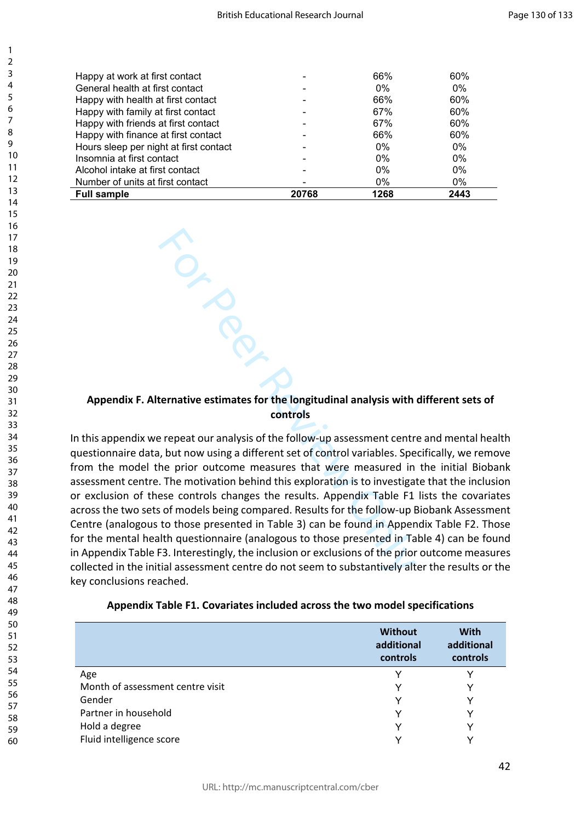| <b>Full sample</b>                     | 20768 | 1268  | 2443  |
|----------------------------------------|-------|-------|-------|
| Number of units at first contact       |       | $0\%$ | $0\%$ |
| Alcohol intake at first contact        |       | $0\%$ | $0\%$ |
| Insomnia at first contact              |       | $0\%$ | $0\%$ |
| Hours sleep per night at first contact |       | $0\%$ | $0\%$ |
| Happy with finance at first contact    |       | 66%   | 60%   |
| Happy with friends at first contact    |       | 67%   | 60%   |
| Happy with family at first contact     |       | 67%   | 60%   |
| Happy with health at first contact     |       | 66%   | 60%   |
| General health at first contact        |       | $0\%$ | $0\%$ |
| Happy at work at first contact         |       | 66%   | 60%   |

TON BEE

123456789

 $\mathbf{1}$  $\overline{2}$  $\overline{3}$  $\overline{4}$ 5 6  $\overline{7}$ 8 9

**Appendix F. Alternative estimates for the longitudinal analysis with different sets of controls**

In this appendix we repeat our analysis of the follow-up assessment centre and mental health questionnaire data, but now using a different set of control variables. Specifically, we remove from the model the prior outcome measures that were measured in the initial Biobank assessment centre. The motivation behind this exploration is to investigate that the inclusion or exclusion of these controls changes the results. Appendix Table F1 lists the covariates across the two sets of models being compared. Results for the follow-up Biobank Assessment Centre (analogous to those presented in Table 3) can be found in Appendix Table F2. Those for the mental health questionnaire (analogous to those presented in Table 4) can be found in Appendix Table F3. Interestingly, the inclusion or exclusions of the prior outcome measures collected in the initial assessment centre do not seem to substantively alter the results or the key conclusions reached.

|                                  | <b>Without</b><br>additional<br>controls | With<br>additional<br>controls |
|----------------------------------|------------------------------------------|--------------------------------|
| Age                              | v                                        |                                |
| Month of assessment centre visit | v                                        |                                |
| Gender                           | v                                        |                                |
| Partner in household             | v                                        |                                |
| Hold a degree                    | v                                        |                                |
| Fluid intelligence score         | $\checkmark$                             |                                |

| Appendix Table F1. Covariates included across the two model specifications |  |  |  |  |  |
|----------------------------------------------------------------------------|--|--|--|--|--|
|----------------------------------------------------------------------------|--|--|--|--|--|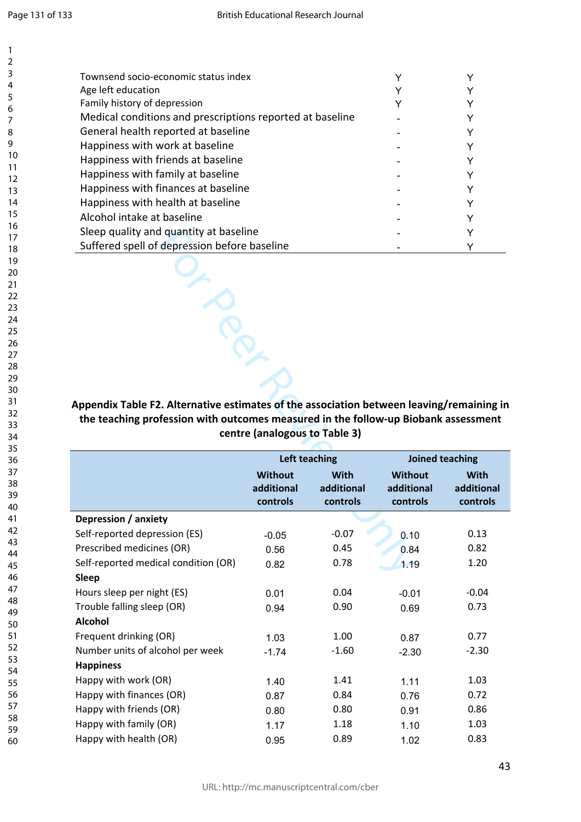$\mathbf{1}$  $\overline{2}$  $\overline{3}$  $\overline{4}$ 5 6  $\overline{7}$ 8 9

| Townsend socio-economic status index                      |   |
|-----------------------------------------------------------|---|
| Age left education                                        |   |
| Family history of depression                              |   |
| Medical conditions and prescriptions reported at baseline |   |
| General health reported at baseline                       |   |
| Happiness with work at baseline                           |   |
| Happiness with friends at baseline                        |   |
| Happiness with family at baseline                         | ν |
| Happiness with finances at baseline                       |   |
| Happiness with health at baseline                         | v |
| Alcohol intake at baseline                                |   |
| Sleep quality and quantity at baseline                    |   |
| Suffered spell of depression before baseline              |   |
|                                                           |   |

## **Appendix Table F2. Alternative estimates of the association between leaving/remaining in the teaching profession with outcomes measured in the follow-up Biobank assessment centre (analogous to Table 3)**

| Sleep quality and quantity at baseline                                                                                                                                         |                                                |                        |                        | Υ                      |
|--------------------------------------------------------------------------------------------------------------------------------------------------------------------------------|------------------------------------------------|------------------------|------------------------|------------------------|
| Suffered spell of depression before baseline                                                                                                                                   |                                                |                        |                        | Υ                      |
|                                                                                                                                                                                |                                                |                        |                        |                        |
| Appendix Table F2. Alternative estimates of the association between leaving/remaining in<br>the teaching profession with outcomes measured in the follow-up Biobank assessment | centre (analogous to Table 3)<br>Left teaching |                        |                        | <b>Joined teaching</b> |
|                                                                                                                                                                                | <b>Without</b><br><b>With</b>                  |                        | <b>Without</b>         | <b>With</b>            |
|                                                                                                                                                                                | additional<br>controls                         | additional<br>controls | additional<br>controls | additional<br>controls |
| Depression / anxiety                                                                                                                                                           |                                                |                        |                        |                        |
| Self-reported depression (ES)                                                                                                                                                  | $-0.05$                                        | $-0.07$                | 0.10                   | 0.13                   |
| Prescribed medicines (OR)                                                                                                                                                      | 0.56                                           | 0.45                   | 0.84                   | 0.82                   |
| Self-reported medical condition (OR)                                                                                                                                           | 0.82                                           | 0.78                   | 1.19                   | 1.20                   |
| <b>Sleep</b>                                                                                                                                                                   |                                                |                        |                        |                        |
| Hours sleep per night (ES)                                                                                                                                                     | 0.01                                           | 0.04                   | $-0.01$                | $-0.04$                |
| Trouble falling sleep (OR)                                                                                                                                                     |                                                |                        |                        | 0.73                   |
|                                                                                                                                                                                |                                                | 0.90                   |                        |                        |
| <b>Alcohol</b>                                                                                                                                                                 | 0.94                                           |                        | 0.69                   |                        |
|                                                                                                                                                                                | 1.03                                           | 1.00                   | 0.87                   | 0.77                   |
| Number units of alcohol per week                                                                                                                                               | $-1.74$                                        | $-1.60$                | $-2.30$                | $-2.30$                |
| <b>Happiness</b>                                                                                                                                                               |                                                |                        |                        |                        |
| Happy with work (OR)                                                                                                                                                           | 1.40                                           | 1.41                   | 1.11                   | 1.03                   |
| Frequent drinking (OR)<br>Happy with finances (OR)                                                                                                                             | 0.87                                           | 0.84                   | 0.76                   | 0.72                   |
| Happy with friends (OR)                                                                                                                                                        | 0.80                                           | 0.80                   | 0.91                   | 0.86                   |
| Happy with family (OR)                                                                                                                                                         | 1.17                                           | 1.18                   | 1.10                   | 1.03                   |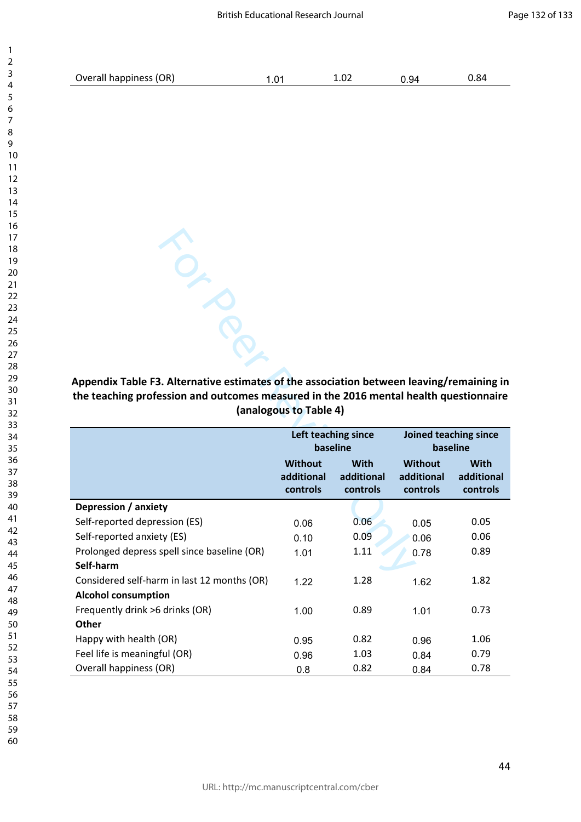| Overall happiness (OR) | 1.02 | .94 ل | ገ.84 |
|------------------------|------|-------|------|
|                        |      |       |      |

 $\mathbf{1}$  $\overline{2}$ 

60

For Peer Review Only **Appendix Table F3. Alternative estimates of the association between leaving/remaining in the teaching profession and outcomes measured in the 2016 mental health questionnaire (analogous to Table 4)**

|                                             | Left teaching since<br>baseline          |                                       | Joined teaching since<br>baseline        |                                |
|---------------------------------------------|------------------------------------------|---------------------------------------|------------------------------------------|--------------------------------|
|                                             | <b>Without</b><br>additional<br>controls | <b>With</b><br>additional<br>controls | <b>Without</b><br>additional<br>controls | With<br>additional<br>controls |
| Depression / anxiety                        |                                          |                                       |                                          |                                |
| Self-reported depression (ES)               | 0.06                                     | 0.06                                  | 0.05                                     | 0.05                           |
| Self-reported anxiety (ES)                  | 0.10                                     | 0.09                                  | 0.06                                     | 0.06                           |
| Prolonged depress spell since baseline (OR) | 1.01                                     | 1.11                                  | 0.78                                     | 0.89                           |
| Self-harm                                   |                                          |                                       |                                          |                                |
| Considered self-harm in last 12 months (OR) | 1.22                                     | 1.28                                  | 1.62                                     | 1.82                           |
| <b>Alcohol consumption</b>                  |                                          |                                       |                                          |                                |
| Frequently drink >6 drinks (OR)             | 1.00                                     | 0.89                                  | 1.01                                     | 0.73                           |
| <b>Other</b>                                |                                          |                                       |                                          |                                |
| Happy with health (OR)                      | 0.95                                     | 0.82                                  | 0.96                                     | 1.06                           |
| Feel life is meaningful (OR)                | 0.96                                     | 1.03                                  | 0.84                                     | 0.79                           |
| Overall happiness (OR)                      | 0.8                                      | 0.82                                  | 0.84                                     | 0.78                           |